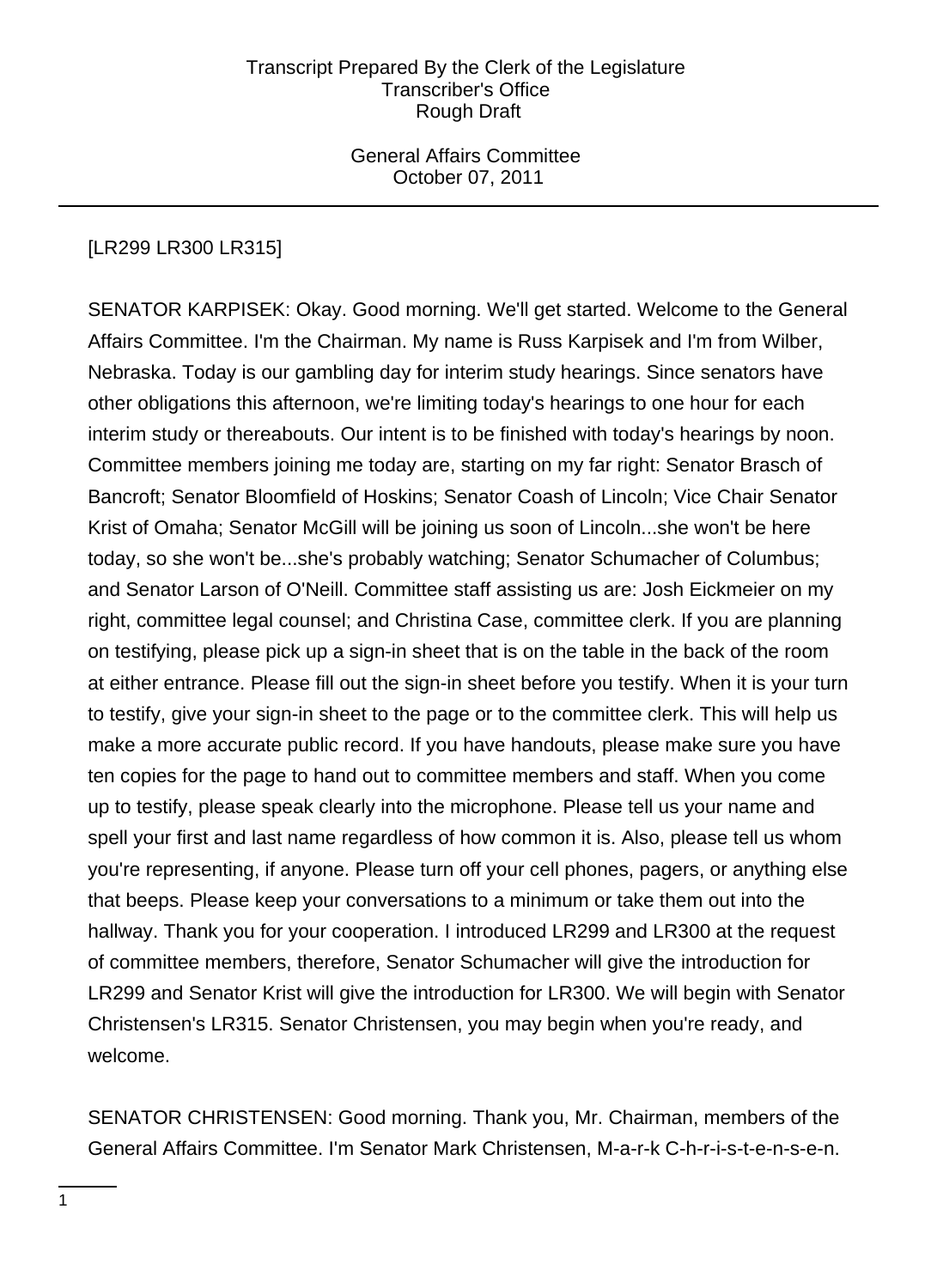General Affairs Committee October 07, 2011

# [LR299 LR300 LR315]

SENATOR KARPISEK: Okay. Good morning. We'll get started. Welcome to the General Affairs Committee. I'm the Chairman. My name is Russ Karpisek and I'm from Wilber, Nebraska. Today is our gambling day for interim study hearings. Since senators have other obligations this afternoon, we're limiting today's hearings to one hour for each interim study or thereabouts. Our intent is to be finished with today's hearings by noon. Committee members joining me today are, starting on my far right: Senator Brasch of Bancroft; Senator Bloomfield of Hoskins; Senator Coash of Lincoln; Vice Chair Senator Krist of Omaha; Senator McGill will be joining us soon of Lincoln...she won't be here today, so she won't be...she's probably watching; Senator Schumacher of Columbus; and Senator Larson of O'Neill. Committee staff assisting us are: Josh Eickmeier on my right, committee legal counsel; and Christina Case, committee clerk. If you are planning on testifying, please pick up a sign-in sheet that is on the table in the back of the room at either entrance. Please fill out the sign-in sheet before you testify. When it is your turn to testify, give your sign-in sheet to the page or to the committee clerk. This will help us make a more accurate public record. If you have handouts, please make sure you have ten copies for the page to hand out to committee members and staff. When you come up to testify, please speak clearly into the microphone. Please tell us your name and spell your first and last name regardless of how common it is. Also, please tell us whom you're representing, if anyone. Please turn off your cell phones, pagers, or anything else that beeps. Please keep your conversations to a minimum or take them out into the hallway. Thank you for your cooperation. I introduced LR299 and LR300 at the request of committee members, therefore, Senator Schumacher will give the introduction for LR299 and Senator Krist will give the introduction for LR300. We will begin with Senator Christensen's LR315. Senator Christensen, you may begin when you're ready, and welcome.

SENATOR CHRISTENSEN: Good morning. Thank you, Mr. Chairman, members of the General Affairs Committee. I'm Senator Mark Christensen, M-a-r-k C-h-r-i-s-t-e-n-s-e-n.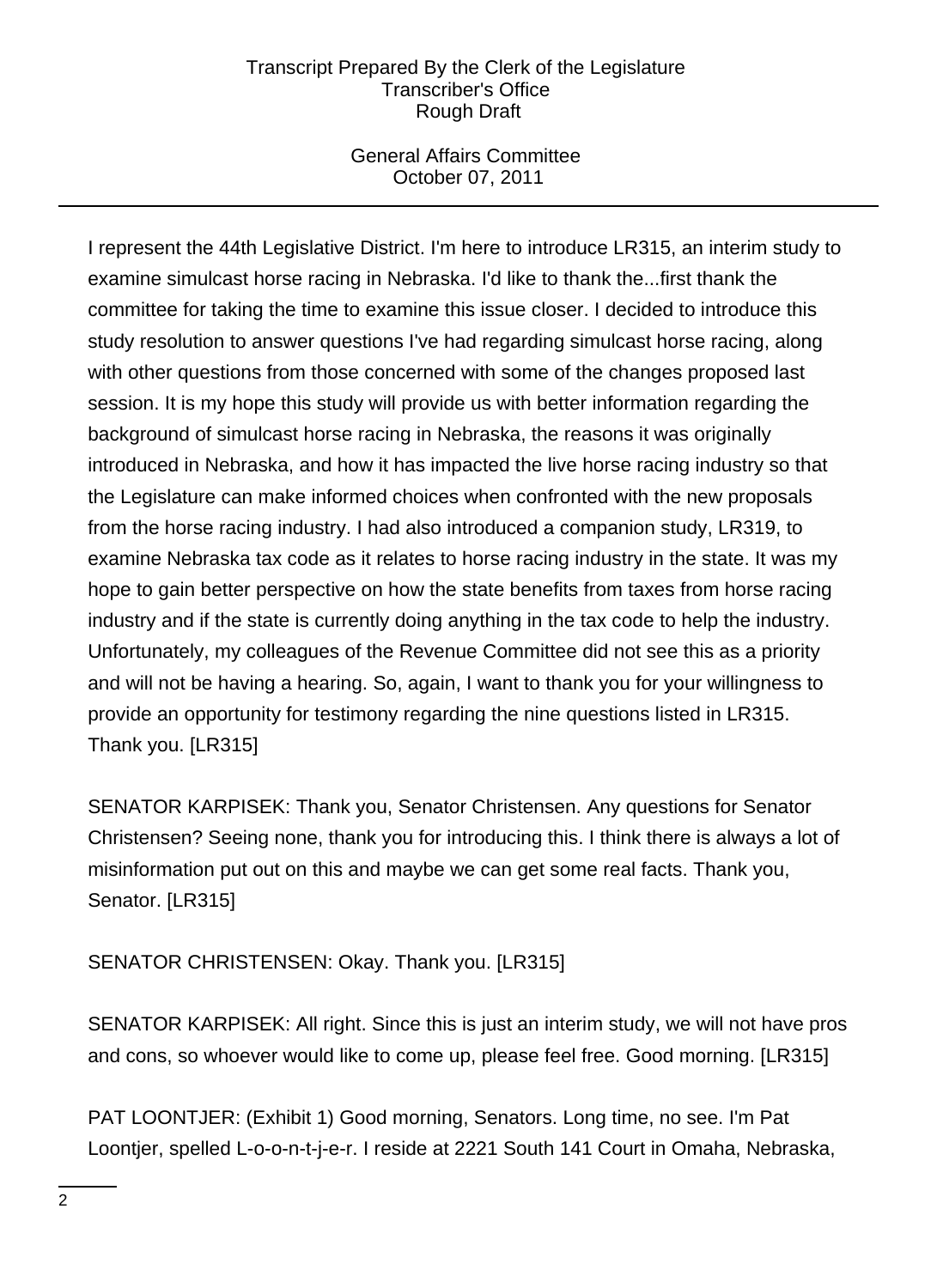# General Affairs Committee October 07, 2011

I represent the 44th Legislative District. I'm here to introduce LR315, an interim study to examine simulcast horse racing in Nebraska. I'd like to thank the...first thank the committee for taking the time to examine this issue closer. I decided to introduce this study resolution to answer questions I've had regarding simulcast horse racing, along with other questions from those concerned with some of the changes proposed last session. It is my hope this study will provide us with better information regarding the background of simulcast horse racing in Nebraska, the reasons it was originally introduced in Nebraska, and how it has impacted the live horse racing industry so that the Legislature can make informed choices when confronted with the new proposals from the horse racing industry. I had also introduced a companion study, LR319, to examine Nebraska tax code as it relates to horse racing industry in the state. It was my hope to gain better perspective on how the state benefits from taxes from horse racing industry and if the state is currently doing anything in the tax code to help the industry. Unfortunately, my colleagues of the Revenue Committee did not see this as a priority and will not be having a hearing. So, again, I want to thank you for your willingness to provide an opportunity for testimony regarding the nine questions listed in LR315. Thank you. [LR315]

SENATOR KARPISEK: Thank you, Senator Christensen. Any questions for Senator Christensen? Seeing none, thank you for introducing this. I think there is always a lot of misinformation put out on this and maybe we can get some real facts. Thank you, Senator. [LR315]

SENATOR CHRISTENSEN: Okay. Thank you. [LR315]

SENATOR KARPISEK: All right. Since this is just an interim study, we will not have pros and cons, so whoever would like to come up, please feel free. Good morning. [LR315]

PAT LOONTJER: (Exhibit 1) Good morning, Senators. Long time, no see. I'm Pat Loontjer, spelled L-o-o-n-t-j-e-r. I reside at 2221 South 141 Court in Omaha, Nebraska,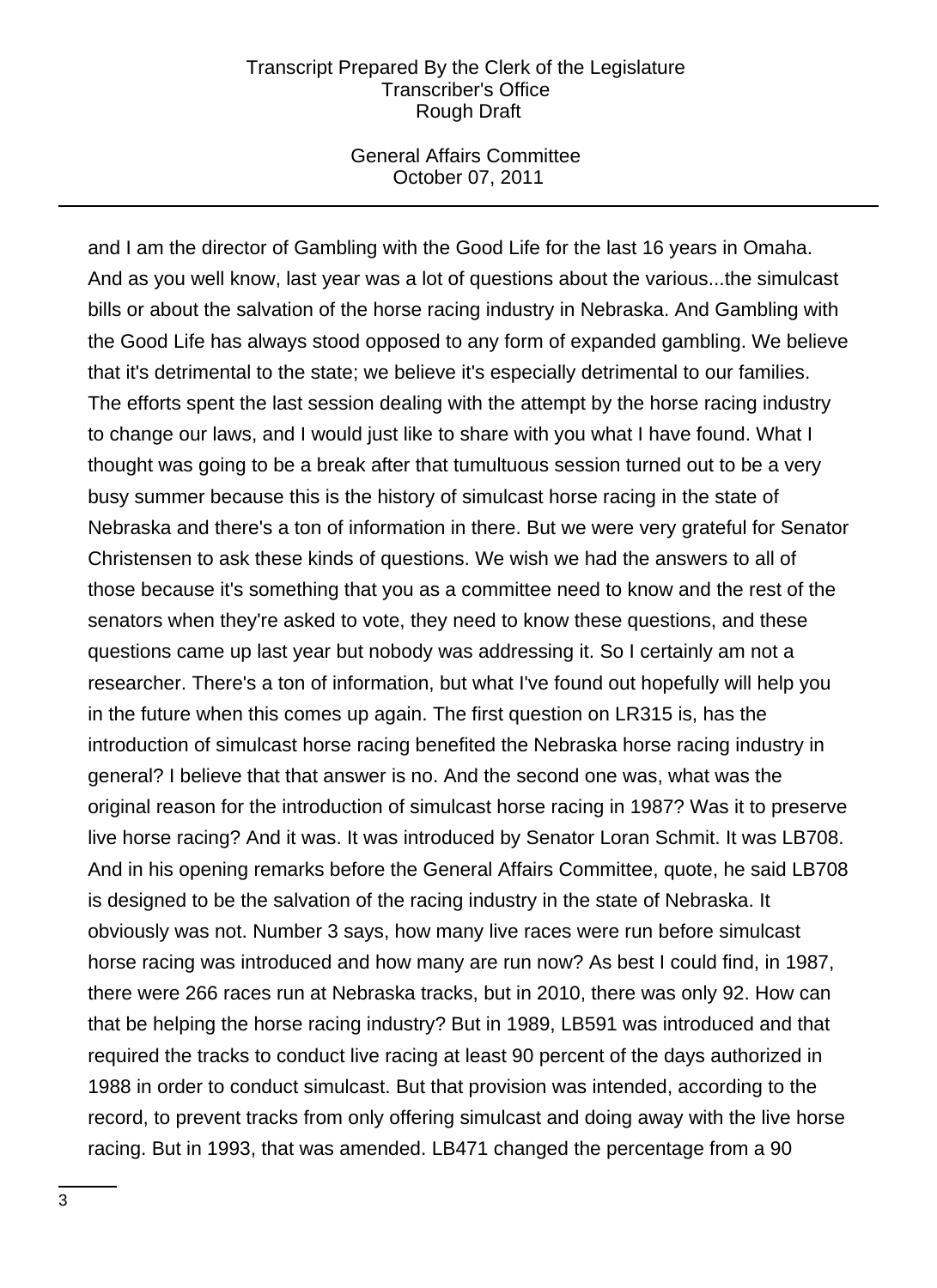### General Affairs Committee October 07, 2011

and I am the director of Gambling with the Good Life for the last 16 years in Omaha. And as you well know, last year was a lot of questions about the various...the simulcast bills or about the salvation of the horse racing industry in Nebraska. And Gambling with the Good Life has always stood opposed to any form of expanded gambling. We believe that it's detrimental to the state; we believe it's especially detrimental to our families. The efforts spent the last session dealing with the attempt by the horse racing industry to change our laws, and I would just like to share with you what I have found. What I thought was going to be a break after that tumultuous session turned out to be a very busy summer because this is the history of simulcast horse racing in the state of Nebraska and there's a ton of information in there. But we were very grateful for Senator Christensen to ask these kinds of questions. We wish we had the answers to all of those because it's something that you as a committee need to know and the rest of the senators when they're asked to vote, they need to know these questions, and these questions came up last year but nobody was addressing it. So I certainly am not a researcher. There's a ton of information, but what I've found out hopefully will help you in the future when this comes up again. The first question on LR315 is, has the introduction of simulcast horse racing benefited the Nebraska horse racing industry in general? I believe that that answer is no. And the second one was, what was the original reason for the introduction of simulcast horse racing in 1987? Was it to preserve live horse racing? And it was. It was introduced by Senator Loran Schmit. It was LB708. And in his opening remarks before the General Affairs Committee, quote, he said LB708 is designed to be the salvation of the racing industry in the state of Nebraska. It obviously was not. Number 3 says, how many live races were run before simulcast horse racing was introduced and how many are run now? As best I could find, in 1987, there were 266 races run at Nebraska tracks, but in 2010, there was only 92. How can that be helping the horse racing industry? But in 1989, LB591 was introduced and that required the tracks to conduct live racing at least 90 percent of the days authorized in 1988 in order to conduct simulcast. But that provision was intended, according to the record, to prevent tracks from only offering simulcast and doing away with the live horse racing. But in 1993, that was amended. LB471 changed the percentage from a 90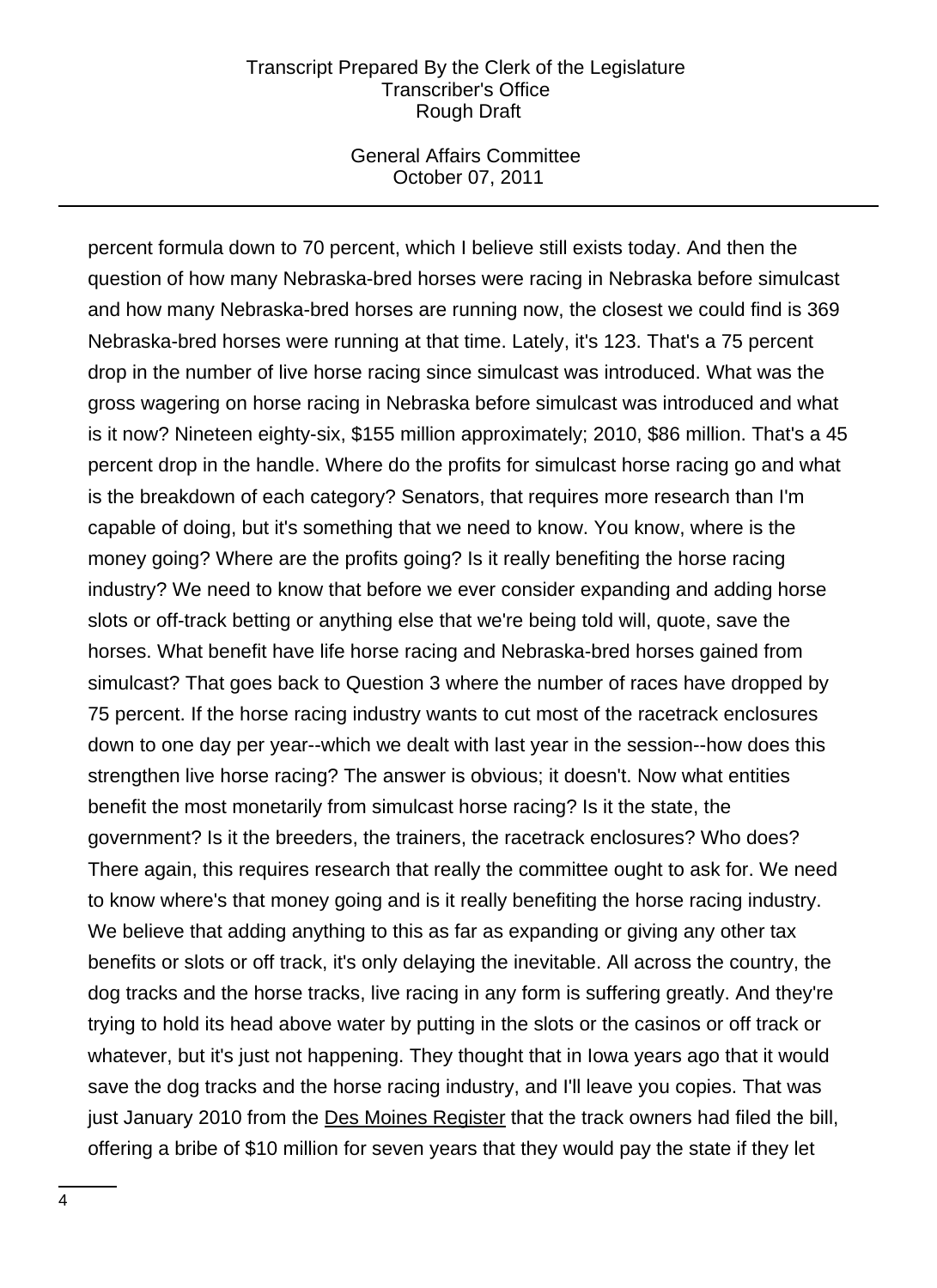#### General Affairs Committee October 07, 2011

percent formula down to 70 percent, which I believe still exists today. And then the question of how many Nebraska-bred horses were racing in Nebraska before simulcast and how many Nebraska-bred horses are running now, the closest we could find is 369 Nebraska-bred horses were running at that time. Lately, it's 123. That's a 75 percent drop in the number of live horse racing since simulcast was introduced. What was the gross wagering on horse racing in Nebraska before simulcast was introduced and what is it now? Nineteen eighty-six, \$155 million approximately; 2010, \$86 million. That's a 45 percent drop in the handle. Where do the profits for simulcast horse racing go and what is the breakdown of each category? Senators, that requires more research than I'm capable of doing, but it's something that we need to know. You know, where is the money going? Where are the profits going? Is it really benefiting the horse racing industry? We need to know that before we ever consider expanding and adding horse slots or off-track betting or anything else that we're being told will, quote, save the horses. What benefit have life horse racing and Nebraska-bred horses gained from simulcast? That goes back to Question 3 where the number of races have dropped by 75 percent. If the horse racing industry wants to cut most of the racetrack enclosures down to one day per year--which we dealt with last year in the session--how does this strengthen live horse racing? The answer is obvious; it doesn't. Now what entities benefit the most monetarily from simulcast horse racing? Is it the state, the government? Is it the breeders, the trainers, the racetrack enclosures? Who does? There again, this requires research that really the committee ought to ask for. We need to know where's that money going and is it really benefiting the horse racing industry. We believe that adding anything to this as far as expanding or giving any other tax benefits or slots or off track, it's only delaying the inevitable. All across the country, the dog tracks and the horse tracks, live racing in any form is suffering greatly. And they're trying to hold its head above water by putting in the slots or the casinos or off track or whatever, but it's just not happening. They thought that in Iowa years ago that it would save the dog tracks and the horse racing industry, and I'll leave you copies. That was just January 2010 from the Des Moines Register that the track owners had filed the bill, offering a bribe of \$10 million for seven years that they would pay the state if they let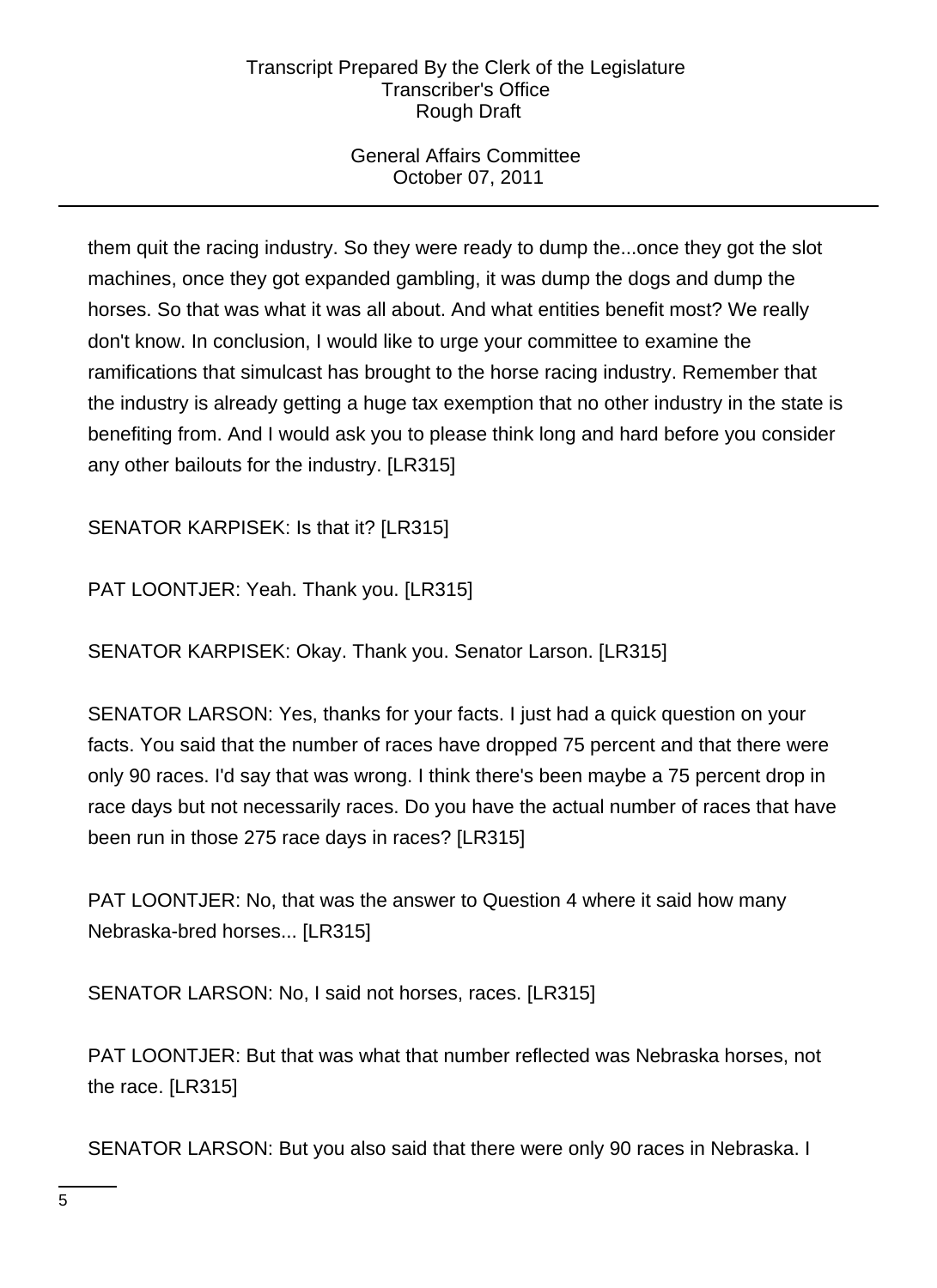# General Affairs Committee October 07, 2011

them quit the racing industry. So they were ready to dump the...once they got the slot machines, once they got expanded gambling, it was dump the dogs and dump the horses. So that was what it was all about. And what entities benefit most? We really don't know. In conclusion, I would like to urge your committee to examine the ramifications that simulcast has brought to the horse racing industry. Remember that the industry is already getting a huge tax exemption that no other industry in the state is benefiting from. And I would ask you to please think long and hard before you consider any other bailouts for the industry. [LR315]

SENATOR KARPISEK: Is that it? [LR315]

PAT LOONTJER: Yeah. Thank you. [LR315]

SENATOR KARPISEK: Okay. Thank you. Senator Larson. [LR315]

SENATOR LARSON: Yes, thanks for your facts. I just had a quick question on your facts. You said that the number of races have dropped 75 percent and that there were only 90 races. I'd say that was wrong. I think there's been maybe a 75 percent drop in race days but not necessarily races. Do you have the actual number of races that have been run in those 275 race days in races? [LR315]

PAT LOONTJER: No, that was the answer to Question 4 where it said how many Nebraska-bred horses... [LR315]

SENATOR LARSON: No, I said not horses, races. [LR315]

PAT LOONTJER: But that was what that number reflected was Nebraska horses, not the race. [LR315]

SENATOR LARSON: But you also said that there were only 90 races in Nebraska. I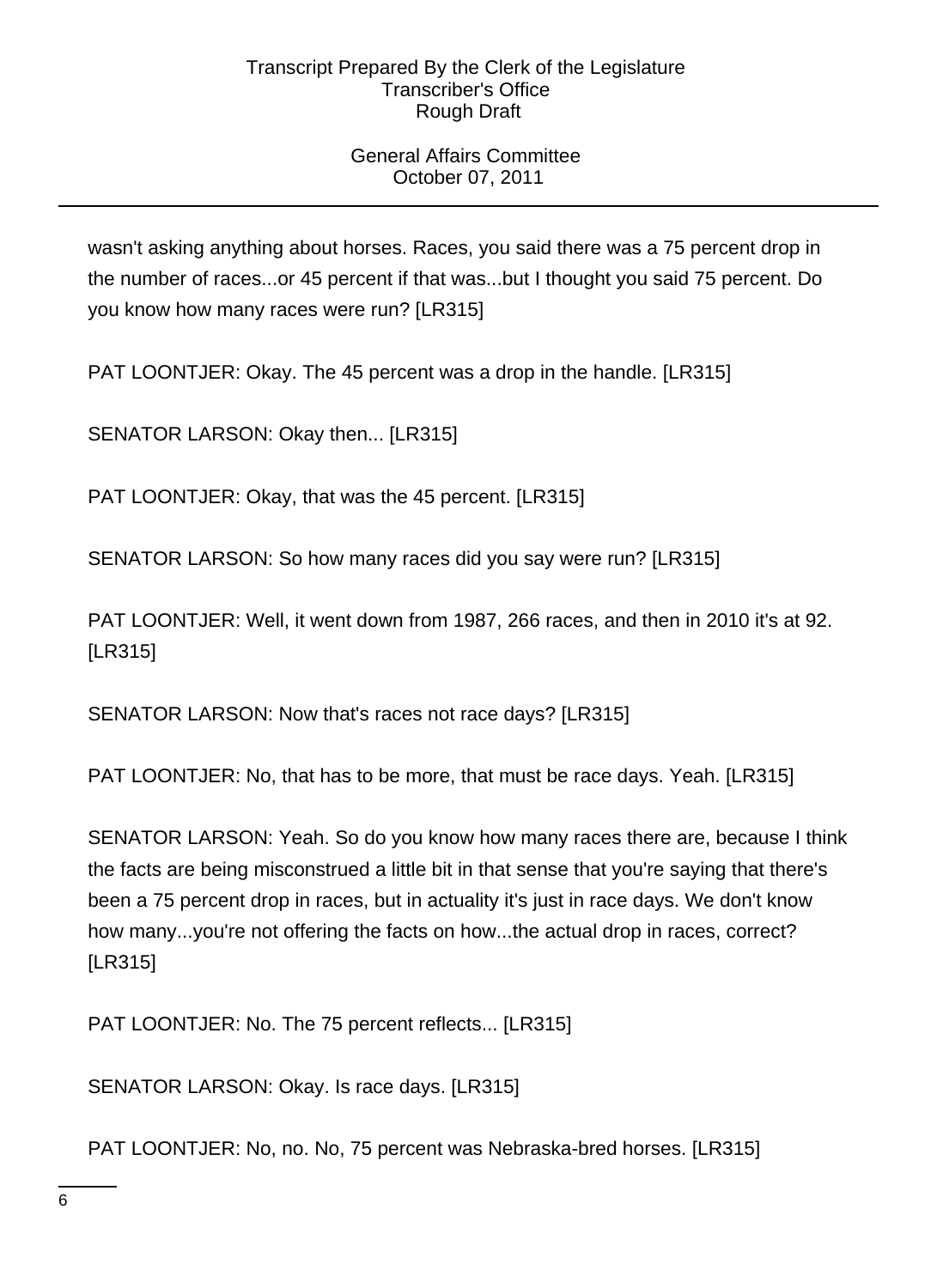# General Affairs Committee October 07, 2011

wasn't asking anything about horses. Races, you said there was a 75 percent drop in the number of races...or 45 percent if that was...but I thought you said 75 percent. Do you know how many races were run? [LR315]

PAT LOONTJER: Okay. The 45 percent was a drop in the handle. [LR315]

SENATOR LARSON: Okay then... [LR315]

PAT LOONTJER: Okay, that was the 45 percent. [LR315]

SENATOR LARSON: So how many races did you say were run? [LR315]

PAT LOONTJER: Well, it went down from 1987, 266 races, and then in 2010 it's at 92. [LR315]

SENATOR LARSON: Now that's races not race days? [LR315]

PAT LOONTJER: No, that has to be more, that must be race days. Yeah. [LR315]

SENATOR LARSON: Yeah. So do you know how many races there are, because I think the facts are being misconstrued a little bit in that sense that you're saying that there's been a 75 percent drop in races, but in actuality it's just in race days. We don't know how many...you're not offering the facts on how...the actual drop in races, correct? [LR315]

PAT LOONTJER: No. The 75 percent reflects... [LR315]

SENATOR LARSON: Okay. Is race days. [LR315]

PAT LOONTJER: No, no. No, 75 percent was Nebraska-bred horses. [LR315]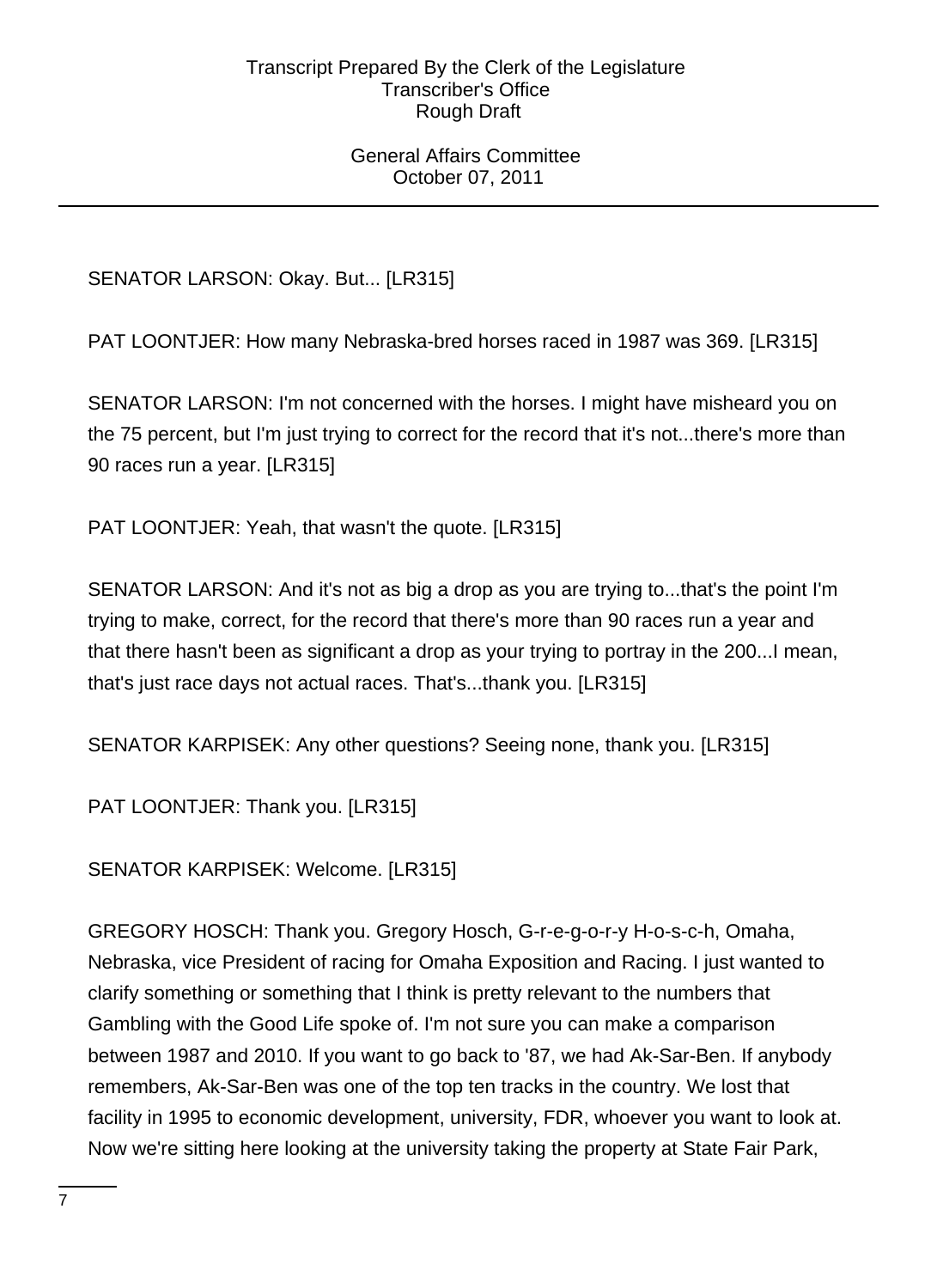### General Affairs Committee October 07, 2011

SENATOR LARSON: Okay. But... [LR315]

PAT LOONTJER: How many Nebraska-bred horses raced in 1987 was 369. [LR315]

SENATOR LARSON: I'm not concerned with the horses. I might have misheard you on the 75 percent, but I'm just trying to correct for the record that it's not...there's more than 90 races run a year. [LR315]

PAT LOONTJER: Yeah, that wasn't the quote. [LR315]

SENATOR LARSON: And it's not as big a drop as you are trying to...that's the point I'm trying to make, correct, for the record that there's more than 90 races run a year and that there hasn't been as significant a drop as your trying to portray in the 200...I mean, that's just race days not actual races. That's...thank you. [LR315]

SENATOR KARPISEK: Any other questions? Seeing none, thank you. [LR315]

PAT LOONTJER: Thank you. [LR315]

SENATOR KARPISEK: Welcome. [LR315]

GREGORY HOSCH: Thank you. Gregory Hosch, G-r-e-g-o-r-y H-o-s-c-h, Omaha, Nebraska, vice President of racing for Omaha Exposition and Racing. I just wanted to clarify something or something that I think is pretty relevant to the numbers that Gambling with the Good Life spoke of. I'm not sure you can make a comparison between 1987 and 2010. If you want to go back to '87, we had Ak-Sar-Ben. If anybody remembers, Ak-Sar-Ben was one of the top ten tracks in the country. We lost that facility in 1995 to economic development, university, FDR, whoever you want to look at. Now we're sitting here looking at the university taking the property at State Fair Park,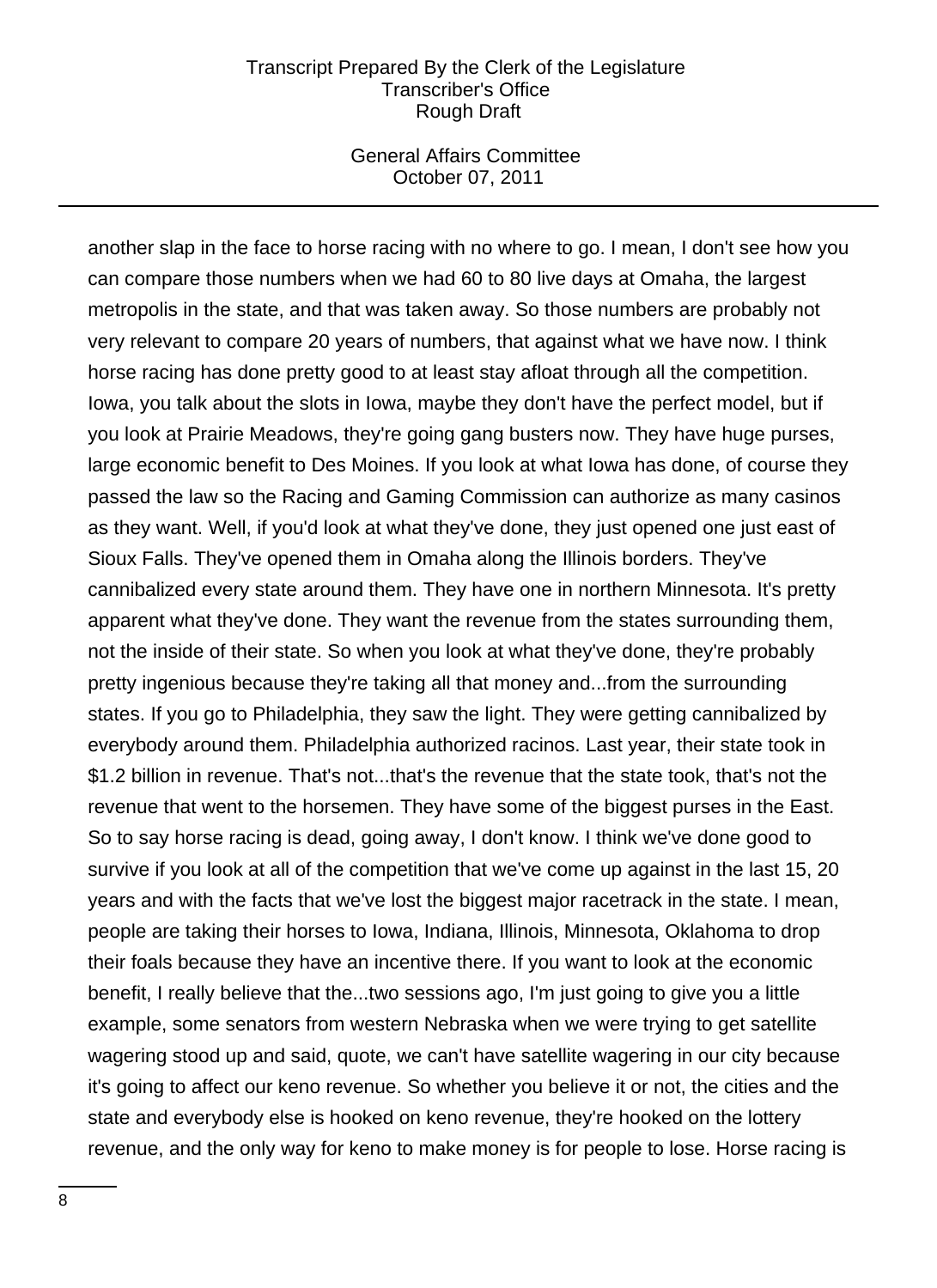#### General Affairs Committee October 07, 2011

another slap in the face to horse racing with no where to go. I mean, I don't see how you can compare those numbers when we had 60 to 80 live days at Omaha, the largest metropolis in the state, and that was taken away. So those numbers are probably not very relevant to compare 20 years of numbers, that against what we have now. I think horse racing has done pretty good to at least stay afloat through all the competition. Iowa, you talk about the slots in Iowa, maybe they don't have the perfect model, but if you look at Prairie Meadows, they're going gang busters now. They have huge purses, large economic benefit to Des Moines. If you look at what Iowa has done, of course they passed the law so the Racing and Gaming Commission can authorize as many casinos as they want. Well, if you'd look at what they've done, they just opened one just east of Sioux Falls. They've opened them in Omaha along the Illinois borders. They've cannibalized every state around them. They have one in northern Minnesota. It's pretty apparent what they've done. They want the revenue from the states surrounding them, not the inside of their state. So when you look at what they've done, they're probably pretty ingenious because they're taking all that money and...from the surrounding states. If you go to Philadelphia, they saw the light. They were getting cannibalized by everybody around them. Philadelphia authorized racinos. Last year, their state took in \$1.2 billion in revenue. That's not...that's the revenue that the state took, that's not the revenue that went to the horsemen. They have some of the biggest purses in the East. So to say horse racing is dead, going away, I don't know. I think we've done good to survive if you look at all of the competition that we've come up against in the last 15, 20 years and with the facts that we've lost the biggest major racetrack in the state. I mean, people are taking their horses to Iowa, Indiana, Illinois, Minnesota, Oklahoma to drop their foals because they have an incentive there. If you want to look at the economic benefit, I really believe that the...two sessions ago, I'm just going to give you a little example, some senators from western Nebraska when we were trying to get satellite wagering stood up and said, quote, we can't have satellite wagering in our city because it's going to affect our keno revenue. So whether you believe it or not, the cities and the state and everybody else is hooked on keno revenue, they're hooked on the lottery revenue, and the only way for keno to make money is for people to lose. Horse racing is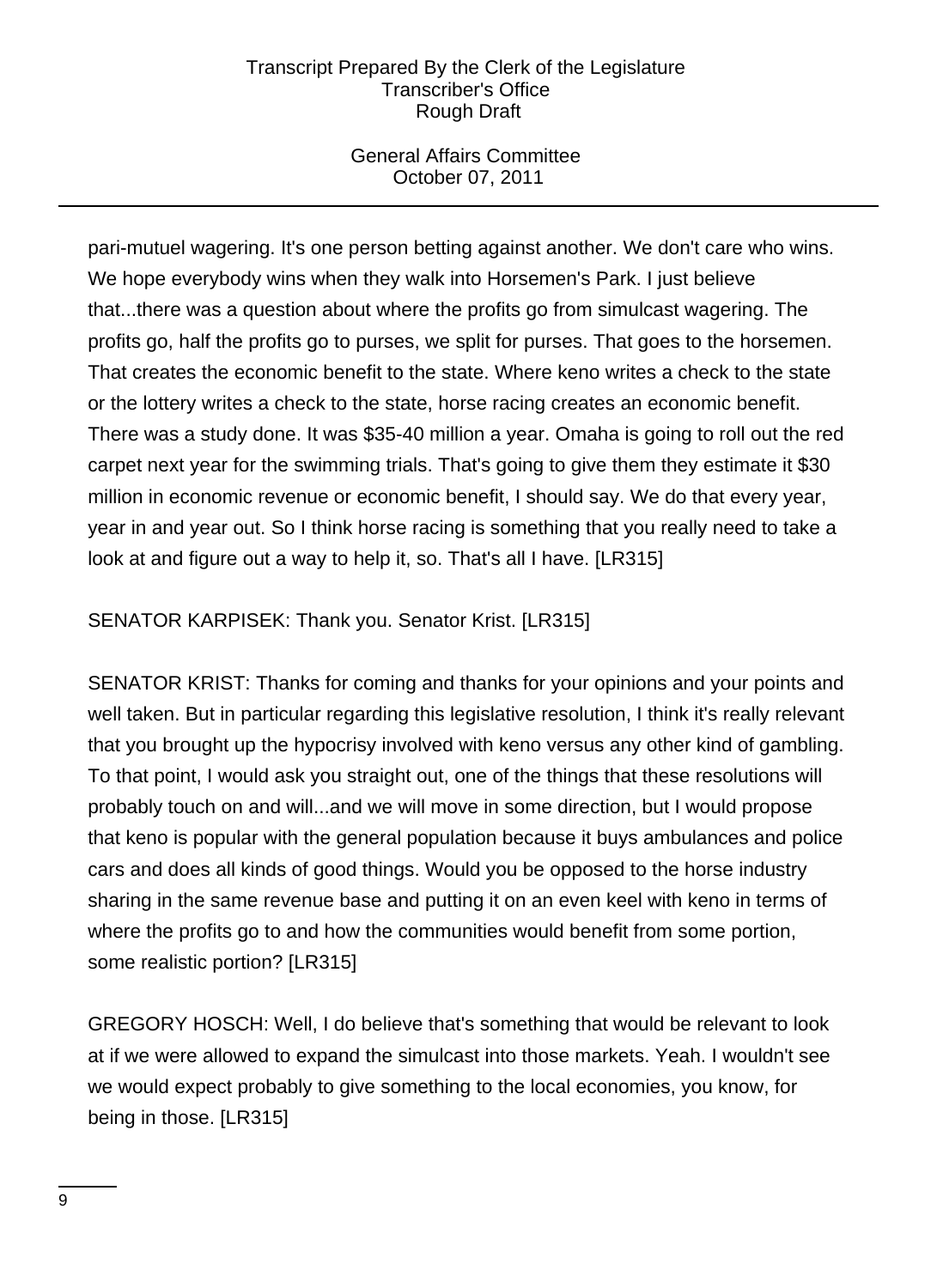# General Affairs Committee October 07, 2011

pari-mutuel wagering. It's one person betting against another. We don't care who wins. We hope everybody wins when they walk into Horsemen's Park. I just believe that...there was a question about where the profits go from simulcast wagering. The profits go, half the profits go to purses, we split for purses. That goes to the horsemen. That creates the economic benefit to the state. Where keno writes a check to the state or the lottery writes a check to the state, horse racing creates an economic benefit. There was a study done. It was \$35-40 million a year. Omaha is going to roll out the red carpet next year for the swimming trials. That's going to give them they estimate it \$30 million in economic revenue or economic benefit, I should say. We do that every year, year in and year out. So I think horse racing is something that you really need to take a look at and figure out a way to help it, so. That's all I have. [LR315]

# SENATOR KARPISEK: Thank you. Senator Krist. [LR315]

SENATOR KRIST: Thanks for coming and thanks for your opinions and your points and well taken. But in particular regarding this legislative resolution, I think it's really relevant that you brought up the hypocrisy involved with keno versus any other kind of gambling. To that point, I would ask you straight out, one of the things that these resolutions will probably touch on and will...and we will move in some direction, but I would propose that keno is popular with the general population because it buys ambulances and police cars and does all kinds of good things. Would you be opposed to the horse industry sharing in the same revenue base and putting it on an even keel with keno in terms of where the profits go to and how the communities would benefit from some portion, some realistic portion? [LR315]

GREGORY HOSCH: Well, I do believe that's something that would be relevant to look at if we were allowed to expand the simulcast into those markets. Yeah. I wouldn't see we would expect probably to give something to the local economies, you know, for being in those. [LR315]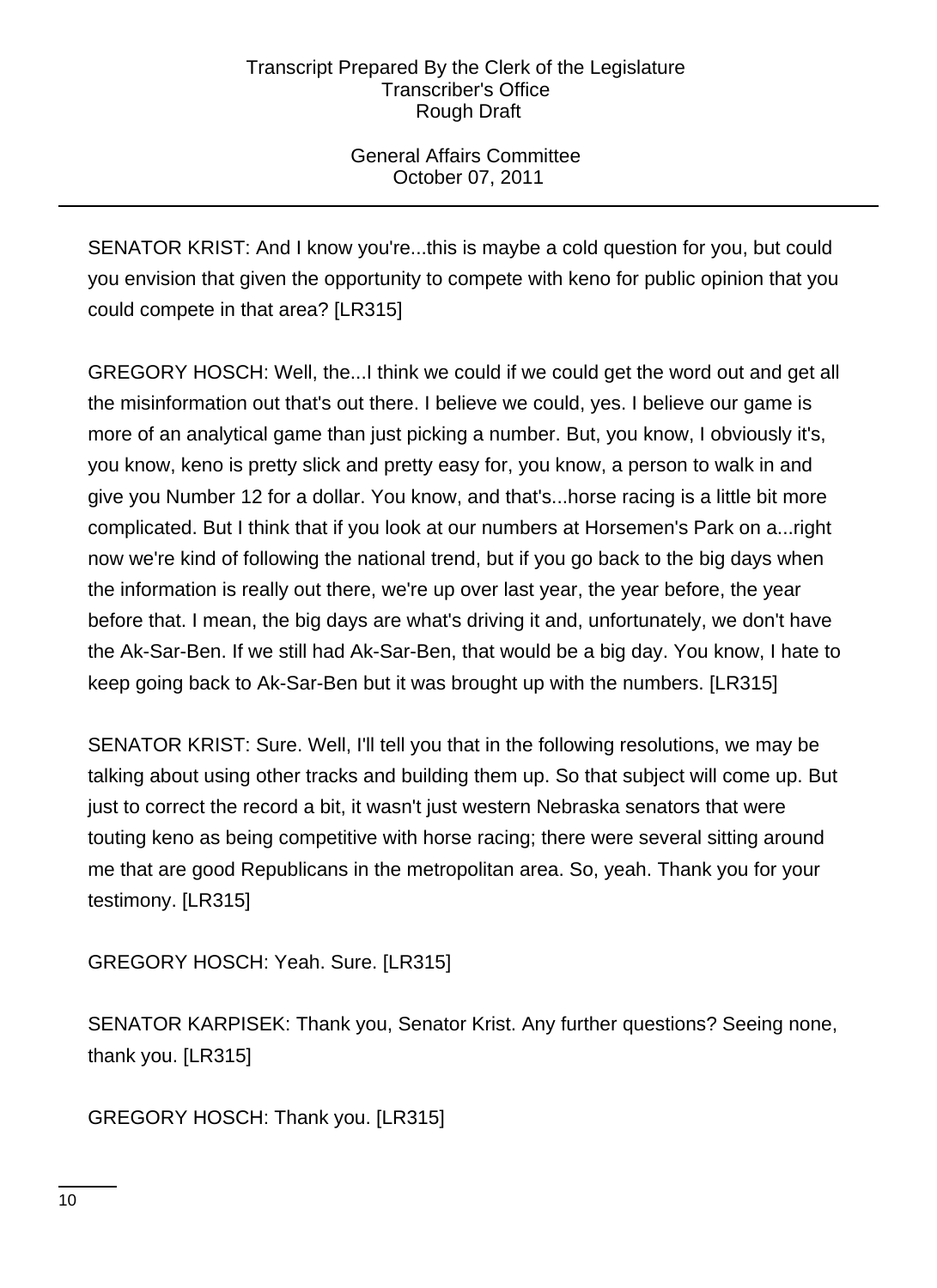# General Affairs Committee October 07, 2011

SENATOR KRIST: And I know you're...this is maybe a cold question for you, but could you envision that given the opportunity to compete with keno for public opinion that you could compete in that area? [LR315]

GREGORY HOSCH: Well, the...I think we could if we could get the word out and get all the misinformation out that's out there. I believe we could, yes. I believe our game is more of an analytical game than just picking a number. But, you know, I obviously it's, you know, keno is pretty slick and pretty easy for, you know, a person to walk in and give you Number 12 for a dollar. You know, and that's...horse racing is a little bit more complicated. But I think that if you look at our numbers at Horsemen's Park on a...right now we're kind of following the national trend, but if you go back to the big days when the information is really out there, we're up over last year, the year before, the year before that. I mean, the big days are what's driving it and, unfortunately, we don't have the Ak-Sar-Ben. If we still had Ak-Sar-Ben, that would be a big day. You know, I hate to keep going back to Ak-Sar-Ben but it was brought up with the numbers. [LR315]

SENATOR KRIST: Sure. Well, I'll tell you that in the following resolutions, we may be talking about using other tracks and building them up. So that subject will come up. But just to correct the record a bit, it wasn't just western Nebraska senators that were touting keno as being competitive with horse racing; there were several sitting around me that are good Republicans in the metropolitan area. So, yeah. Thank you for your testimony. [LR315]

GREGORY HOSCH: Yeah. Sure. [LR315]

SENATOR KARPISEK: Thank you, Senator Krist. Any further questions? Seeing none, thank you. [LR315]

GREGORY HOSCH: Thank you. [LR315]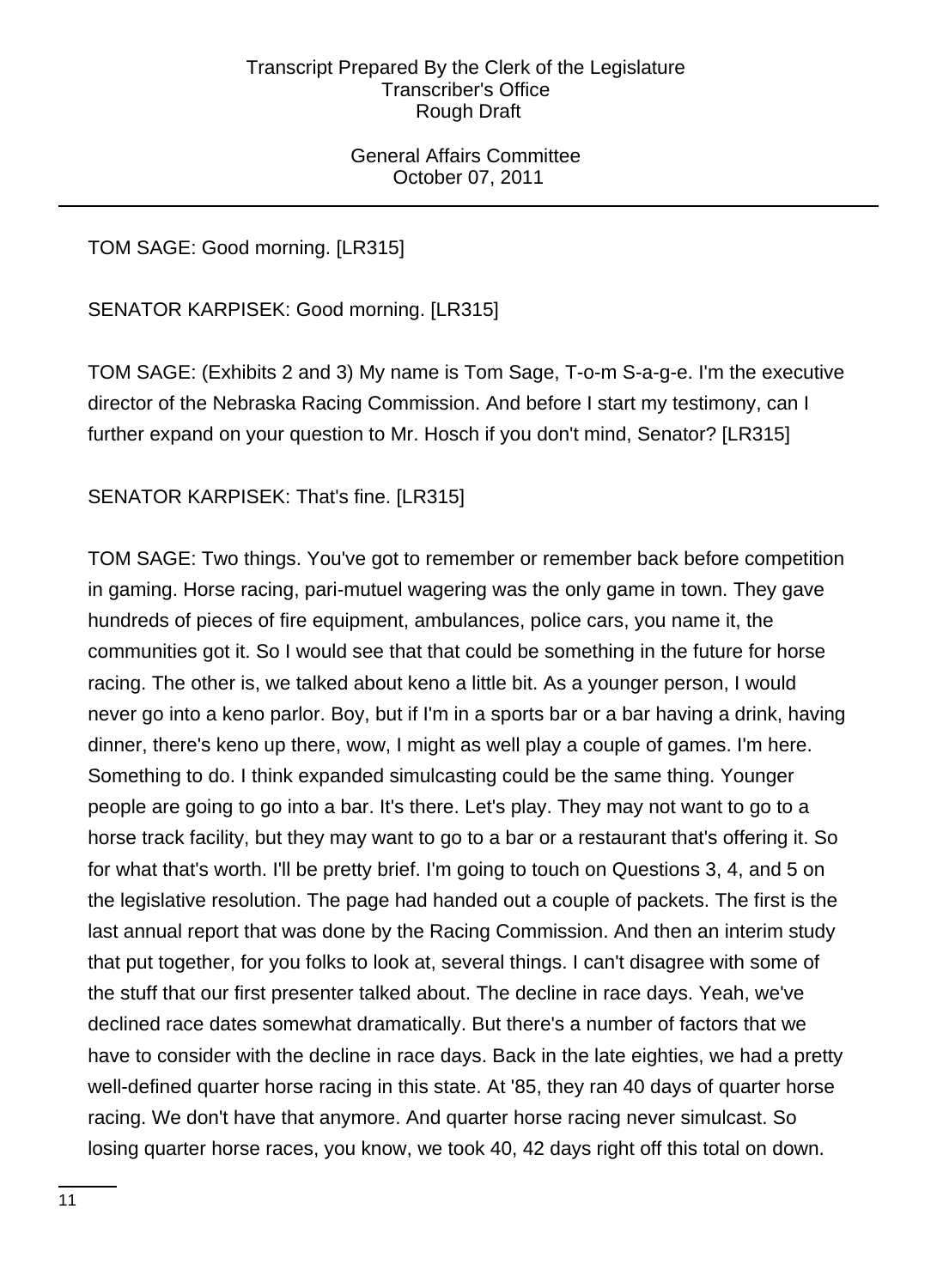General Affairs Committee October 07, 2011

# TOM SAGE: Good morning. [LR315]

SENATOR KARPISEK: Good morning. [LR315]

TOM SAGE: (Exhibits 2 and 3) My name is Tom Sage, T-o-m S-a-g-e. I'm the executive director of the Nebraska Racing Commission. And before I start my testimony, can I further expand on your question to Mr. Hosch if you don't mind, Senator? [LR315]

# SENATOR KARPISEK: That's fine. [LR315]

TOM SAGE: Two things. You've got to remember or remember back before competition in gaming. Horse racing, pari-mutuel wagering was the only game in town. They gave hundreds of pieces of fire equipment, ambulances, police cars, you name it, the communities got it. So I would see that that could be something in the future for horse racing. The other is, we talked about keno a little bit. As a younger person, I would never go into a keno parlor. Boy, but if I'm in a sports bar or a bar having a drink, having dinner, there's keno up there, wow, I might as well play a couple of games. I'm here. Something to do. I think expanded simulcasting could be the same thing. Younger people are going to go into a bar. It's there. Let's play. They may not want to go to a horse track facility, but they may want to go to a bar or a restaurant that's offering it. So for what that's worth. I'll be pretty brief. I'm going to touch on Questions 3, 4, and 5 on the legislative resolution. The page had handed out a couple of packets. The first is the last annual report that was done by the Racing Commission. And then an interim study that put together, for you folks to look at, several things. I can't disagree with some of the stuff that our first presenter talked about. The decline in race days. Yeah, we've declined race dates somewhat dramatically. But there's a number of factors that we have to consider with the decline in race days. Back in the late eighties, we had a pretty well-defined quarter horse racing in this state. At '85, they ran 40 days of quarter horse racing. We don't have that anymore. And quarter horse racing never simulcast. So losing quarter horse races, you know, we took 40, 42 days right off this total on down.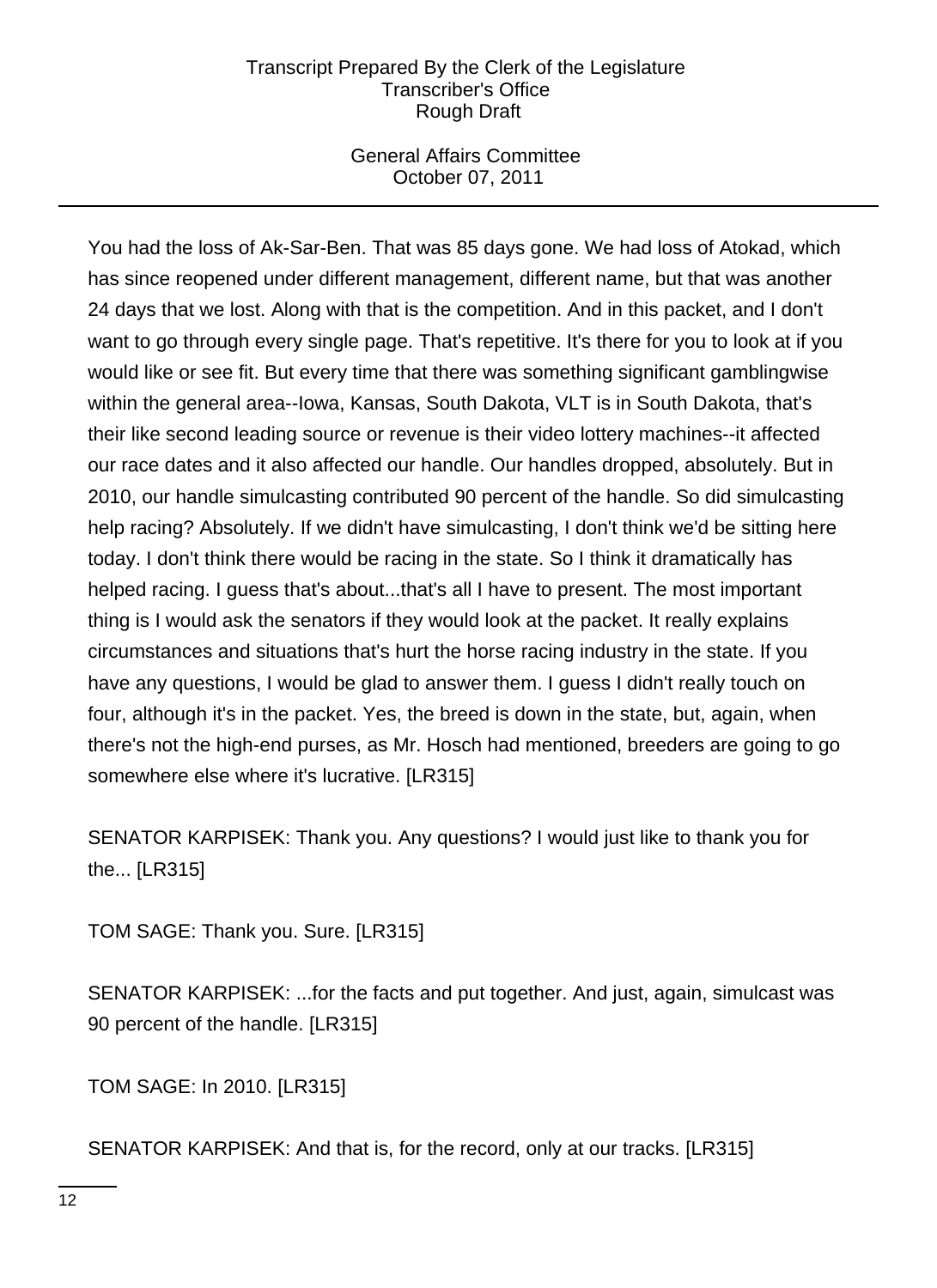## General Affairs Committee October 07, 2011

You had the loss of Ak-Sar-Ben. That was 85 days gone. We had loss of Atokad, which has since reopened under different management, different name, but that was another 24 days that we lost. Along with that is the competition. And in this packet, and I don't want to go through every single page. That's repetitive. It's there for you to look at if you would like or see fit. But every time that there was something significant gamblingwise within the general area--Iowa, Kansas, South Dakota, VLT is in South Dakota, that's their like second leading source or revenue is their video lottery machines--it affected our race dates and it also affected our handle. Our handles dropped, absolutely. But in 2010, our handle simulcasting contributed 90 percent of the handle. So did simulcasting help racing? Absolutely. If we didn't have simulcasting, I don't think we'd be sitting here today. I don't think there would be racing in the state. So I think it dramatically has helped racing. I guess that's about...that's all I have to present. The most important thing is I would ask the senators if they would look at the packet. It really explains circumstances and situations that's hurt the horse racing industry in the state. If you have any questions, I would be glad to answer them. I guess I didn't really touch on four, although it's in the packet. Yes, the breed is down in the state, but, again, when there's not the high-end purses, as Mr. Hosch had mentioned, breeders are going to go somewhere else where it's lucrative. [LR315]

SENATOR KARPISEK: Thank you. Any questions? I would just like to thank you for the... [LR315]

TOM SAGE: Thank you. Sure. [LR315]

SENATOR KARPISEK: ...for the facts and put together. And just, again, simulcast was 90 percent of the handle. [LR315]

TOM SAGE: In 2010. [LR315]

SENATOR KARPISEK: And that is, for the record, only at our tracks. [LR315]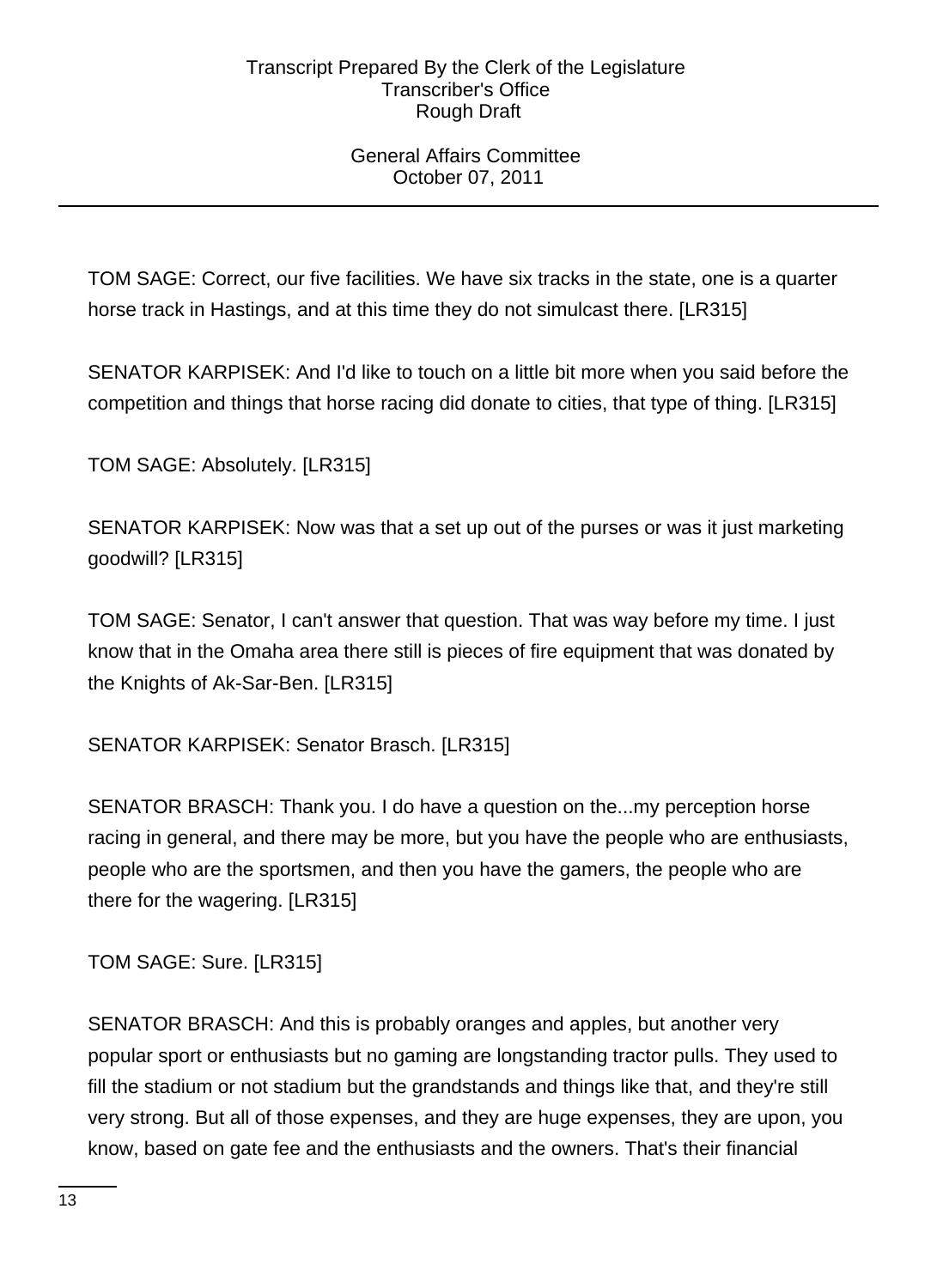# General Affairs Committee October 07, 2011

TOM SAGE: Correct, our five facilities. We have six tracks in the state, one is a quarter horse track in Hastings, and at this time they do not simulcast there. [LR315]

SENATOR KARPISEK: And I'd like to touch on a little bit more when you said before the competition and things that horse racing did donate to cities, that type of thing. [LR315]

TOM SAGE: Absolutely. [LR315]

SENATOR KARPISEK: Now was that a set up out of the purses or was it just marketing goodwill? [LR315]

TOM SAGE: Senator, I can't answer that question. That was way before my time. I just know that in the Omaha area there still is pieces of fire equipment that was donated by the Knights of Ak-Sar-Ben. [LR315]

SENATOR KARPISEK: Senator Brasch. [LR315]

SENATOR BRASCH: Thank you. I do have a question on the...my perception horse racing in general, and there may be more, but you have the people who are enthusiasts, people who are the sportsmen, and then you have the gamers, the people who are there for the wagering. [LR315]

TOM SAGE: Sure. [LR315]

SENATOR BRASCH: And this is probably oranges and apples, but another very popular sport or enthusiasts but no gaming are longstanding tractor pulls. They used to fill the stadium or not stadium but the grandstands and things like that, and they're still very strong. But all of those expenses, and they are huge expenses, they are upon, you know, based on gate fee and the enthusiasts and the owners. That's their financial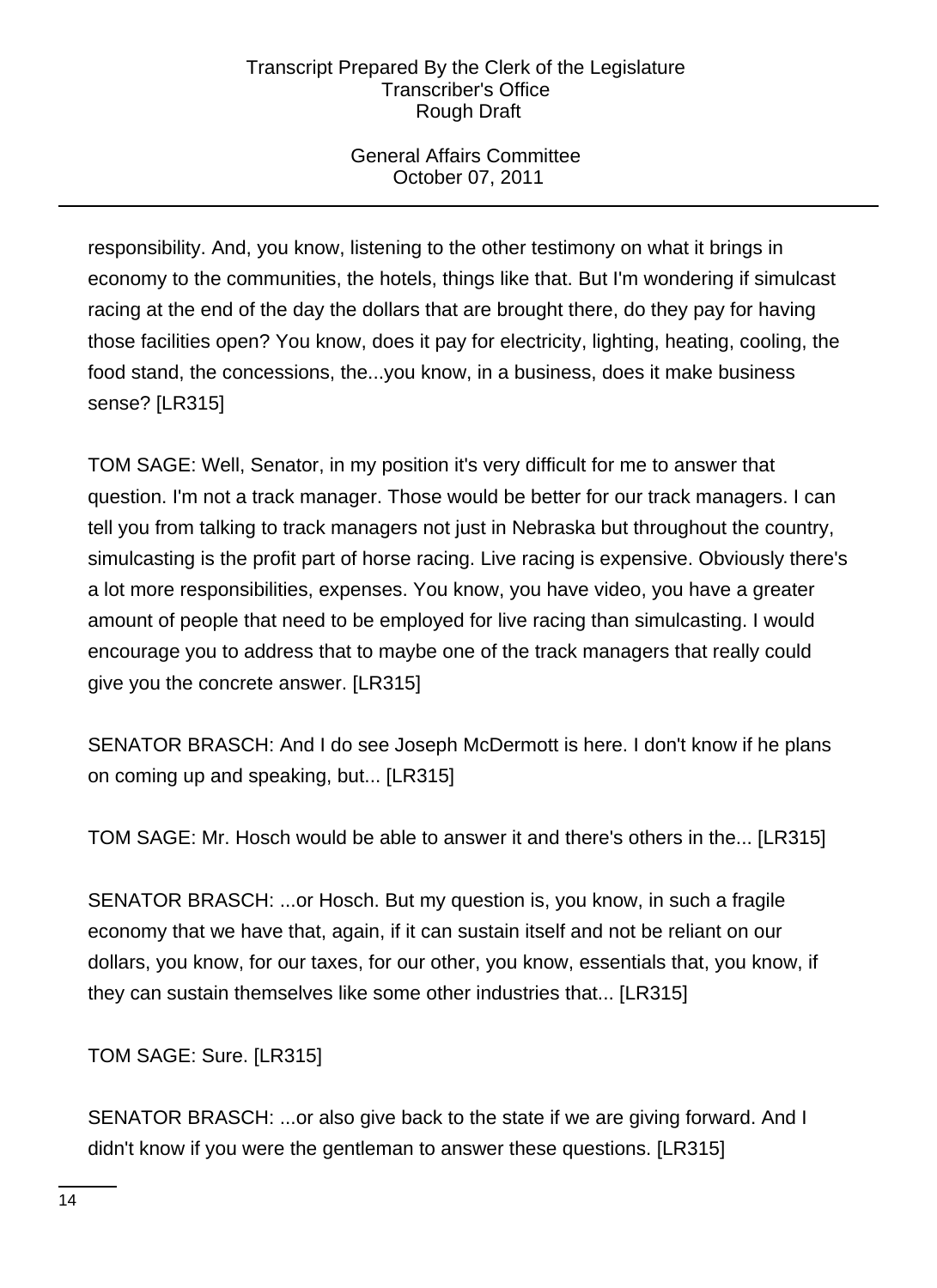# General Affairs Committee October 07, 2011

responsibility. And, you know, listening to the other testimony on what it brings in economy to the communities, the hotels, things like that. But I'm wondering if simulcast racing at the end of the day the dollars that are brought there, do they pay for having those facilities open? You know, does it pay for electricity, lighting, heating, cooling, the food stand, the concessions, the...you know, in a business, does it make business sense? [LR315]

TOM SAGE: Well, Senator, in my position it's very difficult for me to answer that question. I'm not a track manager. Those would be better for our track managers. I can tell you from talking to track managers not just in Nebraska but throughout the country, simulcasting is the profit part of horse racing. Live racing is expensive. Obviously there's a lot more responsibilities, expenses. You know, you have video, you have a greater amount of people that need to be employed for live racing than simulcasting. I would encourage you to address that to maybe one of the track managers that really could give you the concrete answer. [LR315]

SENATOR BRASCH: And I do see Joseph McDermott is here. I don't know if he plans on coming up and speaking, but... [LR315]

TOM SAGE: Mr. Hosch would be able to answer it and there's others in the... [LR315]

SENATOR BRASCH: ...or Hosch. But my question is, you know, in such a fragile economy that we have that, again, if it can sustain itself and not be reliant on our dollars, you know, for our taxes, for our other, you know, essentials that, you know, if they can sustain themselves like some other industries that... [LR315]

TOM SAGE: Sure. [LR315]

SENATOR BRASCH: ...or also give back to the state if we are giving forward. And I didn't know if you were the gentleman to answer these questions. [LR315]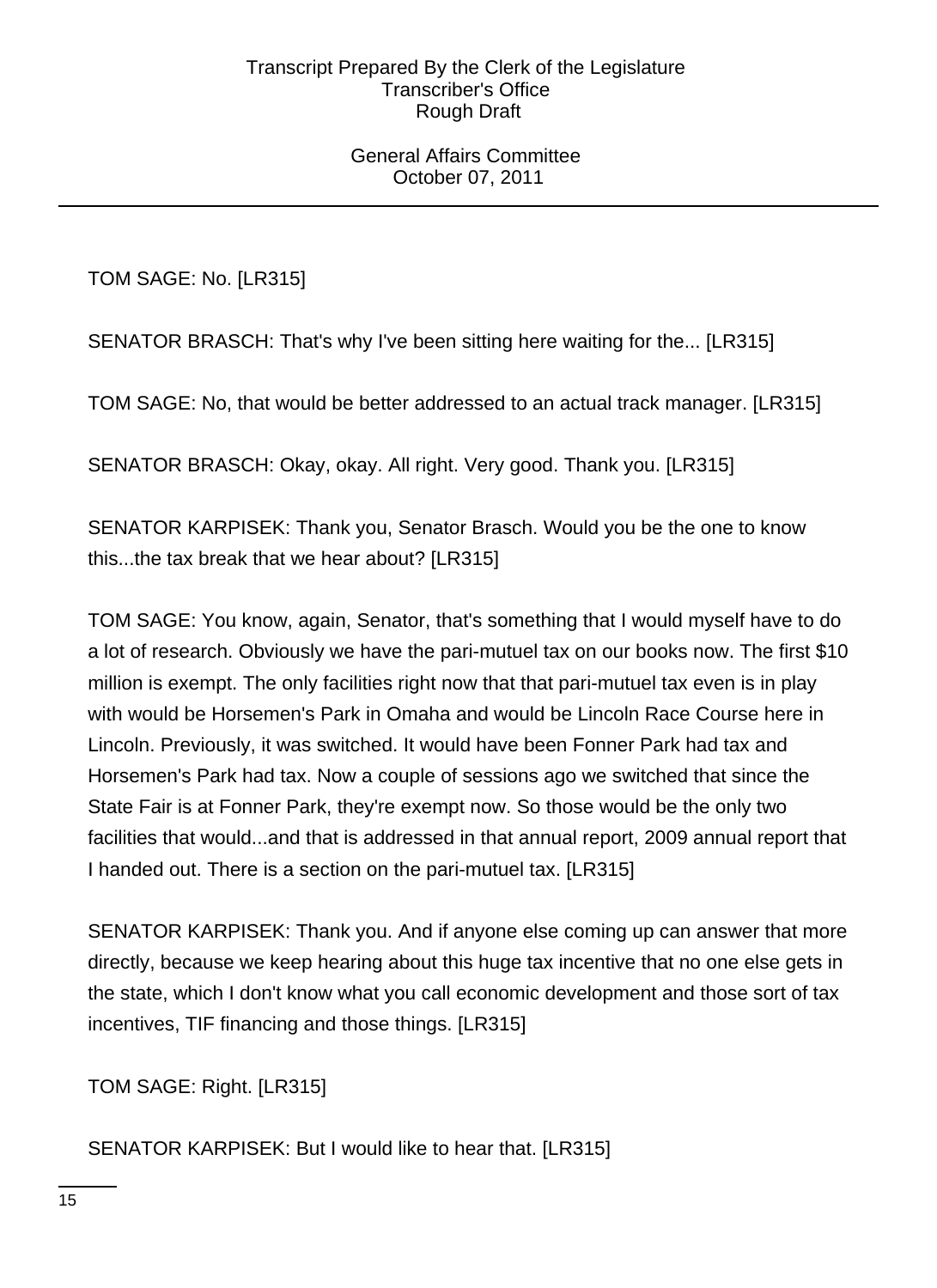General Affairs Committee October 07, 2011

TOM SAGE: No. [LR315]

SENATOR BRASCH: That's why I've been sitting here waiting for the... [LR315]

TOM SAGE: No, that would be better addressed to an actual track manager. [LR315]

SENATOR BRASCH: Okay, okay. All right. Very good. Thank you. [LR315]

SENATOR KARPISEK: Thank you, Senator Brasch. Would you be the one to know this...the tax break that we hear about? [LR315]

TOM SAGE: You know, again, Senator, that's something that I would myself have to do a lot of research. Obviously we have the pari-mutuel tax on our books now. The first \$10 million is exempt. The only facilities right now that that pari-mutuel tax even is in play with would be Horsemen's Park in Omaha and would be Lincoln Race Course here in Lincoln. Previously, it was switched. It would have been Fonner Park had tax and Horsemen's Park had tax. Now a couple of sessions ago we switched that since the State Fair is at Fonner Park, they're exempt now. So those would be the only two facilities that would...and that is addressed in that annual report, 2009 annual report that I handed out. There is a section on the pari-mutuel tax. [LR315]

SENATOR KARPISEK: Thank you. And if anyone else coming up can answer that more directly, because we keep hearing about this huge tax incentive that no one else gets in the state, which I don't know what you call economic development and those sort of tax incentives, TIF financing and those things. [LR315]

TOM SAGE: Right. [LR315]

SENATOR KARPISEK: But I would like to hear that. [LR315]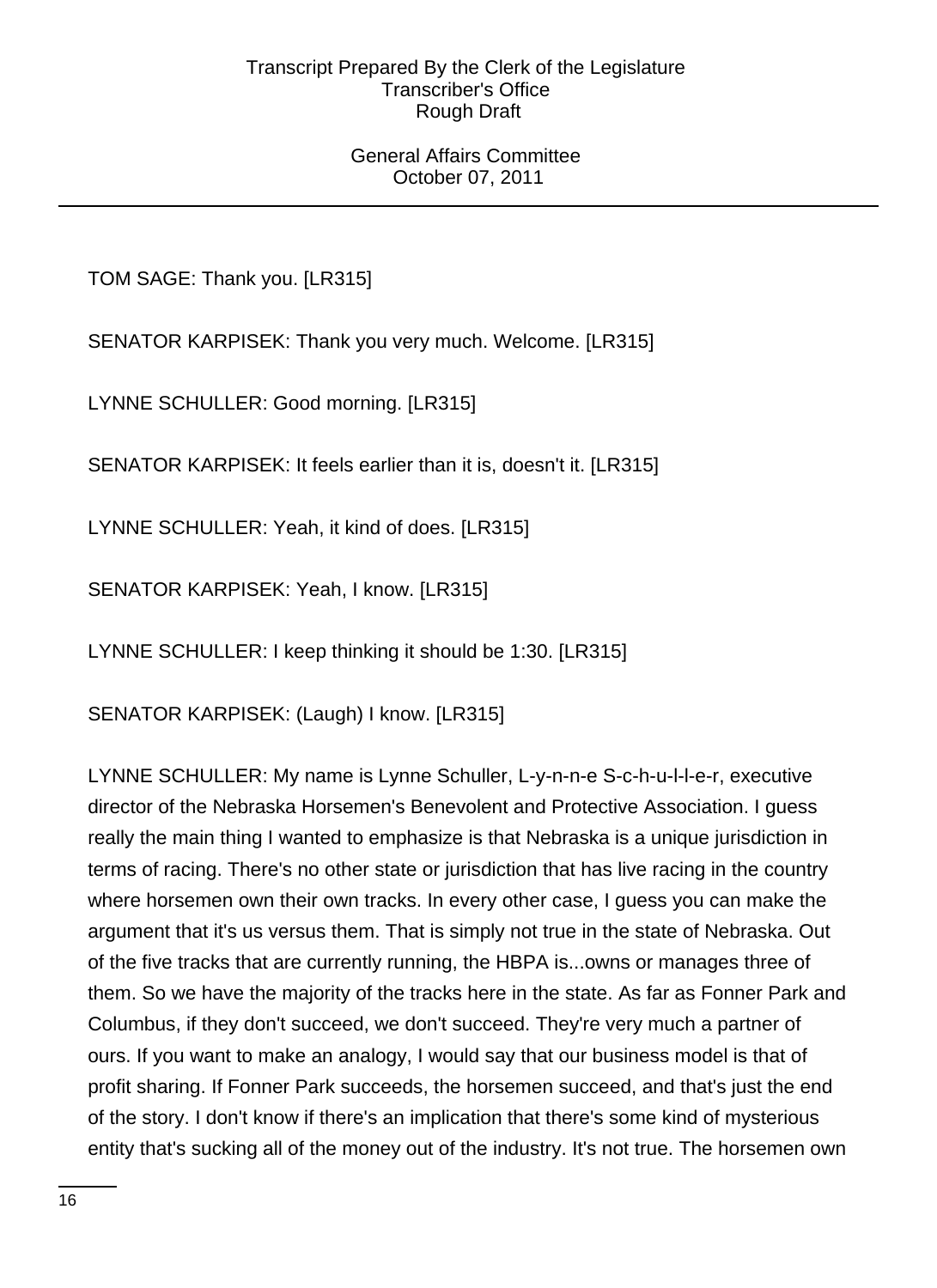### General Affairs Committee October 07, 2011

TOM SAGE: Thank you. [LR315]

SENATOR KARPISEK: Thank you very much. Welcome. [LR315]

LYNNE SCHULLER: Good morning. [LR315]

SENATOR KARPISEK: It feels earlier than it is, doesn't it. [LR315]

LYNNE SCHULLER: Yeah, it kind of does. [LR315]

SENATOR KARPISEK: Yeah, I know. [LR315]

LYNNE SCHULLER: I keep thinking it should be 1:30. [LR315]

SENATOR KARPISEK: (Laugh) I know. [LR315]

LYNNE SCHULLER: My name is Lynne Schuller, L-y-n-n-e S-c-h-u-l-l-e-r, executive director of the Nebraska Horsemen's Benevolent and Protective Association. I guess really the main thing I wanted to emphasize is that Nebraska is a unique jurisdiction in terms of racing. There's no other state or jurisdiction that has live racing in the country where horsemen own their own tracks. In every other case, I guess you can make the argument that it's us versus them. That is simply not true in the state of Nebraska. Out of the five tracks that are currently running, the HBPA is...owns or manages three of them. So we have the majority of the tracks here in the state. As far as Fonner Park and Columbus, if they don't succeed, we don't succeed. They're very much a partner of ours. If you want to make an analogy, I would say that our business model is that of profit sharing. If Fonner Park succeeds, the horsemen succeed, and that's just the end of the story. I don't know if there's an implication that there's some kind of mysterious entity that's sucking all of the money out of the industry. It's not true. The horsemen own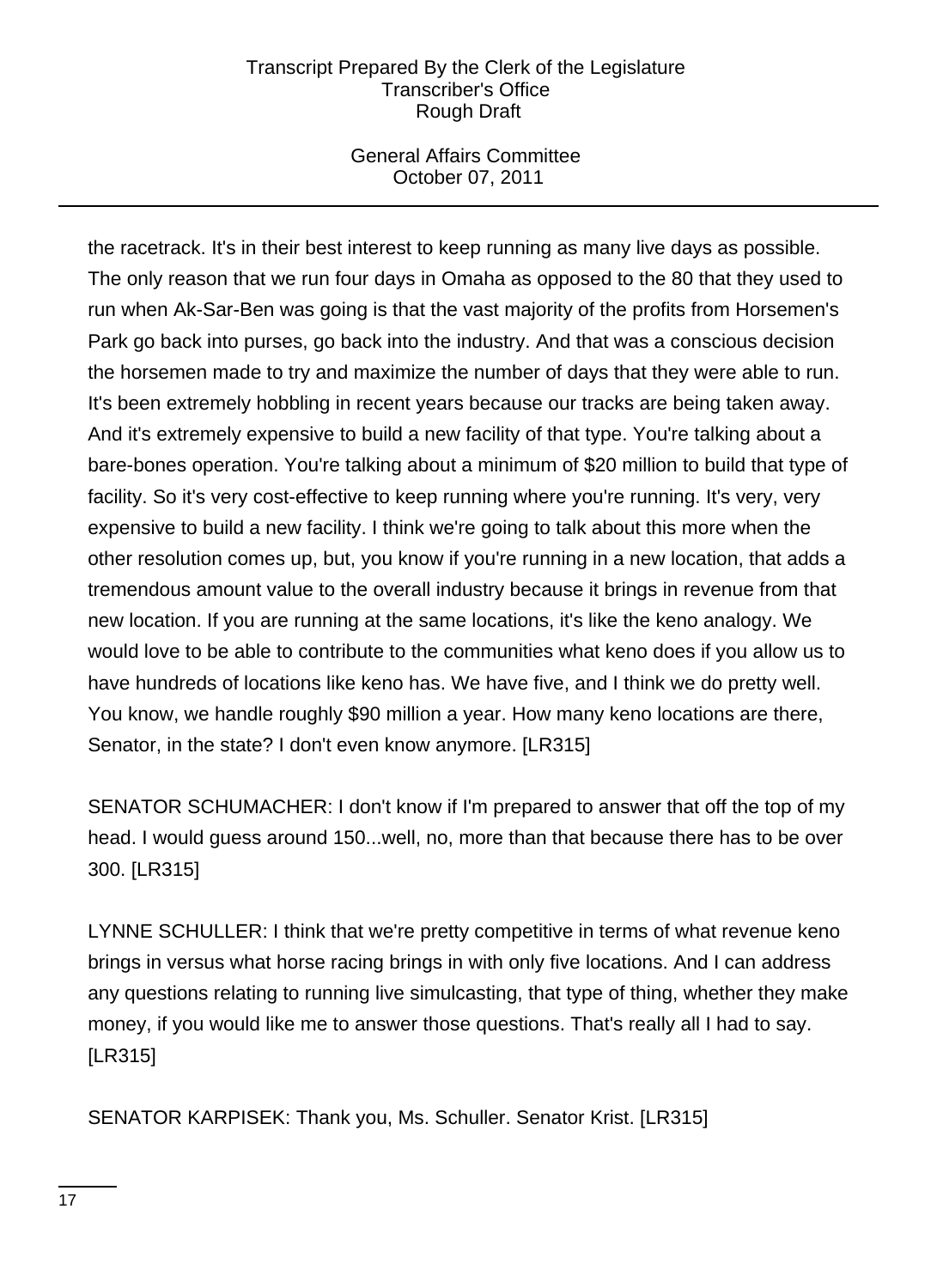# General Affairs Committee October 07, 2011

the racetrack. It's in their best interest to keep running as many live days as possible. The only reason that we run four days in Omaha as opposed to the 80 that they used to run when Ak-Sar-Ben was going is that the vast majority of the profits from Horsemen's Park go back into purses, go back into the industry. And that was a conscious decision the horsemen made to try and maximize the number of days that they were able to run. It's been extremely hobbling in recent years because our tracks are being taken away. And it's extremely expensive to build a new facility of that type. You're talking about a bare-bones operation. You're talking about a minimum of \$20 million to build that type of facility. So it's very cost-effective to keep running where you're running. It's very, very expensive to build a new facility. I think we're going to talk about this more when the other resolution comes up, but, you know if you're running in a new location, that adds a tremendous amount value to the overall industry because it brings in revenue from that new location. If you are running at the same locations, it's like the keno analogy. We would love to be able to contribute to the communities what keno does if you allow us to have hundreds of locations like keno has. We have five, and I think we do pretty well. You know, we handle roughly \$90 million a year. How many keno locations are there, Senator, in the state? I don't even know anymore. [LR315]

SENATOR SCHUMACHER: I don't know if I'm prepared to answer that off the top of my head. I would guess around 150...well, no, more than that because there has to be over 300. [LR315]

LYNNE SCHULLER: I think that we're pretty competitive in terms of what revenue keno brings in versus what horse racing brings in with only five locations. And I can address any questions relating to running live simulcasting, that type of thing, whether they make money, if you would like me to answer those questions. That's really all I had to say. [LR315]

SENATOR KARPISEK: Thank you, Ms. Schuller. Senator Krist. [LR315]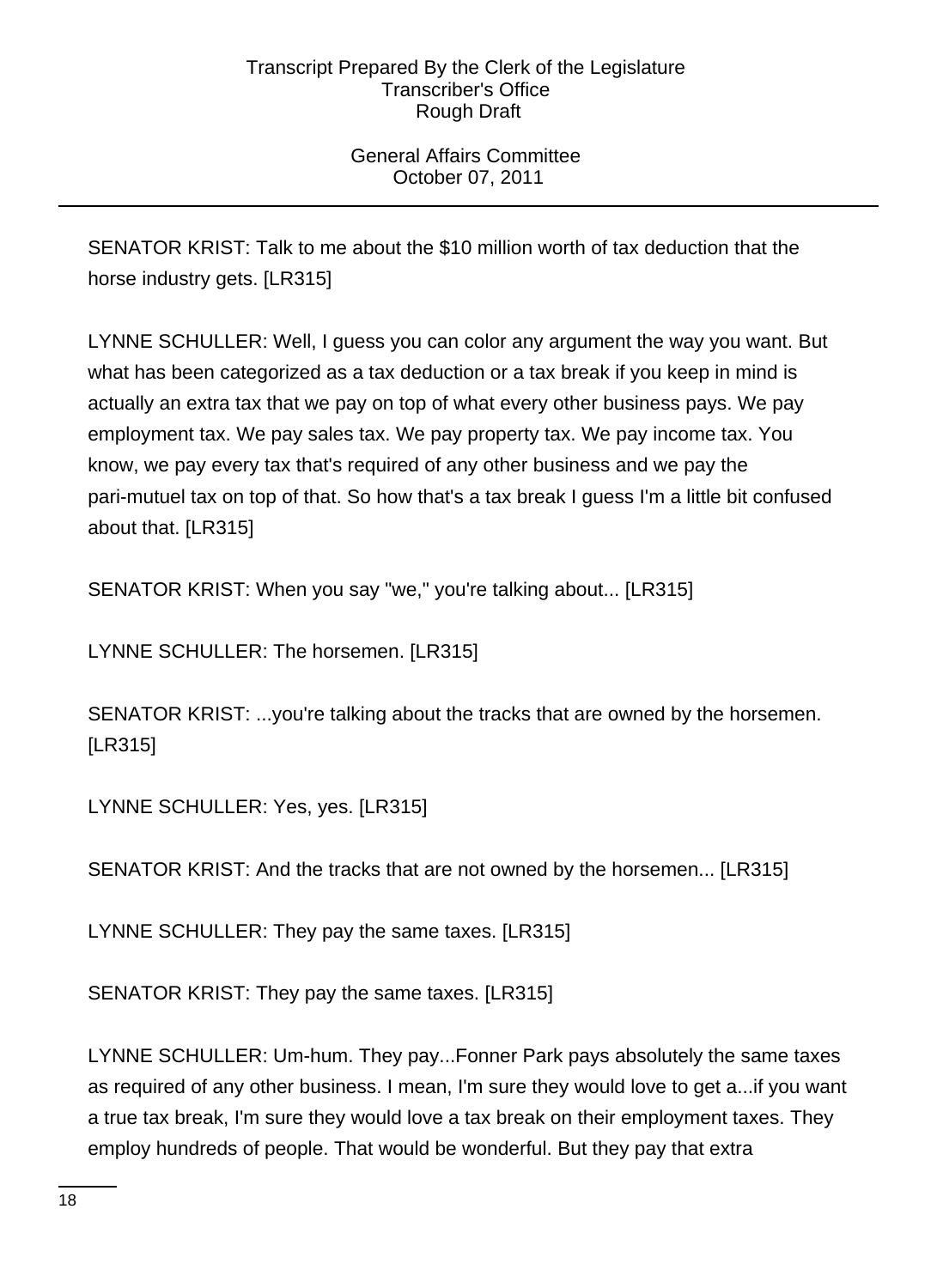# General Affairs Committee October 07, 2011

SENATOR KRIST: Talk to me about the \$10 million worth of tax deduction that the horse industry gets. [LR315]

LYNNE SCHULLER: Well, I guess you can color any argument the way you want. But what has been categorized as a tax deduction or a tax break if you keep in mind is actually an extra tax that we pay on top of what every other business pays. We pay employment tax. We pay sales tax. We pay property tax. We pay income tax. You know, we pay every tax that's required of any other business and we pay the pari-mutuel tax on top of that. So how that's a tax break I guess I'm a little bit confused about that. [LR315]

SENATOR KRIST: When you say "we," you're talking about... [LR315]

LYNNE SCHULLER: The horsemen. [LR315]

SENATOR KRIST: ...you're talking about the tracks that are owned by the horsemen. [LR315]

LYNNE SCHULLER: Yes, yes. [LR315]

SENATOR KRIST: And the tracks that are not owned by the horsemen... [LR315]

LYNNE SCHULLER: They pay the same taxes. [LR315]

SENATOR KRIST: They pay the same taxes. [LR315]

LYNNE SCHULLER: Um-hum. They pay...Fonner Park pays absolutely the same taxes as required of any other business. I mean, I'm sure they would love to get a...if you want a true tax break, I'm sure they would love a tax break on their employment taxes. They employ hundreds of people. That would be wonderful. But they pay that extra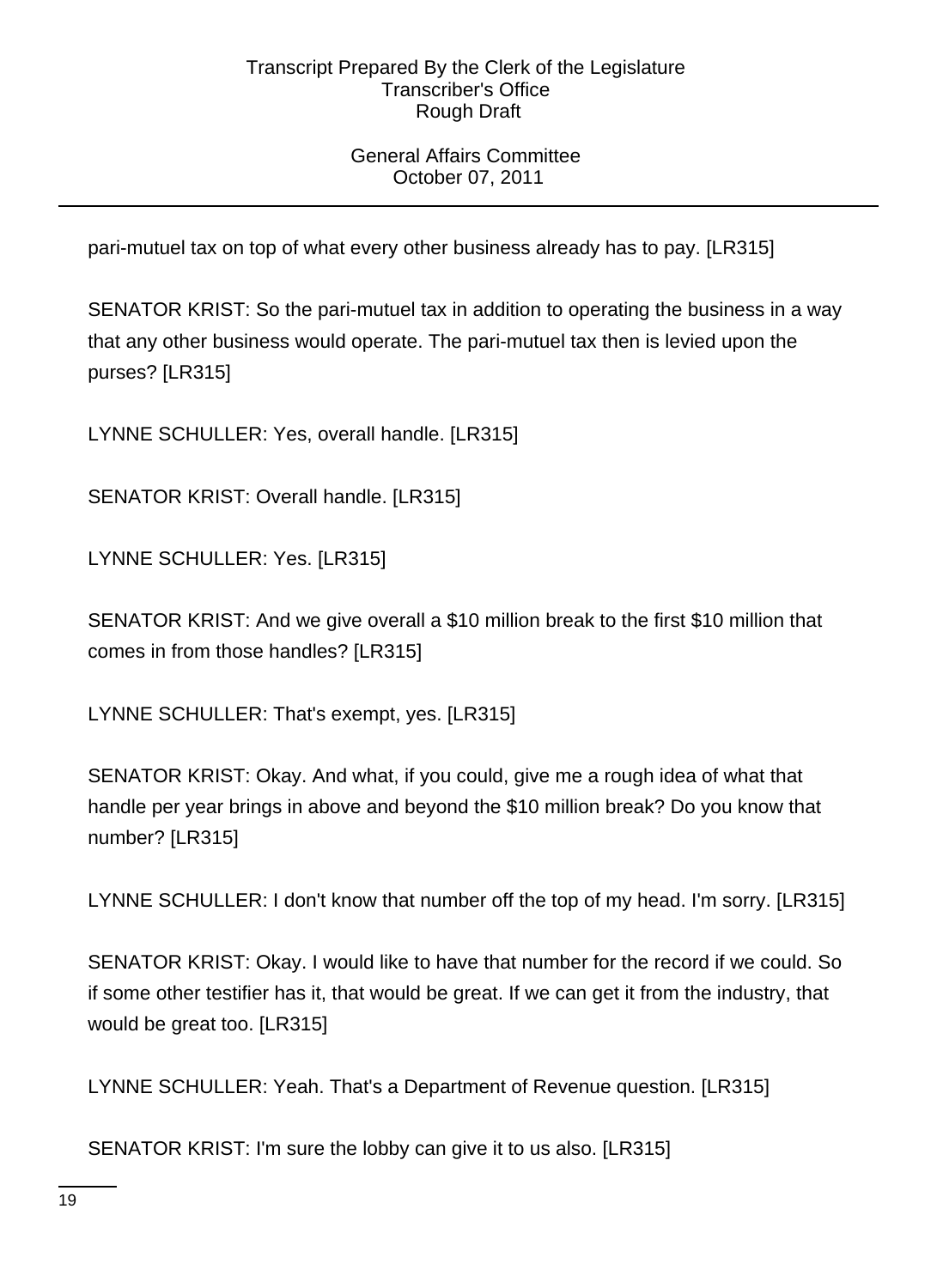# General Affairs Committee October 07, 2011

pari-mutuel tax on top of what every other business already has to pay. [LR315]

SENATOR KRIST: So the pari-mutuel tax in addition to operating the business in a way that any other business would operate. The pari-mutuel tax then is levied upon the purses? [LR315]

LYNNE SCHULLER: Yes, overall handle. [LR315]

SENATOR KRIST: Overall handle. [LR315]

LYNNE SCHULLER: Yes. [LR315]

SENATOR KRIST: And we give overall a \$10 million break to the first \$10 million that comes in from those handles? [LR315]

LYNNE SCHULLER: That's exempt, yes. [LR315]

SENATOR KRIST: Okay. And what, if you could, give me a rough idea of what that handle per year brings in above and beyond the \$10 million break? Do you know that number? [LR315]

LYNNE SCHULLER: I don't know that number off the top of my head. I'm sorry. [LR315]

SENATOR KRIST: Okay. I would like to have that number for the record if we could. So if some other testifier has it, that would be great. If we can get it from the industry, that would be great too. [LR315]

LYNNE SCHULLER: Yeah. That's a Department of Revenue question. [LR315]

SENATOR KRIST: I'm sure the lobby can give it to us also. [LR315]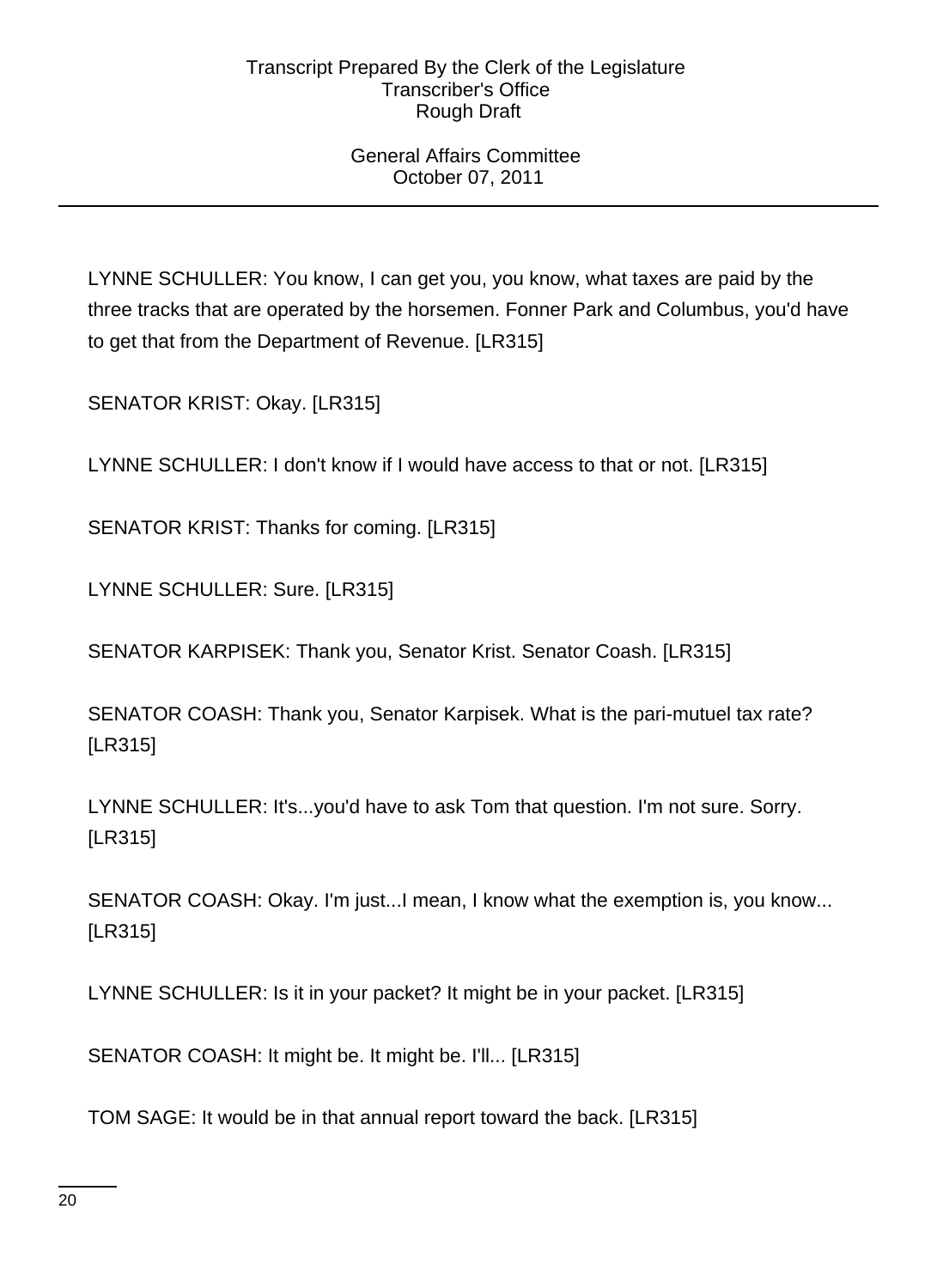# General Affairs Committee October 07, 2011

LYNNE SCHULLER: You know, I can get you, you know, what taxes are paid by the three tracks that are operated by the horsemen. Fonner Park and Columbus, you'd have to get that from the Department of Revenue. [LR315]

SENATOR KRIST: Okay. [LR315]

LYNNE SCHULLER: I don't know if I would have access to that or not. [LR315]

SENATOR KRIST: Thanks for coming. [LR315]

LYNNE SCHULLER: Sure. [LR315]

SENATOR KARPISEK: Thank you, Senator Krist. Senator Coash. [LR315]

SENATOR COASH: Thank you, Senator Karpisek. What is the pari-mutuel tax rate? [LR315]

LYNNE SCHULLER: It's...you'd have to ask Tom that question. I'm not sure. Sorry. [LR315]

SENATOR COASH: Okay. I'm just...I mean, I know what the exemption is, you know... [LR315]

LYNNE SCHULLER: Is it in your packet? It might be in your packet. [LR315]

SENATOR COASH: It might be. It might be. I'll... [LR315]

TOM SAGE: It would be in that annual report toward the back. [LR315]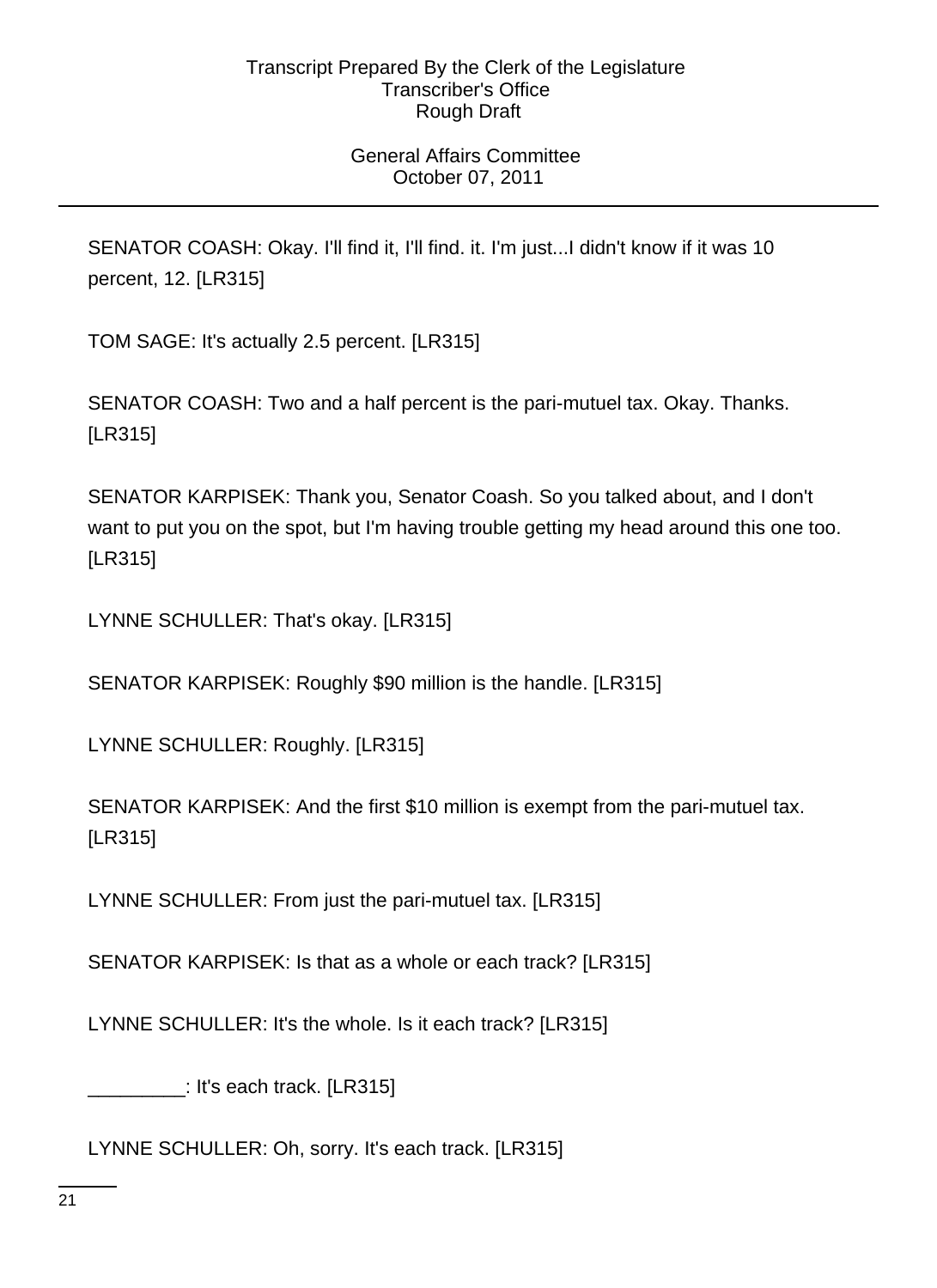# General Affairs Committee October 07, 2011

SENATOR COASH: Okay. I'll find it, I'll find. it. I'm just...I didn't know if it was 10 percent, 12. [LR315]

TOM SAGE: It's actually 2.5 percent. [LR315]

SENATOR COASH: Two and a half percent is the pari-mutuel tax. Okay. Thanks. [LR315]

SENATOR KARPISEK: Thank you, Senator Coash. So you talked about, and I don't want to put you on the spot, but I'm having trouble getting my head around this one too. [LR315]

LYNNE SCHULLER: That's okay. [LR315]

SENATOR KARPISEK: Roughly \$90 million is the handle. [LR315]

LYNNE SCHULLER: Roughly. [LR315]

SENATOR KARPISEK: And the first \$10 million is exempt from the pari-mutuel tax. [LR315]

LYNNE SCHULLER: From just the pari-mutuel tax. [LR315]

SENATOR KARPISEK: Is that as a whole or each track? [LR315]

LYNNE SCHULLER: It's the whole. Is it each track? [LR315]

\_\_\_\_\_\_\_\_\_: It's each track. [LR315]

LYNNE SCHULLER: Oh, sorry. It's each track. [LR315]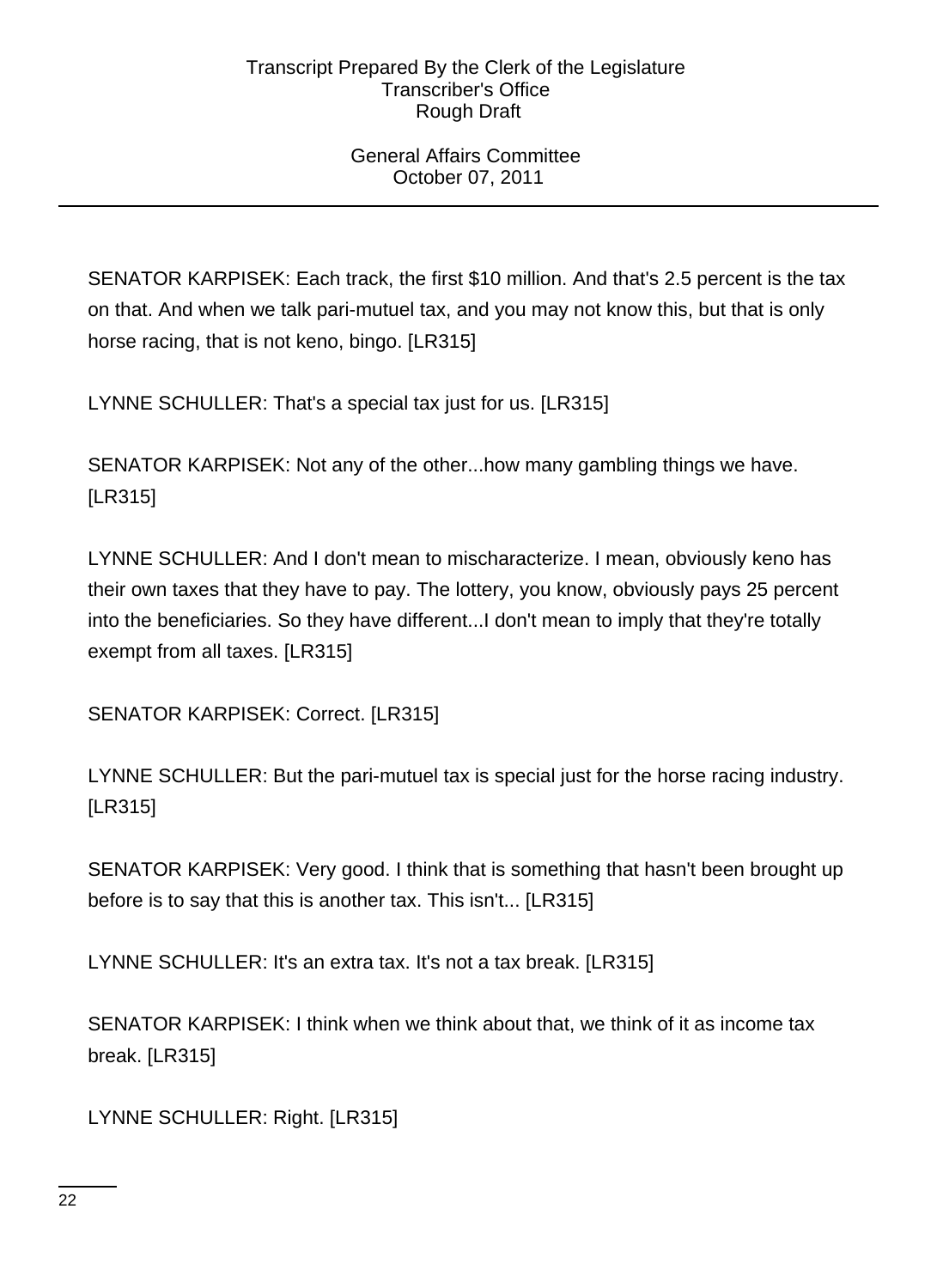## General Affairs Committee October 07, 2011

SENATOR KARPISEK: Each track, the first \$10 million. And that's 2.5 percent is the tax on that. And when we talk pari-mutuel tax, and you may not know this, but that is only horse racing, that is not keno, bingo. [LR315]

LYNNE SCHULLER: That's a special tax just for us. [LR315]

SENATOR KARPISEK: Not any of the other...how many gambling things we have. [LR315]

LYNNE SCHULLER: And I don't mean to mischaracterize. I mean, obviously keno has their own taxes that they have to pay. The lottery, you know, obviously pays 25 percent into the beneficiaries. So they have different...I don't mean to imply that they're totally exempt from all taxes. [LR315]

SENATOR KARPISEK: Correct. [LR315]

LYNNE SCHULLER: But the pari-mutuel tax is special just for the horse racing industry. [LR315]

SENATOR KARPISEK: Very good. I think that is something that hasn't been brought up before is to say that this is another tax. This isn't... [LR315]

LYNNE SCHULLER: It's an extra tax. It's not a tax break. [LR315]

SENATOR KARPISEK: I think when we think about that, we think of it as income tax break. [LR315]

LYNNE SCHULLER: Right. [LR315]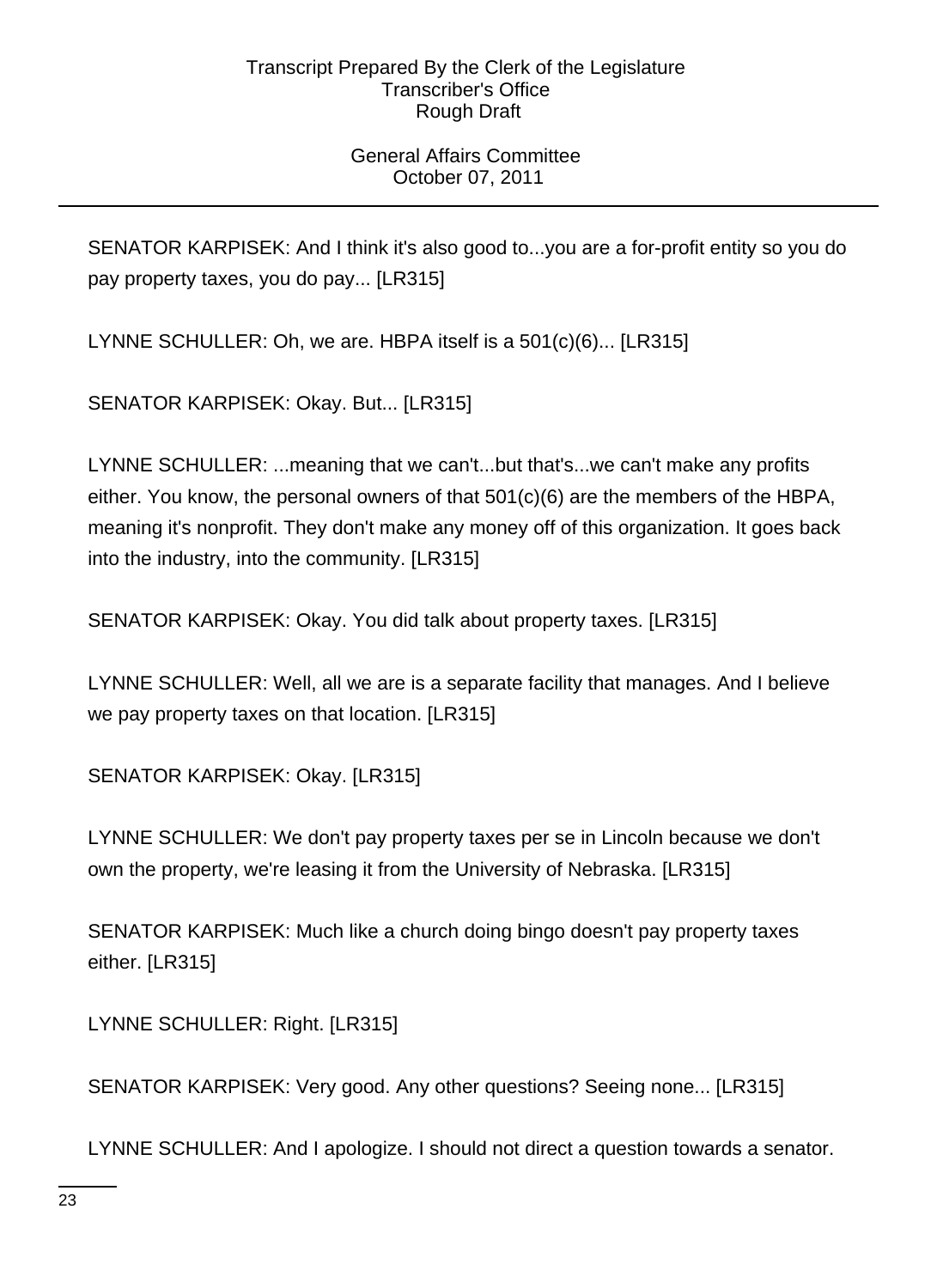# General Affairs Committee October 07, 2011

SENATOR KARPISEK: And I think it's also good to...you are a for-profit entity so you do pay property taxes, you do pay... [LR315]

LYNNE SCHULLER: Oh, we are. HBPA itself is a 501(c)(6)... [LR315]

SENATOR KARPISEK: Okay. But... [LR315]

LYNNE SCHULLER: ...meaning that we can't...but that's...we can't make any profits either. You know, the personal owners of that 501(c)(6) are the members of the HBPA, meaning it's nonprofit. They don't make any money off of this organization. It goes back into the industry, into the community. [LR315]

SENATOR KARPISEK: Okay. You did talk about property taxes. [LR315]

LYNNE SCHULLER: Well, all we are is a separate facility that manages. And I believe we pay property taxes on that location. [LR315]

SENATOR KARPISEK: Okay. [LR315]

LYNNE SCHULLER: We don't pay property taxes per se in Lincoln because we don't own the property, we're leasing it from the University of Nebraska. [LR315]

SENATOR KARPISEK: Much like a church doing bingo doesn't pay property taxes either. [LR315]

LYNNE SCHULLER: Right. [LR315]

SENATOR KARPISEK: Very good. Any other questions? Seeing none... [LR315]

LYNNE SCHULLER: And I apologize. I should not direct a question towards a senator.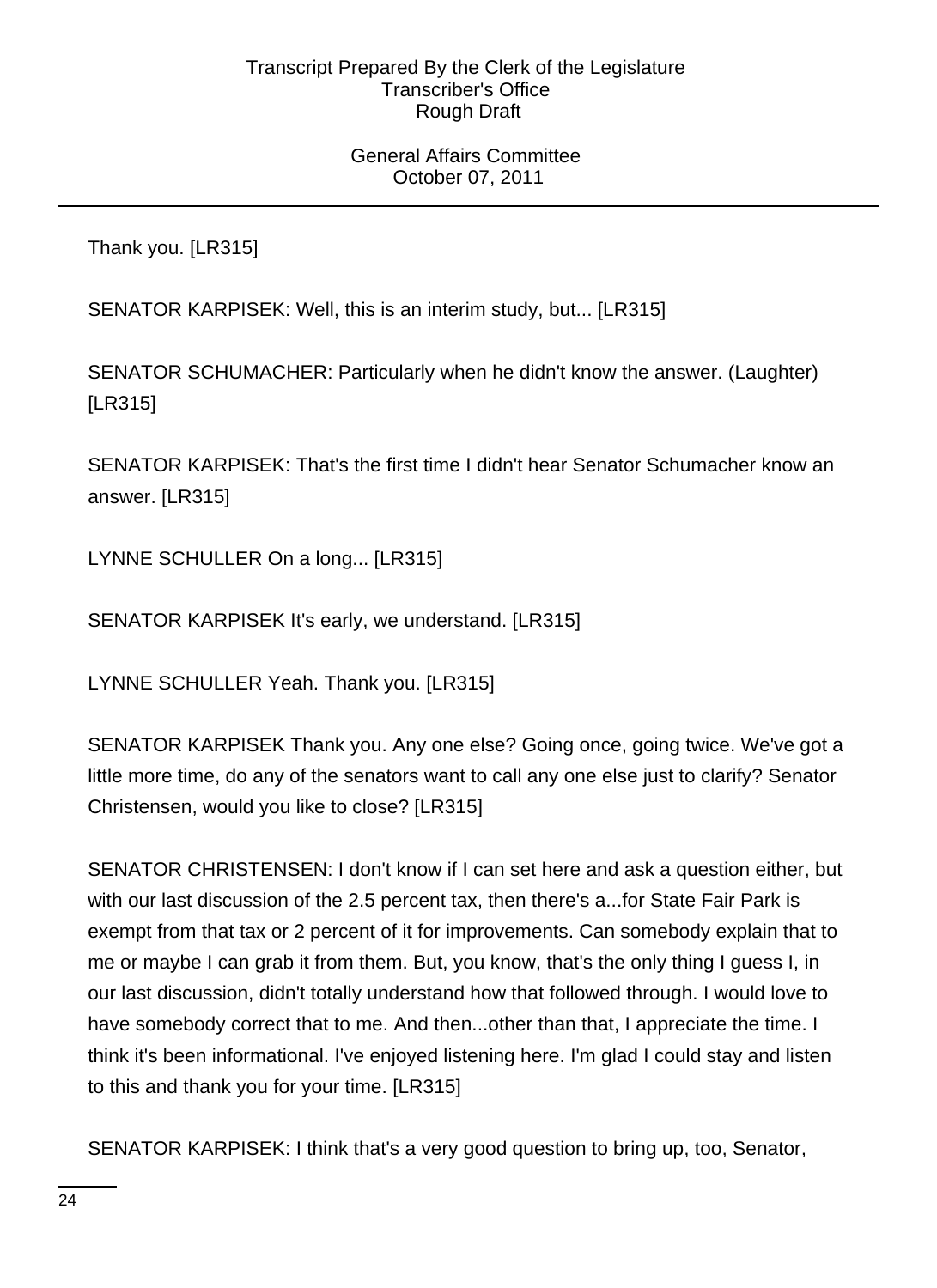### General Affairs Committee October 07, 2011

Thank you. [LR315]

SENATOR KARPISEK: Well, this is an interim study, but... [LR315]

SENATOR SCHUMACHER: Particularly when he didn't know the answer. (Laughter) [LR315]

SENATOR KARPISEK: That's the first time I didn't hear Senator Schumacher know an answer. [LR315]

LYNNE SCHULLER On a long... [LR315]

SENATOR KARPISEK It's early, we understand. [LR315]

LYNNE SCHULLER Yeah. Thank you. [LR315]

SENATOR KARPISEK Thank you. Any one else? Going once, going twice. We've got a little more time, do any of the senators want to call any one else just to clarify? Senator Christensen, would you like to close? [LR315]

SENATOR CHRISTENSEN: I don't know if I can set here and ask a question either, but with our last discussion of the 2.5 percent tax, then there's a...for State Fair Park is exempt from that tax or 2 percent of it for improvements. Can somebody explain that to me or maybe I can grab it from them. But, you know, that's the only thing I guess I, in our last discussion, didn't totally understand how that followed through. I would love to have somebody correct that to me. And then...other than that, I appreciate the time. I think it's been informational. I've enjoyed listening here. I'm glad I could stay and listen to this and thank you for your time. [LR315]

SENATOR KARPISEK: I think that's a very good question to bring up, too, Senator,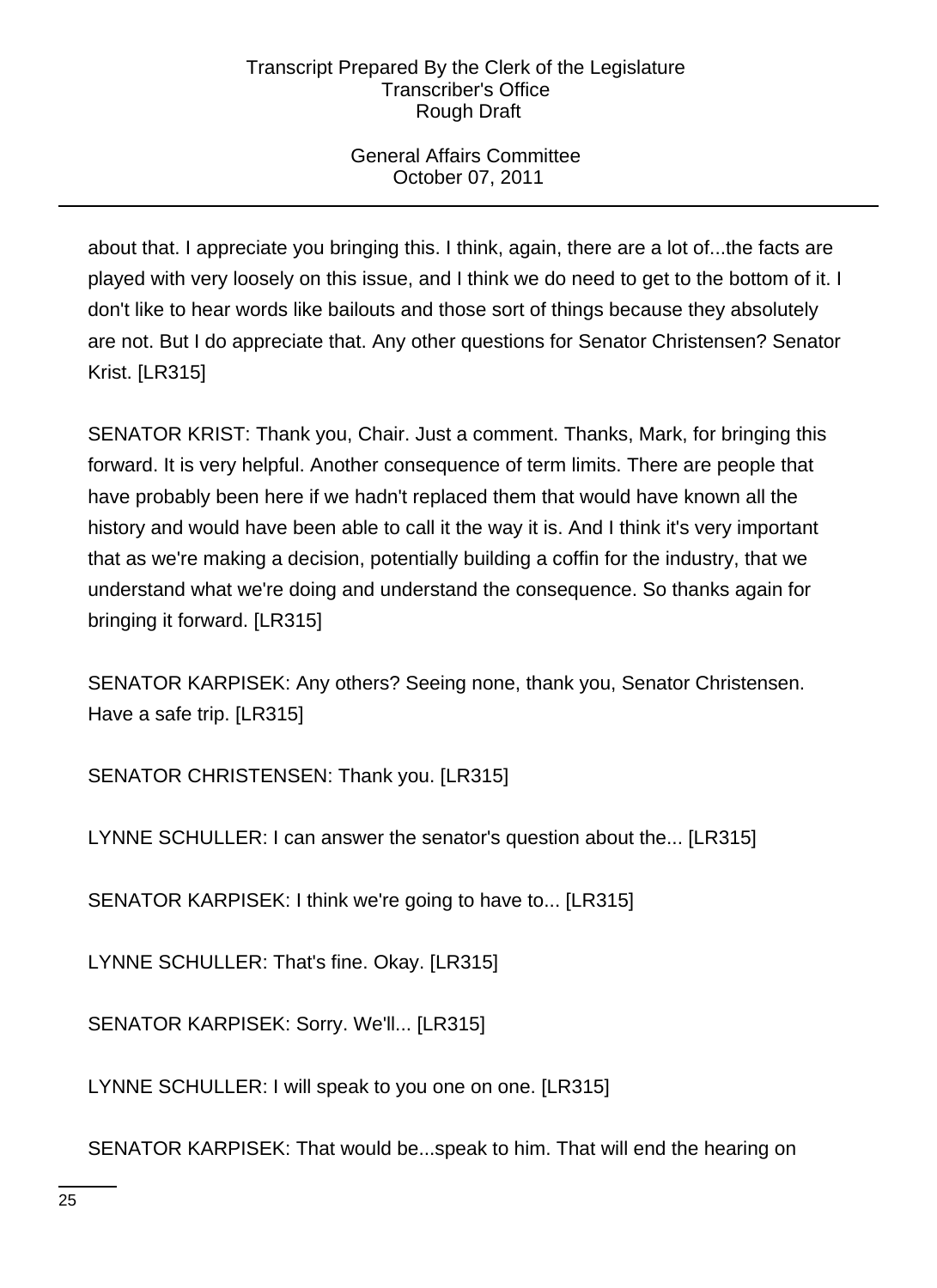# General Affairs Committee October 07, 2011

about that. I appreciate you bringing this. I think, again, there are a lot of...the facts are played with very loosely on this issue, and I think we do need to get to the bottom of it. I don't like to hear words like bailouts and those sort of things because they absolutely are not. But I do appreciate that. Any other questions for Senator Christensen? Senator Krist. [LR315]

SENATOR KRIST: Thank you, Chair. Just a comment. Thanks, Mark, for bringing this forward. It is very helpful. Another consequence of term limits. There are people that have probably been here if we hadn't replaced them that would have known all the history and would have been able to call it the way it is. And I think it's very important that as we're making a decision, potentially building a coffin for the industry, that we understand what we're doing and understand the consequence. So thanks again for bringing it forward. [LR315]

SENATOR KARPISEK: Any others? Seeing none, thank you, Senator Christensen. Have a safe trip. [LR315]

SENATOR CHRISTENSEN: Thank you. [LR315]

LYNNE SCHULLER: I can answer the senator's question about the... [LR315]

SENATOR KARPISEK: I think we're going to have to... [LR315]

LYNNE SCHULLER: That's fine. Okay. [LR315]

SENATOR KARPISEK: Sorry. We'll... [LR315]

LYNNE SCHULLER: I will speak to you one on one. [LR315]

SENATOR KARPISEK: That would be...speak to him. That will end the hearing on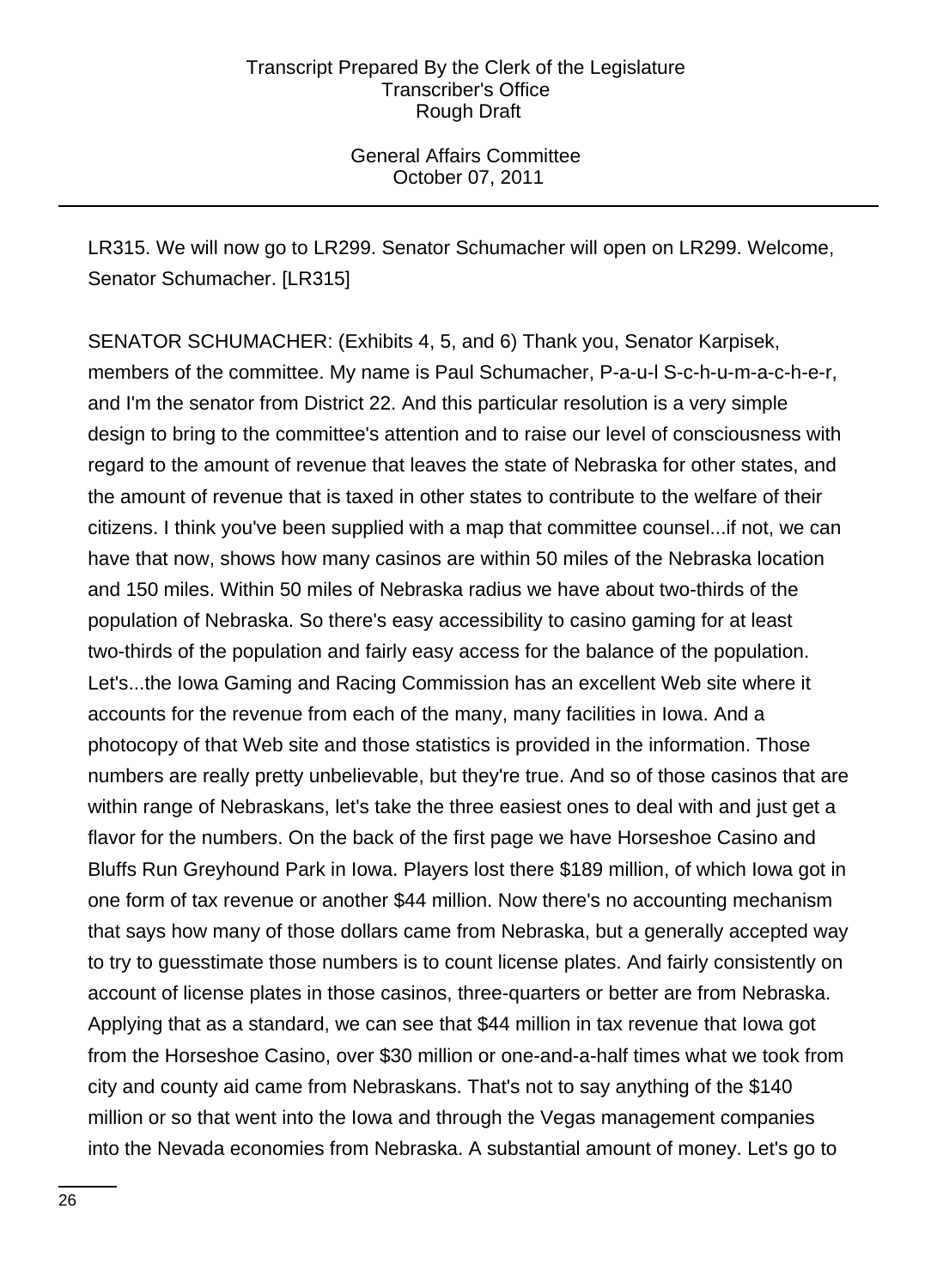General Affairs Committee October 07, 2011

LR315. We will now go to LR299. Senator Schumacher will open on LR299. Welcome, Senator Schumacher. [LR315]

SENATOR SCHUMACHER: (Exhibits 4, 5, and 6) Thank you, Senator Karpisek, members of the committee. My name is Paul Schumacher, P-a-u-l S-c-h-u-m-a-c-h-e-r, and I'm the senator from District 22. And this particular resolution is a very simple design to bring to the committee's attention and to raise our level of consciousness with regard to the amount of revenue that leaves the state of Nebraska for other states, and the amount of revenue that is taxed in other states to contribute to the welfare of their citizens. I think you've been supplied with a map that committee counsel...if not, we can have that now, shows how many casinos are within 50 miles of the Nebraska location and 150 miles. Within 50 miles of Nebraska radius we have about two-thirds of the population of Nebraska. So there's easy accessibility to casino gaming for at least two-thirds of the population and fairly easy access for the balance of the population. Let's...the Iowa Gaming and Racing Commission has an excellent Web site where it accounts for the revenue from each of the many, many facilities in Iowa. And a photocopy of that Web site and those statistics is provided in the information. Those numbers are really pretty unbelievable, but they're true. And so of those casinos that are within range of Nebraskans, let's take the three easiest ones to deal with and just get a flavor for the numbers. On the back of the first page we have Horseshoe Casino and Bluffs Run Greyhound Park in Iowa. Players lost there \$189 million, of which Iowa got in one form of tax revenue or another \$44 million. Now there's no accounting mechanism that says how many of those dollars came from Nebraska, but a generally accepted way to try to guesstimate those numbers is to count license plates. And fairly consistently on account of license plates in those casinos, three-quarters or better are from Nebraska. Applying that as a standard, we can see that \$44 million in tax revenue that Iowa got from the Horseshoe Casino, over \$30 million or one-and-a-half times what we took from city and county aid came from Nebraskans. That's not to say anything of the \$140 million or so that went into the Iowa and through the Vegas management companies into the Nevada economies from Nebraska. A substantial amount of money. Let's go to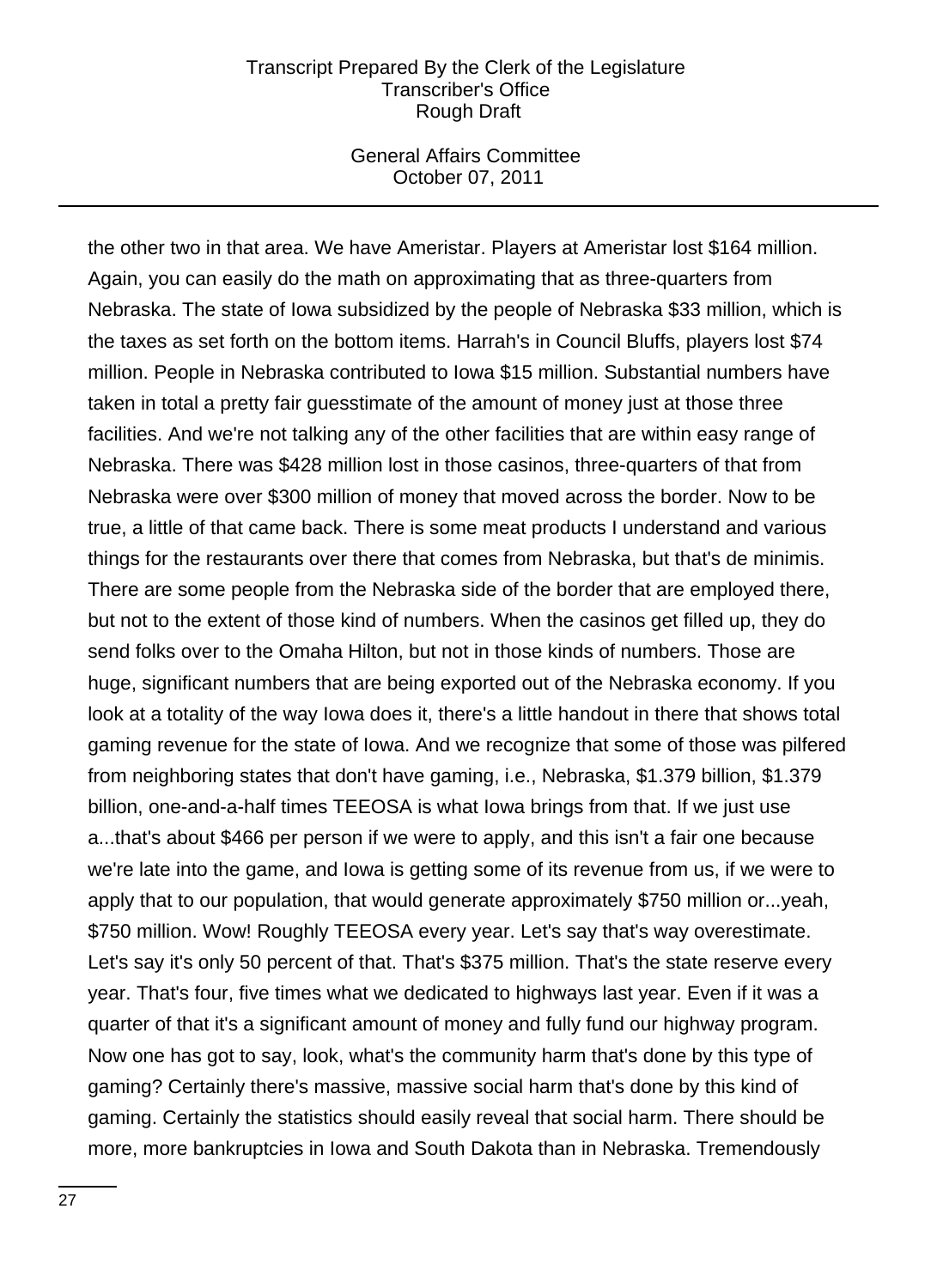### General Affairs Committee October 07, 2011

the other two in that area. We have Ameristar. Players at Ameristar lost \$164 million. Again, you can easily do the math on approximating that as three-quarters from Nebraska. The state of Iowa subsidized by the people of Nebraska \$33 million, which is the taxes as set forth on the bottom items. Harrah's in Council Bluffs, players lost \$74 million. People in Nebraska contributed to Iowa \$15 million. Substantial numbers have taken in total a pretty fair guesstimate of the amount of money just at those three facilities. And we're not talking any of the other facilities that are within easy range of Nebraska. There was \$428 million lost in those casinos, three-quarters of that from Nebraska were over \$300 million of money that moved across the border. Now to be true, a little of that came back. There is some meat products I understand and various things for the restaurants over there that comes from Nebraska, but that's de minimis. There are some people from the Nebraska side of the border that are employed there, but not to the extent of those kind of numbers. When the casinos get filled up, they do send folks over to the Omaha Hilton, but not in those kinds of numbers. Those are huge, significant numbers that are being exported out of the Nebraska economy. If you look at a totality of the way Iowa does it, there's a little handout in there that shows total gaming revenue for the state of Iowa. And we recognize that some of those was pilfered from neighboring states that don't have gaming, i.e., Nebraska, \$1.379 billion, \$1.379 billion, one-and-a-half times TEEOSA is what Iowa brings from that. If we just use a...that's about \$466 per person if we were to apply, and this isn't a fair one because we're late into the game, and Iowa is getting some of its revenue from us, if we were to apply that to our population, that would generate approximately \$750 million or...yeah, \$750 million. Wow! Roughly TEEOSA every year. Let's say that's way overestimate. Let's say it's only 50 percent of that. That's \$375 million. That's the state reserve every year. That's four, five times what we dedicated to highways last year. Even if it was a quarter of that it's a significant amount of money and fully fund our highway program. Now one has got to say, look, what's the community harm that's done by this type of gaming? Certainly there's massive, massive social harm that's done by this kind of gaming. Certainly the statistics should easily reveal that social harm. There should be more, more bankruptcies in Iowa and South Dakota than in Nebraska. Tremendously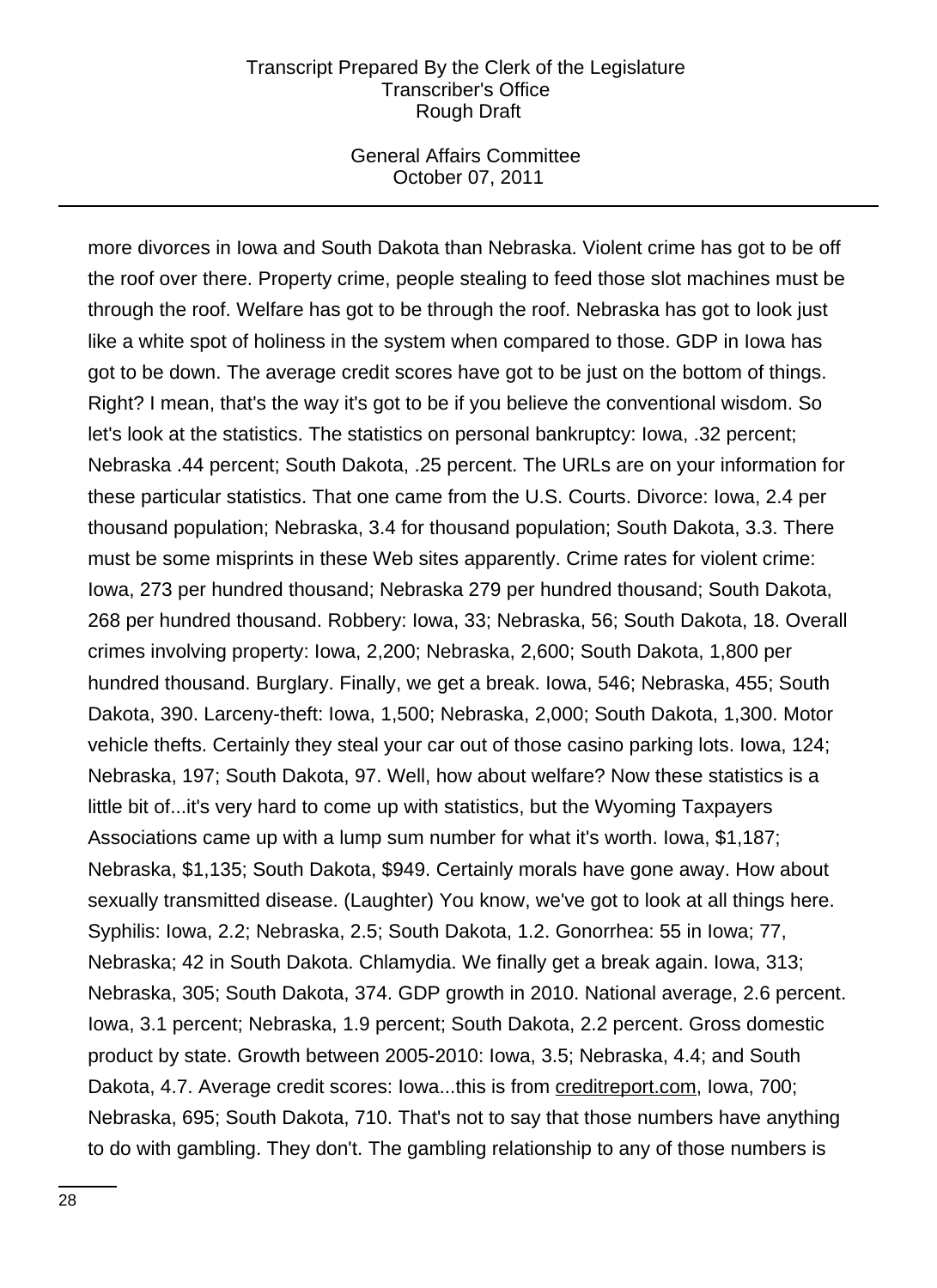### General Affairs Committee October 07, 2011

more divorces in Iowa and South Dakota than Nebraska. Violent crime has got to be off the roof over there. Property crime, people stealing to feed those slot machines must be through the roof. Welfare has got to be through the roof. Nebraska has got to look just like a white spot of holiness in the system when compared to those. GDP in Iowa has got to be down. The average credit scores have got to be just on the bottom of things. Right? I mean, that's the way it's got to be if you believe the conventional wisdom. So let's look at the statistics. The statistics on personal bankruptcy: Iowa, .32 percent; Nebraska .44 percent; South Dakota, .25 percent. The URLs are on your information for these particular statistics. That one came from the U.S. Courts. Divorce: Iowa, 2.4 per thousand population; Nebraska, 3.4 for thousand population; South Dakota, 3.3. There must be some misprints in these Web sites apparently. Crime rates for violent crime: Iowa, 273 per hundred thousand; Nebraska 279 per hundred thousand; South Dakota, 268 per hundred thousand. Robbery: Iowa, 33; Nebraska, 56; South Dakota, 18. Overall crimes involving property: Iowa, 2,200; Nebraska, 2,600; South Dakota, 1,800 per hundred thousand. Burglary. Finally, we get a break. Iowa, 546; Nebraska, 455; South Dakota, 390. Larceny-theft: Iowa, 1,500; Nebraska, 2,000; South Dakota, 1,300. Motor vehicle thefts. Certainly they steal your car out of those casino parking lots. Iowa, 124; Nebraska, 197; South Dakota, 97. Well, how about welfare? Now these statistics is a little bit of...it's very hard to come up with statistics, but the Wyoming Taxpayers Associations came up with a lump sum number for what it's worth. Iowa, \$1,187; Nebraska, \$1,135; South Dakota, \$949. Certainly morals have gone away. How about sexually transmitted disease. (Laughter) You know, we've got to look at all things here. Syphilis: Iowa, 2.2; Nebraska, 2.5; South Dakota, 1.2. Gonorrhea: 55 in Iowa; 77, Nebraska; 42 in South Dakota. Chlamydia. We finally get a break again. Iowa, 313; Nebraska, 305; South Dakota, 374. GDP growth in 2010. National average, 2.6 percent. Iowa, 3.1 percent; Nebraska, 1.9 percent; South Dakota, 2.2 percent. Gross domestic product by state. Growth between 2005-2010: Iowa, 3.5; Nebraska, 4.4; and South Dakota, 4.7. Average credit scores: Iowa...this is from creditreport.com, Iowa, 700; Nebraska, 695; South Dakota, 710. That's not to say that those numbers have anything to do with gambling. They don't. The gambling relationship to any of those numbers is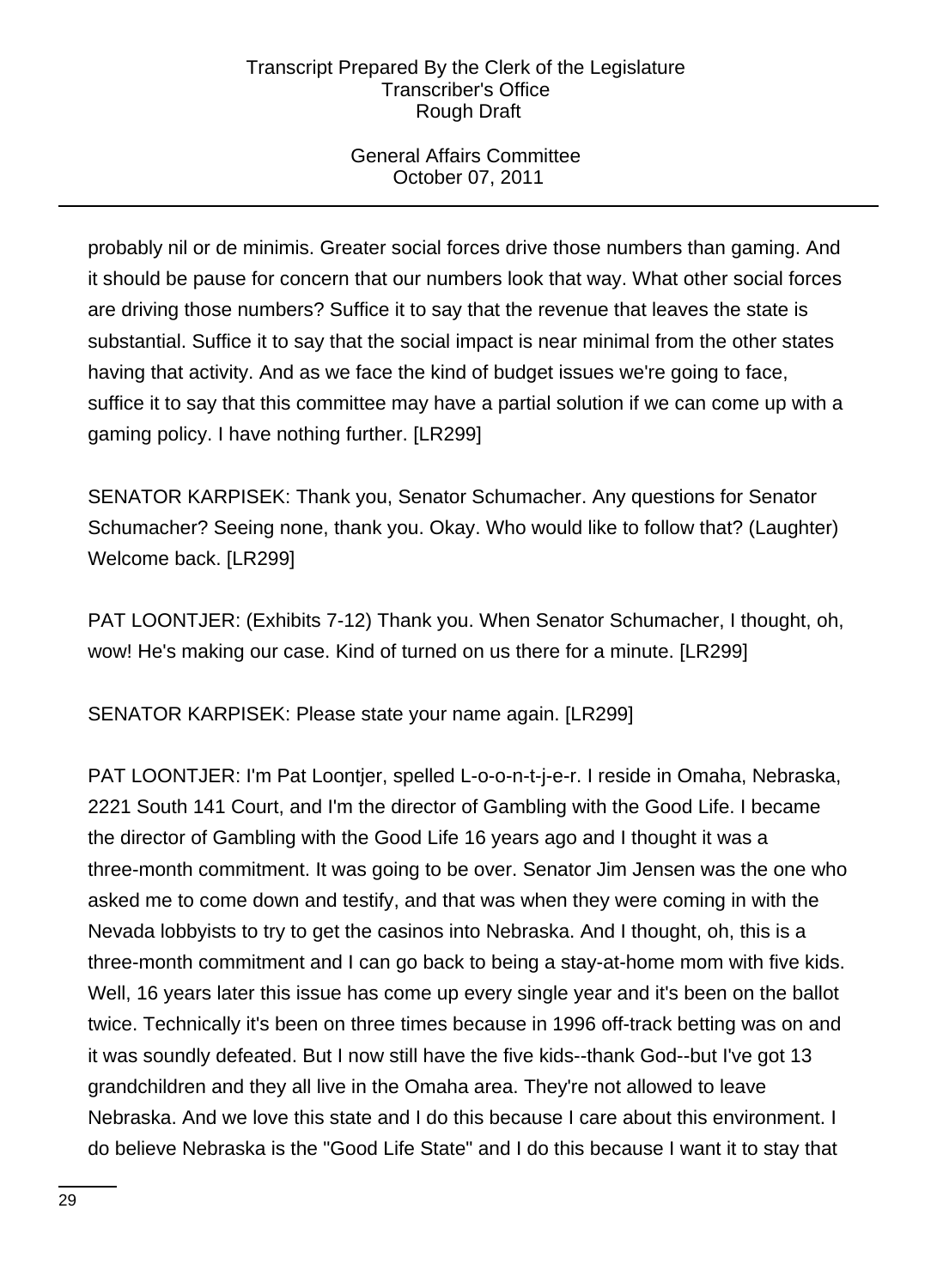# General Affairs Committee October 07, 2011

probably nil or de minimis. Greater social forces drive those numbers than gaming. And it should be pause for concern that our numbers look that way. What other social forces are driving those numbers? Suffice it to say that the revenue that leaves the state is substantial. Suffice it to say that the social impact is near minimal from the other states having that activity. And as we face the kind of budget issues we're going to face, suffice it to say that this committee may have a partial solution if we can come up with a gaming policy. I have nothing further. [LR299]

SENATOR KARPISEK: Thank you, Senator Schumacher. Any questions for Senator Schumacher? Seeing none, thank you. Okay. Who would like to follow that? (Laughter) Welcome back. [LR299]

PAT LOONTJER: (Exhibits 7-12) Thank you. When Senator Schumacher, I thought, oh, wow! He's making our case. Kind of turned on us there for a minute. [LR299]

SENATOR KARPISEK: Please state your name again. [LR299]

PAT LOONTJER: I'm Pat Loontjer, spelled L-o-o-n-t-j-e-r. I reside in Omaha, Nebraska, 2221 South 141 Court, and I'm the director of Gambling with the Good Life. I became the director of Gambling with the Good Life 16 years ago and I thought it was a three-month commitment. It was going to be over. Senator Jim Jensen was the one who asked me to come down and testify, and that was when they were coming in with the Nevada lobbyists to try to get the casinos into Nebraska. And I thought, oh, this is a three-month commitment and I can go back to being a stay-at-home mom with five kids. Well, 16 years later this issue has come up every single year and it's been on the ballot twice. Technically it's been on three times because in 1996 off-track betting was on and it was soundly defeated. But I now still have the five kids--thank God--but I've got 13 grandchildren and they all live in the Omaha area. They're not allowed to leave Nebraska. And we love this state and I do this because I care about this environment. I do believe Nebraska is the "Good Life State" and I do this because I want it to stay that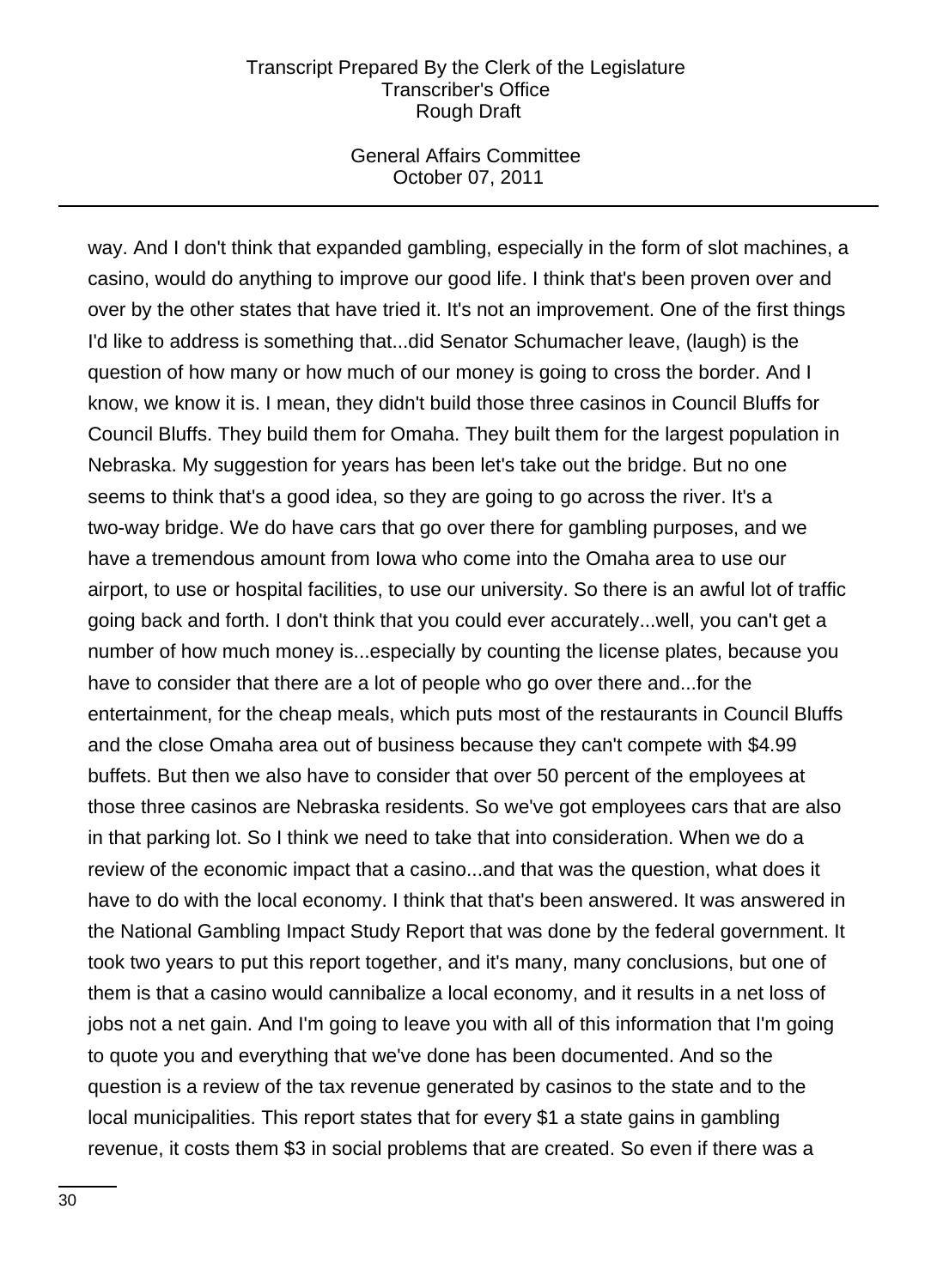### General Affairs Committee October 07, 2011

way. And I don't think that expanded gambling, especially in the form of slot machines, a casino, would do anything to improve our good life. I think that's been proven over and over by the other states that have tried it. It's not an improvement. One of the first things I'd like to address is something that...did Senator Schumacher leave, (laugh) is the question of how many or how much of our money is going to cross the border. And I know, we know it is. I mean, they didn't build those three casinos in Council Bluffs for Council Bluffs. They build them for Omaha. They built them for the largest population in Nebraska. My suggestion for years has been let's take out the bridge. But no one seems to think that's a good idea, so they are going to go across the river. It's a two-way bridge. We do have cars that go over there for gambling purposes, and we have a tremendous amount from Iowa who come into the Omaha area to use our airport, to use or hospital facilities, to use our university. So there is an awful lot of traffic going back and forth. I don't think that you could ever accurately...well, you can't get a number of how much money is...especially by counting the license plates, because you have to consider that there are a lot of people who go over there and...for the entertainment, for the cheap meals, which puts most of the restaurants in Council Bluffs and the close Omaha area out of business because they can't compete with \$4.99 buffets. But then we also have to consider that over 50 percent of the employees at those three casinos are Nebraska residents. So we've got employees cars that are also in that parking lot. So I think we need to take that into consideration. When we do a review of the economic impact that a casino...and that was the question, what does it have to do with the local economy. I think that that's been answered. It was answered in the National Gambling Impact Study Report that was done by the federal government. It took two years to put this report together, and it's many, many conclusions, but one of them is that a casino would cannibalize a local economy, and it results in a net loss of jobs not a net gain. And I'm going to leave you with all of this information that I'm going to quote you and everything that we've done has been documented. And so the question is a review of the tax revenue generated by casinos to the state and to the local municipalities. This report states that for every \$1 a state gains in gambling revenue, it costs them \$3 in social problems that are created. So even if there was a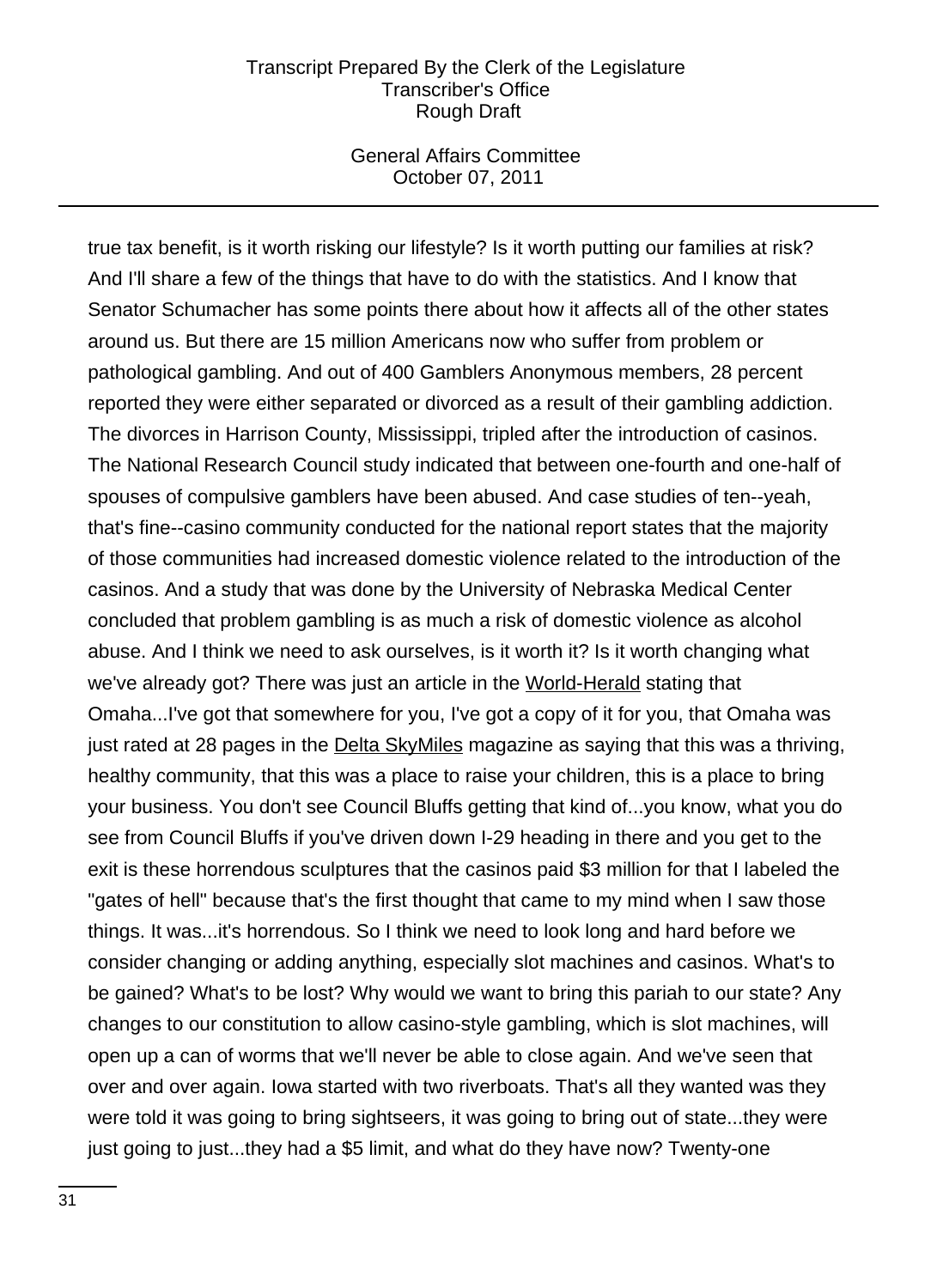### General Affairs Committee October 07, 2011

true tax benefit, is it worth risking our lifestyle? Is it worth putting our families at risk? And I'll share a few of the things that have to do with the statistics. And I know that Senator Schumacher has some points there about how it affects all of the other states around us. But there are 15 million Americans now who suffer from problem or pathological gambling. And out of 400 Gamblers Anonymous members, 28 percent reported they were either separated or divorced as a result of their gambling addiction. The divorces in Harrison County, Mississippi, tripled after the introduction of casinos. The National Research Council study indicated that between one-fourth and one-half of spouses of compulsive gamblers have been abused. And case studies of ten--yeah, that's fine--casino community conducted for the national report states that the majority of those communities had increased domestic violence related to the introduction of the casinos. And a study that was done by the University of Nebraska Medical Center concluded that problem gambling is as much a risk of domestic violence as alcohol abuse. And I think we need to ask ourselves, is it worth it? Is it worth changing what we've already got? There was just an article in the World-Herald stating that Omaha...I've got that somewhere for you, I've got a copy of it for you, that Omaha was just rated at 28 pages in the Delta SkyMiles magazine as saying that this was a thriving, healthy community, that this was a place to raise your children, this is a place to bring your business. You don't see Council Bluffs getting that kind of...you know, what you do see from Council Bluffs if you've driven down I-29 heading in there and you get to the exit is these horrendous sculptures that the casinos paid \$3 million for that I labeled the "gates of hell" because that's the first thought that came to my mind when I saw those things. It was...it's horrendous. So I think we need to look long and hard before we consider changing or adding anything, especially slot machines and casinos. What's to be gained? What's to be lost? Why would we want to bring this pariah to our state? Any changes to our constitution to allow casino-style gambling, which is slot machines, will open up a can of worms that we'll never be able to close again. And we've seen that over and over again. Iowa started with two riverboats. That's all they wanted was they were told it was going to bring sightseers, it was going to bring out of state...they were just going to just...they had a \$5 limit, and what do they have now? Twenty-one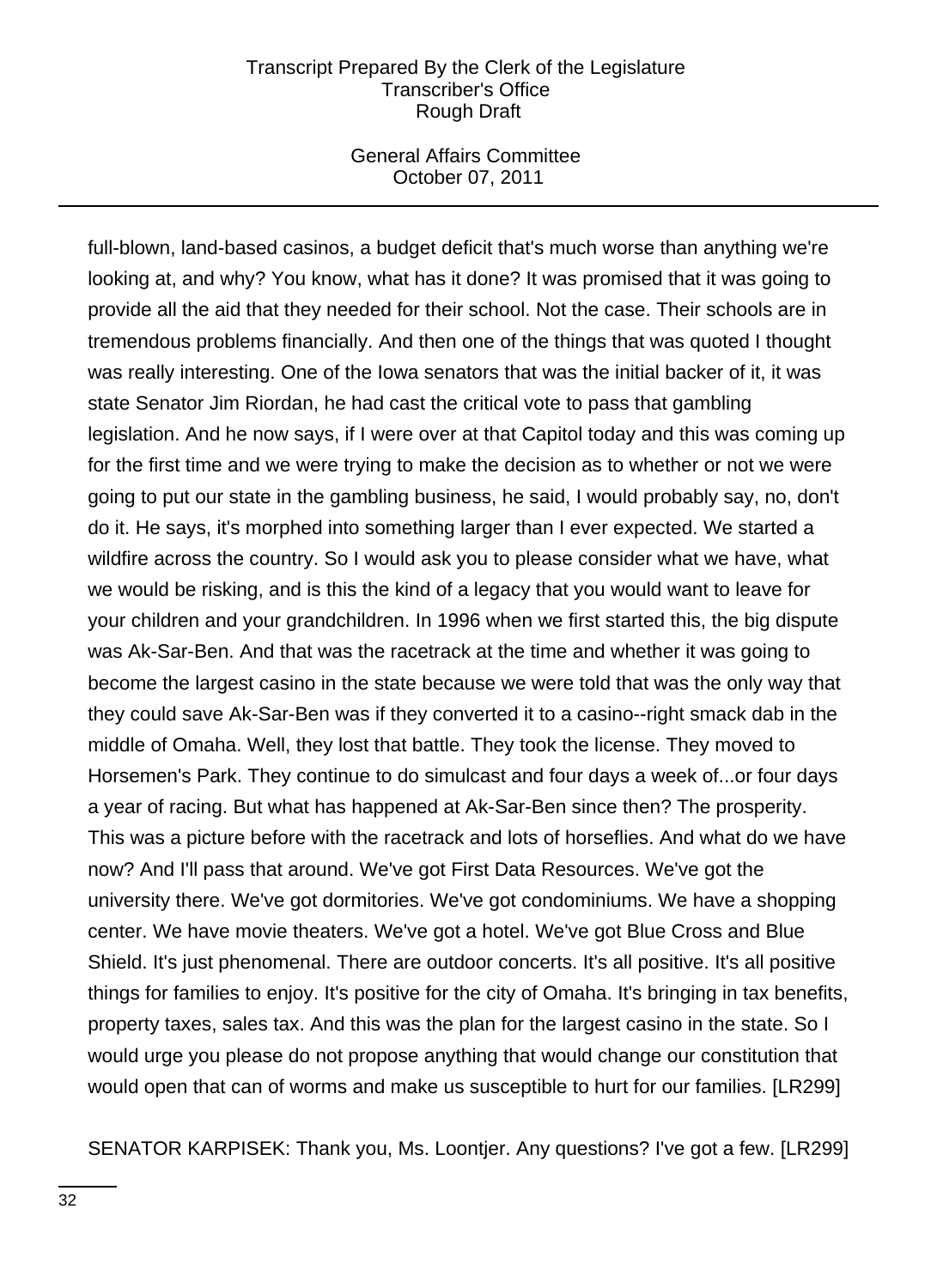### General Affairs Committee October 07, 2011

full-blown, land-based casinos, a budget deficit that's much worse than anything we're looking at, and why? You know, what has it done? It was promised that it was going to provide all the aid that they needed for their school. Not the case. Their schools are in tremendous problems financially. And then one of the things that was quoted I thought was really interesting. One of the Iowa senators that was the initial backer of it, it was state Senator Jim Riordan, he had cast the critical vote to pass that gambling legislation. And he now says, if I were over at that Capitol today and this was coming up for the first time and we were trying to make the decision as to whether or not we were going to put our state in the gambling business, he said, I would probably say, no, don't do it. He says, it's morphed into something larger than I ever expected. We started a wildfire across the country. So I would ask you to please consider what we have, what we would be risking, and is this the kind of a legacy that you would want to leave for your children and your grandchildren. In 1996 when we first started this, the big dispute was Ak-Sar-Ben. And that was the racetrack at the time and whether it was going to become the largest casino in the state because we were told that was the only way that they could save Ak-Sar-Ben was if they converted it to a casino--right smack dab in the middle of Omaha. Well, they lost that battle. They took the license. They moved to Horsemen's Park. They continue to do simulcast and four days a week of...or four days a year of racing. But what has happened at Ak-Sar-Ben since then? The prosperity. This was a picture before with the racetrack and lots of horseflies. And what do we have now? And I'll pass that around. We've got First Data Resources. We've got the university there. We've got dormitories. We've got condominiums. We have a shopping center. We have movie theaters. We've got a hotel. We've got Blue Cross and Blue Shield. It's just phenomenal. There are outdoor concerts. It's all positive. It's all positive things for families to enjoy. It's positive for the city of Omaha. It's bringing in tax benefits, property taxes, sales tax. And this was the plan for the largest casino in the state. So I would urge you please do not propose anything that would change our constitution that would open that can of worms and make us susceptible to hurt for our families. [LR299]

SENATOR KARPISEK: Thank you, Ms. Loontjer. Any questions? I've got a few. [LR299]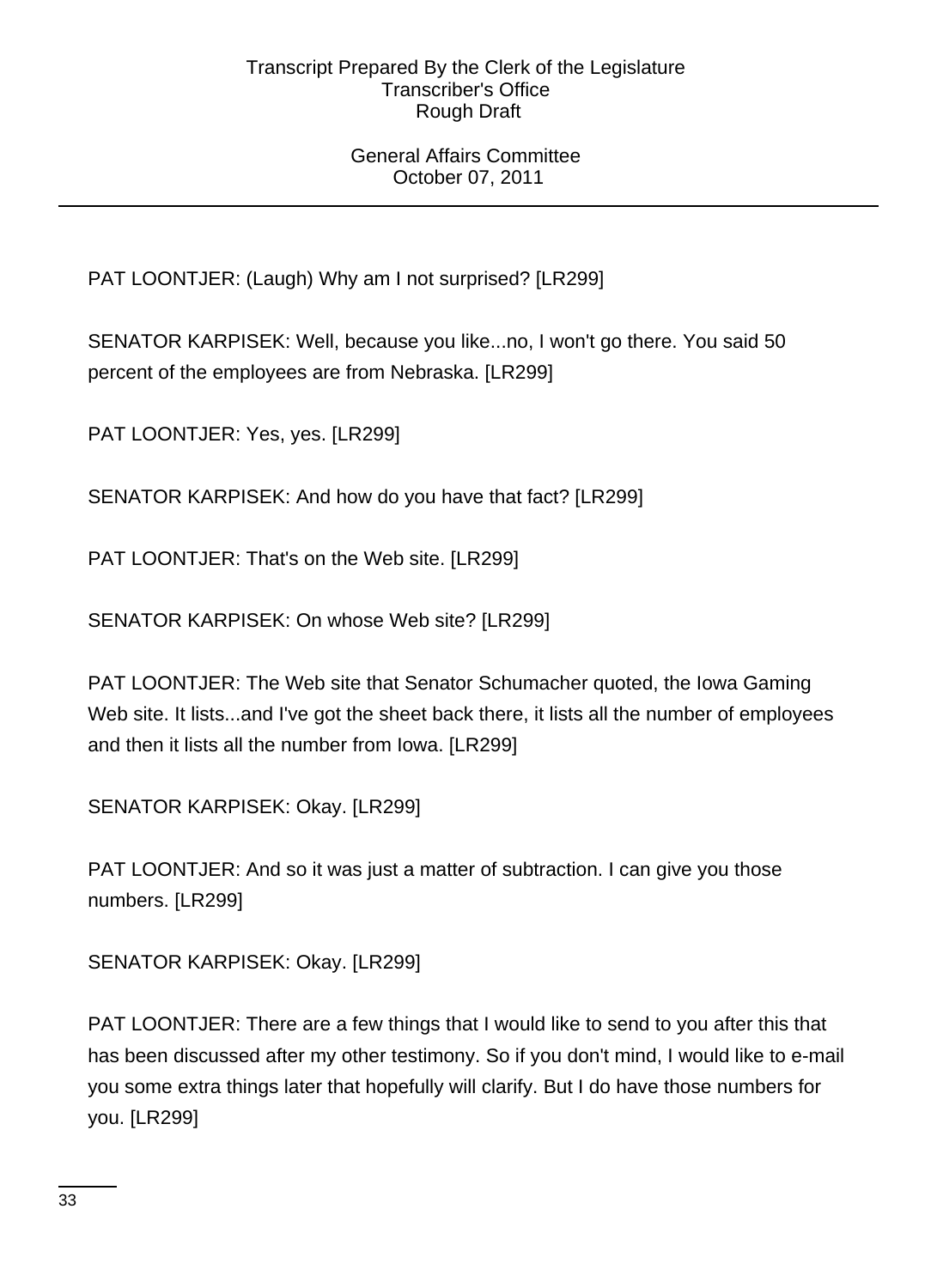## General Affairs Committee October 07, 2011

PAT LOONTJER: (Laugh) Why am I not surprised? [LR299]

SENATOR KARPISEK: Well, because you like...no, I won't go there. You said 50 percent of the employees are from Nebraska. [LR299]

PAT LOONTJER: Yes, yes. [LR299]

SENATOR KARPISEK: And how do you have that fact? [LR299]

PAT LOONTJER: That's on the Web site. [LR299]

SENATOR KARPISEK: On whose Web site? [LR299]

PAT LOONTJER: The Web site that Senator Schumacher quoted, the Iowa Gaming Web site. It lists...and I've got the sheet back there, it lists all the number of employees and then it lists all the number from Iowa. [LR299]

SENATOR KARPISEK: Okay. [LR299]

PAT LOONTJER: And so it was just a matter of subtraction. I can give you those numbers. [LR299]

SENATOR KARPISEK: Okay. [LR299]

PAT LOONTJER: There are a few things that I would like to send to you after this that has been discussed after my other testimony. So if you don't mind, I would like to e-mail you some extra things later that hopefully will clarify. But I do have those numbers for you. [LR299]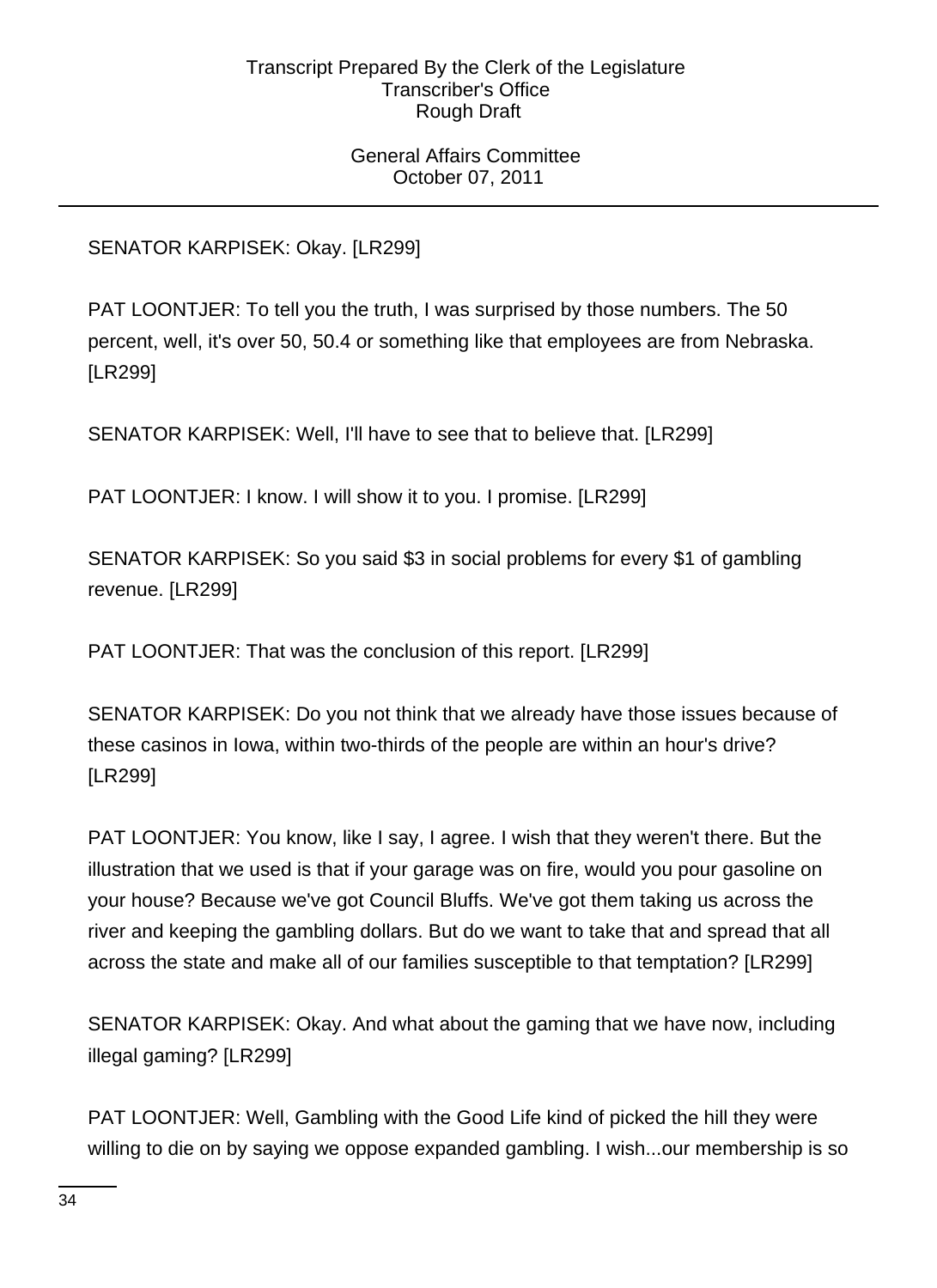General Affairs Committee October 07, 2011

SENATOR KARPISEK: Okay. [LR299]

PAT LOONTJER: To tell you the truth, I was surprised by those numbers. The 50 percent, well, it's over 50, 50.4 or something like that employees are from Nebraska. [LR299]

SENATOR KARPISEK: Well, I'll have to see that to believe that. [LR299]

PAT LOONTJER: I know. I will show it to you. I promise. [LR299]

SENATOR KARPISEK: So you said \$3 in social problems for every \$1 of gambling revenue. [LR299]

PAT LOONTJER: That was the conclusion of this report. [LR299]

SENATOR KARPISEK: Do you not think that we already have those issues because of these casinos in Iowa, within two-thirds of the people are within an hour's drive? [LR299]

PAT LOONTJER: You know, like I say, I agree. I wish that they weren't there. But the illustration that we used is that if your garage was on fire, would you pour gasoline on your house? Because we've got Council Bluffs. We've got them taking us across the river and keeping the gambling dollars. But do we want to take that and spread that all across the state and make all of our families susceptible to that temptation? [LR299]

SENATOR KARPISEK: Okay. And what about the gaming that we have now, including illegal gaming? [LR299]

PAT LOONTJER: Well, Gambling with the Good Life kind of picked the hill they were willing to die on by saying we oppose expanded gambling. I wish...our membership is so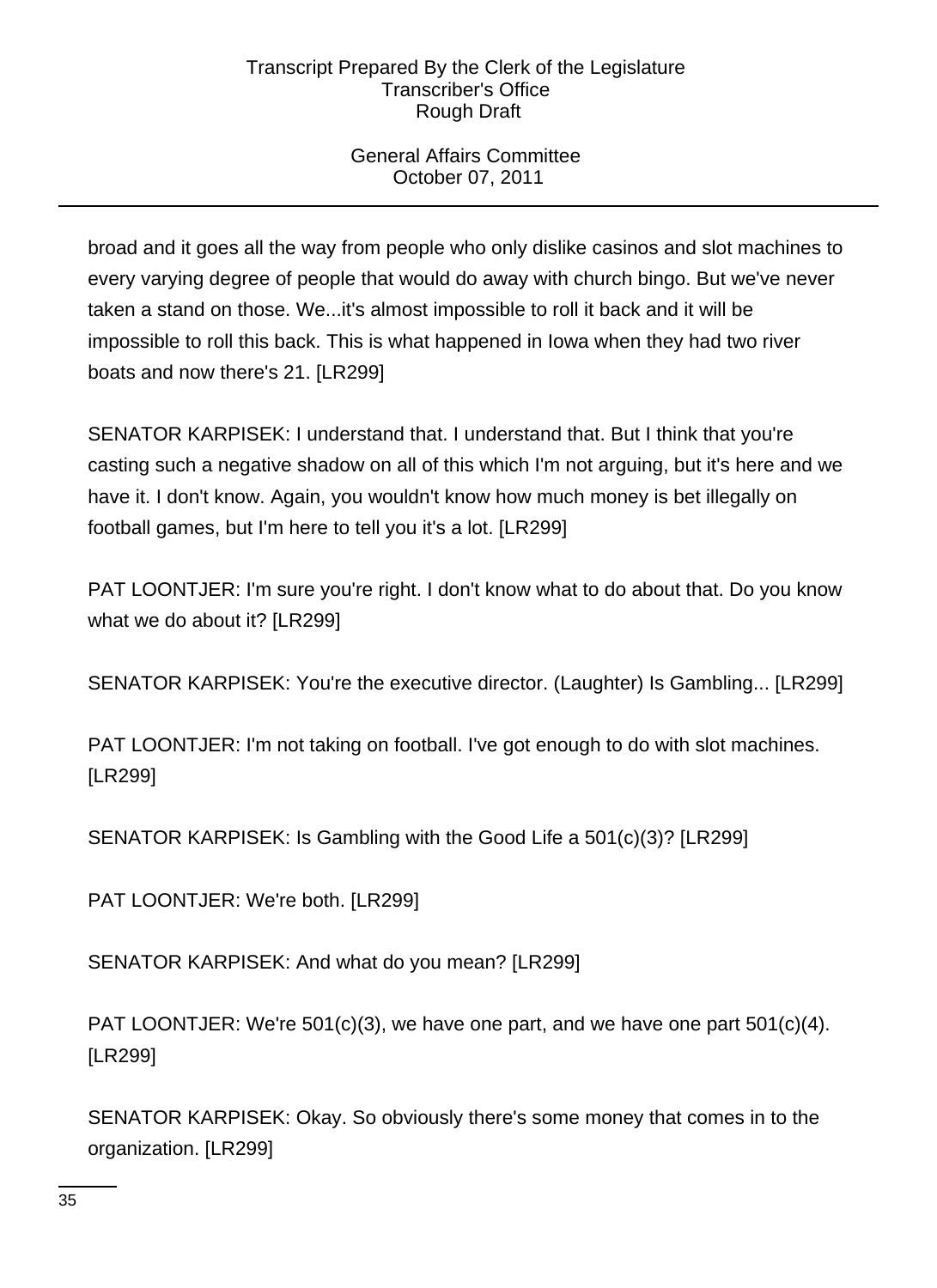# General Affairs Committee October 07, 2011

broad and it goes all the way from people who only dislike casinos and slot machines to every varying degree of people that would do away with church bingo. But we've never taken a stand on those. We...it's almost impossible to roll it back and it will be impossible to roll this back. This is what happened in Iowa when they had two river boats and now there's 21. [LR299]

SENATOR KARPISEK: I understand that. I understand that. But I think that you're casting such a negative shadow on all of this which I'm not arguing, but it's here and we have it. I don't know. Again, you wouldn't know how much money is bet illegally on football games, but I'm here to tell you it's a lot. [LR299]

PAT LOONTJER: I'm sure you're right. I don't know what to do about that. Do you know what we do about it? [LR299]

SENATOR KARPISEK: You're the executive director. (Laughter) Is Gambling... [LR299]

PAT LOONTJER: I'm not taking on football. I've got enough to do with slot machines. [LR299]

SENATOR KARPISEK: Is Gambling with the Good Life a 501(c)(3)? [LR299]

PAT LOONTJER: We're both. [LR299]

SENATOR KARPISEK: And what do you mean? [LR299]

PAT LOONTJER: We're 501(c)(3), we have one part, and we have one part 501(c)(4). [LR299]

SENATOR KARPISEK: Okay. So obviously there's some money that comes in to the organization. [LR299]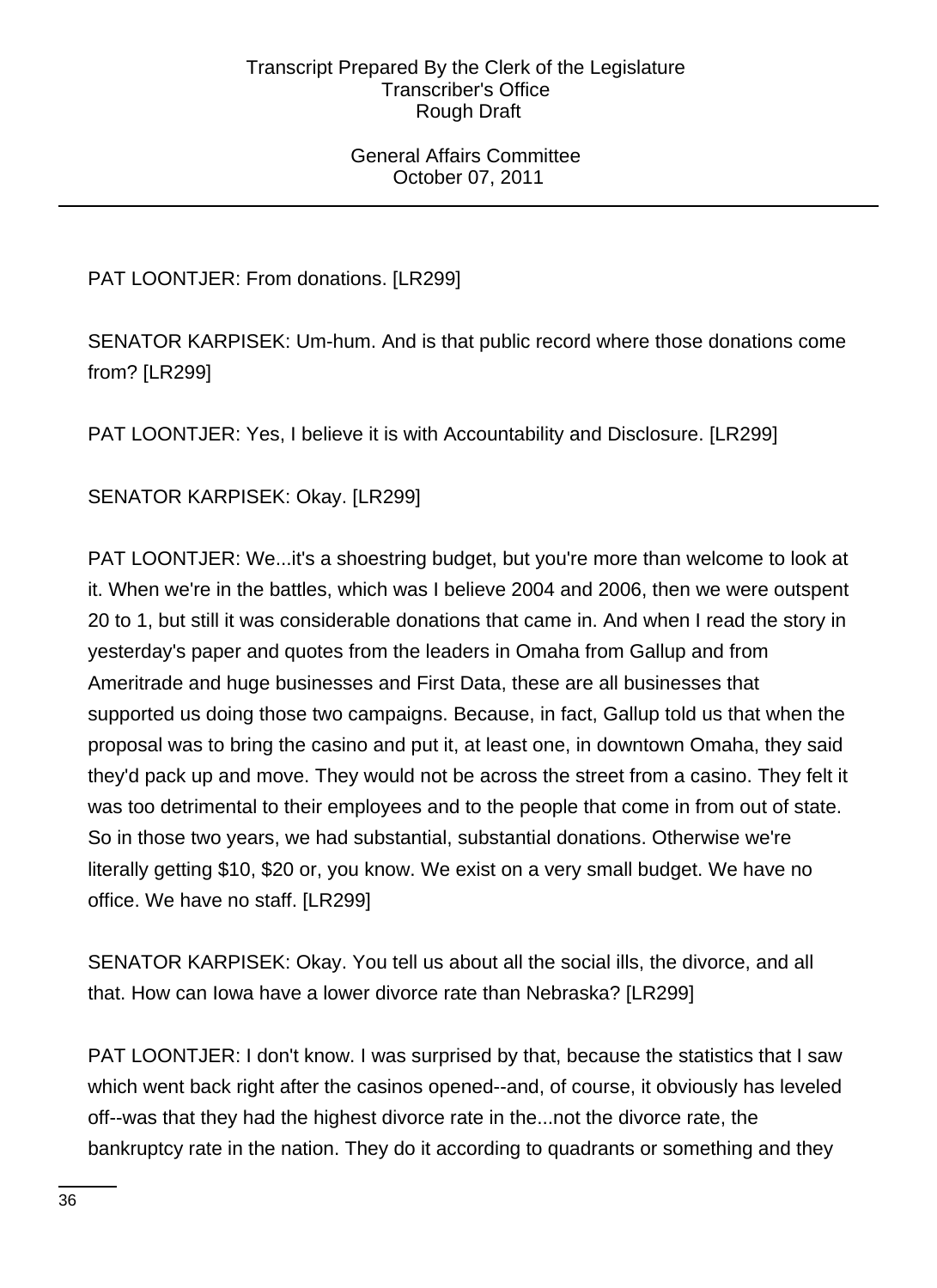General Affairs Committee October 07, 2011

PAT LOONTJER: From donations. [LR299]

SENATOR KARPISEK: Um-hum. And is that public record where those donations come from? [LR299]

PAT LOONTJER: Yes, I believe it is with Accountability and Disclosure. [LR299]

SENATOR KARPISEK: Okay. [LR299]

PAT LOONTJER: We...it's a shoestring budget, but you're more than welcome to look at it. When we're in the battles, which was I believe 2004 and 2006, then we were outspent 20 to 1, but still it was considerable donations that came in. And when I read the story in yesterday's paper and quotes from the leaders in Omaha from Gallup and from Ameritrade and huge businesses and First Data, these are all businesses that supported us doing those two campaigns. Because, in fact, Gallup told us that when the proposal was to bring the casino and put it, at least one, in downtown Omaha, they said they'd pack up and move. They would not be across the street from a casino. They felt it was too detrimental to their employees and to the people that come in from out of state. So in those two years, we had substantial, substantial donations. Otherwise we're literally getting \$10, \$20 or, you know. We exist on a very small budget. We have no office. We have no staff. [LR299]

SENATOR KARPISEK: Okay. You tell us about all the social ills, the divorce, and all that. How can Iowa have a lower divorce rate than Nebraska? [LR299]

PAT LOONTJER: I don't know. I was surprised by that, because the statistics that I saw which went back right after the casinos opened--and, of course, it obviously has leveled off--was that they had the highest divorce rate in the...not the divorce rate, the bankruptcy rate in the nation. They do it according to quadrants or something and they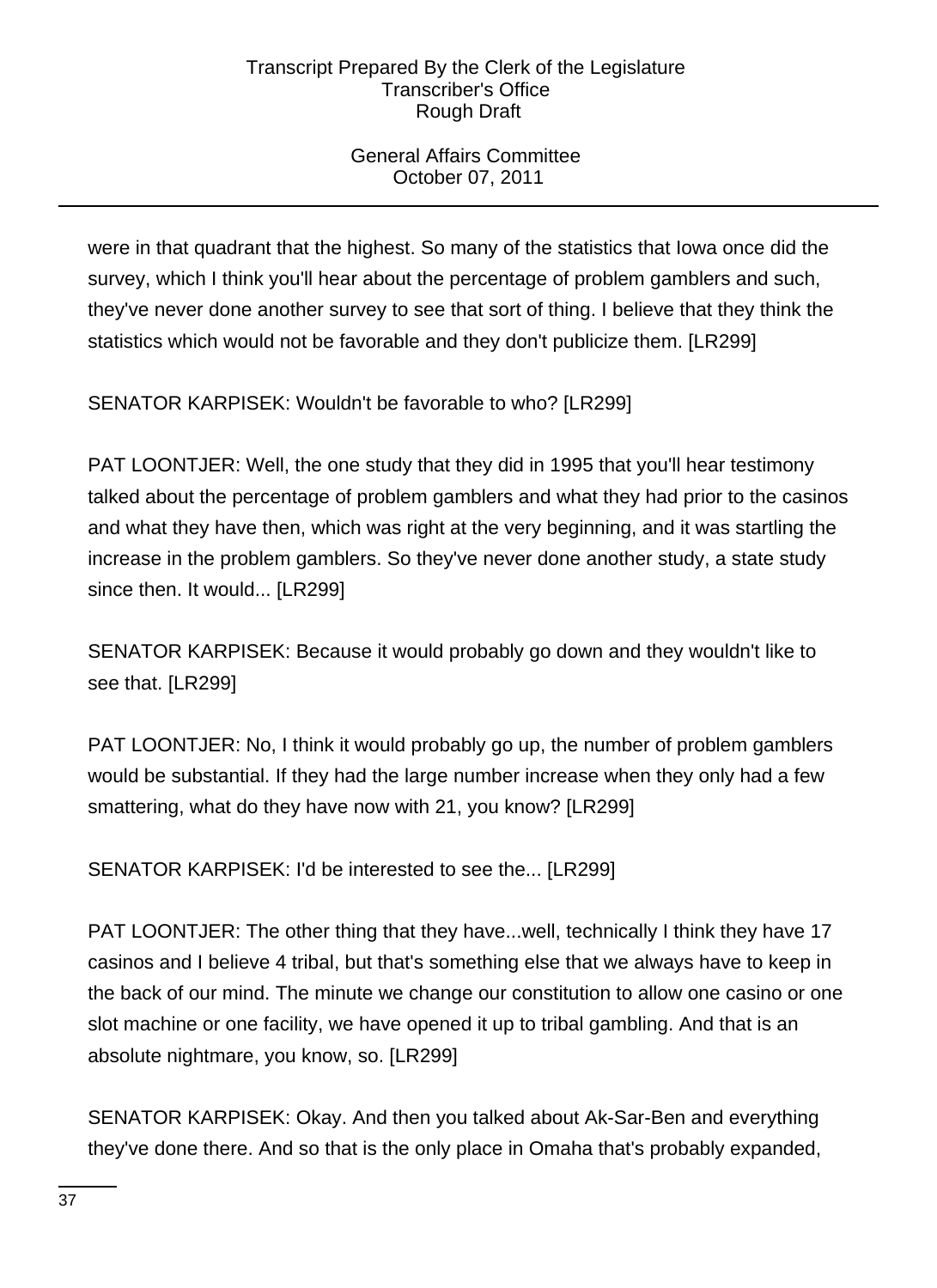# General Affairs Committee October 07, 2011

were in that quadrant that the highest. So many of the statistics that Iowa once did the survey, which I think you'll hear about the percentage of problem gamblers and such, they've never done another survey to see that sort of thing. I believe that they think the statistics which would not be favorable and they don't publicize them. [LR299]

SENATOR KARPISEK: Wouldn't be favorable to who? [LR299]

PAT LOONTJER: Well, the one study that they did in 1995 that you'll hear testimony talked about the percentage of problem gamblers and what they had prior to the casinos and what they have then, which was right at the very beginning, and it was startling the increase in the problem gamblers. So they've never done another study, a state study since then. It would... [LR299]

SENATOR KARPISEK: Because it would probably go down and they wouldn't like to see that. [LR299]

PAT LOONTJER: No, I think it would probably go up, the number of problem gamblers would be substantial. If they had the large number increase when they only had a few smattering, what do they have now with 21, you know? [LR299]

SENATOR KARPISEK: I'd be interested to see the... [LR299]

PAT LOONTJER: The other thing that they have...well, technically I think they have 17 casinos and I believe 4 tribal, but that's something else that we always have to keep in the back of our mind. The minute we change our constitution to allow one casino or one slot machine or one facility, we have opened it up to tribal gambling. And that is an absolute nightmare, you know, so. [LR299]

SENATOR KARPISEK: Okay. And then you talked about Ak-Sar-Ben and everything they've done there. And so that is the only place in Omaha that's probably expanded,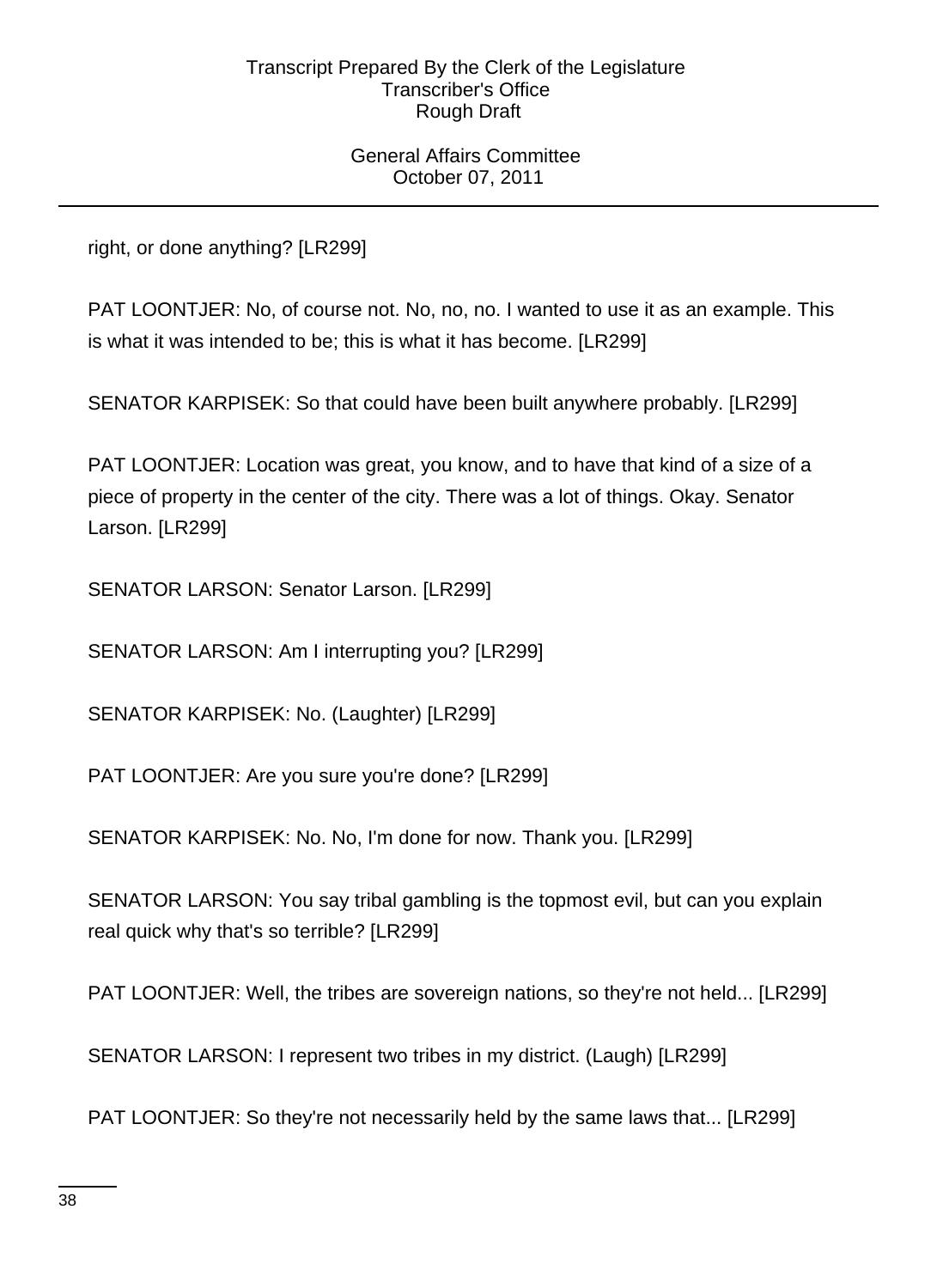General Affairs Committee October 07, 2011

right, or done anything? [LR299]

PAT LOONTJER: No, of course not. No, no, no. I wanted to use it as an example. This is what it was intended to be; this is what it has become. [LR299]

SENATOR KARPISEK: So that could have been built anywhere probably. [LR299]

PAT LOONTJER: Location was great, you know, and to have that kind of a size of a piece of property in the center of the city. There was a lot of things. Okay. Senator Larson. [LR299]

SENATOR LARSON: Senator Larson. [LR299]

SENATOR LARSON: Am I interrupting you? [LR299]

SENATOR KARPISEK: No. (Laughter) [LR299]

PAT LOONTJER: Are you sure you're done? [LR299]

SENATOR KARPISEK: No. No, I'm done for now. Thank you. [LR299]

SENATOR LARSON: You say tribal gambling is the topmost evil, but can you explain real quick why that's so terrible? [LR299]

PAT LOONTJER: Well, the tribes are sovereign nations, so they're not held... [LR299]

SENATOR LARSON: I represent two tribes in my district. (Laugh) [LR299]

PAT LOONTJER: So they're not necessarily held by the same laws that... [LR299]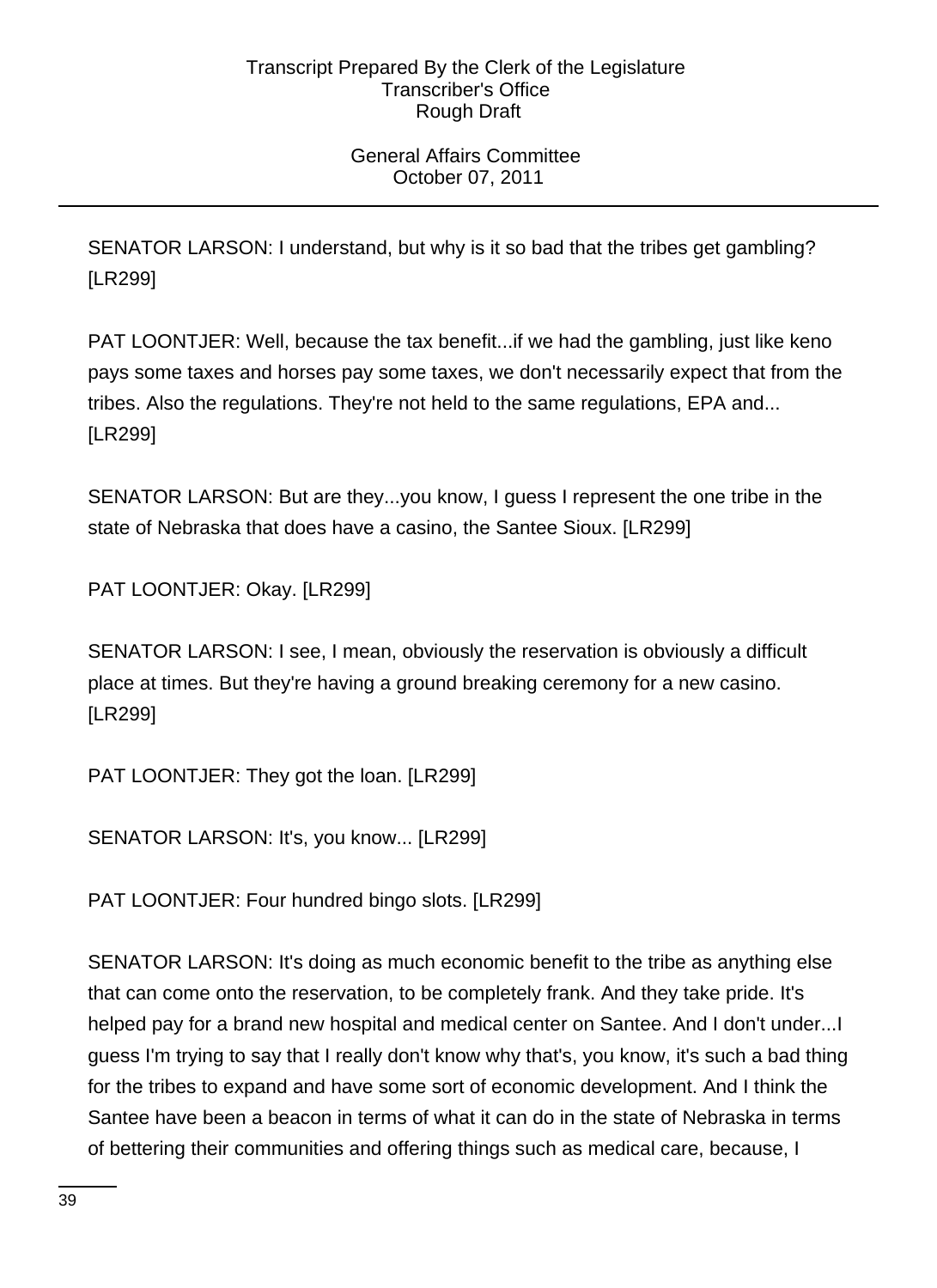# General Affairs Committee October 07, 2011

SENATOR LARSON: I understand, but why is it so bad that the tribes get gambling? [LR299]

PAT LOONTJER: Well, because the tax benefit...if we had the gambling, just like keno pays some taxes and horses pay some taxes, we don't necessarily expect that from the tribes. Also the regulations. They're not held to the same regulations, EPA and... [LR299]

SENATOR LARSON: But are they...you know, I guess I represent the one tribe in the state of Nebraska that does have a casino, the Santee Sioux. [LR299]

PAT LOONTJER: Okay. [LR299]

SENATOR LARSON: I see, I mean, obviously the reservation is obviously a difficult place at times. But they're having a ground breaking ceremony for a new casino. [LR299]

PAT LOONTJER: They got the loan. [LR299]

SENATOR LARSON: It's, you know... [LR299]

PAT LOONTJER: Four hundred bingo slots. [LR299]

SENATOR LARSON: It's doing as much economic benefit to the tribe as anything else that can come onto the reservation, to be completely frank. And they take pride. It's helped pay for a brand new hospital and medical center on Santee. And I don't under...I guess I'm trying to say that I really don't know why that's, you know, it's such a bad thing for the tribes to expand and have some sort of economic development. And I think the Santee have been a beacon in terms of what it can do in the state of Nebraska in terms of bettering their communities and offering things such as medical care, because, I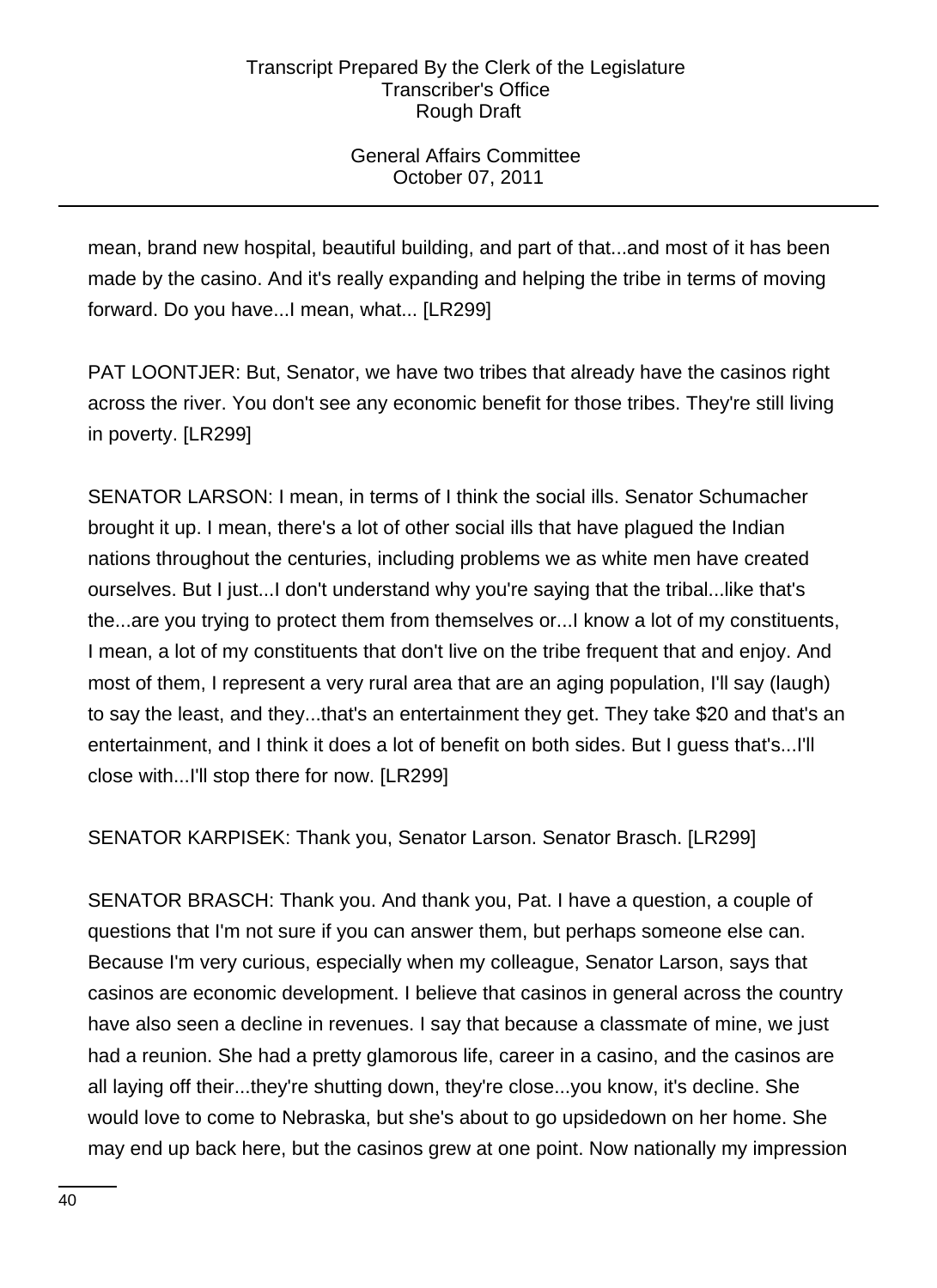# General Affairs Committee October 07, 2011

mean, brand new hospital, beautiful building, and part of that...and most of it has been made by the casino. And it's really expanding and helping the tribe in terms of moving forward. Do you have...I mean, what... [LR299]

PAT LOONTJER: But, Senator, we have two tribes that already have the casinos right across the river. You don't see any economic benefit for those tribes. They're still living in poverty. [LR299]

SENATOR LARSON: I mean, in terms of I think the social ills. Senator Schumacher brought it up. I mean, there's a lot of other social ills that have plagued the Indian nations throughout the centuries, including problems we as white men have created ourselves. But I just...I don't understand why you're saying that the tribal...like that's the...are you trying to protect them from themselves or...I know a lot of my constituents, I mean, a lot of my constituents that don't live on the tribe frequent that and enjoy. And most of them, I represent a very rural area that are an aging population, I'll say (laugh) to say the least, and they...that's an entertainment they get. They take \$20 and that's an entertainment, and I think it does a lot of benefit on both sides. But I guess that's...I'll close with...I'll stop there for now. [LR299]

SENATOR KARPISEK: Thank you, Senator Larson. Senator Brasch. [LR299]

SENATOR BRASCH: Thank you. And thank you, Pat. I have a question, a couple of questions that I'm not sure if you can answer them, but perhaps someone else can. Because I'm very curious, especially when my colleague, Senator Larson, says that casinos are economic development. I believe that casinos in general across the country have also seen a decline in revenues. I say that because a classmate of mine, we just had a reunion. She had a pretty glamorous life, career in a casino, and the casinos are all laying off their...they're shutting down, they're close...you know, it's decline. She would love to come to Nebraska, but she's about to go upsidedown on her home. She may end up back here, but the casinos grew at one point. Now nationally my impression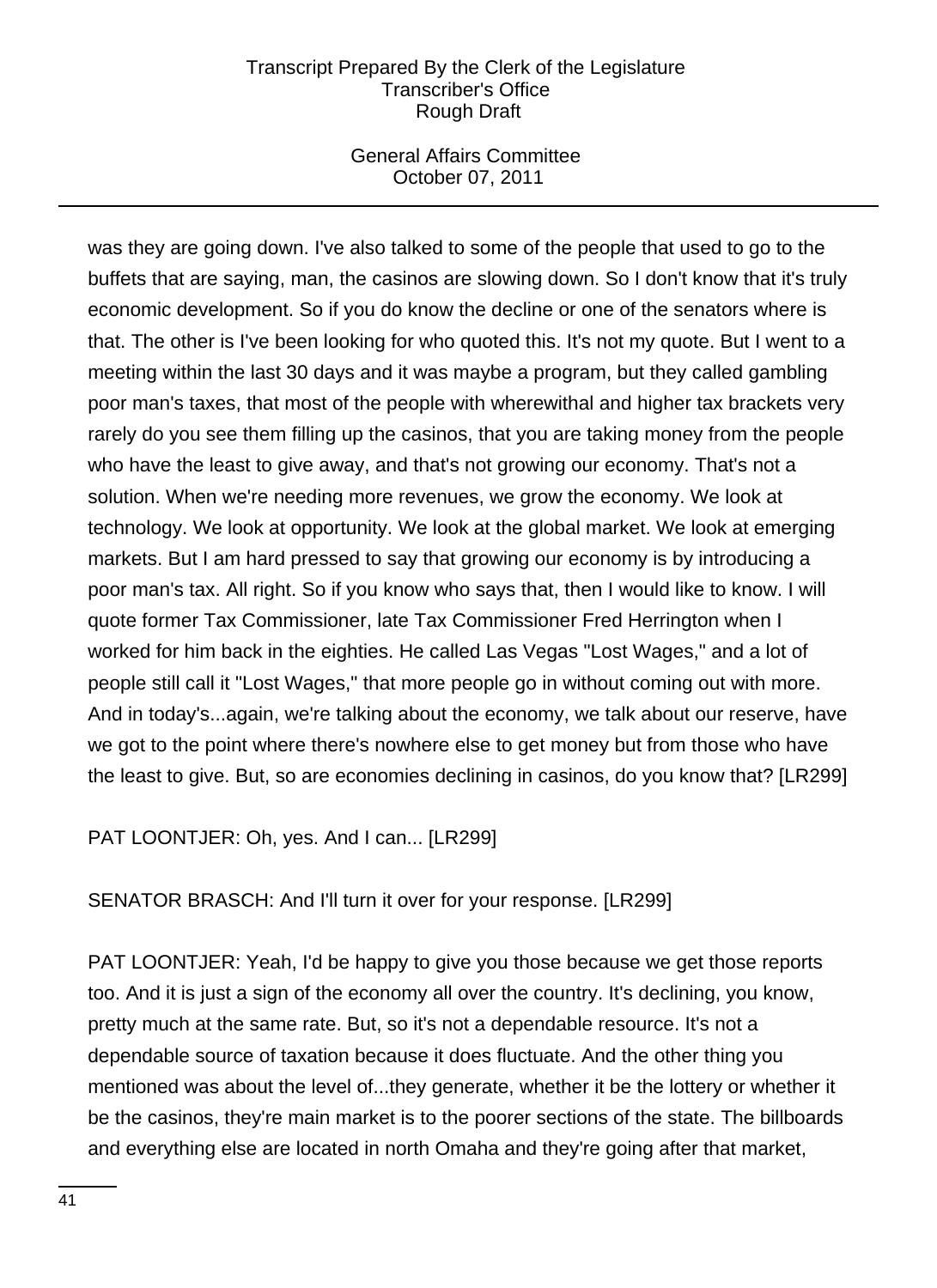# General Affairs Committee October 07, 2011

was they are going down. I've also talked to some of the people that used to go to the buffets that are saying, man, the casinos are slowing down. So I don't know that it's truly economic development. So if you do know the decline or one of the senators where is that. The other is I've been looking for who quoted this. It's not my quote. But I went to a meeting within the last 30 days and it was maybe a program, but they called gambling poor man's taxes, that most of the people with wherewithal and higher tax brackets very rarely do you see them filling up the casinos, that you are taking money from the people who have the least to give away, and that's not growing our economy. That's not a solution. When we're needing more revenues, we grow the economy. We look at technology. We look at opportunity. We look at the global market. We look at emerging markets. But I am hard pressed to say that growing our economy is by introducing a poor man's tax. All right. So if you know who says that, then I would like to know. I will quote former Tax Commissioner, late Tax Commissioner Fred Herrington when I worked for him back in the eighties. He called Las Vegas "Lost Wages," and a lot of people still call it "Lost Wages," that more people go in without coming out with more. And in today's...again, we're talking about the economy, we talk about our reserve, have we got to the point where there's nowhere else to get money but from those who have the least to give. But, so are economies declining in casinos, do you know that? [LR299]

PAT LOONTJER: Oh, yes. And I can... [LR299]

SENATOR BRASCH: And I'll turn it over for your response. [LR299]

PAT LOONTJER: Yeah, I'd be happy to give you those because we get those reports too. And it is just a sign of the economy all over the country. It's declining, you know, pretty much at the same rate. But, so it's not a dependable resource. It's not a dependable source of taxation because it does fluctuate. And the other thing you mentioned was about the level of...they generate, whether it be the lottery or whether it be the casinos, they're main market is to the poorer sections of the state. The billboards and everything else are located in north Omaha and they're going after that market,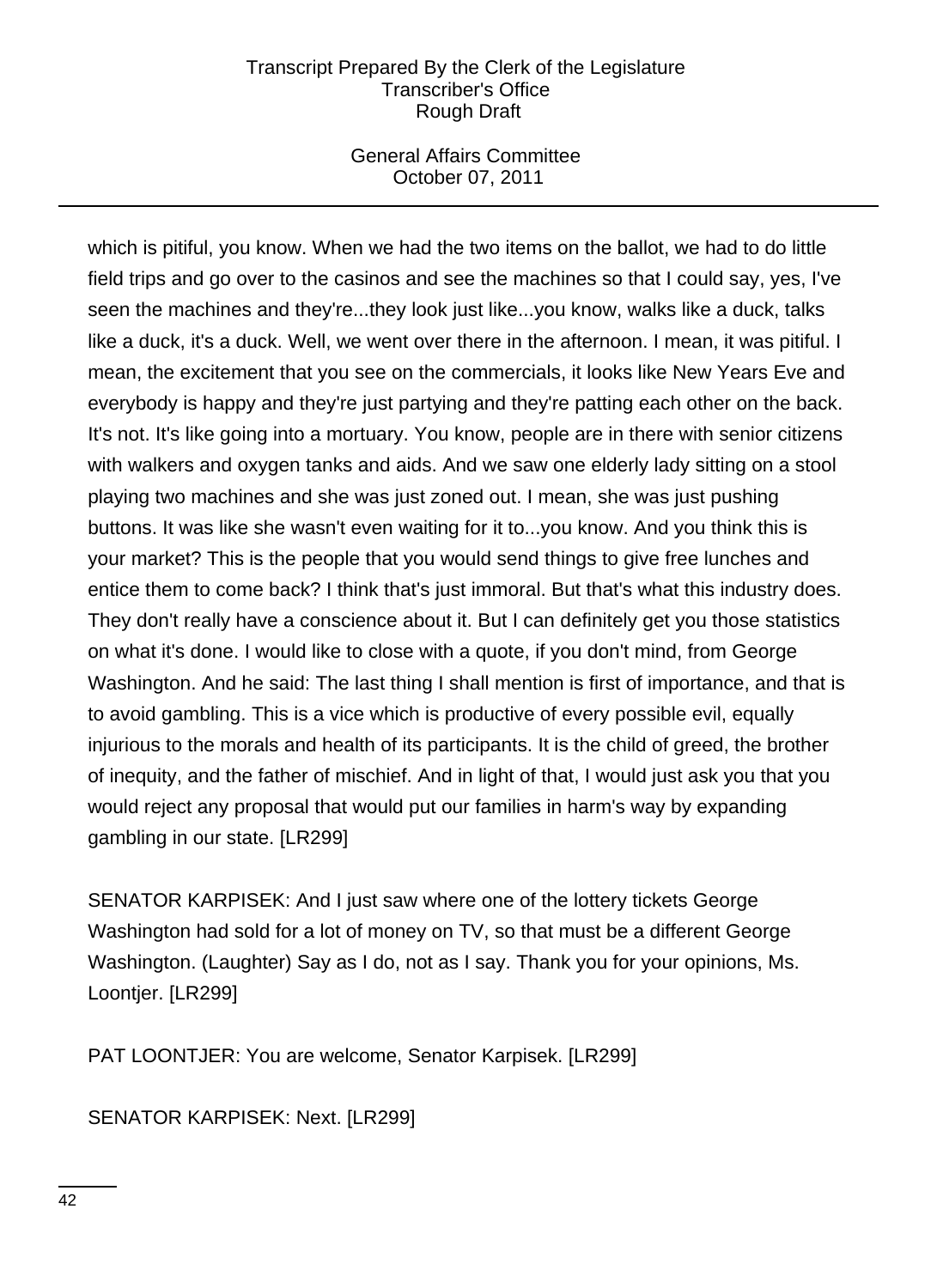# General Affairs Committee October 07, 2011

which is pitiful, you know. When we had the two items on the ballot, we had to do little field trips and go over to the casinos and see the machines so that I could say, yes, I've seen the machines and they're...they look just like...you know, walks like a duck, talks like a duck, it's a duck. Well, we went over there in the afternoon. I mean, it was pitiful. I mean, the excitement that you see on the commercials, it looks like New Years Eve and everybody is happy and they're just partying and they're patting each other on the back. It's not. It's like going into a mortuary. You know, people are in there with senior citizens with walkers and oxygen tanks and aids. And we saw one elderly lady sitting on a stool playing two machines and she was just zoned out. I mean, she was just pushing buttons. It was like she wasn't even waiting for it to...you know. And you think this is your market? This is the people that you would send things to give free lunches and entice them to come back? I think that's just immoral. But that's what this industry does. They don't really have a conscience about it. But I can definitely get you those statistics on what it's done. I would like to close with a quote, if you don't mind, from George Washington. And he said: The last thing I shall mention is first of importance, and that is to avoid gambling. This is a vice which is productive of every possible evil, equally injurious to the morals and health of its participants. It is the child of greed, the brother of inequity, and the father of mischief. And in light of that, I would just ask you that you would reject any proposal that would put our families in harm's way by expanding gambling in our state. [LR299]

SENATOR KARPISEK: And I just saw where one of the lottery tickets George Washington had sold for a lot of money on TV, so that must be a different George Washington. (Laughter) Say as I do, not as I say. Thank you for your opinions, Ms. Loontjer. [LR299]

PAT LOONTJER: You are welcome, Senator Karpisek. [LR299]

SENATOR KARPISEK: Next. [LR299]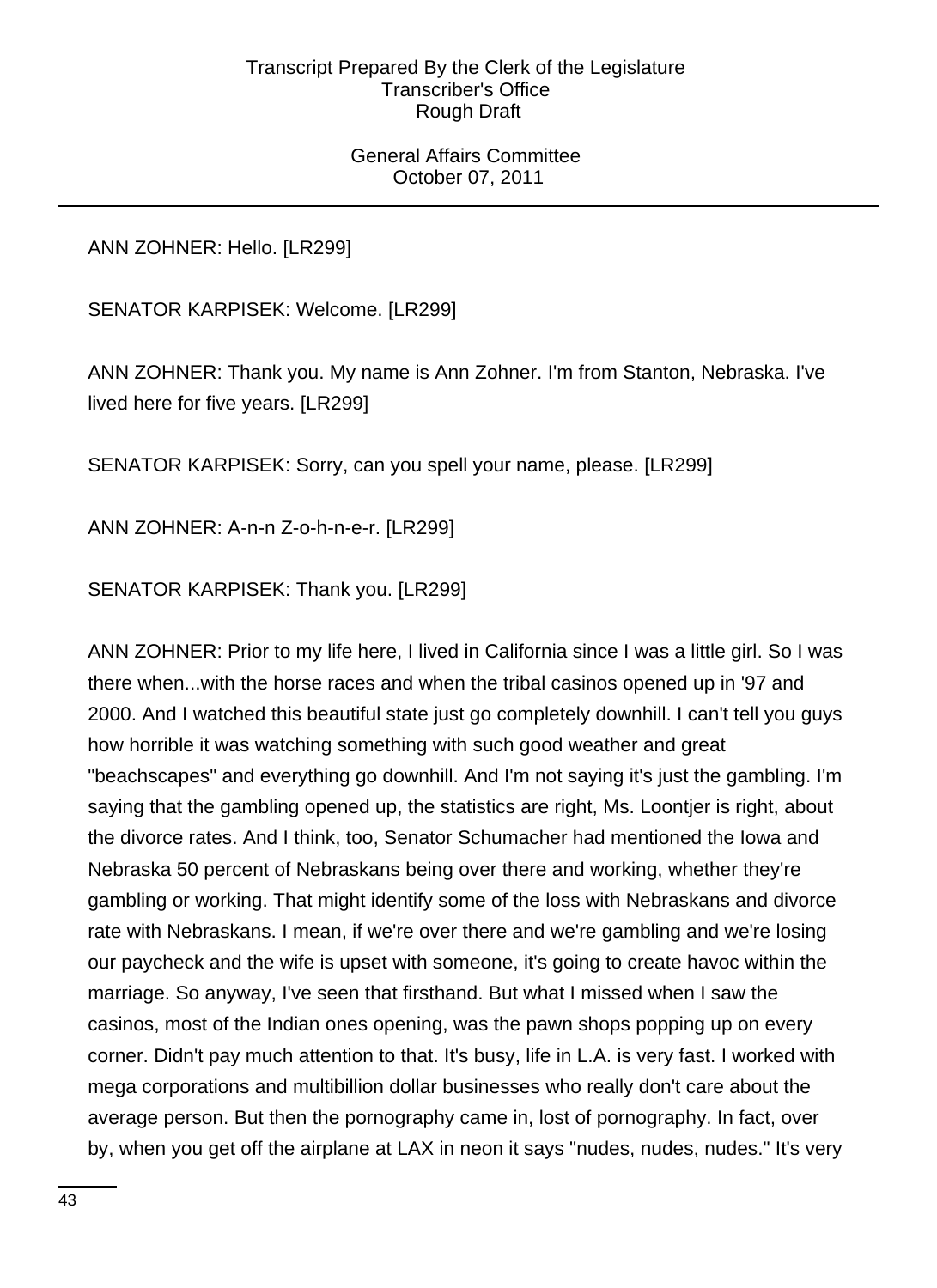## General Affairs Committee October 07, 2011

ANN ZOHNER: Hello. [LR299]

SENATOR KARPISEK: Welcome. [LR299]

ANN ZOHNER: Thank you. My name is Ann Zohner. I'm from Stanton, Nebraska. I've lived here for five years. [LR299]

SENATOR KARPISEK: Sorry, can you spell your name, please. [LR299]

ANN ZOHNER: A-n-n Z-o-h-n-e-r. [LR299]

SENATOR KARPISEK: Thank you. [LR299]

ANN ZOHNER: Prior to my life here, I lived in California since I was a little girl. So I was there when...with the horse races and when the tribal casinos opened up in '97 and 2000. And I watched this beautiful state just go completely downhill. I can't tell you guys how horrible it was watching something with such good weather and great "beachscapes" and everything go downhill. And I'm not saying it's just the gambling. I'm saying that the gambling opened up, the statistics are right, Ms. Loontjer is right, about the divorce rates. And I think, too, Senator Schumacher had mentioned the Iowa and Nebraska 50 percent of Nebraskans being over there and working, whether they're gambling or working. That might identify some of the loss with Nebraskans and divorce rate with Nebraskans. I mean, if we're over there and we're gambling and we're losing our paycheck and the wife is upset with someone, it's going to create havoc within the marriage. So anyway, I've seen that firsthand. But what I missed when I saw the casinos, most of the Indian ones opening, was the pawn shops popping up on every corner. Didn't pay much attention to that. It's busy, life in L.A. is very fast. I worked with mega corporations and multibillion dollar businesses who really don't care about the average person. But then the pornography came in, lost of pornography. In fact, over by, when you get off the airplane at LAX in neon it says "nudes, nudes, nudes." It's very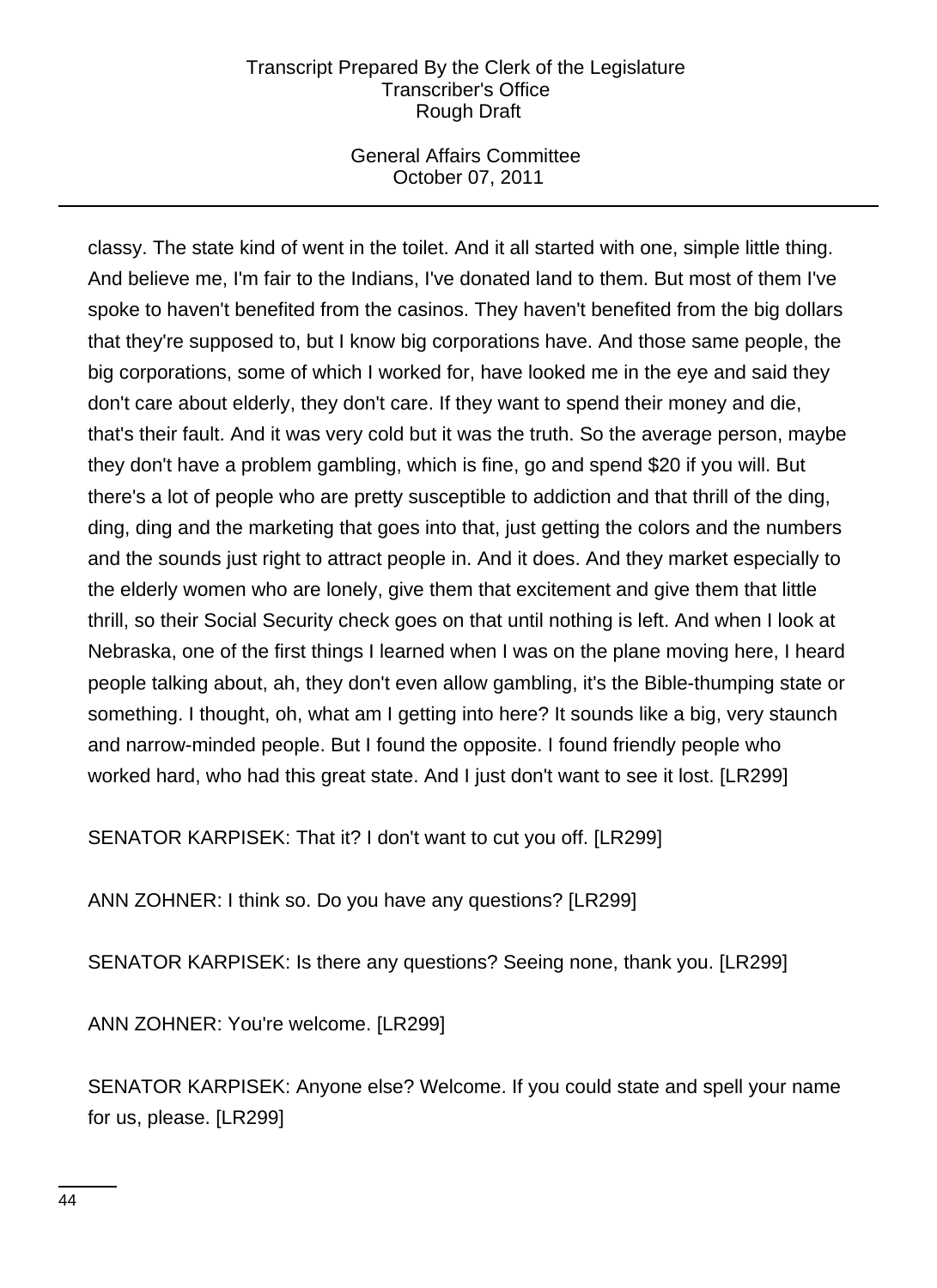# General Affairs Committee October 07, 2011

classy. The state kind of went in the toilet. And it all started with one, simple little thing. And believe me, I'm fair to the Indians, I've donated land to them. But most of them I've spoke to haven't benefited from the casinos. They haven't benefited from the big dollars that they're supposed to, but I know big corporations have. And those same people, the big corporations, some of which I worked for, have looked me in the eye and said they don't care about elderly, they don't care. If they want to spend their money and die, that's their fault. And it was very cold but it was the truth. So the average person, maybe they don't have a problem gambling, which is fine, go and spend \$20 if you will. But there's a lot of people who are pretty susceptible to addiction and that thrill of the ding, ding, ding and the marketing that goes into that, just getting the colors and the numbers and the sounds just right to attract people in. And it does. And they market especially to the elderly women who are lonely, give them that excitement and give them that little thrill, so their Social Security check goes on that until nothing is left. And when I look at Nebraska, one of the first things I learned when I was on the plane moving here, I heard people talking about, ah, they don't even allow gambling, it's the Bible-thumping state or something. I thought, oh, what am I getting into here? It sounds like a big, very staunch and narrow-minded people. But I found the opposite. I found friendly people who worked hard, who had this great state. And I just don't want to see it lost. [LR299]

SENATOR KARPISEK: That it? I don't want to cut you off. [LR299]

ANN ZOHNER: I think so. Do you have any questions? [LR299]

SENATOR KARPISEK: Is there any questions? Seeing none, thank you. [LR299]

ANN ZOHNER: You're welcome. [LR299]

SENATOR KARPISEK: Anyone else? Welcome. If you could state and spell your name for us, please. [LR299]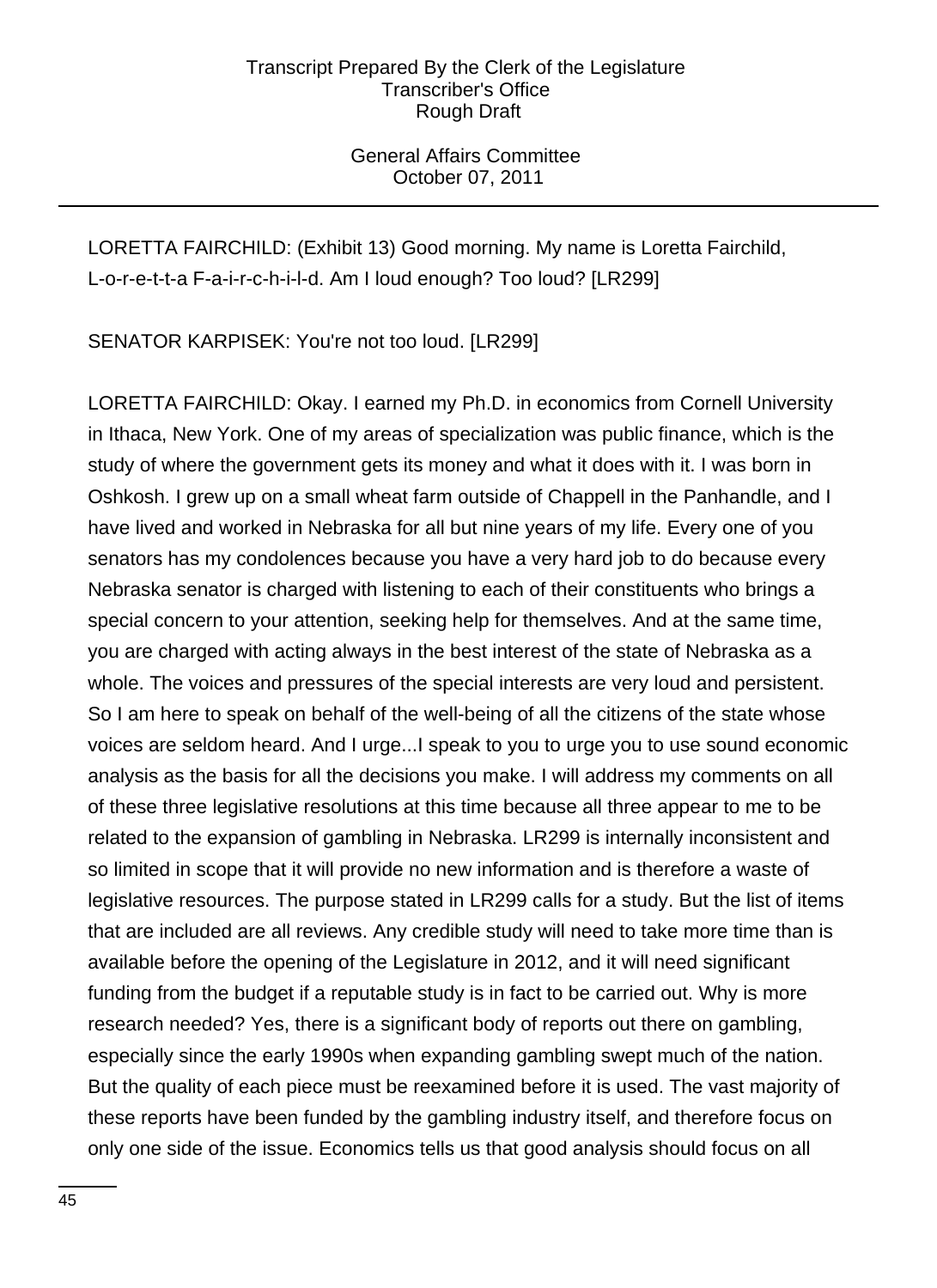# General Affairs Committee October 07, 2011

LORETTA FAIRCHILD: (Exhibit 13) Good morning. My name is Loretta Fairchild, L-o-r-e-t-t-a F-a-i-r-c-h-i-l-d. Am I loud enough? Too loud? [LR299]

SENATOR KARPISEK: You're not too loud. [LR299]

LORETTA FAIRCHILD: Okay. I earned my Ph.D. in economics from Cornell University in Ithaca, New York. One of my areas of specialization was public finance, which is the study of where the government gets its money and what it does with it. I was born in Oshkosh. I grew up on a small wheat farm outside of Chappell in the Panhandle, and I have lived and worked in Nebraska for all but nine years of my life. Every one of you senators has my condolences because you have a very hard job to do because every Nebraska senator is charged with listening to each of their constituents who brings a special concern to your attention, seeking help for themselves. And at the same time, you are charged with acting always in the best interest of the state of Nebraska as a whole. The voices and pressures of the special interests are very loud and persistent. So I am here to speak on behalf of the well-being of all the citizens of the state whose voices are seldom heard. And I urge...I speak to you to urge you to use sound economic analysis as the basis for all the decisions you make. I will address my comments on all of these three legislative resolutions at this time because all three appear to me to be related to the expansion of gambling in Nebraska. LR299 is internally inconsistent and so limited in scope that it will provide no new information and is therefore a waste of legislative resources. The purpose stated in LR299 calls for a study. But the list of items that are included are all reviews. Any credible study will need to take more time than is available before the opening of the Legislature in 2012, and it will need significant funding from the budget if a reputable study is in fact to be carried out. Why is more research needed? Yes, there is a significant body of reports out there on gambling, especially since the early 1990s when expanding gambling swept much of the nation. But the quality of each piece must be reexamined before it is used. The vast majority of these reports have been funded by the gambling industry itself, and therefore focus on only one side of the issue. Economics tells us that good analysis should focus on all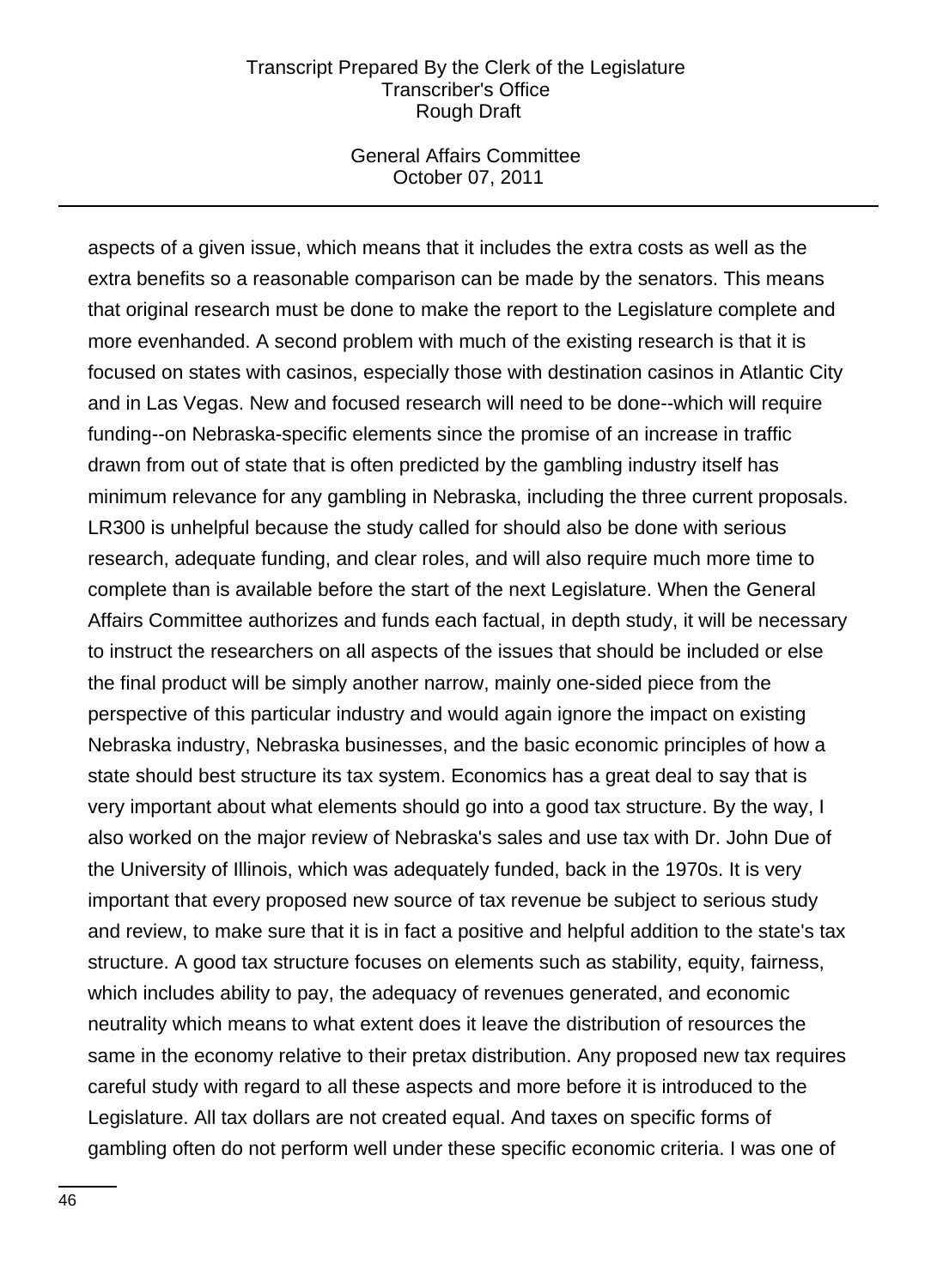### General Affairs Committee October 07, 2011

aspects of a given issue, which means that it includes the extra costs as well as the extra benefits so a reasonable comparison can be made by the senators. This means that original research must be done to make the report to the Legislature complete and more evenhanded. A second problem with much of the existing research is that it is focused on states with casinos, especially those with destination casinos in Atlantic City and in Las Vegas. New and focused research will need to be done--which will require funding--on Nebraska-specific elements since the promise of an increase in traffic drawn from out of state that is often predicted by the gambling industry itself has minimum relevance for any gambling in Nebraska, including the three current proposals. LR300 is unhelpful because the study called for should also be done with serious research, adequate funding, and clear roles, and will also require much more time to complete than is available before the start of the next Legislature. When the General Affairs Committee authorizes and funds each factual, in depth study, it will be necessary to instruct the researchers on all aspects of the issues that should be included or else the final product will be simply another narrow, mainly one-sided piece from the perspective of this particular industry and would again ignore the impact on existing Nebraska industry, Nebraska businesses, and the basic economic principles of how a state should best structure its tax system. Economics has a great deal to say that is very important about what elements should go into a good tax structure. By the way, I also worked on the major review of Nebraska's sales and use tax with Dr. John Due of the University of Illinois, which was adequately funded, back in the 1970s. It is very important that every proposed new source of tax revenue be subject to serious study and review, to make sure that it is in fact a positive and helpful addition to the state's tax structure. A good tax structure focuses on elements such as stability, equity, fairness, which includes ability to pay, the adequacy of revenues generated, and economic neutrality which means to what extent does it leave the distribution of resources the same in the economy relative to their pretax distribution. Any proposed new tax requires careful study with regard to all these aspects and more before it is introduced to the Legislature. All tax dollars are not created equal. And taxes on specific forms of gambling often do not perform well under these specific economic criteria. I was one of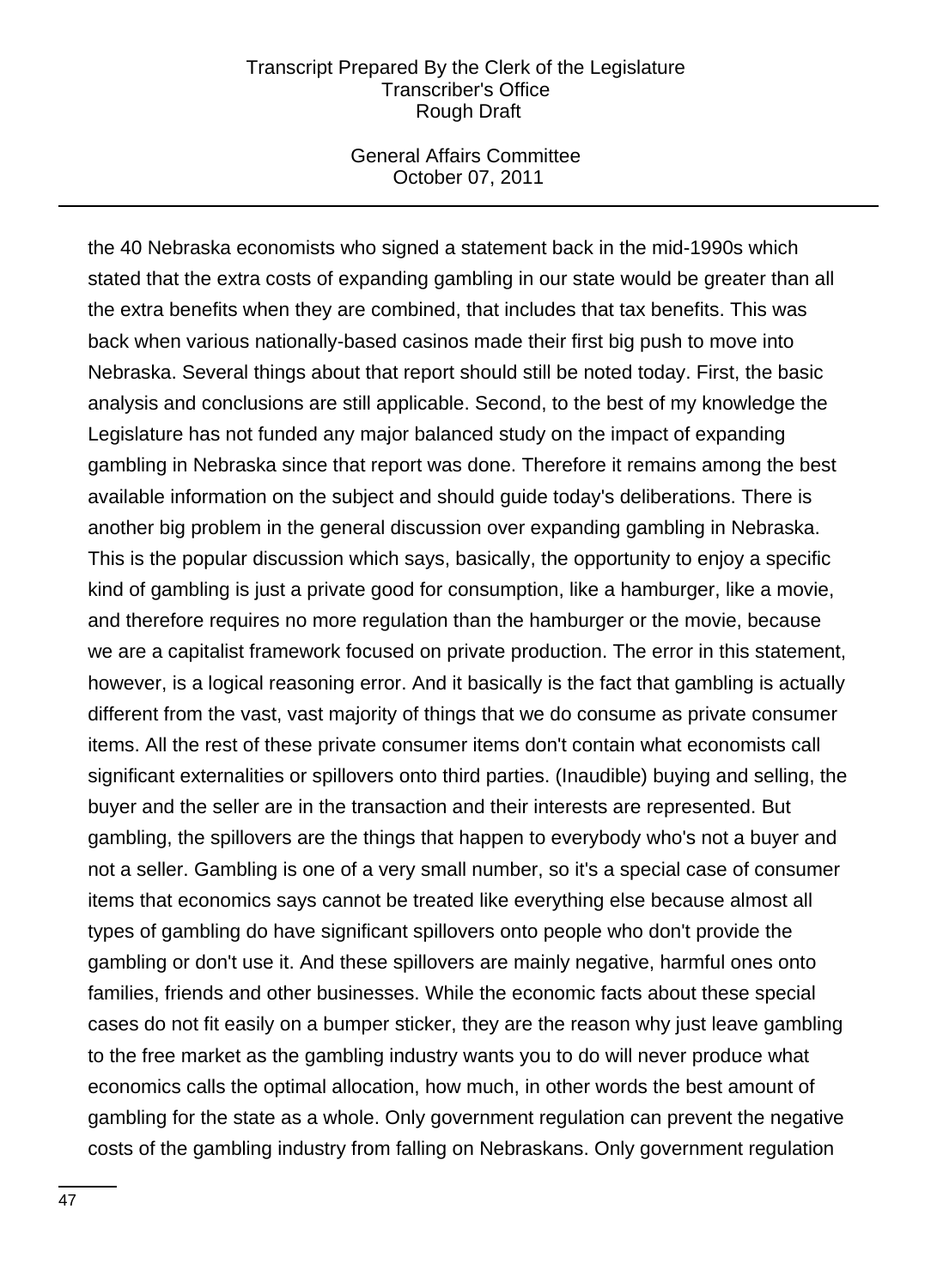## General Affairs Committee October 07, 2011

the 40 Nebraska economists who signed a statement back in the mid-1990s which stated that the extra costs of expanding gambling in our state would be greater than all the extra benefits when they are combined, that includes that tax benefits. This was back when various nationally-based casinos made their first big push to move into Nebraska. Several things about that report should still be noted today. First, the basic analysis and conclusions are still applicable. Second, to the best of my knowledge the Legislature has not funded any major balanced study on the impact of expanding gambling in Nebraska since that report was done. Therefore it remains among the best available information on the subject and should guide today's deliberations. There is another big problem in the general discussion over expanding gambling in Nebraska. This is the popular discussion which says, basically, the opportunity to enjoy a specific kind of gambling is just a private good for consumption, like a hamburger, like a movie, and therefore requires no more regulation than the hamburger or the movie, because we are a capitalist framework focused on private production. The error in this statement, however, is a logical reasoning error. And it basically is the fact that gambling is actually different from the vast, vast majority of things that we do consume as private consumer items. All the rest of these private consumer items don't contain what economists call significant externalities or spillovers onto third parties. (Inaudible) buying and selling, the buyer and the seller are in the transaction and their interests are represented. But gambling, the spillovers are the things that happen to everybody who's not a buyer and not a seller. Gambling is one of a very small number, so it's a special case of consumer items that economics says cannot be treated like everything else because almost all types of gambling do have significant spillovers onto people who don't provide the gambling or don't use it. And these spillovers are mainly negative, harmful ones onto families, friends and other businesses. While the economic facts about these special cases do not fit easily on a bumper sticker, they are the reason why just leave gambling to the free market as the gambling industry wants you to do will never produce what economics calls the optimal allocation, how much, in other words the best amount of gambling for the state as a whole. Only government regulation can prevent the negative costs of the gambling industry from falling on Nebraskans. Only government regulation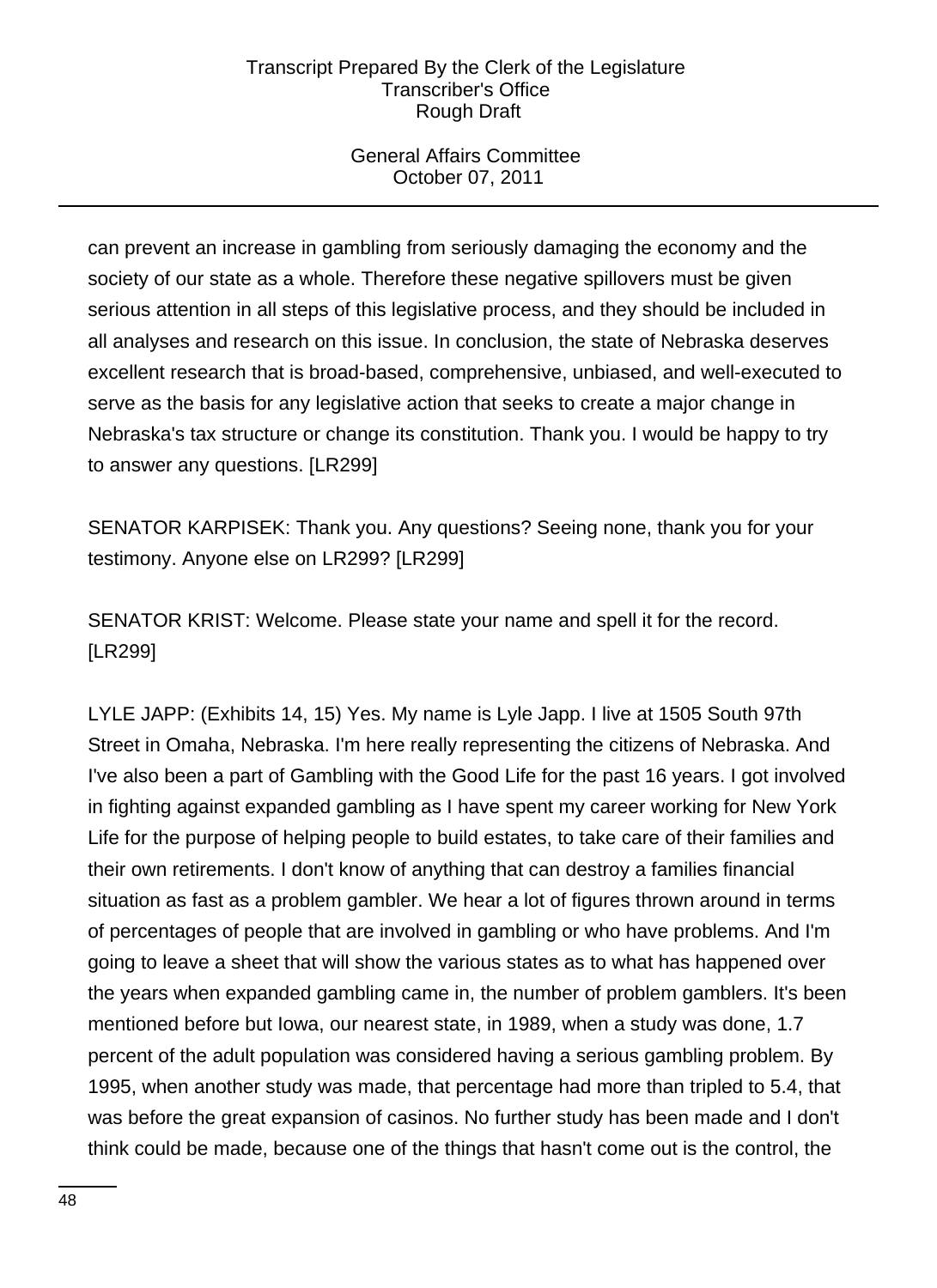# General Affairs Committee October 07, 2011

can prevent an increase in gambling from seriously damaging the economy and the society of our state as a whole. Therefore these negative spillovers must be given serious attention in all steps of this legislative process, and they should be included in all analyses and research on this issue. In conclusion, the state of Nebraska deserves excellent research that is broad-based, comprehensive, unbiased, and well-executed to serve as the basis for any legislative action that seeks to create a major change in Nebraska's tax structure or change its constitution. Thank you. I would be happy to try to answer any questions. [LR299]

SENATOR KARPISEK: Thank you. Any questions? Seeing none, thank you for your testimony. Anyone else on LR299? [LR299]

SENATOR KRIST: Welcome. Please state your name and spell it for the record. [LR299]

LYLE JAPP: (Exhibits 14, 15) Yes. My name is Lyle Japp. I live at 1505 South 97th Street in Omaha, Nebraska. I'm here really representing the citizens of Nebraska. And I've also been a part of Gambling with the Good Life for the past 16 years. I got involved in fighting against expanded gambling as I have spent my career working for New York Life for the purpose of helping people to build estates, to take care of their families and their own retirements. I don't know of anything that can destroy a families financial situation as fast as a problem gambler. We hear a lot of figures thrown around in terms of percentages of people that are involved in gambling or who have problems. And I'm going to leave a sheet that will show the various states as to what has happened over the years when expanded gambling came in, the number of problem gamblers. It's been mentioned before but Iowa, our nearest state, in 1989, when a study was done, 1.7 percent of the adult population was considered having a serious gambling problem. By 1995, when another study was made, that percentage had more than tripled to 5.4, that was before the great expansion of casinos. No further study has been made and I don't think could be made, because one of the things that hasn't come out is the control, the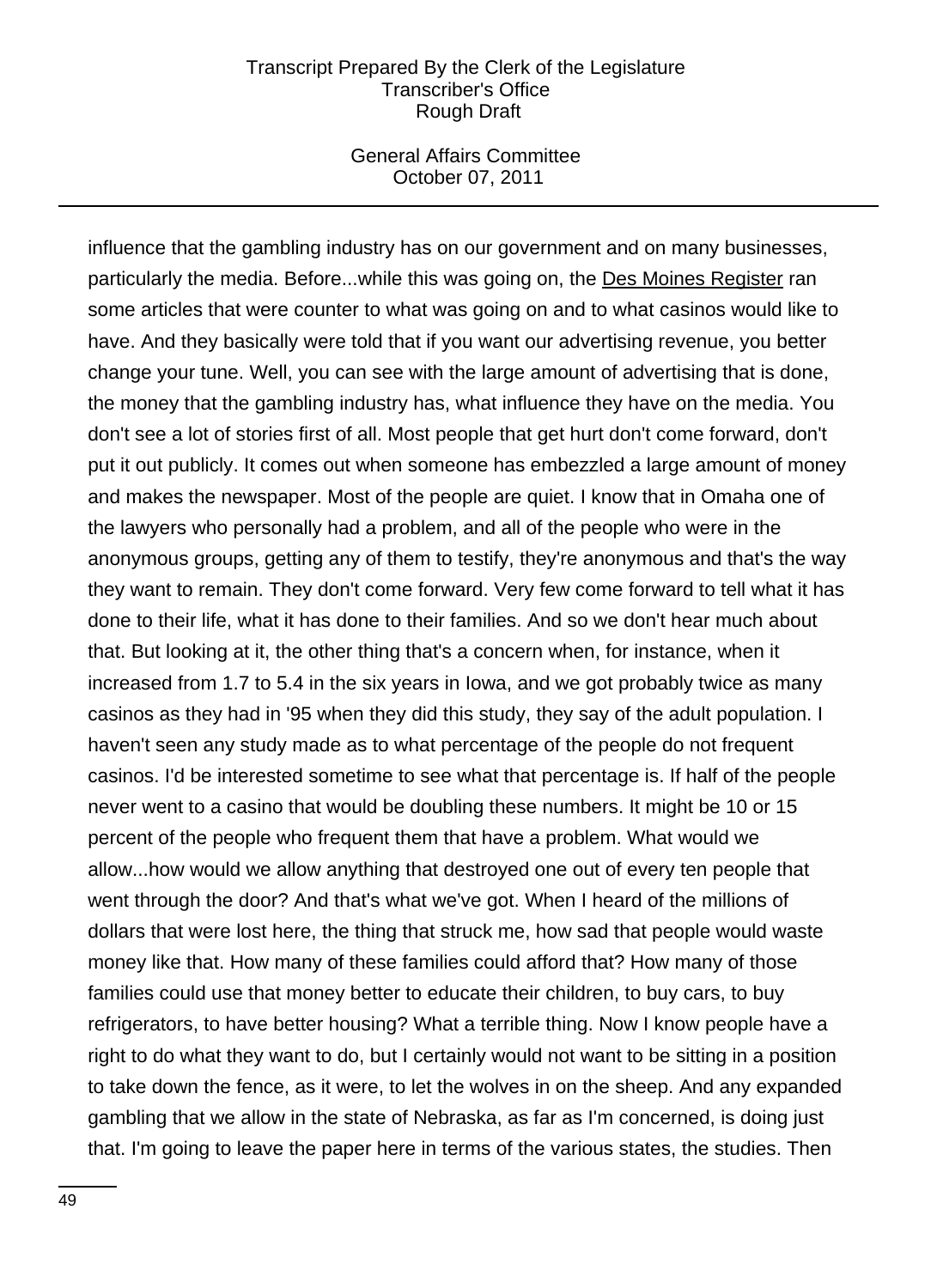### General Affairs Committee October 07, 2011

influence that the gambling industry has on our government and on many businesses, particularly the media. Before...while this was going on, the Des Moines Register ran some articles that were counter to what was going on and to what casinos would like to have. And they basically were told that if you want our advertising revenue, you better change your tune. Well, you can see with the large amount of advertising that is done, the money that the gambling industry has, what influence they have on the media. You don't see a lot of stories first of all. Most people that get hurt don't come forward, don't put it out publicly. It comes out when someone has embezzled a large amount of money and makes the newspaper. Most of the people are quiet. I know that in Omaha one of the lawyers who personally had a problem, and all of the people who were in the anonymous groups, getting any of them to testify, they're anonymous and that's the way they want to remain. They don't come forward. Very few come forward to tell what it has done to their life, what it has done to their families. And so we don't hear much about that. But looking at it, the other thing that's a concern when, for instance, when it increased from 1.7 to 5.4 in the six years in Iowa, and we got probably twice as many casinos as they had in '95 when they did this study, they say of the adult population. I haven't seen any study made as to what percentage of the people do not frequent casinos. I'd be interested sometime to see what that percentage is. If half of the people never went to a casino that would be doubling these numbers. It might be 10 or 15 percent of the people who frequent them that have a problem. What would we allow...how would we allow anything that destroyed one out of every ten people that went through the door? And that's what we've got. When I heard of the millions of dollars that were lost here, the thing that struck me, how sad that people would waste money like that. How many of these families could afford that? How many of those families could use that money better to educate their children, to buy cars, to buy refrigerators, to have better housing? What a terrible thing. Now I know people have a right to do what they want to do, but I certainly would not want to be sitting in a position to take down the fence, as it were, to let the wolves in on the sheep. And any expanded gambling that we allow in the state of Nebraska, as far as I'm concerned, is doing just that. I'm going to leave the paper here in terms of the various states, the studies. Then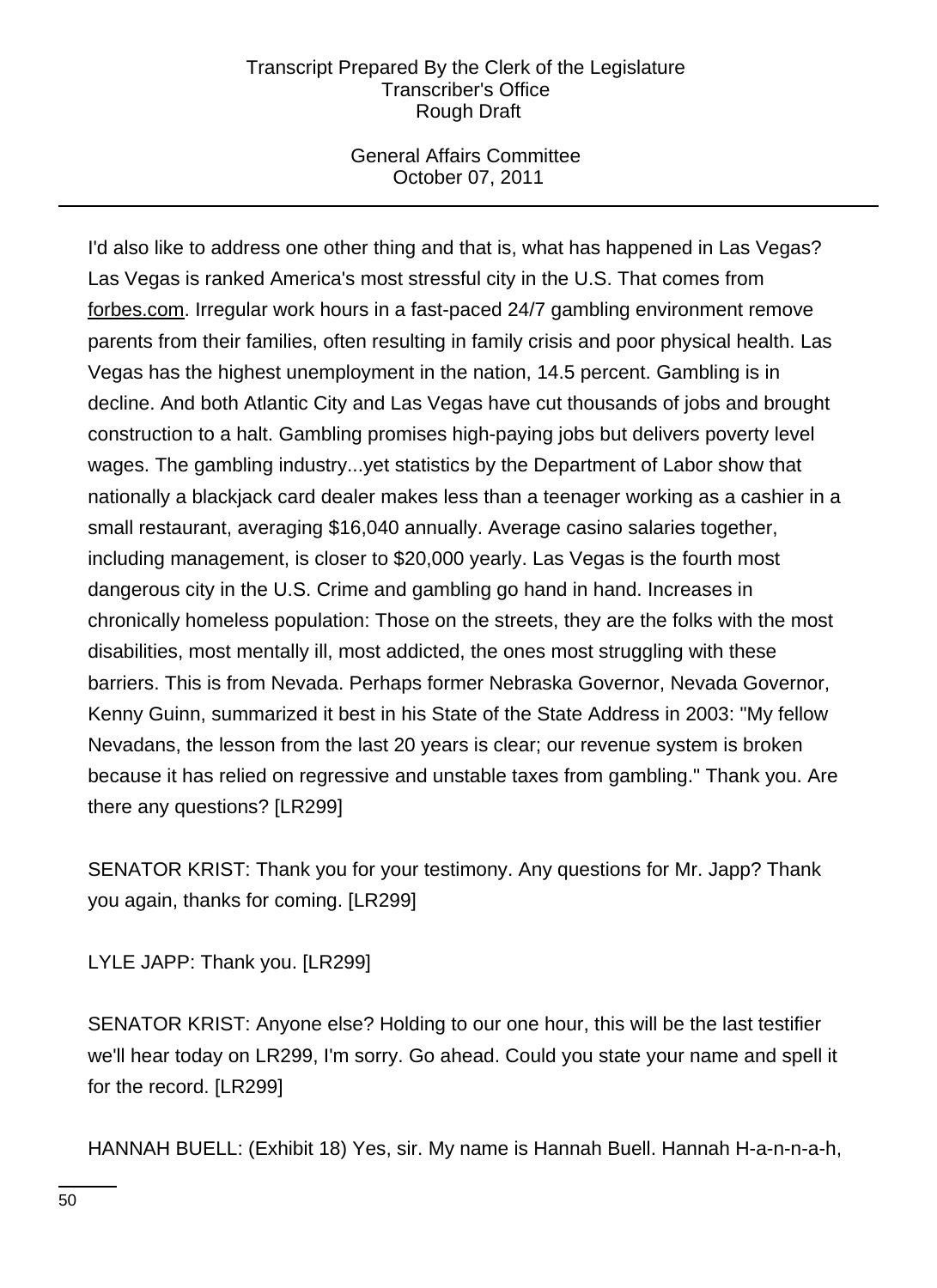# General Affairs Committee October 07, 2011

I'd also like to address one other thing and that is, what has happened in Las Vegas? Las Vegas is ranked America's most stressful city in the U.S. That comes from forbes.com. Irregular work hours in a fast-paced 24/7 gambling environment remove parents from their families, often resulting in family crisis and poor physical health. Las Vegas has the highest unemployment in the nation, 14.5 percent. Gambling is in decline. And both Atlantic City and Las Vegas have cut thousands of jobs and brought construction to a halt. Gambling promises high-paying jobs but delivers poverty level wages. The gambling industry...yet statistics by the Department of Labor show that nationally a blackjack card dealer makes less than a teenager working as a cashier in a small restaurant, averaging \$16,040 annually. Average casino salaries together, including management, is closer to \$20,000 yearly. Las Vegas is the fourth most dangerous city in the U.S. Crime and gambling go hand in hand. Increases in chronically homeless population: Those on the streets, they are the folks with the most disabilities, most mentally ill, most addicted, the ones most struggling with these barriers. This is from Nevada. Perhaps former Nebraska Governor, Nevada Governor, Kenny Guinn, summarized it best in his State of the State Address in 2003: "My fellow Nevadans, the lesson from the last 20 years is clear; our revenue system is broken because it has relied on regressive and unstable taxes from gambling." Thank you. Are there any questions? [LR299]

SENATOR KRIST: Thank you for your testimony. Any questions for Mr. Japp? Thank you again, thanks for coming. [LR299]

LYLE JAPP: Thank you. [LR299]

SENATOR KRIST: Anyone else? Holding to our one hour, this will be the last testifier we'll hear today on LR299, I'm sorry. Go ahead. Could you state your name and spell it for the record. [LR299]

HANNAH BUELL: (Exhibit 18) Yes, sir. My name is Hannah Buell. Hannah H-a-n-n-a-h,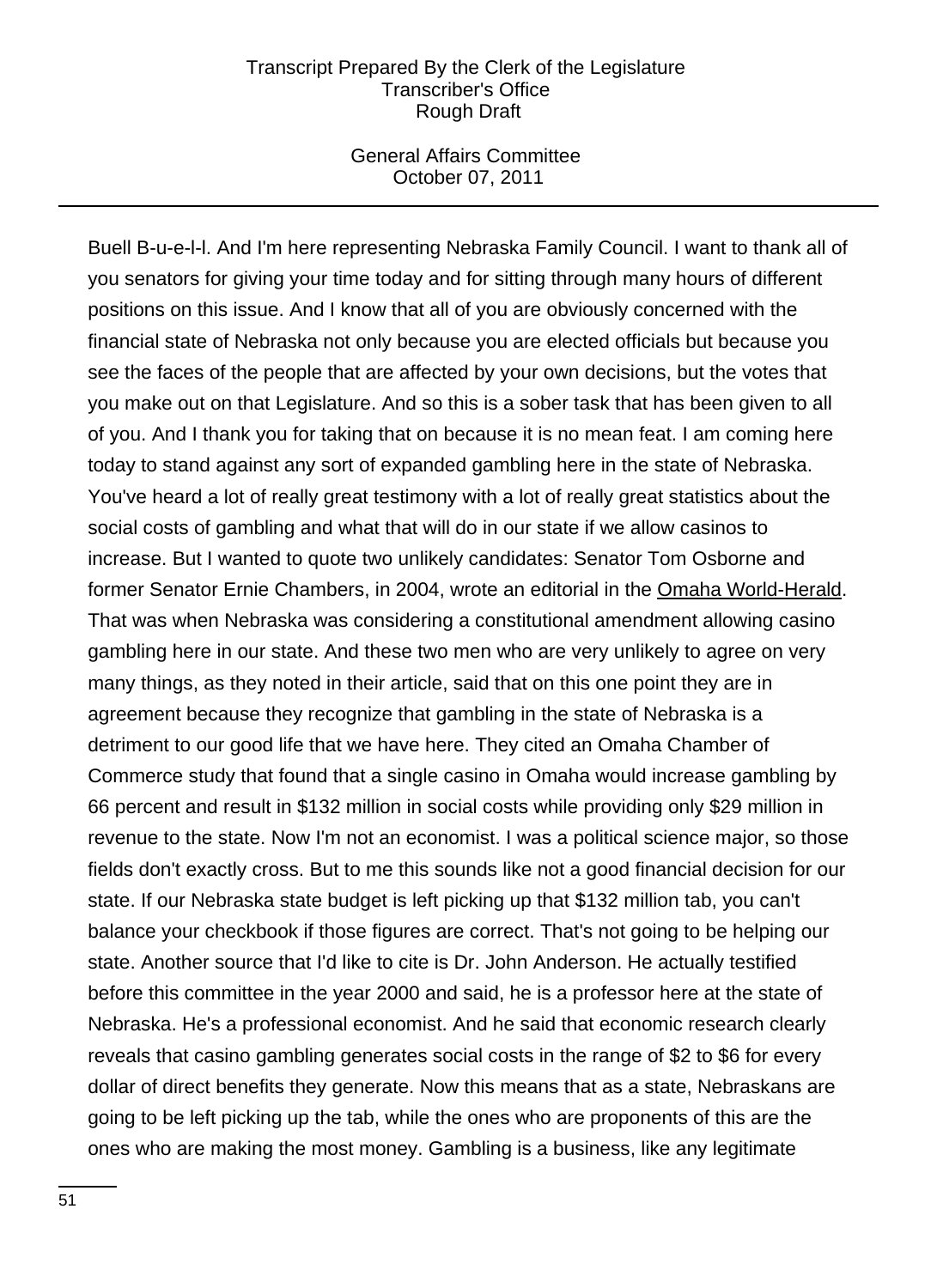## General Affairs Committee October 07, 2011

Buell B-u-e-l-l. And I'm here representing Nebraska Family Council. I want to thank all of you senators for giving your time today and for sitting through many hours of different positions on this issue. And I know that all of you are obviously concerned with the financial state of Nebraska not only because you are elected officials but because you see the faces of the people that are affected by your own decisions, but the votes that you make out on that Legislature. And so this is a sober task that has been given to all of you. And I thank you for taking that on because it is no mean feat. I am coming here today to stand against any sort of expanded gambling here in the state of Nebraska. You've heard a lot of really great testimony with a lot of really great statistics about the social costs of gambling and what that will do in our state if we allow casinos to increase. But I wanted to quote two unlikely candidates: Senator Tom Osborne and former Senator Ernie Chambers, in 2004, wrote an editorial in the Omaha World-Herald. That was when Nebraska was considering a constitutional amendment allowing casino gambling here in our state. And these two men who are very unlikely to agree on very many things, as they noted in their article, said that on this one point they are in agreement because they recognize that gambling in the state of Nebraska is a detriment to our good life that we have here. They cited an Omaha Chamber of Commerce study that found that a single casino in Omaha would increase gambling by 66 percent and result in \$132 million in social costs while providing only \$29 million in revenue to the state. Now I'm not an economist. I was a political science major, so those fields don't exactly cross. But to me this sounds like not a good financial decision for our state. If our Nebraska state budget is left picking up that \$132 million tab, you can't balance your checkbook if those figures are correct. That's not going to be helping our state. Another source that I'd like to cite is Dr. John Anderson. He actually testified before this committee in the year 2000 and said, he is a professor here at the state of Nebraska. He's a professional economist. And he said that economic research clearly reveals that casino gambling generates social costs in the range of \$2 to \$6 for every dollar of direct benefits they generate. Now this means that as a state, Nebraskans are going to be left picking up the tab, while the ones who are proponents of this are the ones who are making the most money. Gambling is a business, like any legitimate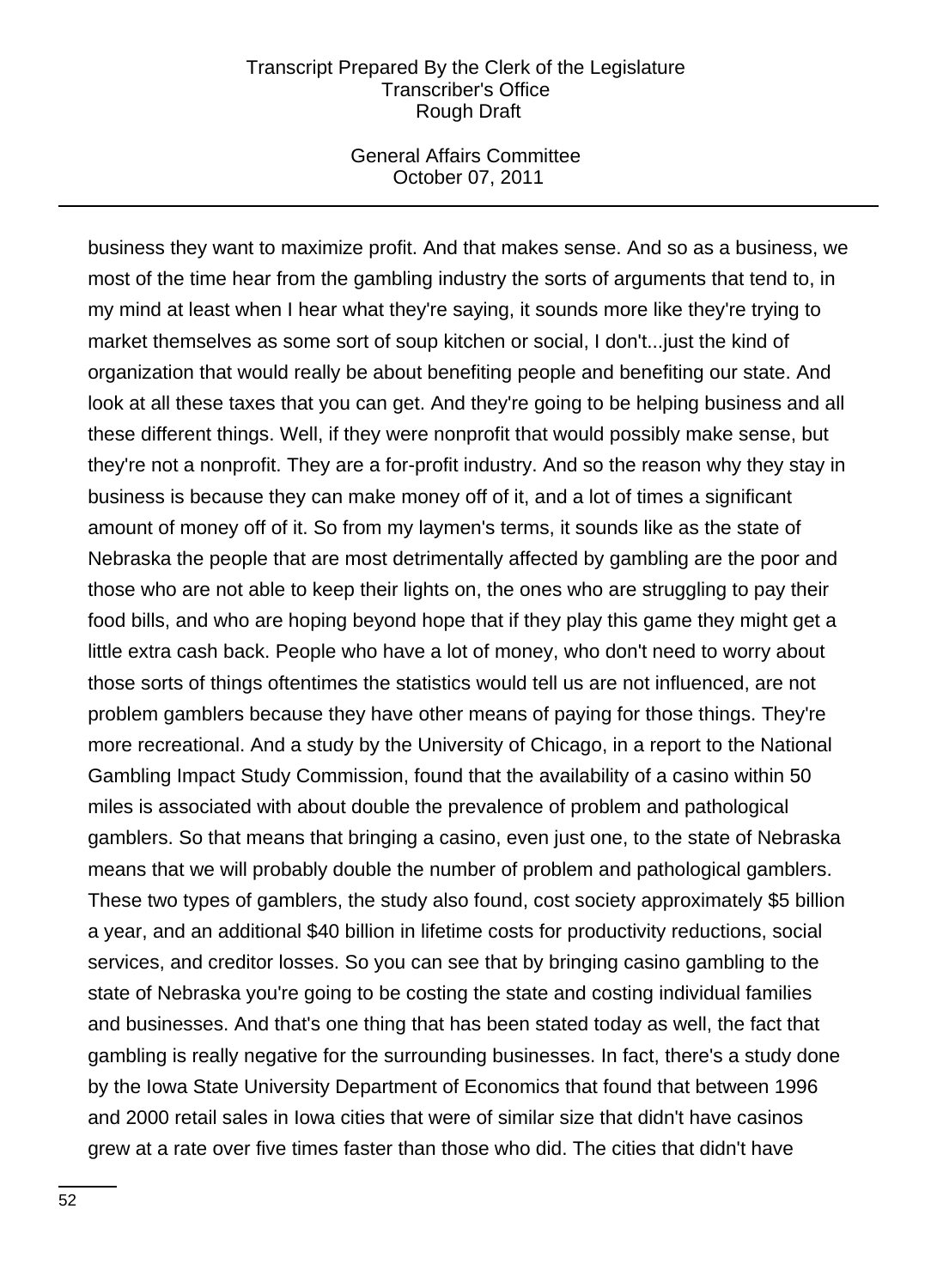## General Affairs Committee October 07, 2011

business they want to maximize profit. And that makes sense. And so as a business, we most of the time hear from the gambling industry the sorts of arguments that tend to, in my mind at least when I hear what they're saying, it sounds more like they're trying to market themselves as some sort of soup kitchen or social, I don't...just the kind of organization that would really be about benefiting people and benefiting our state. And look at all these taxes that you can get. And they're going to be helping business and all these different things. Well, if they were nonprofit that would possibly make sense, but they're not a nonprofit. They are a for-profit industry. And so the reason why they stay in business is because they can make money off of it, and a lot of times a significant amount of money off of it. So from my laymen's terms, it sounds like as the state of Nebraska the people that are most detrimentally affected by gambling are the poor and those who are not able to keep their lights on, the ones who are struggling to pay their food bills, and who are hoping beyond hope that if they play this game they might get a little extra cash back. People who have a lot of money, who don't need to worry about those sorts of things oftentimes the statistics would tell us are not influenced, are not problem gamblers because they have other means of paying for those things. They're more recreational. And a study by the University of Chicago, in a report to the National Gambling Impact Study Commission, found that the availability of a casino within 50 miles is associated with about double the prevalence of problem and pathological gamblers. So that means that bringing a casino, even just one, to the state of Nebraska means that we will probably double the number of problem and pathological gamblers. These two types of gamblers, the study also found, cost society approximately \$5 billion a year, and an additional \$40 billion in lifetime costs for productivity reductions, social services, and creditor losses. So you can see that by bringing casino gambling to the state of Nebraska you're going to be costing the state and costing individual families and businesses. And that's one thing that has been stated today as well, the fact that gambling is really negative for the surrounding businesses. In fact, there's a study done by the Iowa State University Department of Economics that found that between 1996 and 2000 retail sales in Iowa cities that were of similar size that didn't have casinos grew at a rate over five times faster than those who did. The cities that didn't have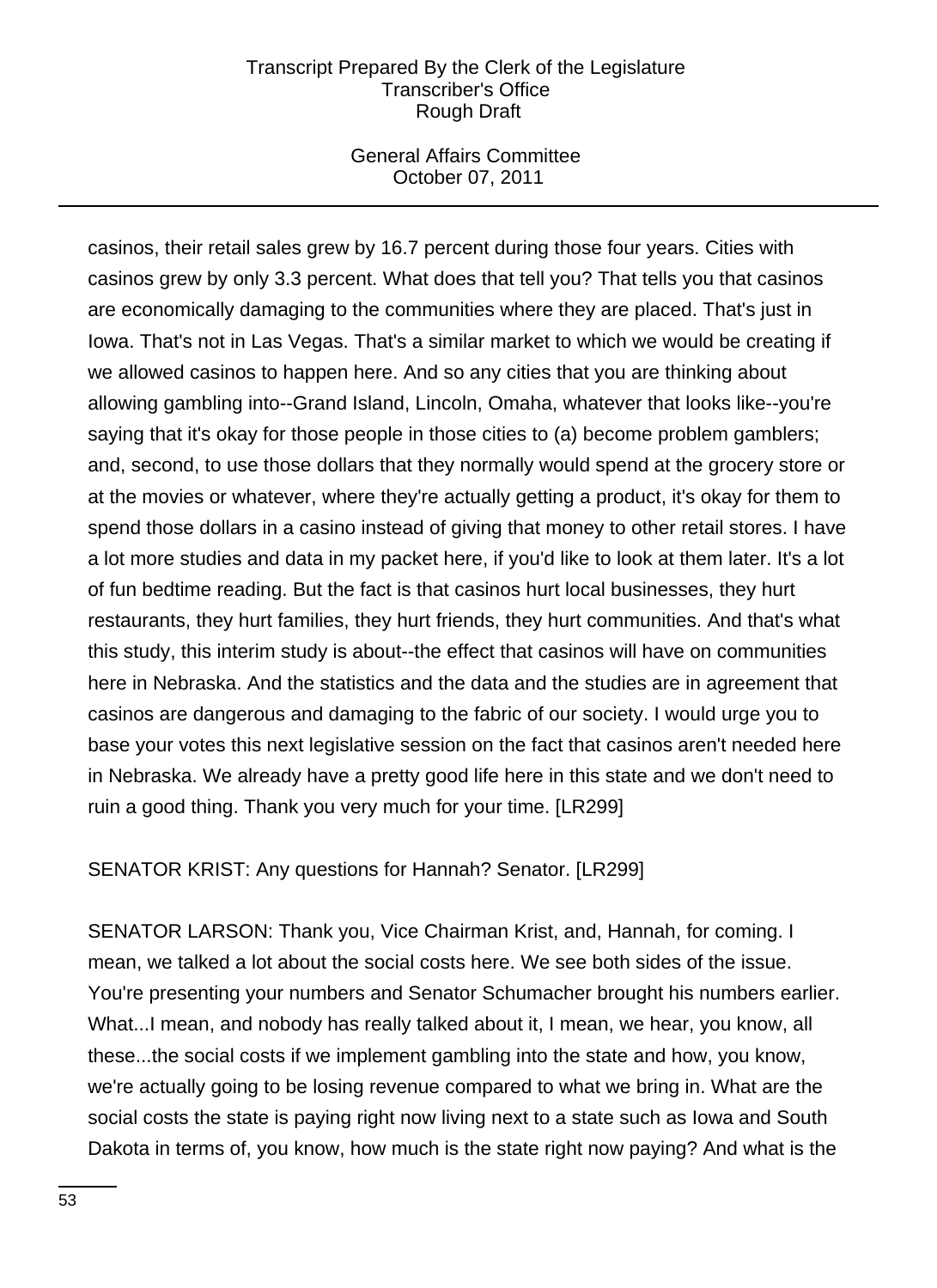# General Affairs Committee October 07, 2011

casinos, their retail sales grew by 16.7 percent during those four years. Cities with casinos grew by only 3.3 percent. What does that tell you? That tells you that casinos are economically damaging to the communities where they are placed. That's just in Iowa. That's not in Las Vegas. That's a similar market to which we would be creating if we allowed casinos to happen here. And so any cities that you are thinking about allowing gambling into--Grand Island, Lincoln, Omaha, whatever that looks like--you're saying that it's okay for those people in those cities to (a) become problem gamblers; and, second, to use those dollars that they normally would spend at the grocery store or at the movies or whatever, where they're actually getting a product, it's okay for them to spend those dollars in a casino instead of giving that money to other retail stores. I have a lot more studies and data in my packet here, if you'd like to look at them later. It's a lot of fun bedtime reading. But the fact is that casinos hurt local businesses, they hurt restaurants, they hurt families, they hurt friends, they hurt communities. And that's what this study, this interim study is about--the effect that casinos will have on communities here in Nebraska. And the statistics and the data and the studies are in agreement that casinos are dangerous and damaging to the fabric of our society. I would urge you to base your votes this next legislative session on the fact that casinos aren't needed here in Nebraska. We already have a pretty good life here in this state and we don't need to ruin a good thing. Thank you very much for your time. [LR299]

SENATOR KRIST: Any questions for Hannah? Senator. [LR299]

SENATOR LARSON: Thank you, Vice Chairman Krist, and, Hannah, for coming. I mean, we talked a lot about the social costs here. We see both sides of the issue. You're presenting your numbers and Senator Schumacher brought his numbers earlier. What...I mean, and nobody has really talked about it, I mean, we hear, you know, all these...the social costs if we implement gambling into the state and how, you know, we're actually going to be losing revenue compared to what we bring in. What are the social costs the state is paying right now living next to a state such as Iowa and South Dakota in terms of, you know, how much is the state right now paying? And what is the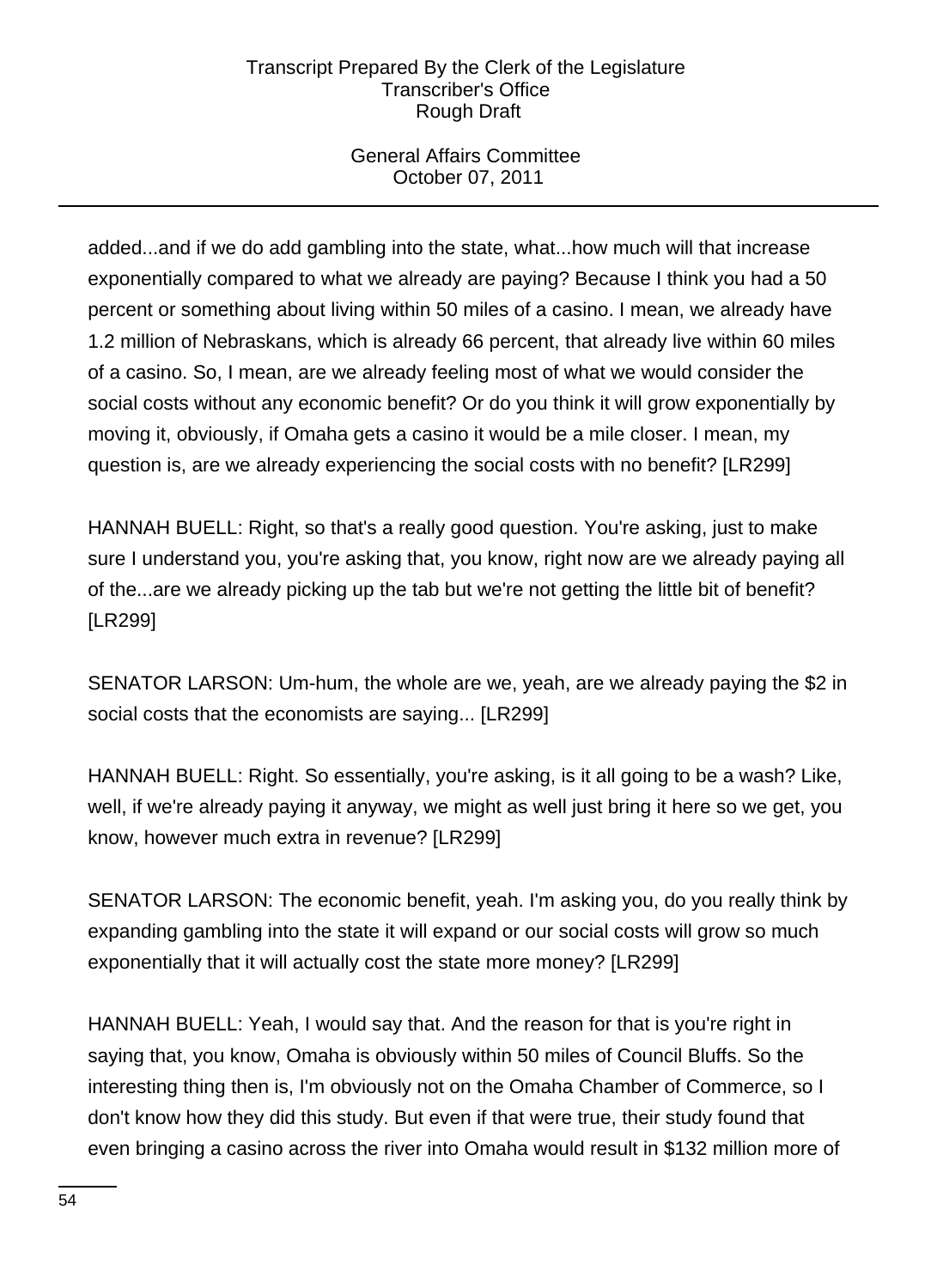# General Affairs Committee October 07, 2011

added...and if we do add gambling into the state, what...how much will that increase exponentially compared to what we already are paying? Because I think you had a 50 percent or something about living within 50 miles of a casino. I mean, we already have 1.2 million of Nebraskans, which is already 66 percent, that already live within 60 miles of a casino. So, I mean, are we already feeling most of what we would consider the social costs without any economic benefit? Or do you think it will grow exponentially by moving it, obviously, if Omaha gets a casino it would be a mile closer. I mean, my question is, are we already experiencing the social costs with no benefit? [LR299]

HANNAH BUELL: Right, so that's a really good question. You're asking, just to make sure I understand you, you're asking that, you know, right now are we already paying all of the...are we already picking up the tab but we're not getting the little bit of benefit? [LR299]

SENATOR LARSON: Um-hum, the whole are we, yeah, are we already paying the \$2 in social costs that the economists are saying... [LR299]

HANNAH BUELL: Right. So essentially, you're asking, is it all going to be a wash? Like, well, if we're already paying it anyway, we might as well just bring it here so we get, you know, however much extra in revenue? [LR299]

SENATOR LARSON: The economic benefit, yeah. I'm asking you, do you really think by expanding gambling into the state it will expand or our social costs will grow so much exponentially that it will actually cost the state more money? [LR299]

HANNAH BUELL: Yeah, I would say that. And the reason for that is you're right in saying that, you know, Omaha is obviously within 50 miles of Council Bluffs. So the interesting thing then is, I'm obviously not on the Omaha Chamber of Commerce, so I don't know how they did this study. But even if that were true, their study found that even bringing a casino across the river into Omaha would result in \$132 million more of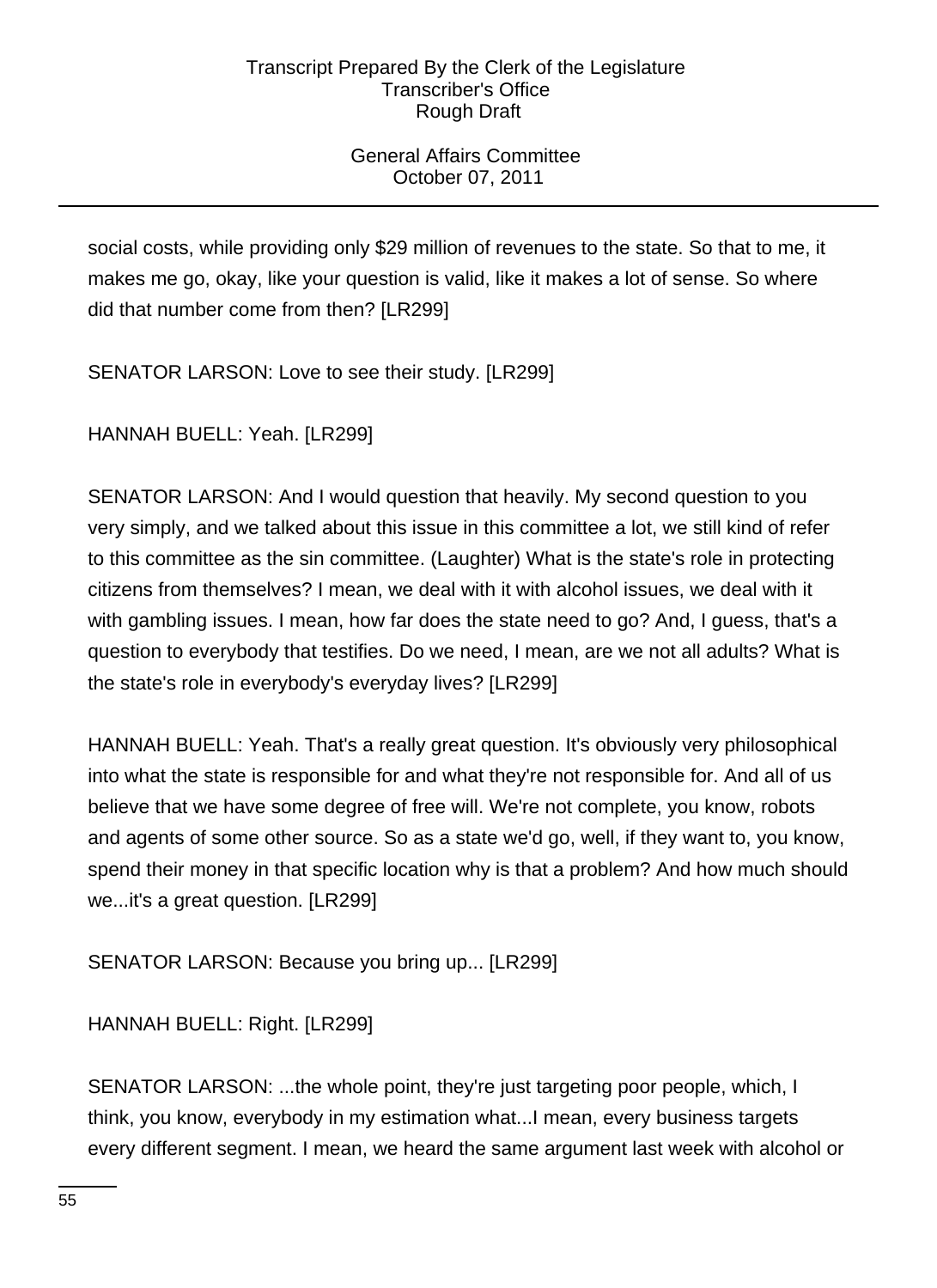# General Affairs Committee October 07, 2011

social costs, while providing only \$29 million of revenues to the state. So that to me, it makes me go, okay, like your question is valid, like it makes a lot of sense. So where did that number come from then? [LR299]

SENATOR LARSON: Love to see their study. [LR299]

HANNAH BUELL: Yeah. [LR299]

SENATOR LARSON: And I would question that heavily. My second question to you very simply, and we talked about this issue in this committee a lot, we still kind of refer to this committee as the sin committee. (Laughter) What is the state's role in protecting citizens from themselves? I mean, we deal with it with alcohol issues, we deal with it with gambling issues. I mean, how far does the state need to go? And, I guess, that's a question to everybody that testifies. Do we need, I mean, are we not all adults? What is the state's role in everybody's everyday lives? [LR299]

HANNAH BUELL: Yeah. That's a really great question. It's obviously very philosophical into what the state is responsible for and what they're not responsible for. And all of us believe that we have some degree of free will. We're not complete, you know, robots and agents of some other source. So as a state we'd go, well, if they want to, you know, spend their money in that specific location why is that a problem? And how much should we...it's a great question. [LR299]

SENATOR LARSON: Because you bring up... [LR299]

HANNAH BUELL: Right. [LR299]

SENATOR LARSON: ...the whole point, they're just targeting poor people, which, I think, you know, everybody in my estimation what...I mean, every business targets every different segment. I mean, we heard the same argument last week with alcohol or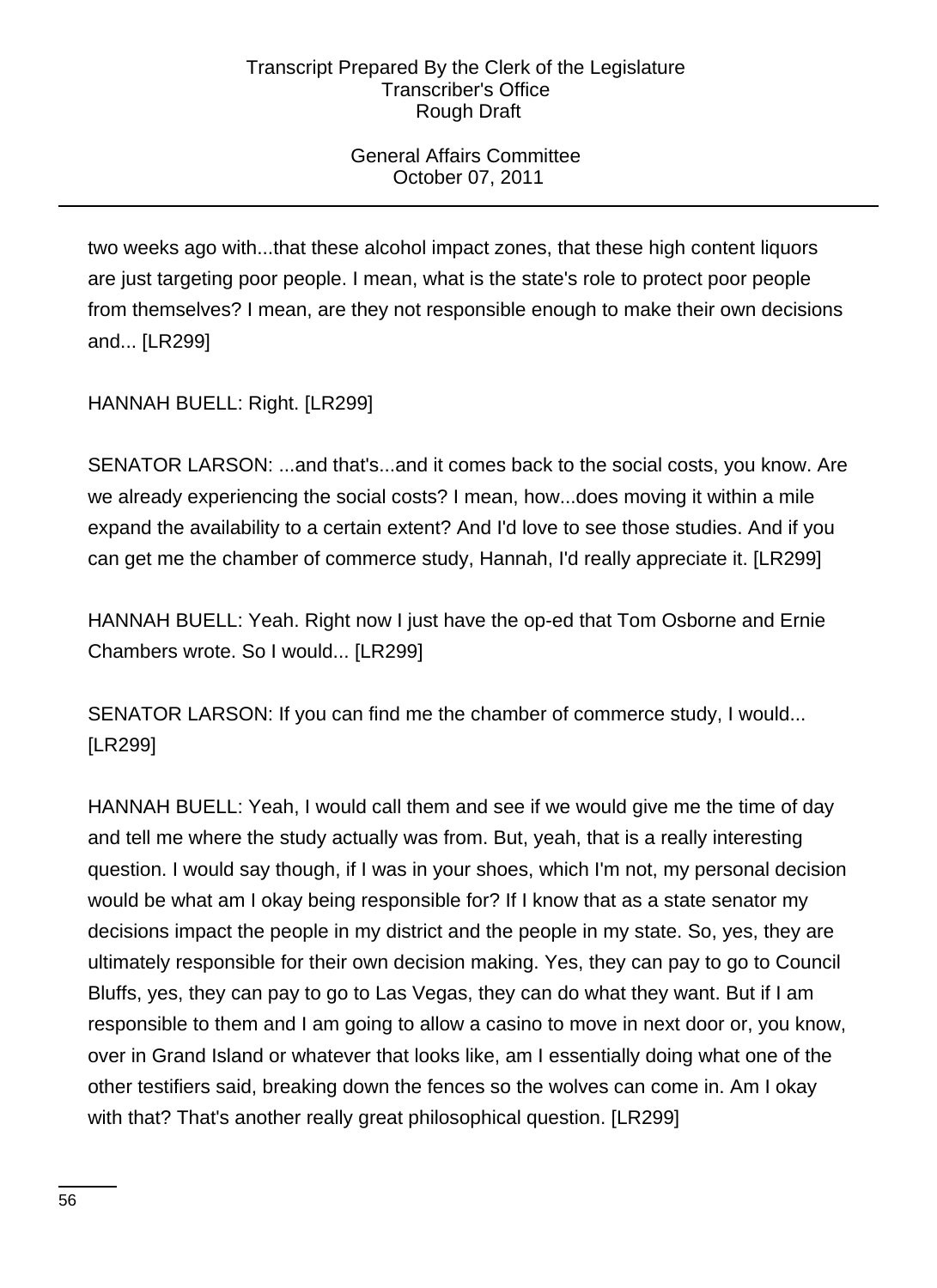# General Affairs Committee October 07, 2011

two weeks ago with...that these alcohol impact zones, that these high content liquors are just targeting poor people. I mean, what is the state's role to protect poor people from themselves? I mean, are they not responsible enough to make their own decisions and... [LR299]

HANNAH BUELL: Right. [LR299]

SENATOR LARSON: ...and that's...and it comes back to the social costs, you know. Are we already experiencing the social costs? I mean, how...does moving it within a mile expand the availability to a certain extent? And I'd love to see those studies. And if you can get me the chamber of commerce study, Hannah, I'd really appreciate it. [LR299]

HANNAH BUELL: Yeah. Right now I just have the op-ed that Tom Osborne and Ernie Chambers wrote. So I would... [LR299]

SENATOR LARSON: If you can find me the chamber of commerce study, I would... [LR299]

HANNAH BUELL: Yeah, I would call them and see if we would give me the time of day and tell me where the study actually was from. But, yeah, that is a really interesting question. I would say though, if I was in your shoes, which I'm not, my personal decision would be what am I okay being responsible for? If I know that as a state senator my decisions impact the people in my district and the people in my state. So, yes, they are ultimately responsible for their own decision making. Yes, they can pay to go to Council Bluffs, yes, they can pay to go to Las Vegas, they can do what they want. But if I am responsible to them and I am going to allow a casino to move in next door or, you know, over in Grand Island or whatever that looks like, am I essentially doing what one of the other testifiers said, breaking down the fences so the wolves can come in. Am I okay with that? That's another really great philosophical question. [LR299]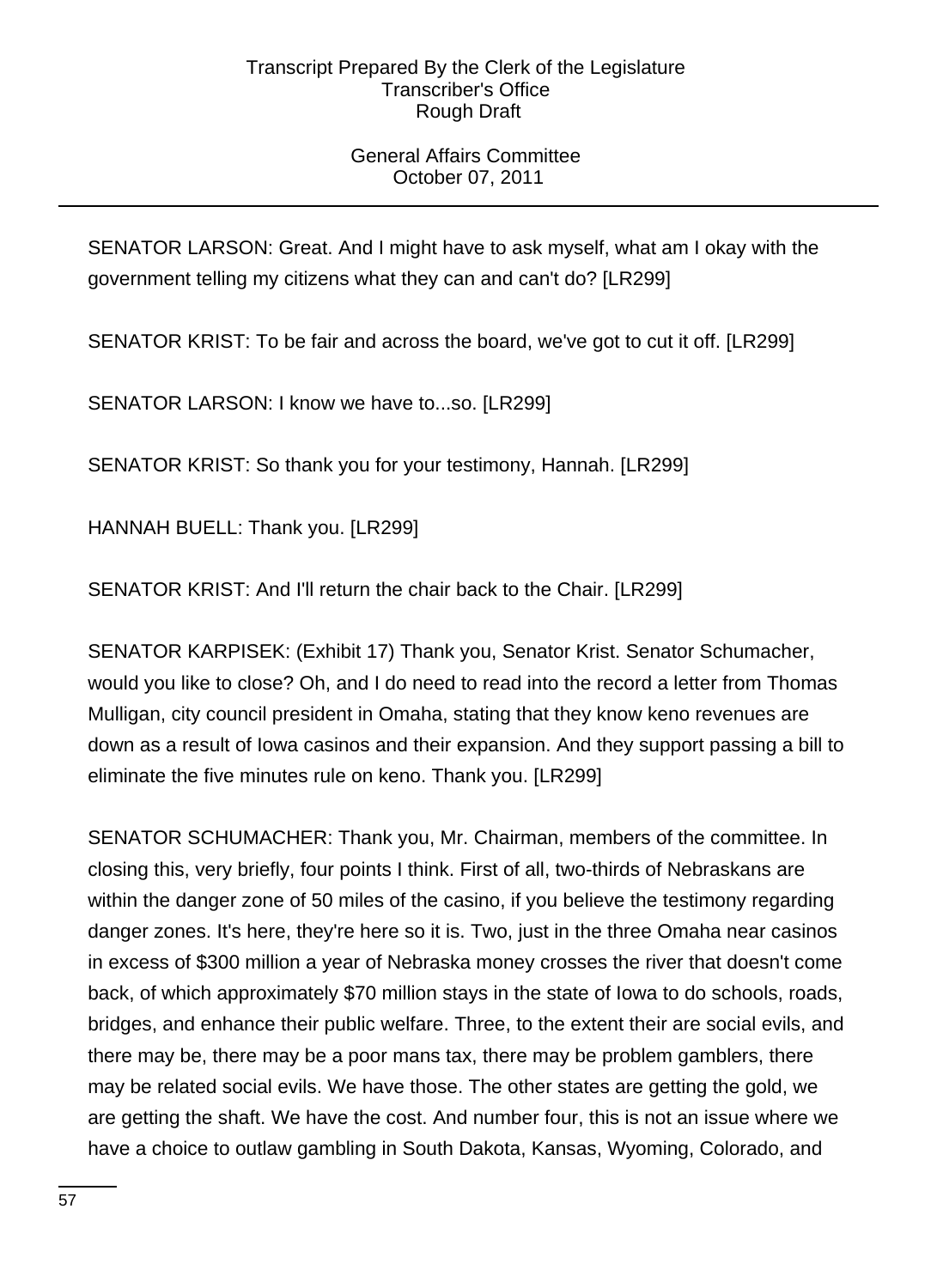# General Affairs Committee October 07, 2011

SENATOR LARSON: Great. And I might have to ask myself, what am I okay with the government telling my citizens what they can and can't do? [LR299]

SENATOR KRIST: To be fair and across the board, we've got to cut it off. [LR299]

SENATOR LARSON: I know we have to...so. [LR299]

SENATOR KRIST: So thank you for your testimony, Hannah. [LR299]

HANNAH BUELL: Thank you. [LR299]

SENATOR KRIST: And I'll return the chair back to the Chair. [LR299]

SENATOR KARPISEK: (Exhibit 17) Thank you, Senator Krist. Senator Schumacher, would you like to close? Oh, and I do need to read into the record a letter from Thomas Mulligan, city council president in Omaha, stating that they know keno revenues are down as a result of Iowa casinos and their expansion. And they support passing a bill to eliminate the five minutes rule on keno. Thank you. [LR299]

SENATOR SCHUMACHER: Thank you, Mr. Chairman, members of the committee. In closing this, very briefly, four points I think. First of all, two-thirds of Nebraskans are within the danger zone of 50 miles of the casino, if you believe the testimony regarding danger zones. It's here, they're here so it is. Two, just in the three Omaha near casinos in excess of \$300 million a year of Nebraska money crosses the river that doesn't come back, of which approximately \$70 million stays in the state of Iowa to do schools, roads, bridges, and enhance their public welfare. Three, to the extent their are social evils, and there may be, there may be a poor mans tax, there may be problem gamblers, there may be related social evils. We have those. The other states are getting the gold, we are getting the shaft. We have the cost. And number four, this is not an issue where we have a choice to outlaw gambling in South Dakota, Kansas, Wyoming, Colorado, and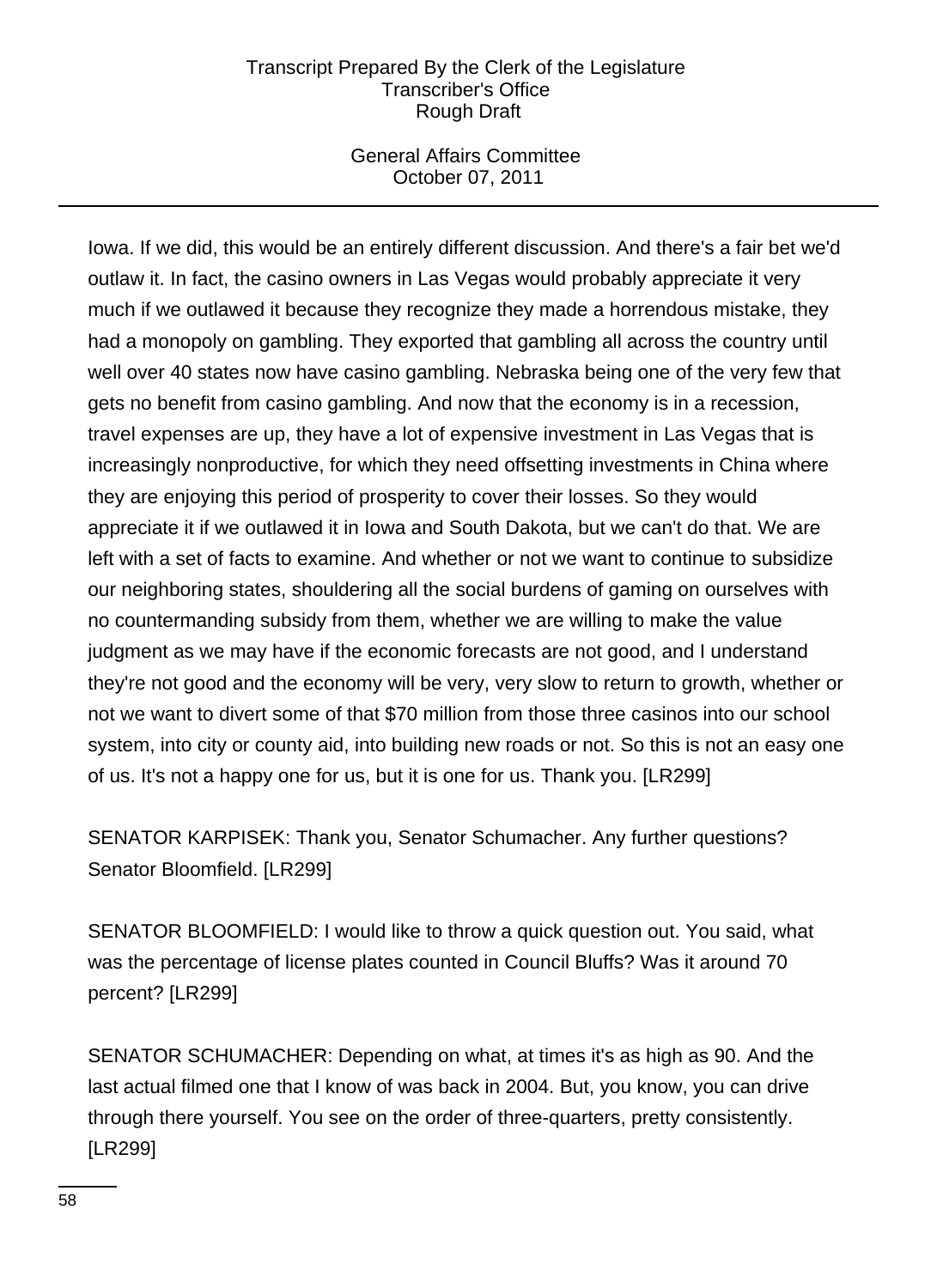# General Affairs Committee October 07, 2011

Iowa. If we did, this would be an entirely different discussion. And there's a fair bet we'd outlaw it. In fact, the casino owners in Las Vegas would probably appreciate it very much if we outlawed it because they recognize they made a horrendous mistake, they had a monopoly on gambling. They exported that gambling all across the country until well over 40 states now have casino gambling. Nebraska being one of the very few that gets no benefit from casino gambling. And now that the economy is in a recession, travel expenses are up, they have a lot of expensive investment in Las Vegas that is increasingly nonproductive, for which they need offsetting investments in China where they are enjoying this period of prosperity to cover their losses. So they would appreciate it if we outlawed it in Iowa and South Dakota, but we can't do that. We are left with a set of facts to examine. And whether or not we want to continue to subsidize our neighboring states, shouldering all the social burdens of gaming on ourselves with no countermanding subsidy from them, whether we are willing to make the value judgment as we may have if the economic forecasts are not good, and I understand they're not good and the economy will be very, very slow to return to growth, whether or not we want to divert some of that \$70 million from those three casinos into our school system, into city or county aid, into building new roads or not. So this is not an easy one of us. It's not a happy one for us, but it is one for us. Thank you. [LR299]

SENATOR KARPISEK: Thank you, Senator Schumacher. Any further questions? Senator Bloomfield. [LR299]

SENATOR BLOOMFIELD: I would like to throw a quick question out. You said, what was the percentage of license plates counted in Council Bluffs? Was it around 70 percent? [LR299]

SENATOR SCHUMACHER: Depending on what, at times it's as high as 90. And the last actual filmed one that I know of was back in 2004. But, you know, you can drive through there yourself. You see on the order of three-quarters, pretty consistently. [LR299]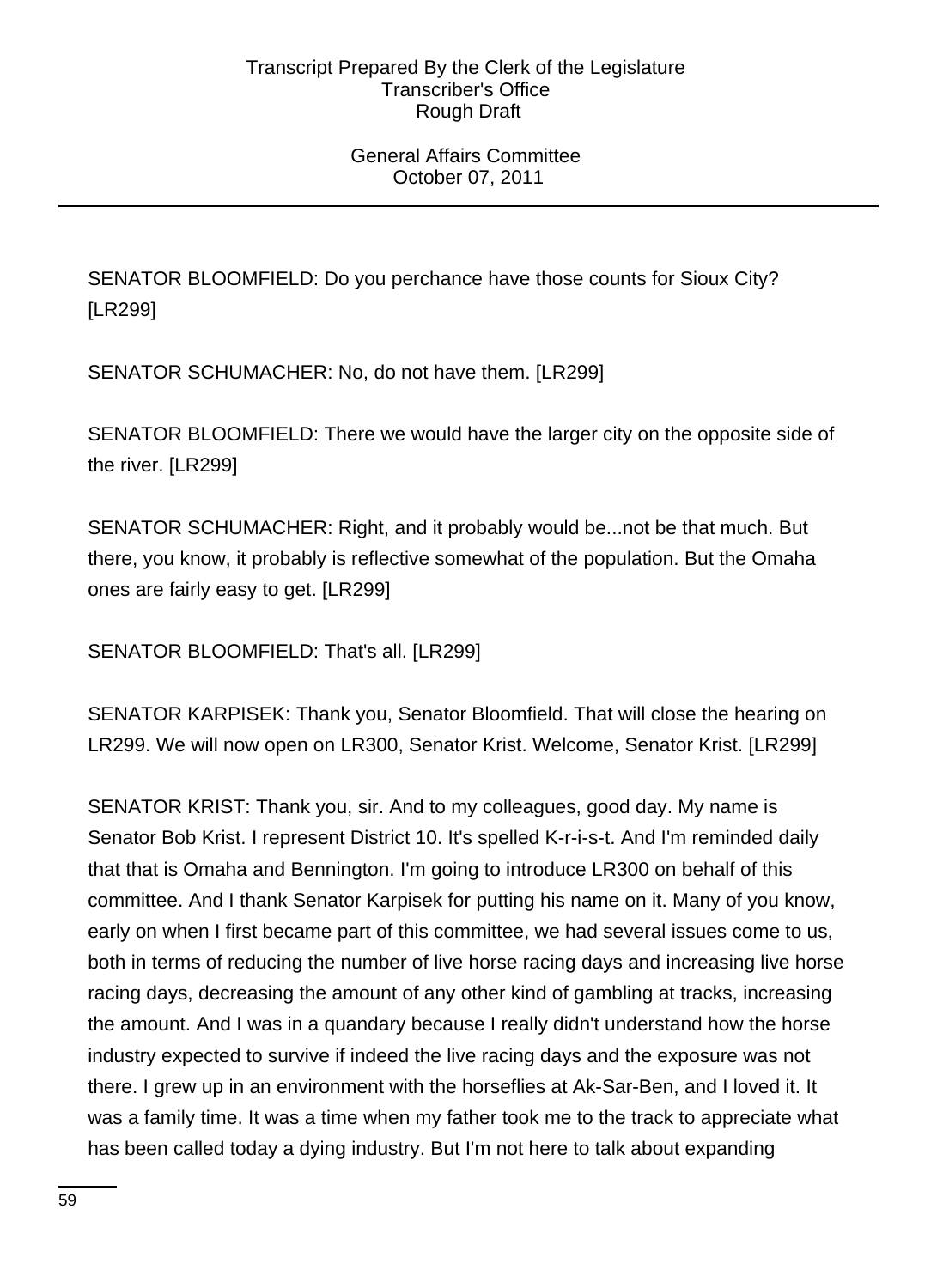# General Affairs Committee October 07, 2011

SENATOR BLOOMFIELD: Do you perchance have those counts for Sioux City? [LR299]

SENATOR SCHUMACHER: No, do not have them. [LR299]

SENATOR BLOOMFIELD: There we would have the larger city on the opposite side of the river. [LR299]

SENATOR SCHUMACHER: Right, and it probably would be...not be that much. But there, you know, it probably is reflective somewhat of the population. But the Omaha ones are fairly easy to get. [LR299]

SENATOR BLOOMFIELD: That's all. [LR299]

SENATOR KARPISEK: Thank you, Senator Bloomfield. That will close the hearing on LR299. We will now open on LR300, Senator Krist. Welcome, Senator Krist. [LR299]

SENATOR KRIST: Thank you, sir. And to my colleagues, good day. My name is Senator Bob Krist. I represent District 10. It's spelled K-r-i-s-t. And I'm reminded daily that that is Omaha and Bennington. I'm going to introduce LR300 on behalf of this committee. And I thank Senator Karpisek for putting his name on it. Many of you know, early on when I first became part of this committee, we had several issues come to us, both in terms of reducing the number of live horse racing days and increasing live horse racing days, decreasing the amount of any other kind of gambling at tracks, increasing the amount. And I was in a quandary because I really didn't understand how the horse industry expected to survive if indeed the live racing days and the exposure was not there. I grew up in an environment with the horseflies at Ak-Sar-Ben, and I loved it. It was a family time. It was a time when my father took me to the track to appreciate what has been called today a dying industry. But I'm not here to talk about expanding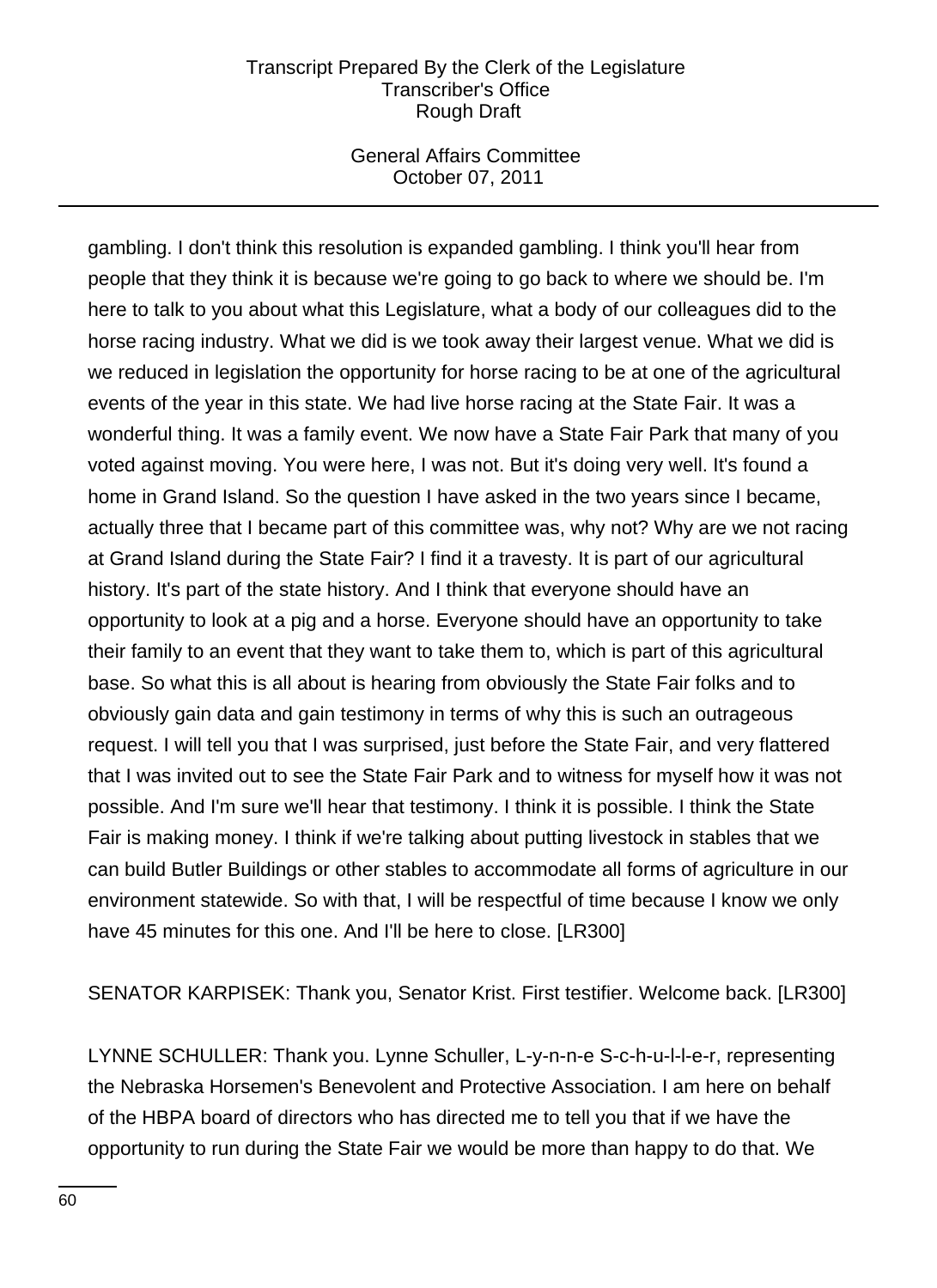## General Affairs Committee October 07, 2011

gambling. I don't think this resolution is expanded gambling. I think you'll hear from people that they think it is because we're going to go back to where we should be. I'm here to talk to you about what this Legislature, what a body of our colleagues did to the horse racing industry. What we did is we took away their largest venue. What we did is we reduced in legislation the opportunity for horse racing to be at one of the agricultural events of the year in this state. We had live horse racing at the State Fair. It was a wonderful thing. It was a family event. We now have a State Fair Park that many of you voted against moving. You were here, I was not. But it's doing very well. It's found a home in Grand Island. So the question I have asked in the two years since I became, actually three that I became part of this committee was, why not? Why are we not racing at Grand Island during the State Fair? I find it a travesty. It is part of our agricultural history. It's part of the state history. And I think that everyone should have an opportunity to look at a pig and a horse. Everyone should have an opportunity to take their family to an event that they want to take them to, which is part of this agricultural base. So what this is all about is hearing from obviously the State Fair folks and to obviously gain data and gain testimony in terms of why this is such an outrageous request. I will tell you that I was surprised, just before the State Fair, and very flattered that I was invited out to see the State Fair Park and to witness for myself how it was not possible. And I'm sure we'll hear that testimony. I think it is possible. I think the State Fair is making money. I think if we're talking about putting livestock in stables that we can build Butler Buildings or other stables to accommodate all forms of agriculture in our environment statewide. So with that, I will be respectful of time because I know we only have 45 minutes for this one. And I'll be here to close. [LR300]

SENATOR KARPISEK: Thank you, Senator Krist. First testifier. Welcome back. [LR300]

LYNNE SCHULLER: Thank you. Lynne Schuller, L-y-n-n-e S-c-h-u-l-l-e-r, representing the Nebraska Horsemen's Benevolent and Protective Association. I am here on behalf of the HBPA board of directors who has directed me to tell you that if we have the opportunity to run during the State Fair we would be more than happy to do that. We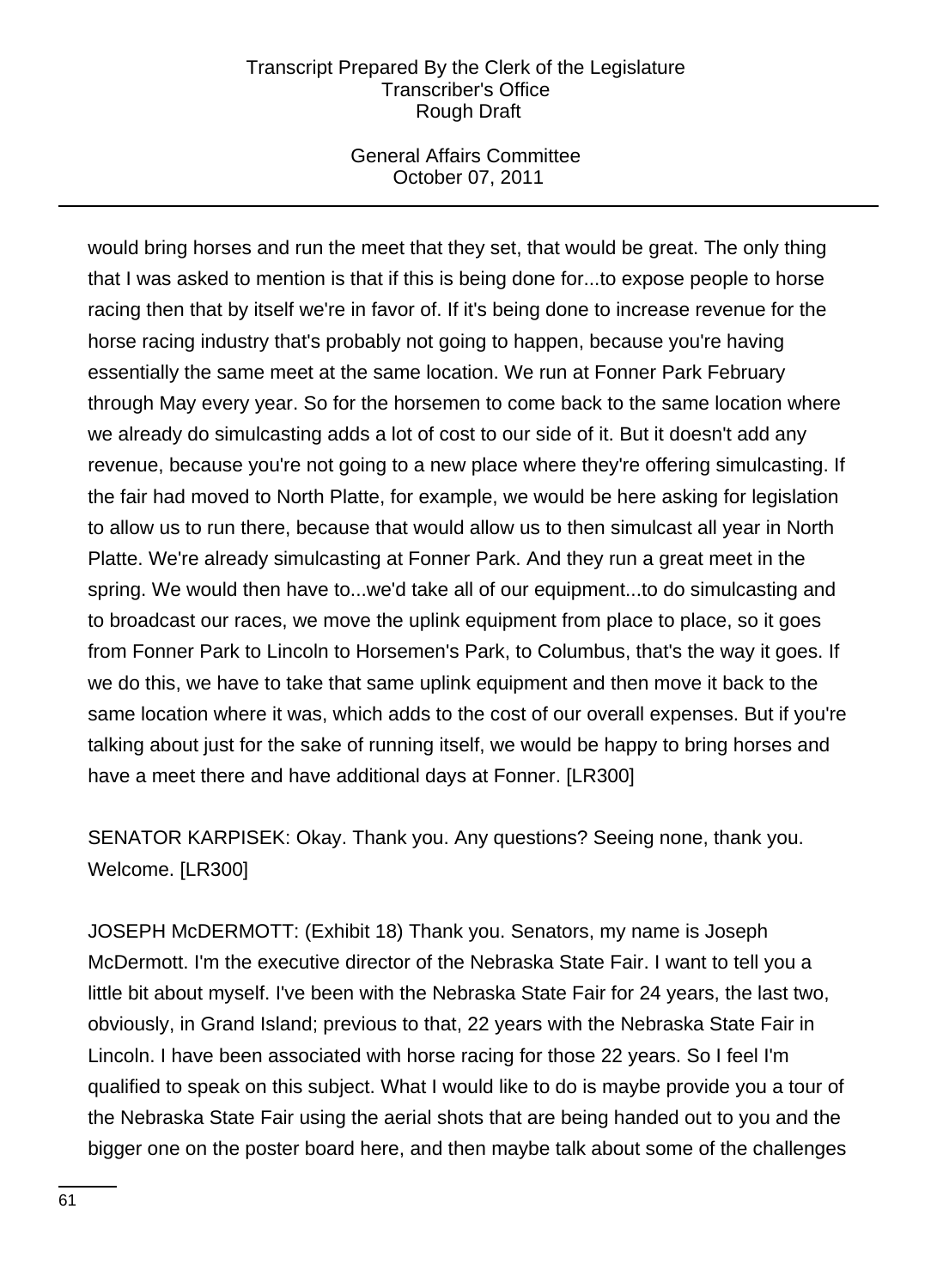# General Affairs Committee October 07, 2011

would bring horses and run the meet that they set, that would be great. The only thing that I was asked to mention is that if this is being done for...to expose people to horse racing then that by itself we're in favor of. If it's being done to increase revenue for the horse racing industry that's probably not going to happen, because you're having essentially the same meet at the same location. We run at Fonner Park February through May every year. So for the horsemen to come back to the same location where we already do simulcasting adds a lot of cost to our side of it. But it doesn't add any revenue, because you're not going to a new place where they're offering simulcasting. If the fair had moved to North Platte, for example, we would be here asking for legislation to allow us to run there, because that would allow us to then simulcast all year in North Platte. We're already simulcasting at Fonner Park. And they run a great meet in the spring. We would then have to...we'd take all of our equipment...to do simulcasting and to broadcast our races, we move the uplink equipment from place to place, so it goes from Fonner Park to Lincoln to Horsemen's Park, to Columbus, that's the way it goes. If we do this, we have to take that same uplink equipment and then move it back to the same location where it was, which adds to the cost of our overall expenses. But if you're talking about just for the sake of running itself, we would be happy to bring horses and have a meet there and have additional days at Fonner. [LR300]

SENATOR KARPISEK: Okay. Thank you. Any questions? Seeing none, thank you. Welcome. [LR300]

JOSEPH McDERMOTT: (Exhibit 18) Thank you. Senators, my name is Joseph McDermott. I'm the executive director of the Nebraska State Fair. I want to tell you a little bit about myself. I've been with the Nebraska State Fair for 24 years, the last two, obviously, in Grand Island; previous to that, 22 years with the Nebraska State Fair in Lincoln. I have been associated with horse racing for those 22 years. So I feel I'm qualified to speak on this subject. What I would like to do is maybe provide you a tour of the Nebraska State Fair using the aerial shots that are being handed out to you and the bigger one on the poster board here, and then maybe talk about some of the challenges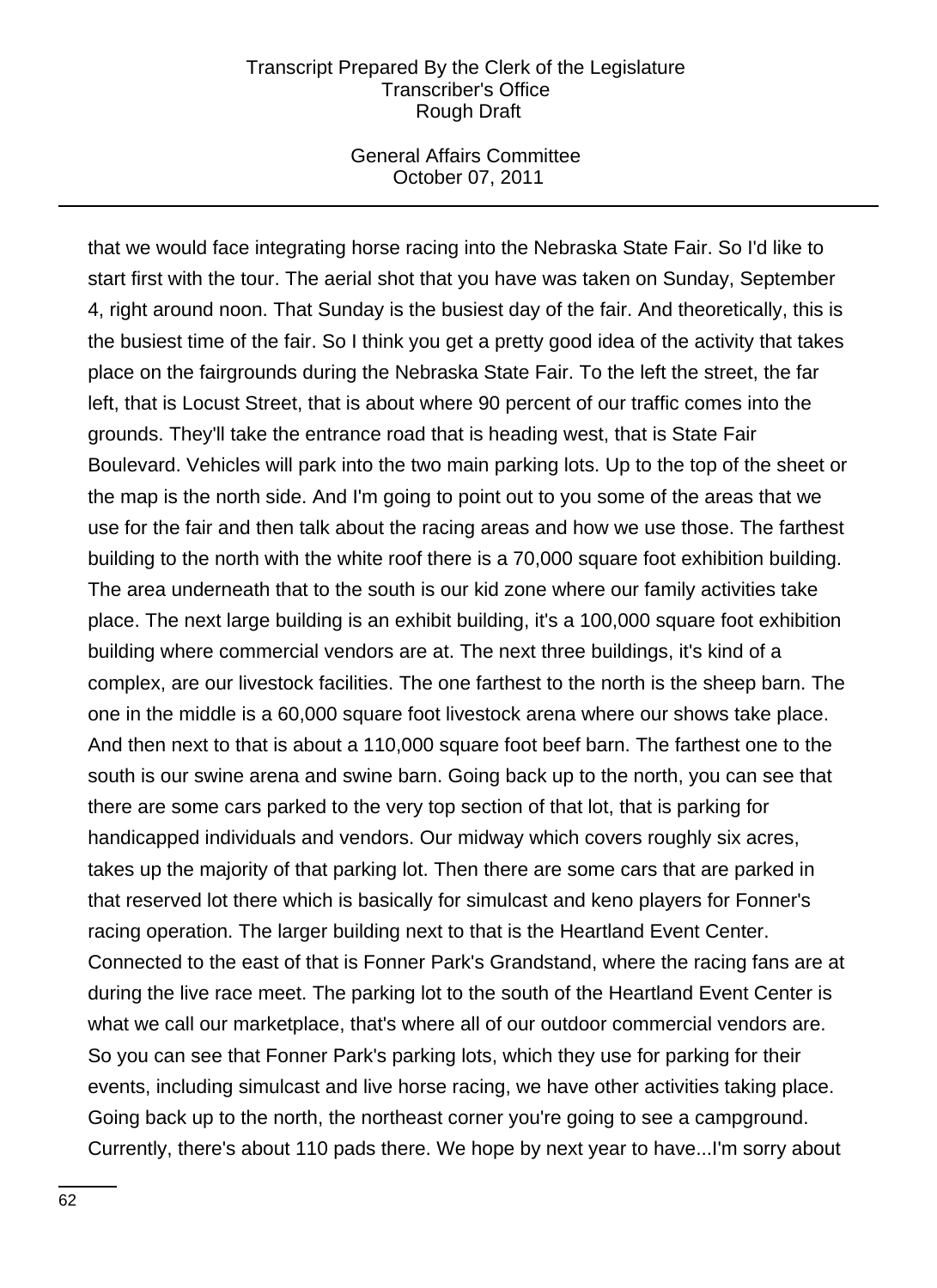## General Affairs Committee October 07, 2011

that we would face integrating horse racing into the Nebraska State Fair. So I'd like to start first with the tour. The aerial shot that you have was taken on Sunday, September 4, right around noon. That Sunday is the busiest day of the fair. And theoretically, this is the busiest time of the fair. So I think you get a pretty good idea of the activity that takes place on the fairgrounds during the Nebraska State Fair. To the left the street, the far left, that is Locust Street, that is about where 90 percent of our traffic comes into the grounds. They'll take the entrance road that is heading west, that is State Fair Boulevard. Vehicles will park into the two main parking lots. Up to the top of the sheet or the map is the north side. And I'm going to point out to you some of the areas that we use for the fair and then talk about the racing areas and how we use those. The farthest building to the north with the white roof there is a 70,000 square foot exhibition building. The area underneath that to the south is our kid zone where our family activities take place. The next large building is an exhibit building, it's a 100,000 square foot exhibition building where commercial vendors are at. The next three buildings, it's kind of a complex, are our livestock facilities. The one farthest to the north is the sheep barn. The one in the middle is a 60,000 square foot livestock arena where our shows take place. And then next to that is about a 110,000 square foot beef barn. The farthest one to the south is our swine arena and swine barn. Going back up to the north, you can see that there are some cars parked to the very top section of that lot, that is parking for handicapped individuals and vendors. Our midway which covers roughly six acres, takes up the majority of that parking lot. Then there are some cars that are parked in that reserved lot there which is basically for simulcast and keno players for Fonner's racing operation. The larger building next to that is the Heartland Event Center. Connected to the east of that is Fonner Park's Grandstand, where the racing fans are at during the live race meet. The parking lot to the south of the Heartland Event Center is what we call our marketplace, that's where all of our outdoor commercial vendors are. So you can see that Fonner Park's parking lots, which they use for parking for their events, including simulcast and live horse racing, we have other activities taking place. Going back up to the north, the northeast corner you're going to see a campground. Currently, there's about 110 pads there. We hope by next year to have...I'm sorry about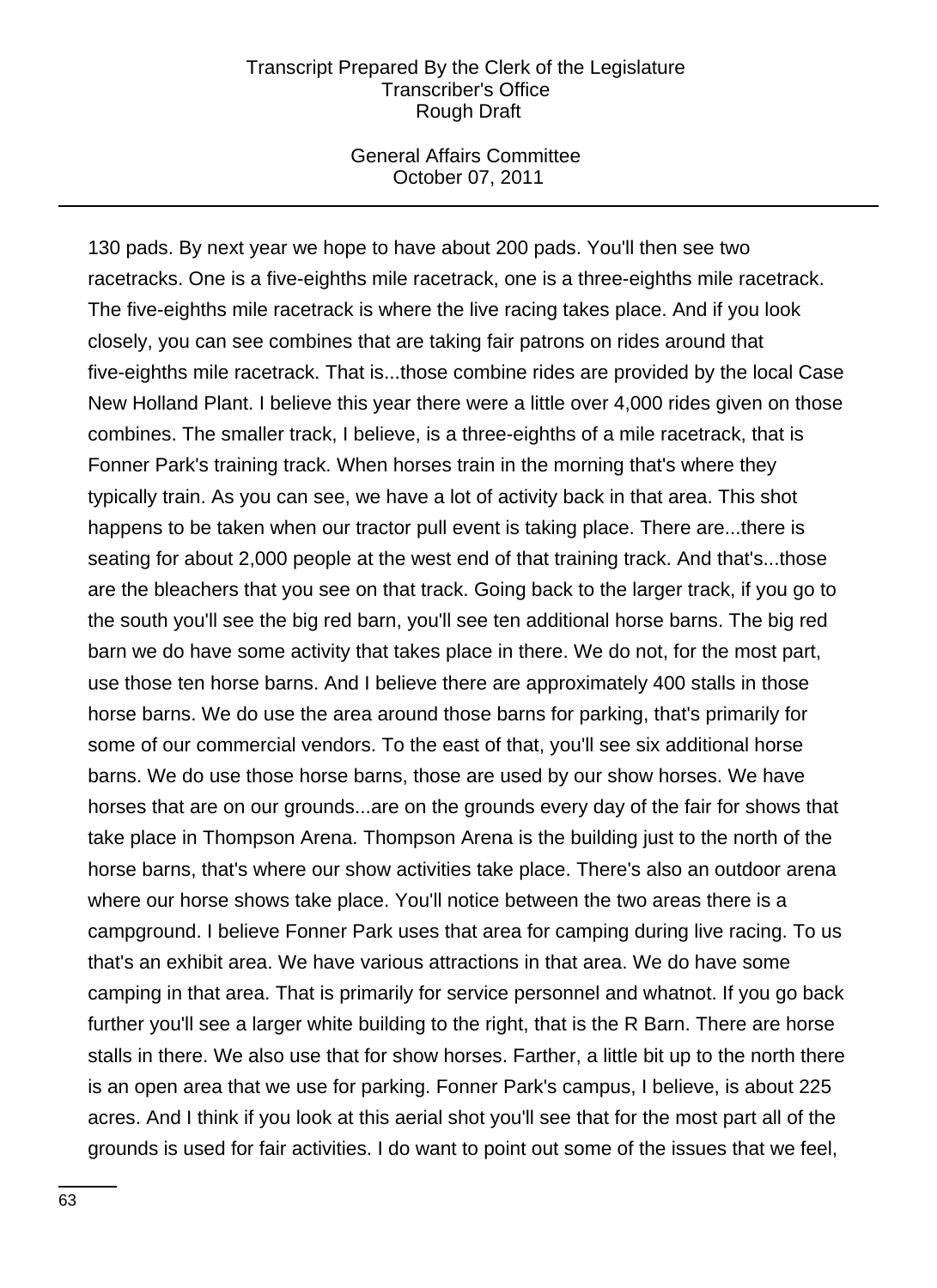### General Affairs Committee October 07, 2011

130 pads. By next year we hope to have about 200 pads. You'll then see two racetracks. One is a five-eighths mile racetrack, one is a three-eighths mile racetrack. The five-eighths mile racetrack is where the live racing takes place. And if you look closely, you can see combines that are taking fair patrons on rides around that five-eighths mile racetrack. That is...those combine rides are provided by the local Case New Holland Plant. I believe this year there were a little over 4,000 rides given on those combines. The smaller track, I believe, is a three-eighths of a mile racetrack, that is Fonner Park's training track. When horses train in the morning that's where they typically train. As you can see, we have a lot of activity back in that area. This shot happens to be taken when our tractor pull event is taking place. There are...there is seating for about 2,000 people at the west end of that training track. And that's...those are the bleachers that you see on that track. Going back to the larger track, if you go to the south you'll see the big red barn, you'll see ten additional horse barns. The big red barn we do have some activity that takes place in there. We do not, for the most part, use those ten horse barns. And I believe there are approximately 400 stalls in those horse barns. We do use the area around those barns for parking, that's primarily for some of our commercial vendors. To the east of that, you'll see six additional horse barns. We do use those horse barns, those are used by our show horses. We have horses that are on our grounds...are on the grounds every day of the fair for shows that take place in Thompson Arena. Thompson Arena is the building just to the north of the horse barns, that's where our show activities take place. There's also an outdoor arena where our horse shows take place. You'll notice between the two areas there is a campground. I believe Fonner Park uses that area for camping during live racing. To us that's an exhibit area. We have various attractions in that area. We do have some camping in that area. That is primarily for service personnel and whatnot. If you go back further you'll see a larger white building to the right, that is the R Barn. There are horse stalls in there. We also use that for show horses. Farther, a little bit up to the north there is an open area that we use for parking. Fonner Park's campus, I believe, is about 225 acres. And I think if you look at this aerial shot you'll see that for the most part all of the grounds is used for fair activities. I do want to point out some of the issues that we feel,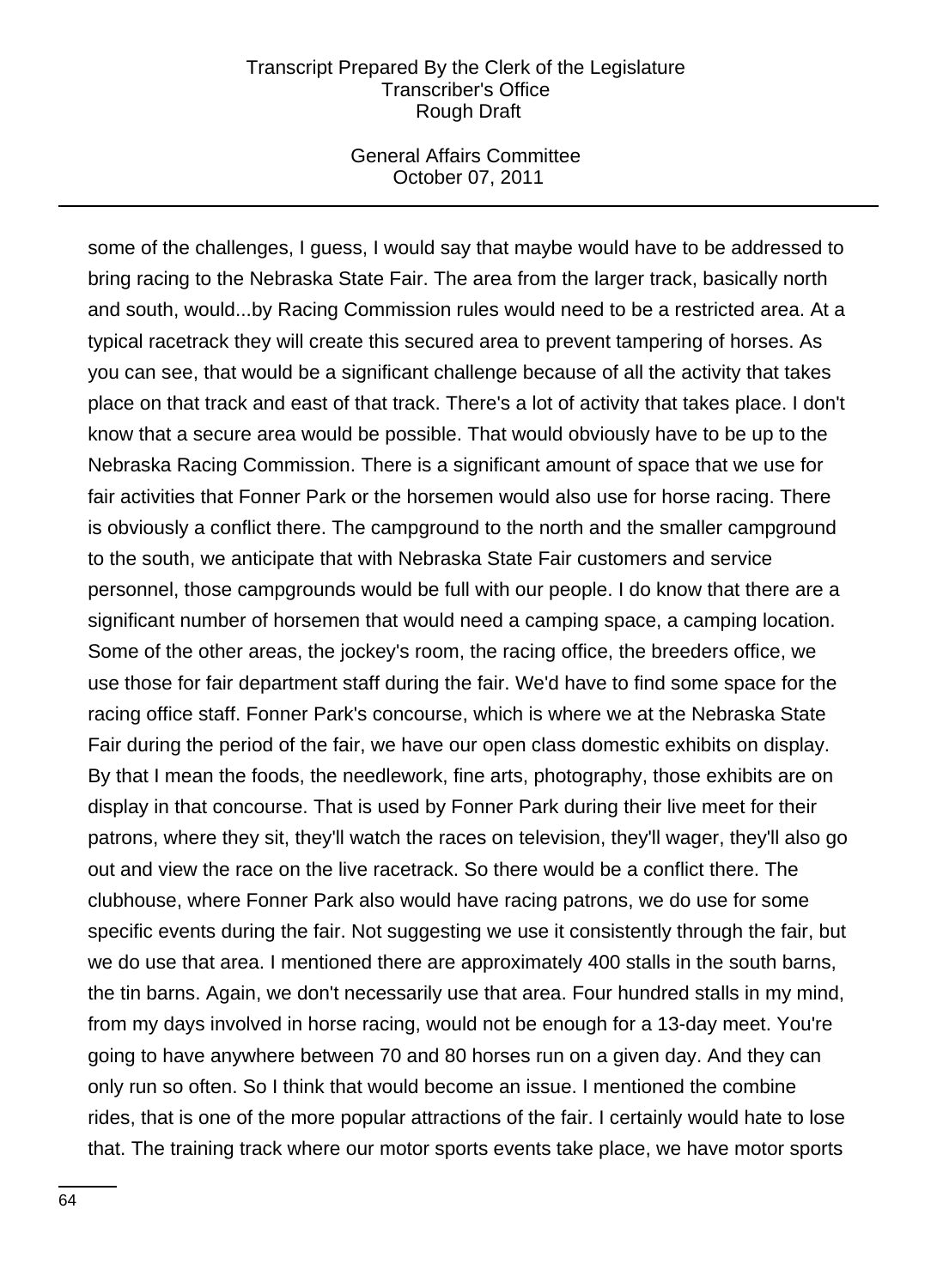## General Affairs Committee October 07, 2011

some of the challenges, I guess, I would say that maybe would have to be addressed to bring racing to the Nebraska State Fair. The area from the larger track, basically north and south, would...by Racing Commission rules would need to be a restricted area. At a typical racetrack they will create this secured area to prevent tampering of horses. As you can see, that would be a significant challenge because of all the activity that takes place on that track and east of that track. There's a lot of activity that takes place. I don't know that a secure area would be possible. That would obviously have to be up to the Nebraska Racing Commission. There is a significant amount of space that we use for fair activities that Fonner Park or the horsemen would also use for horse racing. There is obviously a conflict there. The campground to the north and the smaller campground to the south, we anticipate that with Nebraska State Fair customers and service personnel, those campgrounds would be full with our people. I do know that there are a significant number of horsemen that would need a camping space, a camping location. Some of the other areas, the jockey's room, the racing office, the breeders office, we use those for fair department staff during the fair. We'd have to find some space for the racing office staff. Fonner Park's concourse, which is where we at the Nebraska State Fair during the period of the fair, we have our open class domestic exhibits on display. By that I mean the foods, the needlework, fine arts, photography, those exhibits are on display in that concourse. That is used by Fonner Park during their live meet for their patrons, where they sit, they'll watch the races on television, they'll wager, they'll also go out and view the race on the live racetrack. So there would be a conflict there. The clubhouse, where Fonner Park also would have racing patrons, we do use for some specific events during the fair. Not suggesting we use it consistently through the fair, but we do use that area. I mentioned there are approximately 400 stalls in the south barns, the tin barns. Again, we don't necessarily use that area. Four hundred stalls in my mind, from my days involved in horse racing, would not be enough for a 13-day meet. You're going to have anywhere between 70 and 80 horses run on a given day. And they can only run so often. So I think that would become an issue. I mentioned the combine rides, that is one of the more popular attractions of the fair. I certainly would hate to lose that. The training track where our motor sports events take place, we have motor sports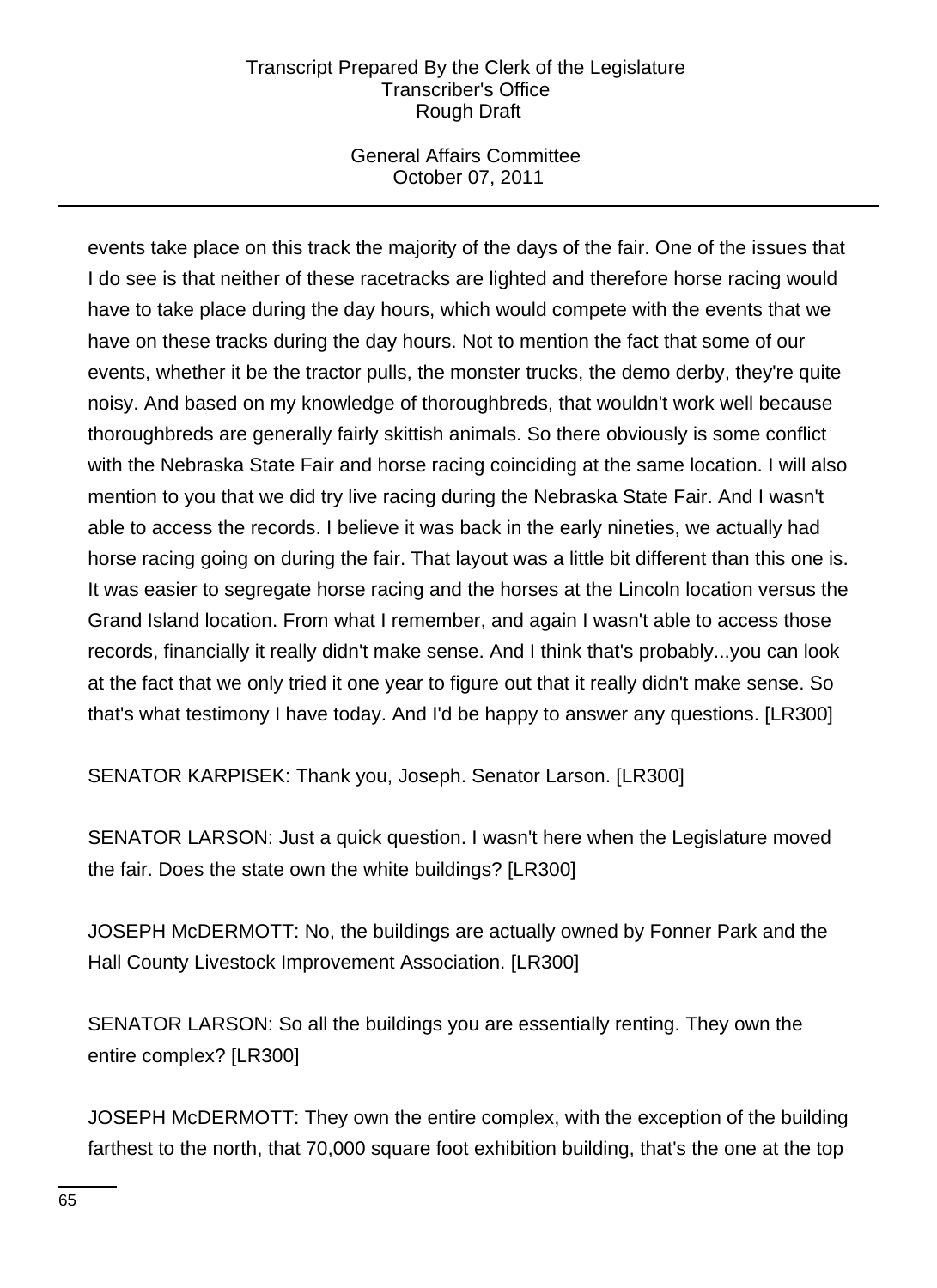# General Affairs Committee October 07, 2011

events take place on this track the majority of the days of the fair. One of the issues that I do see is that neither of these racetracks are lighted and therefore horse racing would have to take place during the day hours, which would compete with the events that we have on these tracks during the day hours. Not to mention the fact that some of our events, whether it be the tractor pulls, the monster trucks, the demo derby, they're quite noisy. And based on my knowledge of thoroughbreds, that wouldn't work well because thoroughbreds are generally fairly skittish animals. So there obviously is some conflict with the Nebraska State Fair and horse racing coinciding at the same location. I will also mention to you that we did try live racing during the Nebraska State Fair. And I wasn't able to access the records. I believe it was back in the early nineties, we actually had horse racing going on during the fair. That layout was a little bit different than this one is. It was easier to segregate horse racing and the horses at the Lincoln location versus the Grand Island location. From what I remember, and again I wasn't able to access those records, financially it really didn't make sense. And I think that's probably...you can look at the fact that we only tried it one year to figure out that it really didn't make sense. So that's what testimony I have today. And I'd be happy to answer any questions. [LR300]

SENATOR KARPISEK: Thank you, Joseph. Senator Larson. [LR300]

SENATOR LARSON: Just a quick question. I wasn't here when the Legislature moved the fair. Does the state own the white buildings? [LR300]

JOSEPH McDERMOTT: No, the buildings are actually owned by Fonner Park and the Hall County Livestock Improvement Association. [LR300]

SENATOR LARSON: So all the buildings you are essentially renting. They own the entire complex? [LR300]

JOSEPH McDERMOTT: They own the entire complex, with the exception of the building farthest to the north, that 70,000 square foot exhibition building, that's the one at the top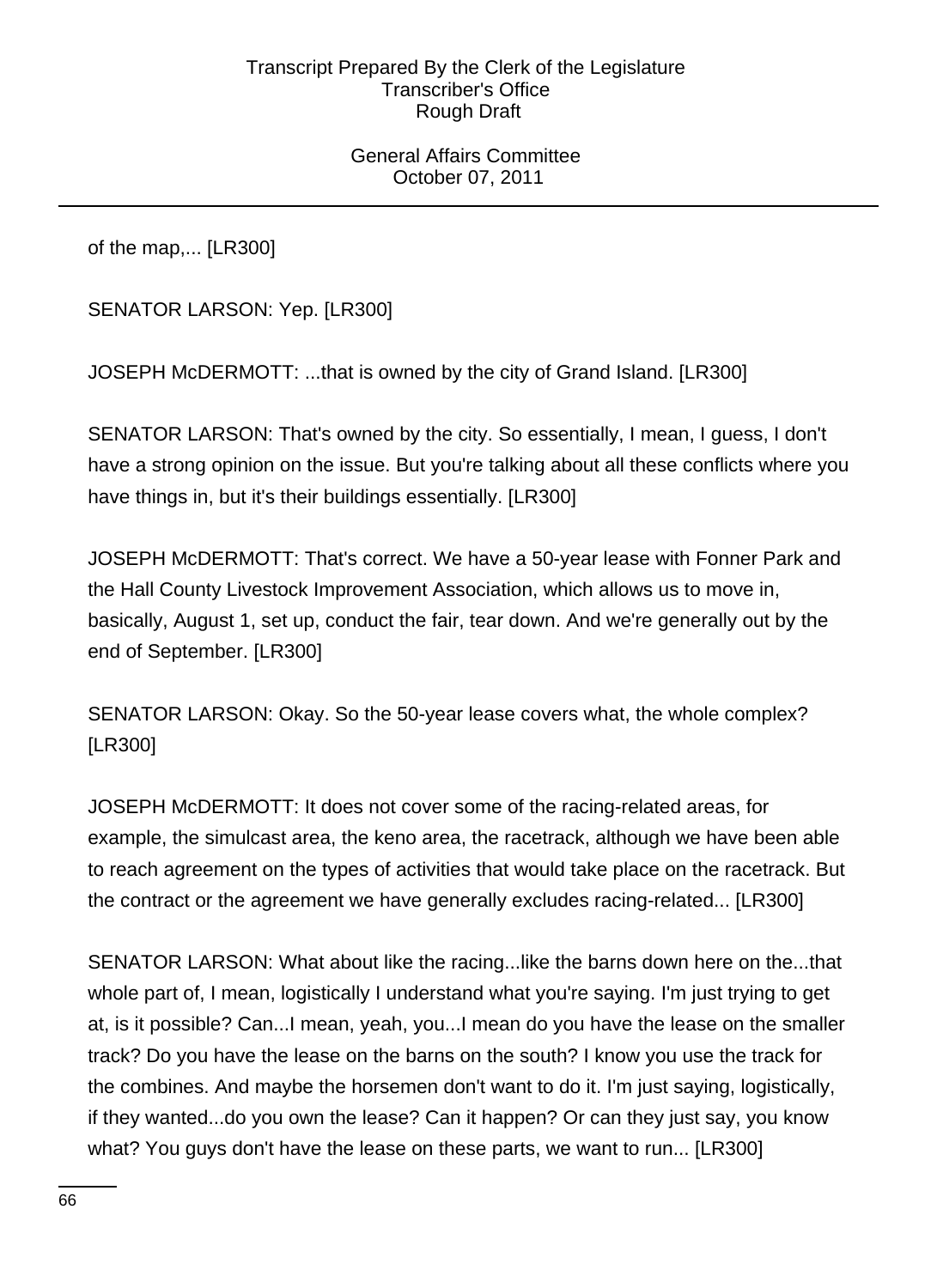General Affairs Committee October 07, 2011

of the map,... [LR300]

SENATOR LARSON: Yep. [LR300]

JOSEPH McDERMOTT: ...that is owned by the city of Grand Island. [LR300]

SENATOR LARSON: That's owned by the city. So essentially, I mean, I guess, I don't have a strong opinion on the issue. But you're talking about all these conflicts where you have things in, but it's their buildings essentially. [LR300]

JOSEPH McDERMOTT: That's correct. We have a 50-year lease with Fonner Park and the Hall County Livestock Improvement Association, which allows us to move in, basically, August 1, set up, conduct the fair, tear down. And we're generally out by the end of September. [LR300]

SENATOR LARSON: Okay. So the 50-year lease covers what, the whole complex? [LR300]

JOSEPH McDERMOTT: It does not cover some of the racing-related areas, for example, the simulcast area, the keno area, the racetrack, although we have been able to reach agreement on the types of activities that would take place on the racetrack. But the contract or the agreement we have generally excludes racing-related... [LR300]

SENATOR LARSON: What about like the racing...like the barns down here on the...that whole part of, I mean, logistically I understand what you're saying. I'm just trying to get at, is it possible? Can...I mean, yeah, you...I mean do you have the lease on the smaller track? Do you have the lease on the barns on the south? I know you use the track for the combines. And maybe the horsemen don't want to do it. I'm just saying, logistically, if they wanted...do you own the lease? Can it happen? Or can they just say, you know what? You guys don't have the lease on these parts, we want to run... [LR300]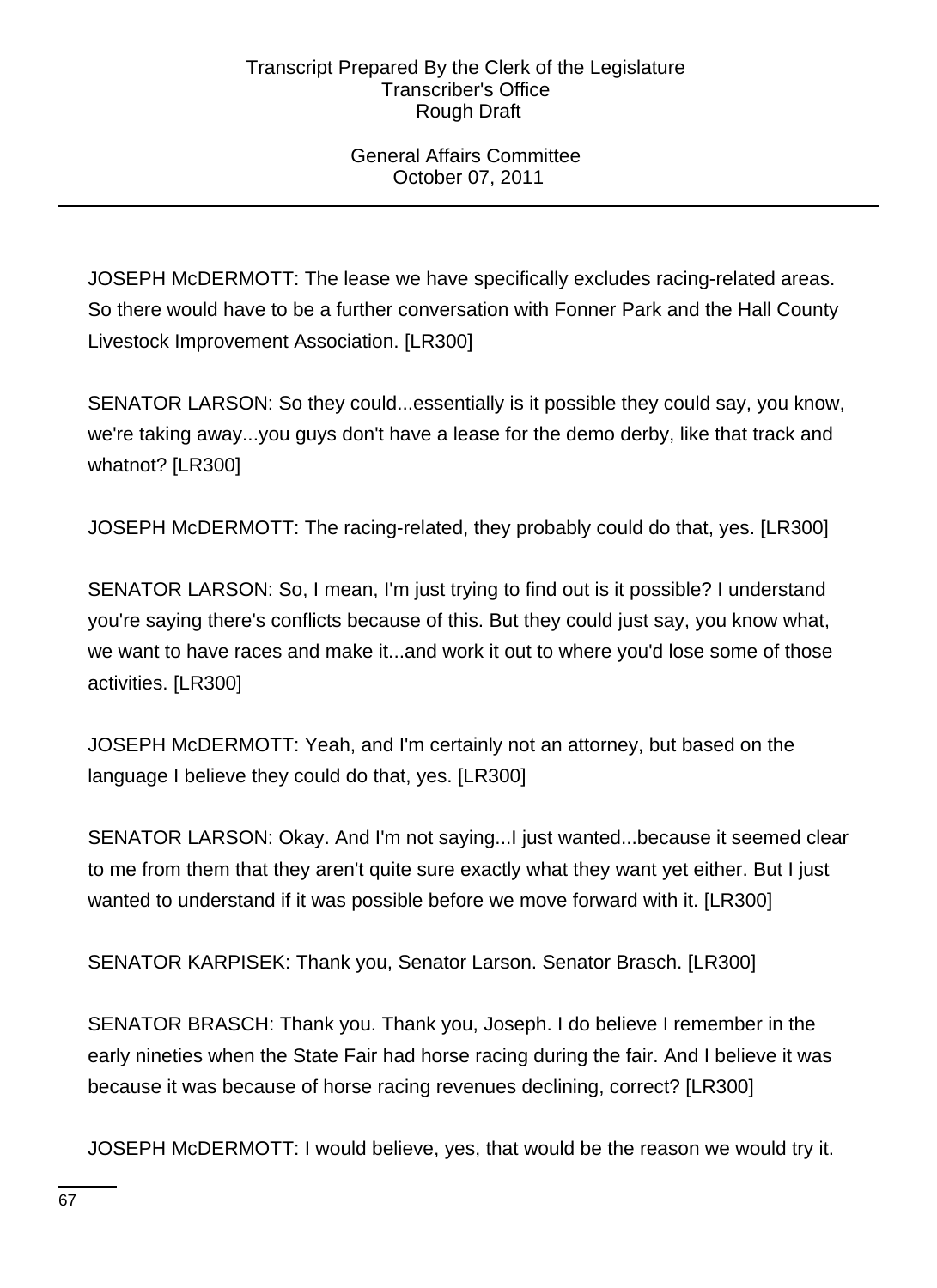# General Affairs Committee October 07, 2011

JOSEPH McDERMOTT: The lease we have specifically excludes racing-related areas. So there would have to be a further conversation with Fonner Park and the Hall County Livestock Improvement Association. [LR300]

SENATOR LARSON: So they could...essentially is it possible they could say, you know, we're taking away...you guys don't have a lease for the demo derby, like that track and whatnot? [LR300]

JOSEPH McDERMOTT: The racing-related, they probably could do that, yes. [LR300]

SENATOR LARSON: So, I mean, I'm just trying to find out is it possible? I understand you're saying there's conflicts because of this. But they could just say, you know what, we want to have races and make it...and work it out to where you'd lose some of those activities. [LR300]

JOSEPH McDERMOTT: Yeah, and I'm certainly not an attorney, but based on the language I believe they could do that, yes. [LR300]

SENATOR LARSON: Okay. And I'm not saying...I just wanted...because it seemed clear to me from them that they aren't quite sure exactly what they want yet either. But I just wanted to understand if it was possible before we move forward with it. [LR300]

SENATOR KARPISEK: Thank you, Senator Larson. Senator Brasch. [LR300]

SENATOR BRASCH: Thank you. Thank you, Joseph. I do believe I remember in the early nineties when the State Fair had horse racing during the fair. And I believe it was because it was because of horse racing revenues declining, correct? [LR300]

JOSEPH McDERMOTT: I would believe, yes, that would be the reason we would try it.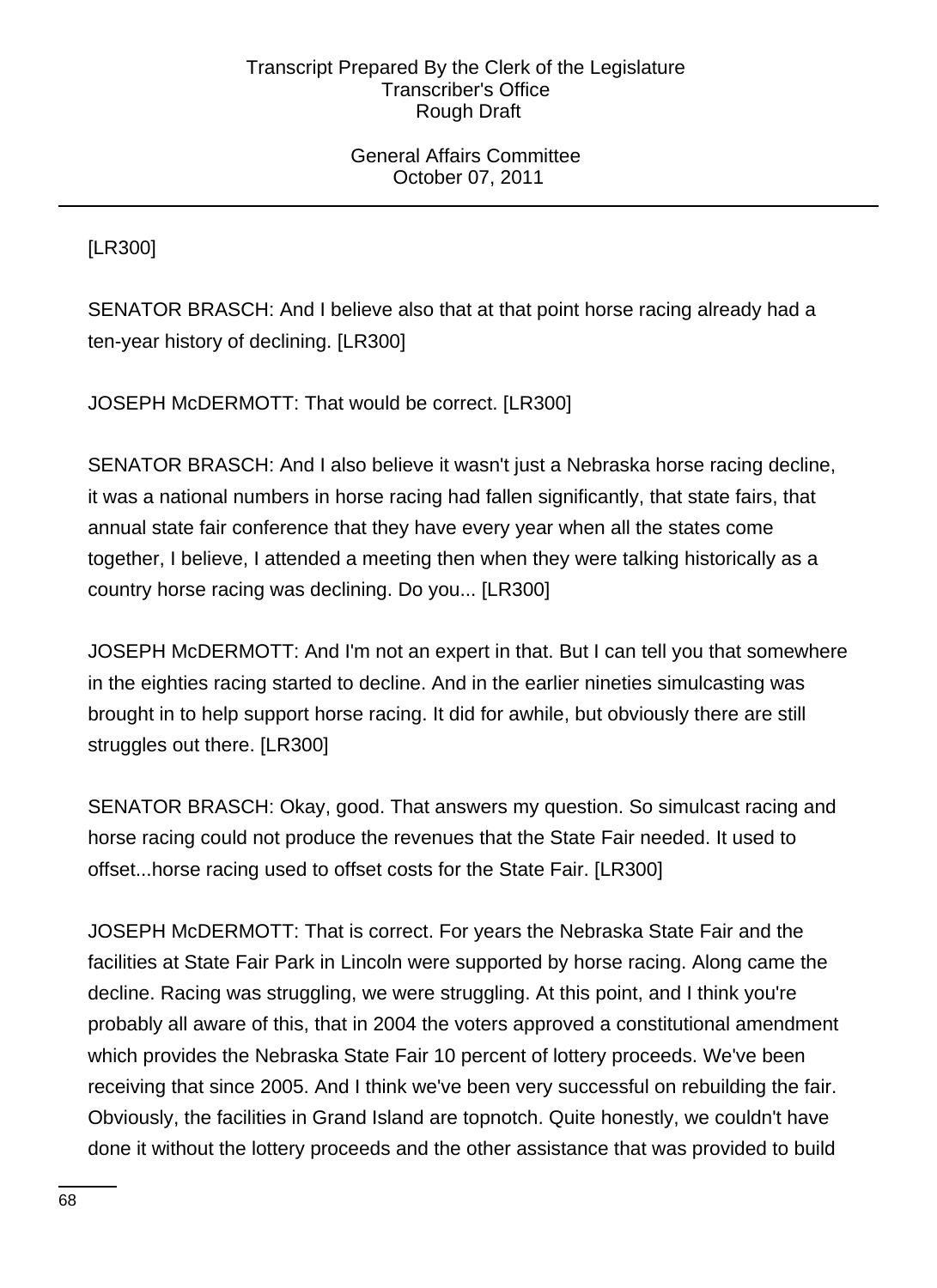General Affairs Committee October 07, 2011

[LR300]

SENATOR BRASCH: And I believe also that at that point horse racing already had a ten-year history of declining. [LR300]

JOSEPH McDERMOTT: That would be correct. [LR300]

SENATOR BRASCH: And I also believe it wasn't just a Nebraska horse racing decline, it was a national numbers in horse racing had fallen significantly, that state fairs, that annual state fair conference that they have every year when all the states come together, I believe, I attended a meeting then when they were talking historically as a country horse racing was declining. Do you... [LR300]

JOSEPH McDERMOTT: And I'm not an expert in that. But I can tell you that somewhere in the eighties racing started to decline. And in the earlier nineties simulcasting was brought in to help support horse racing. It did for awhile, but obviously there are still struggles out there. [LR300]

SENATOR BRASCH: Okay, good. That answers my question. So simulcast racing and horse racing could not produce the revenues that the State Fair needed. It used to offset...horse racing used to offset costs for the State Fair. [LR300]

JOSEPH McDERMOTT: That is correct. For years the Nebraska State Fair and the facilities at State Fair Park in Lincoln were supported by horse racing. Along came the decline. Racing was struggling, we were struggling. At this point, and I think you're probably all aware of this, that in 2004 the voters approved a constitutional amendment which provides the Nebraska State Fair 10 percent of lottery proceeds. We've been receiving that since 2005. And I think we've been very successful on rebuilding the fair. Obviously, the facilities in Grand Island are topnotch. Quite honestly, we couldn't have done it without the lottery proceeds and the other assistance that was provided to build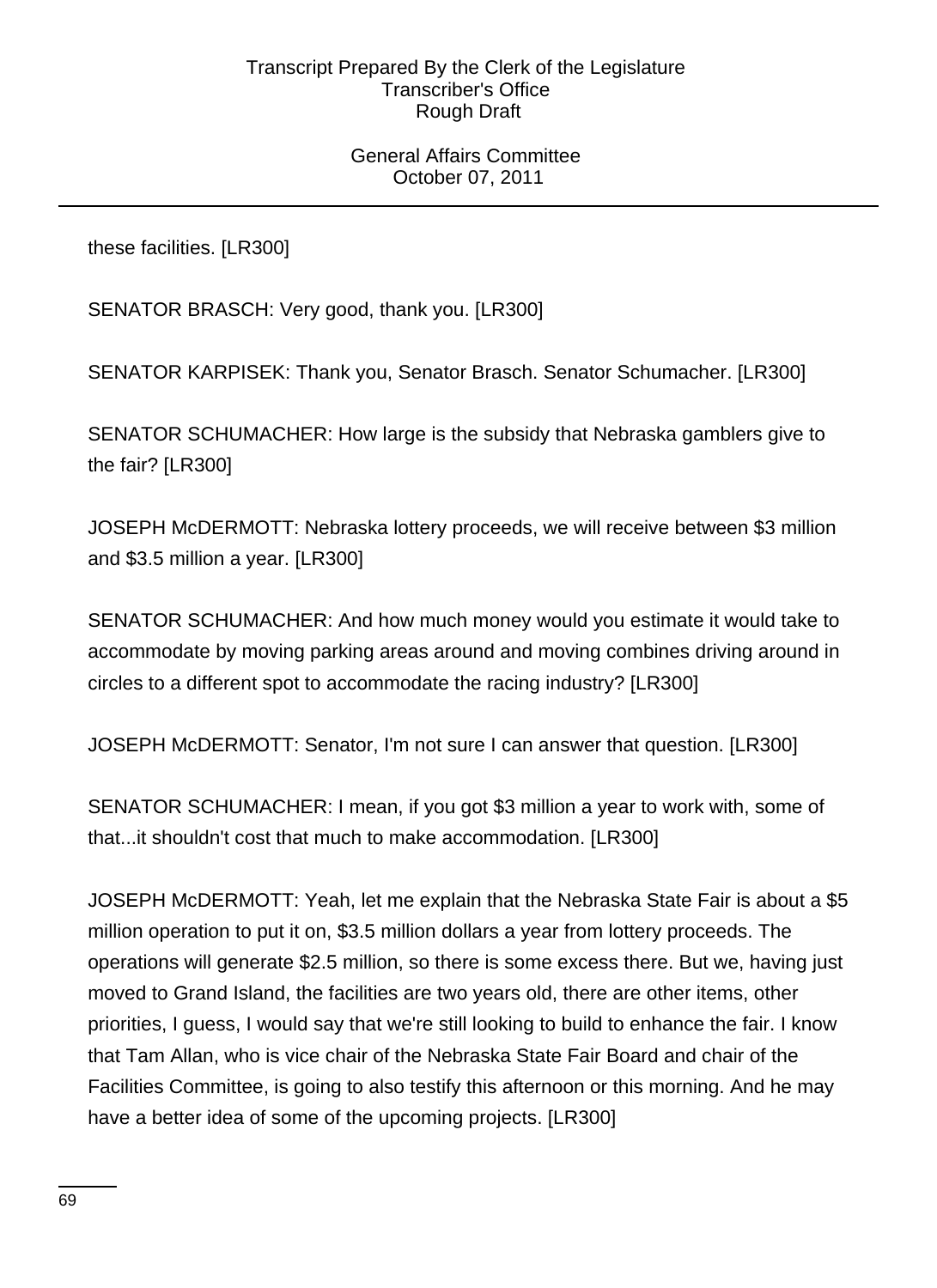## General Affairs Committee October 07, 2011

these facilities. [LR300]

SENATOR BRASCH: Very good, thank you. [LR300]

SENATOR KARPISEK: Thank you, Senator Brasch. Senator Schumacher. [LR300]

SENATOR SCHUMACHER: How large is the subsidy that Nebraska gamblers give to the fair? [LR300]

JOSEPH McDERMOTT: Nebraska lottery proceeds, we will receive between \$3 million and \$3.5 million a year. [LR300]

SENATOR SCHUMACHER: And how much money would you estimate it would take to accommodate by moving parking areas around and moving combines driving around in circles to a different spot to accommodate the racing industry? [LR300]

JOSEPH McDERMOTT: Senator, I'm not sure I can answer that question. [LR300]

SENATOR SCHUMACHER: I mean, if you got \$3 million a year to work with, some of that...it shouldn't cost that much to make accommodation. [LR300]

JOSEPH McDERMOTT: Yeah, let me explain that the Nebraska State Fair is about a \$5 million operation to put it on, \$3.5 million dollars a year from lottery proceeds. The operations will generate \$2.5 million, so there is some excess there. But we, having just moved to Grand Island, the facilities are two years old, there are other items, other priorities, I guess, I would say that we're still looking to build to enhance the fair. I know that Tam Allan, who is vice chair of the Nebraska State Fair Board and chair of the Facilities Committee, is going to also testify this afternoon or this morning. And he may have a better idea of some of the upcoming projects. [LR300]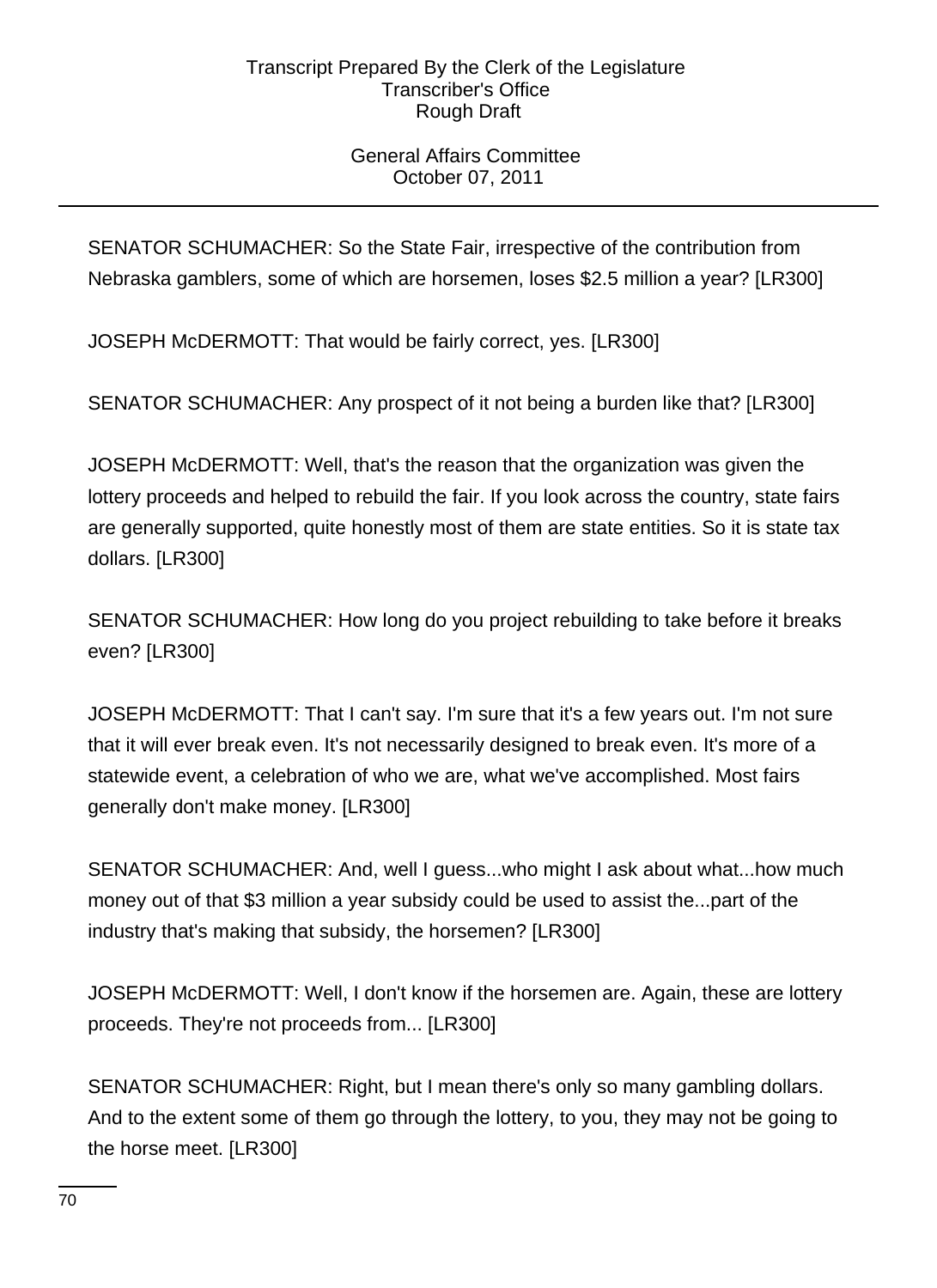# General Affairs Committee October 07, 2011

SENATOR SCHUMACHER: So the State Fair, irrespective of the contribution from Nebraska gamblers, some of which are horsemen, loses \$2.5 million a year? [LR300]

JOSEPH McDERMOTT: That would be fairly correct, yes. [LR300]

SENATOR SCHUMACHER: Any prospect of it not being a burden like that? [LR300]

JOSEPH McDERMOTT: Well, that's the reason that the organization was given the lottery proceeds and helped to rebuild the fair. If you look across the country, state fairs are generally supported, quite honestly most of them are state entities. So it is state tax dollars. [LR300]

SENATOR SCHUMACHER: How long do you project rebuilding to take before it breaks even? [LR300]

JOSEPH McDERMOTT: That I can't say. I'm sure that it's a few years out. I'm not sure that it will ever break even. It's not necessarily designed to break even. It's more of a statewide event, a celebration of who we are, what we've accomplished. Most fairs generally don't make money. [LR300]

SENATOR SCHUMACHER: And, well I guess...who might I ask about what...how much money out of that \$3 million a year subsidy could be used to assist the...part of the industry that's making that subsidy, the horsemen? [LR300]

JOSEPH McDERMOTT: Well, I don't know if the horsemen are. Again, these are lottery proceeds. They're not proceeds from... [LR300]

SENATOR SCHUMACHER: Right, but I mean there's only so many gambling dollars. And to the extent some of them go through the lottery, to you, they may not be going to the horse meet. [LR300]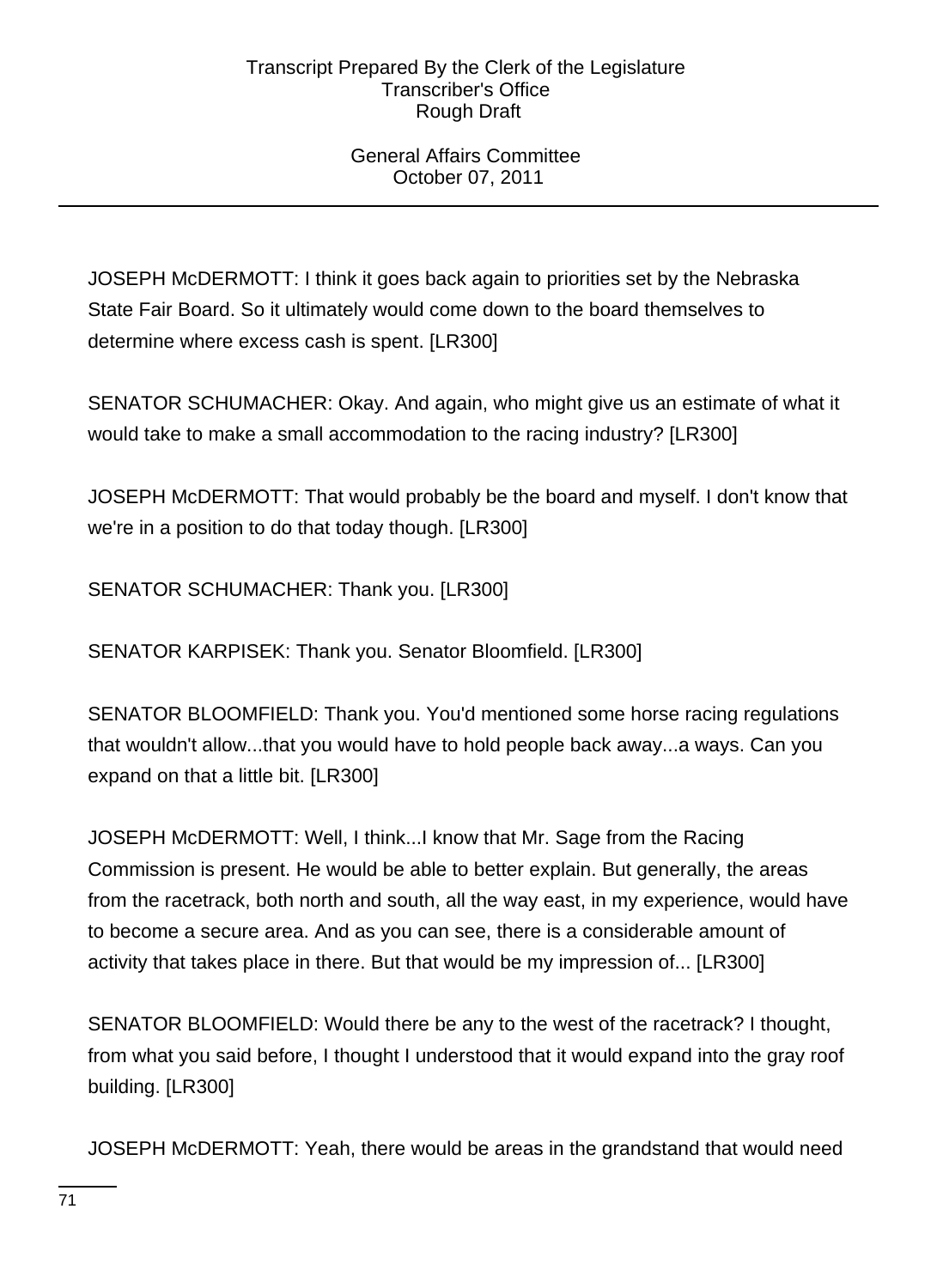# General Affairs Committee October 07, 2011

JOSEPH McDERMOTT: I think it goes back again to priorities set by the Nebraska State Fair Board. So it ultimately would come down to the board themselves to determine where excess cash is spent. [LR300]

SENATOR SCHUMACHER: Okay. And again, who might give us an estimate of what it would take to make a small accommodation to the racing industry? [LR300]

JOSEPH McDERMOTT: That would probably be the board and myself. I don't know that we're in a position to do that today though. [LR300]

SENATOR SCHUMACHER: Thank you. [LR300]

SENATOR KARPISEK: Thank you. Senator Bloomfield. [LR300]

SENATOR BLOOMFIELD: Thank you. You'd mentioned some horse racing regulations that wouldn't allow...that you would have to hold people back away...a ways. Can you expand on that a little bit. [LR300]

JOSEPH McDERMOTT: Well, I think...I know that Mr. Sage from the Racing Commission is present. He would be able to better explain. But generally, the areas from the racetrack, both north and south, all the way east, in my experience, would have to become a secure area. And as you can see, there is a considerable amount of activity that takes place in there. But that would be my impression of... [LR300]

SENATOR BLOOMFIELD: Would there be any to the west of the racetrack? I thought, from what you said before, I thought I understood that it would expand into the gray roof building. [LR300]

JOSEPH McDERMOTT: Yeah, there would be areas in the grandstand that would need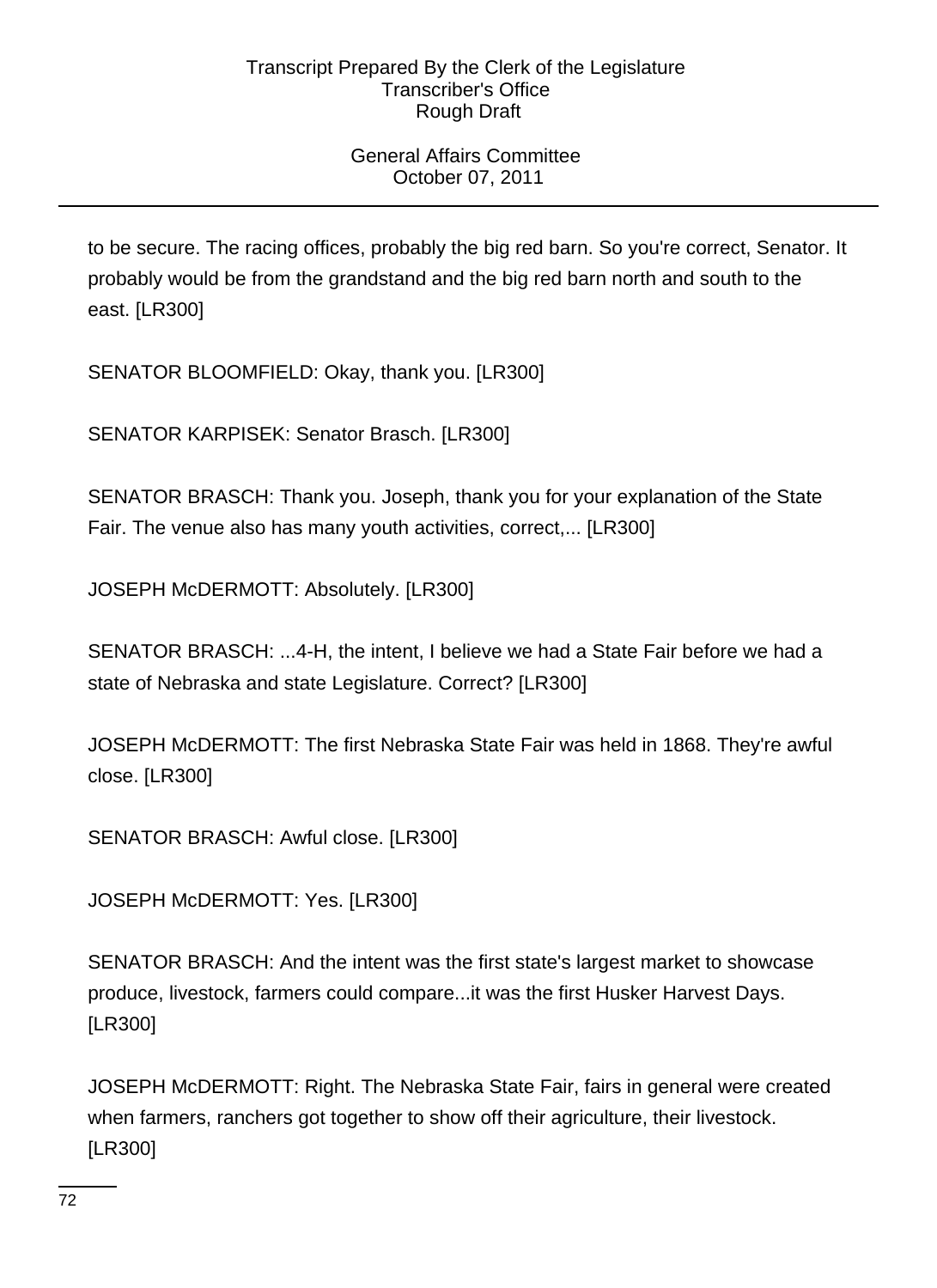# General Affairs Committee October 07, 2011

to be secure. The racing offices, probably the big red barn. So you're correct, Senator. It probably would be from the grandstand and the big red barn north and south to the east. [LR300]

SENATOR BLOOMFIELD: Okay, thank you. [LR300]

SENATOR KARPISEK: Senator Brasch. [LR300]

SENATOR BRASCH: Thank you. Joseph, thank you for your explanation of the State Fair. The venue also has many youth activities, correct,... [LR300]

JOSEPH McDERMOTT: Absolutely. [LR300]

SENATOR BRASCH: ...4-H, the intent, I believe we had a State Fair before we had a state of Nebraska and state Legislature. Correct? [LR300]

JOSEPH McDERMOTT: The first Nebraska State Fair was held in 1868. They're awful close. [LR300]

SENATOR BRASCH: Awful close. [LR300]

JOSEPH McDERMOTT: Yes. [LR300]

SENATOR BRASCH: And the intent was the first state's largest market to showcase produce, livestock, farmers could compare...it was the first Husker Harvest Days. [LR300]

JOSEPH McDERMOTT: Right. The Nebraska State Fair, fairs in general were created when farmers, ranchers got together to show off their agriculture, their livestock. [LR300]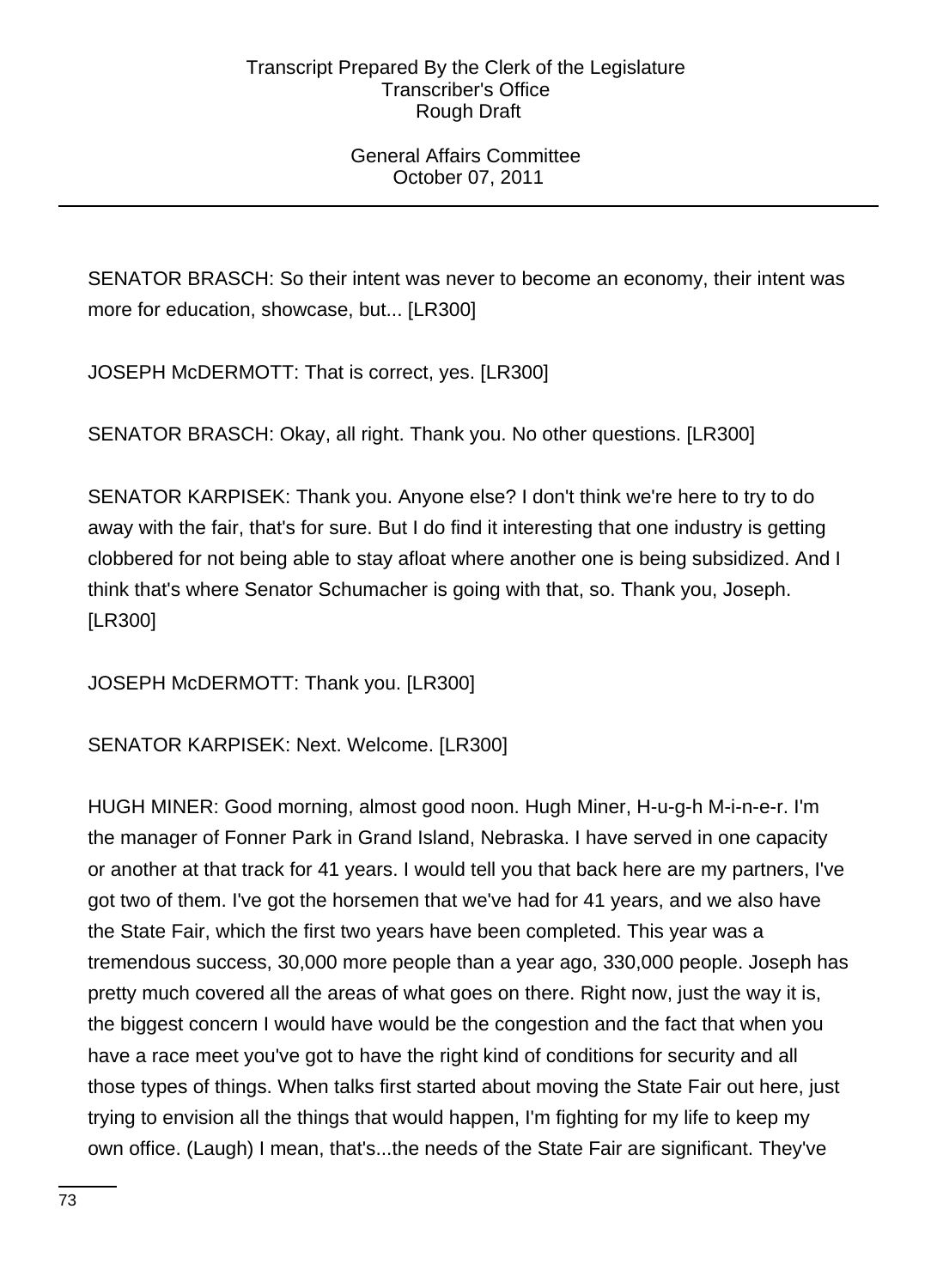## General Affairs Committee October 07, 2011

SENATOR BRASCH: So their intent was never to become an economy, their intent was more for education, showcase, but... [LR300]

JOSEPH McDERMOTT: That is correct, yes. [LR300]

SENATOR BRASCH: Okay, all right. Thank you. No other questions. [LR300]

SENATOR KARPISEK: Thank you. Anyone else? I don't think we're here to try to do away with the fair, that's for sure. But I do find it interesting that one industry is getting clobbered for not being able to stay afloat where another one is being subsidized. And I think that's where Senator Schumacher is going with that, so. Thank you, Joseph. [LR300]

JOSEPH McDERMOTT: Thank you. [LR300]

SENATOR KARPISEK: Next. Welcome. [LR300]

HUGH MINER: Good morning, almost good noon. Hugh Miner, H-u-g-h M-i-n-e-r. I'm the manager of Fonner Park in Grand Island, Nebraska. I have served in one capacity or another at that track for 41 years. I would tell you that back here are my partners, I've got two of them. I've got the horsemen that we've had for 41 years, and we also have the State Fair, which the first two years have been completed. This year was a tremendous success, 30,000 more people than a year ago, 330,000 people. Joseph has pretty much covered all the areas of what goes on there. Right now, just the way it is, the biggest concern I would have would be the congestion and the fact that when you have a race meet you've got to have the right kind of conditions for security and all those types of things. When talks first started about moving the State Fair out here, just trying to envision all the things that would happen, I'm fighting for my life to keep my own office. (Laugh) I mean, that's...the needs of the State Fair are significant. They've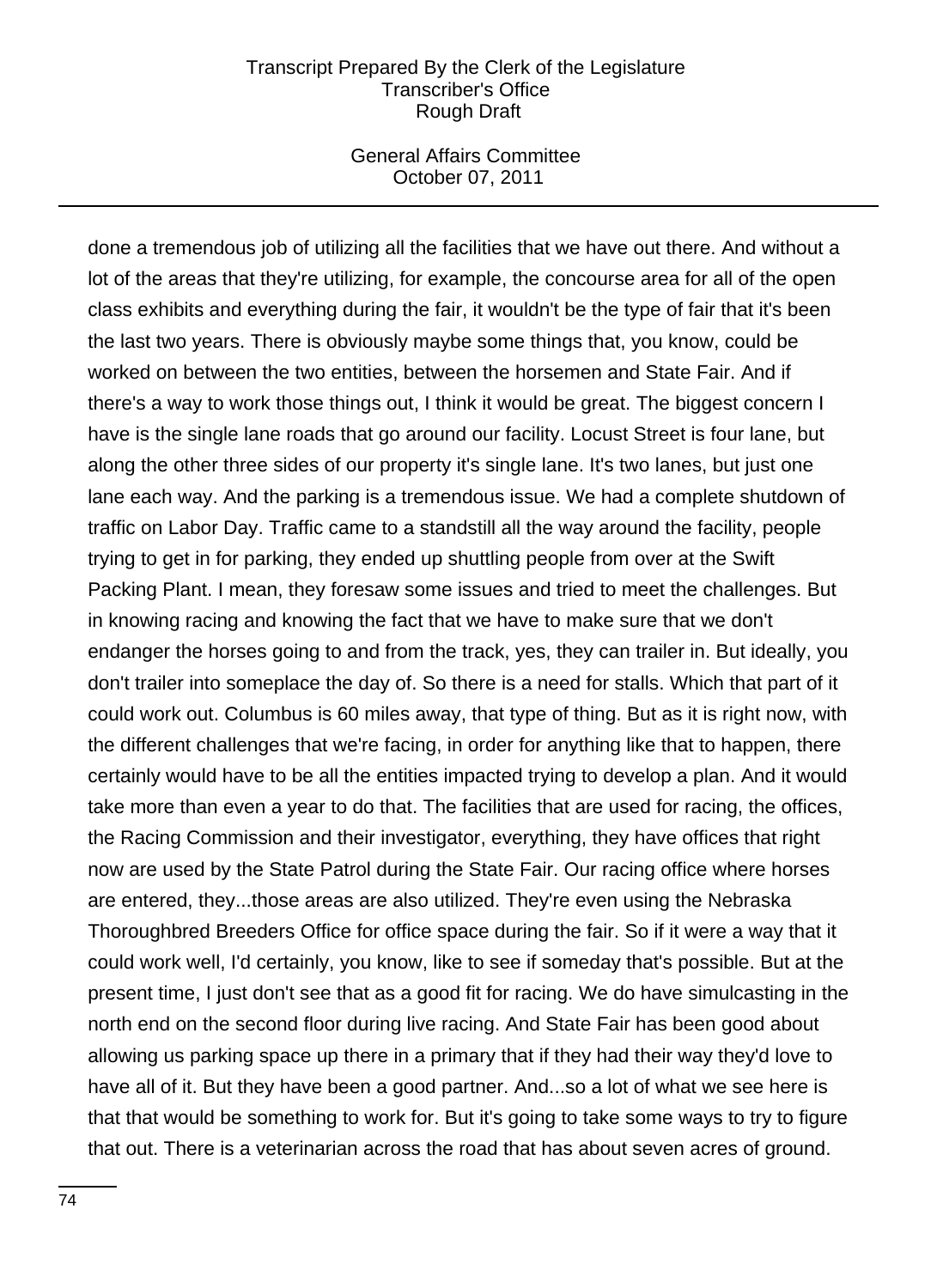#### General Affairs Committee October 07, 2011

done a tremendous job of utilizing all the facilities that we have out there. And without a lot of the areas that they're utilizing, for example, the concourse area for all of the open class exhibits and everything during the fair, it wouldn't be the type of fair that it's been the last two years. There is obviously maybe some things that, you know, could be worked on between the two entities, between the horsemen and State Fair. And if there's a way to work those things out, I think it would be great. The biggest concern I have is the single lane roads that go around our facility. Locust Street is four lane, but along the other three sides of our property it's single lane. It's two lanes, but just one lane each way. And the parking is a tremendous issue. We had a complete shutdown of traffic on Labor Day. Traffic came to a standstill all the way around the facility, people trying to get in for parking, they ended up shuttling people from over at the Swift Packing Plant. I mean, they foresaw some issues and tried to meet the challenges. But in knowing racing and knowing the fact that we have to make sure that we don't endanger the horses going to and from the track, yes, they can trailer in. But ideally, you don't trailer into someplace the day of. So there is a need for stalls. Which that part of it could work out. Columbus is 60 miles away, that type of thing. But as it is right now, with the different challenges that we're facing, in order for anything like that to happen, there certainly would have to be all the entities impacted trying to develop a plan. And it would take more than even a year to do that. The facilities that are used for racing, the offices, the Racing Commission and their investigator, everything, they have offices that right now are used by the State Patrol during the State Fair. Our racing office where horses are entered, they...those areas are also utilized. They're even using the Nebraska Thoroughbred Breeders Office for office space during the fair. So if it were a way that it could work well, I'd certainly, you know, like to see if someday that's possible. But at the present time, I just don't see that as a good fit for racing. We do have simulcasting in the north end on the second floor during live racing. And State Fair has been good about allowing us parking space up there in a primary that if they had their way they'd love to have all of it. But they have been a good partner. And...so a lot of what we see here is that that would be something to work for. But it's going to take some ways to try to figure that out. There is a veterinarian across the road that has about seven acres of ground.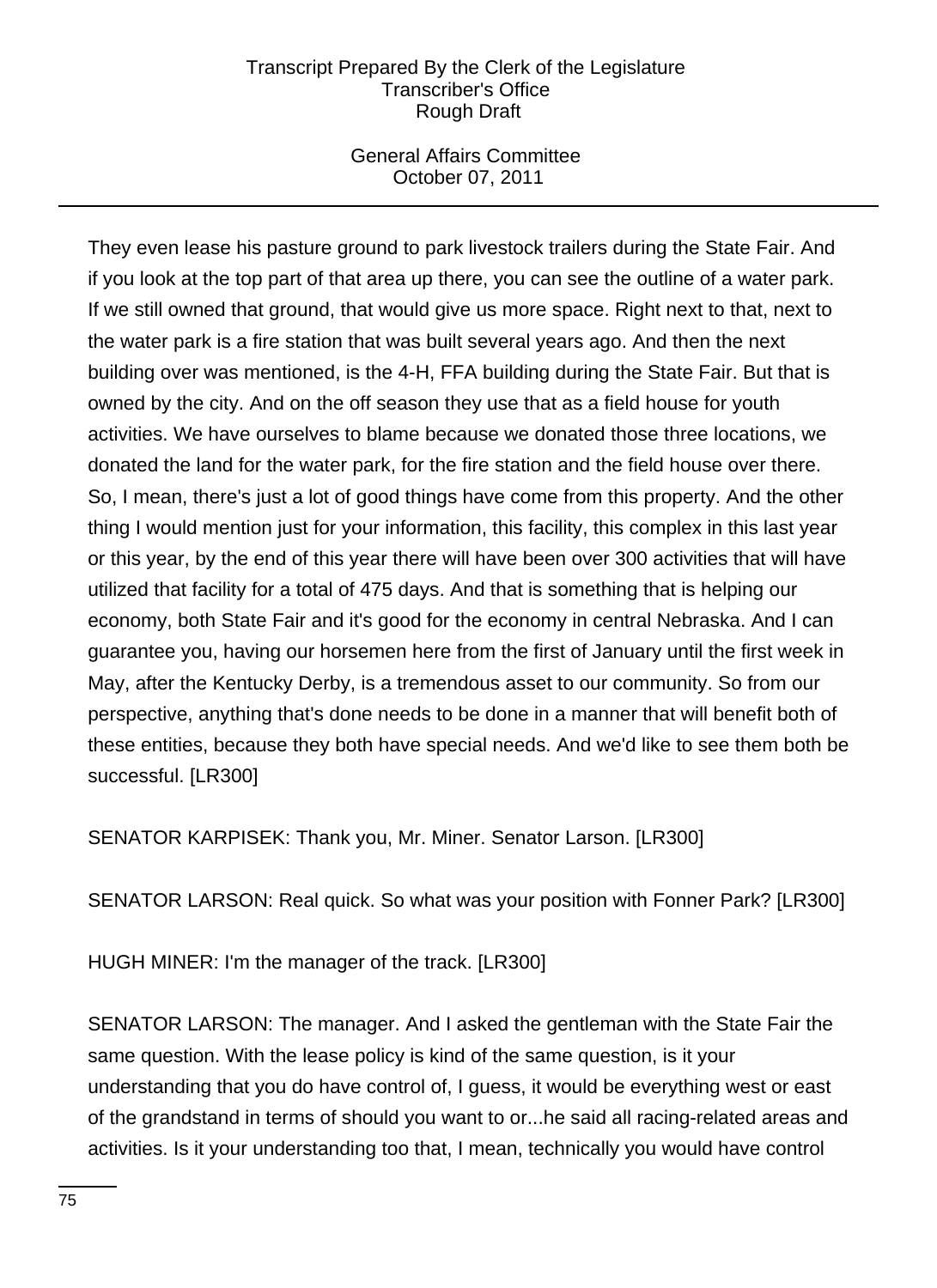## General Affairs Committee October 07, 2011

They even lease his pasture ground to park livestock trailers during the State Fair. And if you look at the top part of that area up there, you can see the outline of a water park. If we still owned that ground, that would give us more space. Right next to that, next to the water park is a fire station that was built several years ago. And then the next building over was mentioned, is the 4-H, FFA building during the State Fair. But that is owned by the city. And on the off season they use that as a field house for youth activities. We have ourselves to blame because we donated those three locations, we donated the land for the water park, for the fire station and the field house over there. So, I mean, there's just a lot of good things have come from this property. And the other thing I would mention just for your information, this facility, this complex in this last year or this year, by the end of this year there will have been over 300 activities that will have utilized that facility for a total of 475 days. And that is something that is helping our economy, both State Fair and it's good for the economy in central Nebraska. And I can guarantee you, having our horsemen here from the first of January until the first week in May, after the Kentucky Derby, is a tremendous asset to our community. So from our perspective, anything that's done needs to be done in a manner that will benefit both of these entities, because they both have special needs. And we'd like to see them both be successful. [LR300]

SENATOR KARPISEK: Thank you, Mr. Miner. Senator Larson. [LR300]

SENATOR LARSON: Real quick. So what was your position with Fonner Park? [LR300]

HUGH MINER: I'm the manager of the track. [LR300]

SENATOR LARSON: The manager. And I asked the gentleman with the State Fair the same question. With the lease policy is kind of the same question, is it your understanding that you do have control of, I guess, it would be everything west or east of the grandstand in terms of should you want to or...he said all racing-related areas and activities. Is it your understanding too that, I mean, technically you would have control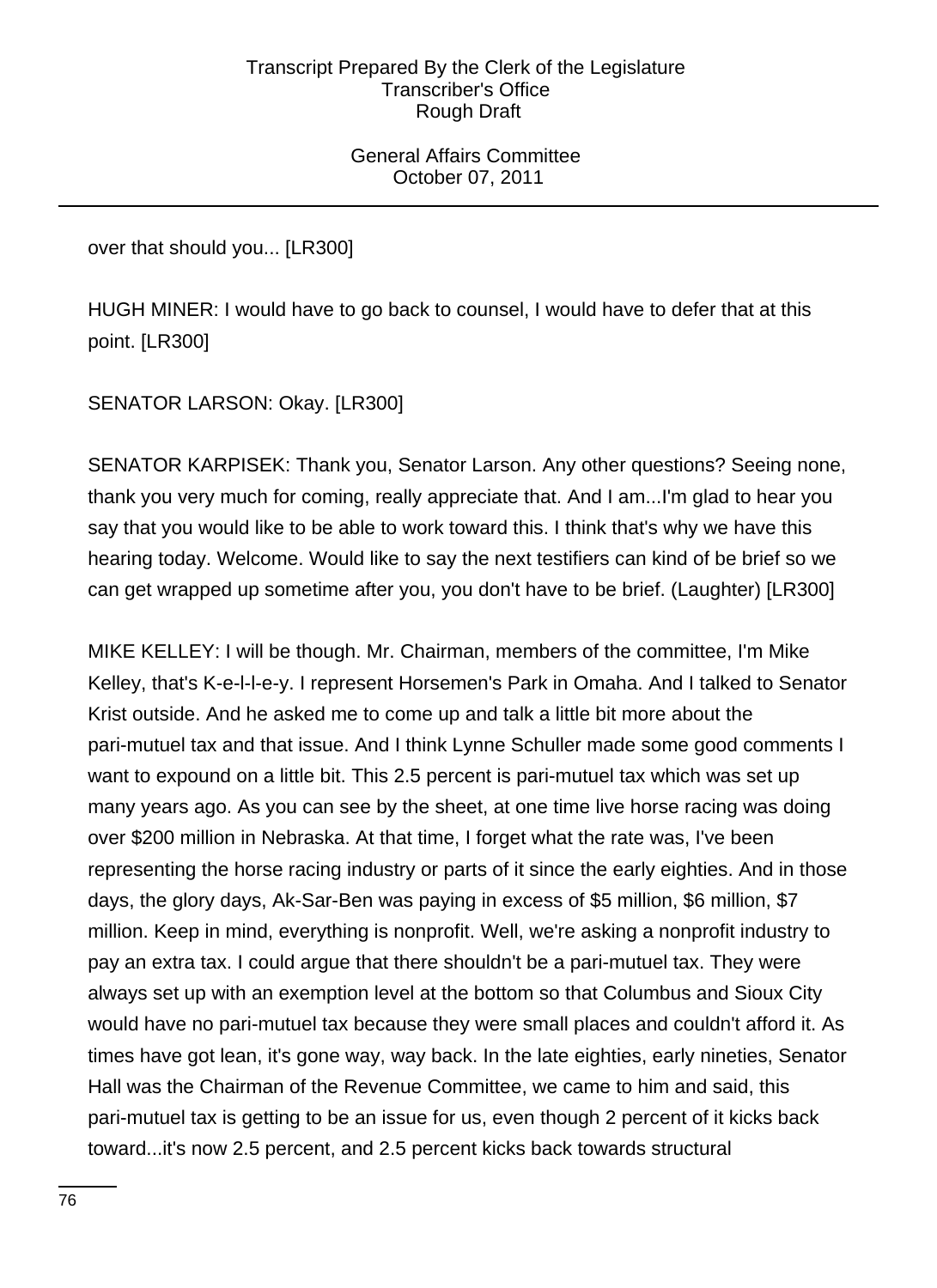General Affairs Committee October 07, 2011

over that should you... [LR300]

HUGH MINER: I would have to go back to counsel, I would have to defer that at this point. [LR300]

SENATOR LARSON: Okay. [LR300]

SENATOR KARPISEK: Thank you, Senator Larson. Any other questions? Seeing none, thank you very much for coming, really appreciate that. And I am...I'm glad to hear you say that you would like to be able to work toward this. I think that's why we have this hearing today. Welcome. Would like to say the next testifiers can kind of be brief so we can get wrapped up sometime after you, you don't have to be brief. (Laughter) [LR300]

MIKE KELLEY: I will be though. Mr. Chairman, members of the committee, I'm Mike Kelley, that's K-e-l-l-e-y. I represent Horsemen's Park in Omaha. And I talked to Senator Krist outside. And he asked me to come up and talk a little bit more about the pari-mutuel tax and that issue. And I think Lynne Schuller made some good comments I want to expound on a little bit. This 2.5 percent is pari-mutuel tax which was set up many years ago. As you can see by the sheet, at one time live horse racing was doing over \$200 million in Nebraska. At that time, I forget what the rate was, I've been representing the horse racing industry or parts of it since the early eighties. And in those days, the glory days, Ak-Sar-Ben was paying in excess of \$5 million, \$6 million, \$7 million. Keep in mind, everything is nonprofit. Well, we're asking a nonprofit industry to pay an extra tax. I could argue that there shouldn't be a pari-mutuel tax. They were always set up with an exemption level at the bottom so that Columbus and Sioux City would have no pari-mutuel tax because they were small places and couldn't afford it. As times have got lean, it's gone way, way back. In the late eighties, early nineties, Senator Hall was the Chairman of the Revenue Committee, we came to him and said, this pari-mutuel tax is getting to be an issue for us, even though 2 percent of it kicks back toward...it's now 2.5 percent, and 2.5 percent kicks back towards structural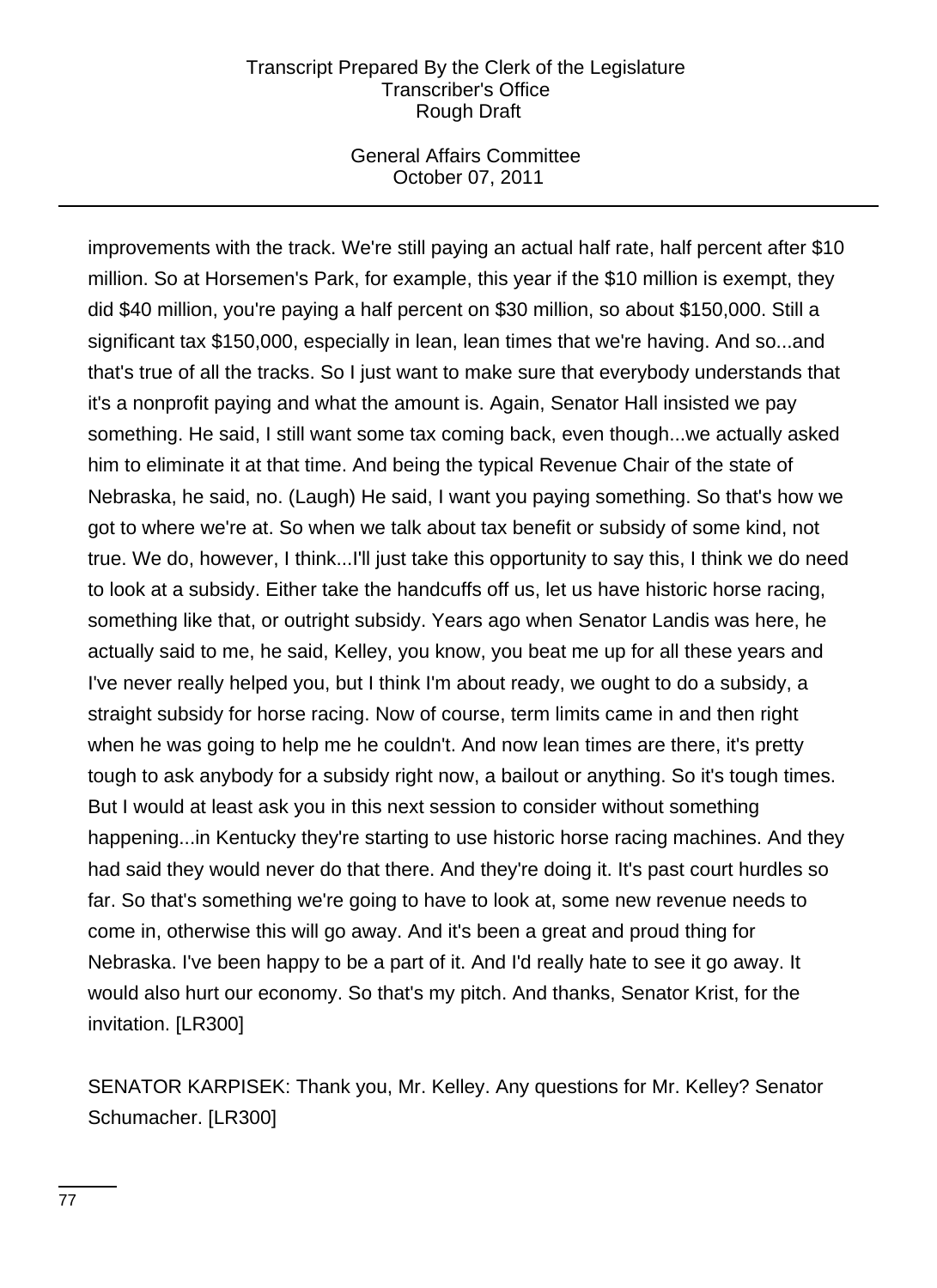### General Affairs Committee October 07, 2011

improvements with the track. We're still paying an actual half rate, half percent after \$10 million. So at Horsemen's Park, for example, this year if the \$10 million is exempt, they did \$40 million, you're paying a half percent on \$30 million, so about \$150,000. Still a significant tax \$150,000, especially in lean, lean times that we're having. And so...and that's true of all the tracks. So I just want to make sure that everybody understands that it's a nonprofit paying and what the amount is. Again, Senator Hall insisted we pay something. He said, I still want some tax coming back, even though...we actually asked him to eliminate it at that time. And being the typical Revenue Chair of the state of Nebraska, he said, no. (Laugh) He said, I want you paying something. So that's how we got to where we're at. So when we talk about tax benefit or subsidy of some kind, not true. We do, however, I think...I'll just take this opportunity to say this, I think we do need to look at a subsidy. Either take the handcuffs off us, let us have historic horse racing, something like that, or outright subsidy. Years ago when Senator Landis was here, he actually said to me, he said, Kelley, you know, you beat me up for all these years and I've never really helped you, but I think I'm about ready, we ought to do a subsidy, a straight subsidy for horse racing. Now of course, term limits came in and then right when he was going to help me he couldn't. And now lean times are there, it's pretty tough to ask anybody for a subsidy right now, a bailout or anything. So it's tough times. But I would at least ask you in this next session to consider without something happening...in Kentucky they're starting to use historic horse racing machines. And they had said they would never do that there. And they're doing it. It's past court hurdles so far. So that's something we're going to have to look at, some new revenue needs to come in, otherwise this will go away. And it's been a great and proud thing for Nebraska. I've been happy to be a part of it. And I'd really hate to see it go away. It would also hurt our economy. So that's my pitch. And thanks, Senator Krist, for the invitation. [LR300]

SENATOR KARPISEK: Thank you, Mr. Kelley. Any questions for Mr. Kelley? Senator Schumacher. [LR300]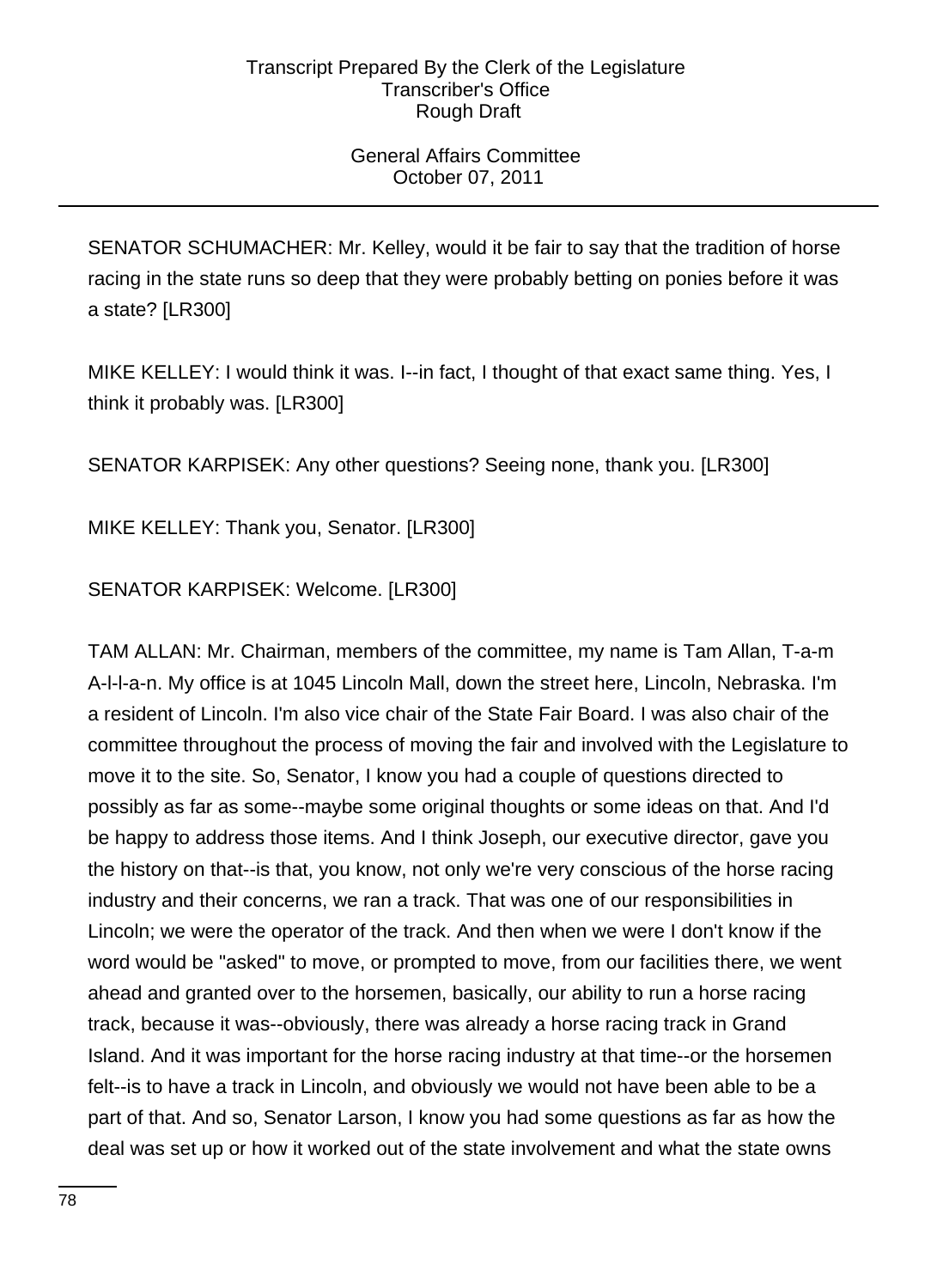# General Affairs Committee October 07, 2011

SENATOR SCHUMACHER: Mr. Kelley, would it be fair to say that the tradition of horse racing in the state runs so deep that they were probably betting on ponies before it was a state? [LR300]

MIKE KELLEY: I would think it was. I--in fact, I thought of that exact same thing. Yes, I think it probably was. [LR300]

SENATOR KARPISEK: Any other questions? Seeing none, thank you. [LR300]

MIKE KELLEY: Thank you, Senator. [LR300]

SENATOR KARPISEK: Welcome. [LR300]

TAM ALLAN: Mr. Chairman, members of the committee, my name is Tam Allan, T-a-m A-l-l-a-n. My office is at 1045 Lincoln Mall, down the street here, Lincoln, Nebraska. I'm a resident of Lincoln. I'm also vice chair of the State Fair Board. I was also chair of the committee throughout the process of moving the fair and involved with the Legislature to move it to the site. So, Senator, I know you had a couple of questions directed to possibly as far as some--maybe some original thoughts or some ideas on that. And I'd be happy to address those items. And I think Joseph, our executive director, gave you the history on that--is that, you know, not only we're very conscious of the horse racing industry and their concerns, we ran a track. That was one of our responsibilities in Lincoln; we were the operator of the track. And then when we were I don't know if the word would be "asked" to move, or prompted to move, from our facilities there, we went ahead and granted over to the horsemen, basically, our ability to run a horse racing track, because it was--obviously, there was already a horse racing track in Grand Island. And it was important for the horse racing industry at that time--or the horsemen felt--is to have a track in Lincoln, and obviously we would not have been able to be a part of that. And so, Senator Larson, I know you had some questions as far as how the deal was set up or how it worked out of the state involvement and what the state owns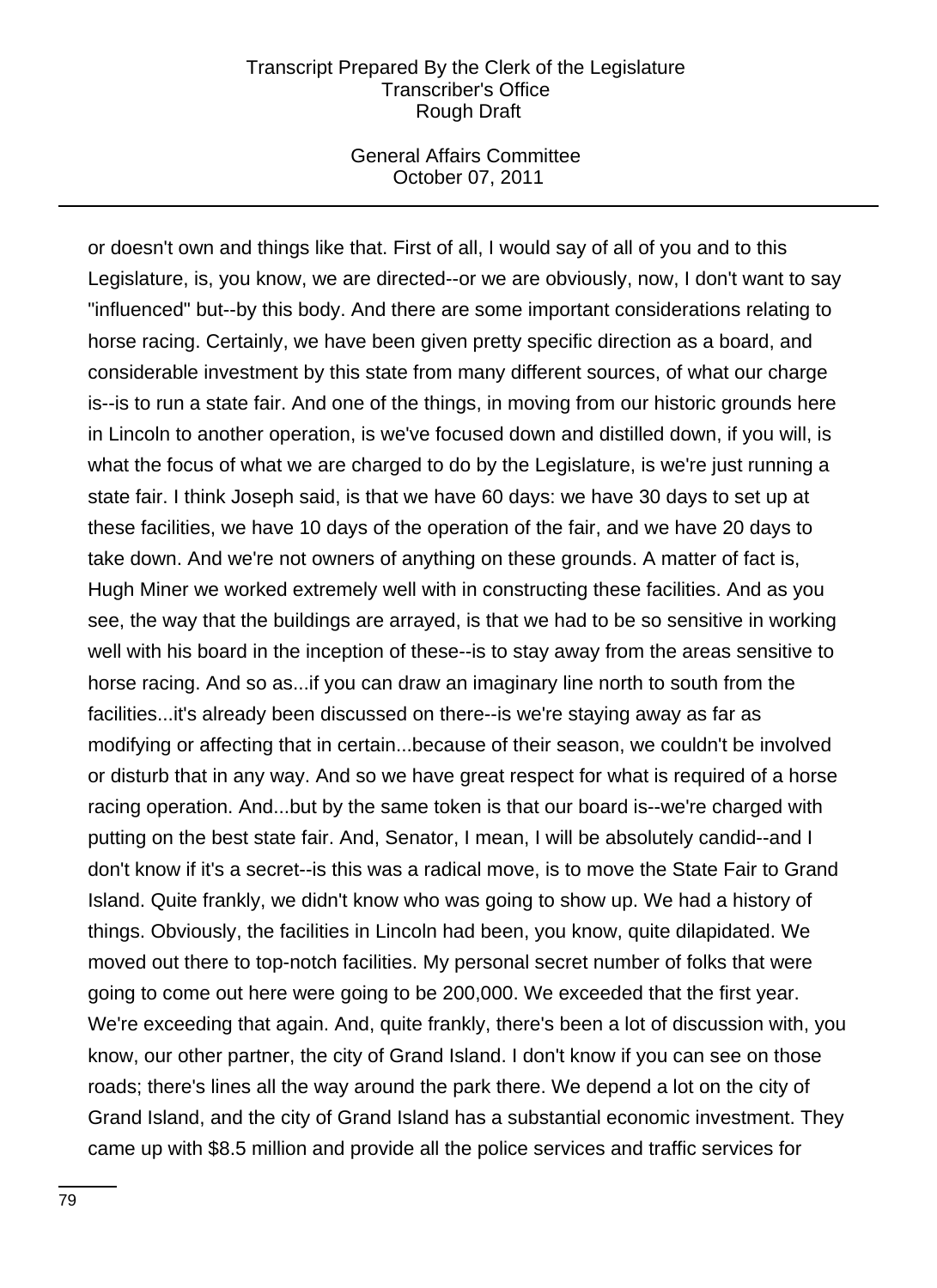#### General Affairs Committee October 07, 2011

or doesn't own and things like that. First of all, I would say of all of you and to this Legislature, is, you know, we are directed--or we are obviously, now, I don't want to say "influenced" but--by this body. And there are some important considerations relating to horse racing. Certainly, we have been given pretty specific direction as a board, and considerable investment by this state from many different sources, of what our charge is--is to run a state fair. And one of the things, in moving from our historic grounds here in Lincoln to another operation, is we've focused down and distilled down, if you will, is what the focus of what we are charged to do by the Legislature, is we're just running a state fair. I think Joseph said, is that we have 60 days: we have 30 days to set up at these facilities, we have 10 days of the operation of the fair, and we have 20 days to take down. And we're not owners of anything on these grounds. A matter of fact is, Hugh Miner we worked extremely well with in constructing these facilities. And as you see, the way that the buildings are arrayed, is that we had to be so sensitive in working well with his board in the inception of these--is to stay away from the areas sensitive to horse racing. And so as...if you can draw an imaginary line north to south from the facilities...it's already been discussed on there--is we're staying away as far as modifying or affecting that in certain...because of their season, we couldn't be involved or disturb that in any way. And so we have great respect for what is required of a horse racing operation. And...but by the same token is that our board is--we're charged with putting on the best state fair. And, Senator, I mean, I will be absolutely candid--and I don't know if it's a secret--is this was a radical move, is to move the State Fair to Grand Island. Quite frankly, we didn't know who was going to show up. We had a history of things. Obviously, the facilities in Lincoln had been, you know, quite dilapidated. We moved out there to top-notch facilities. My personal secret number of folks that were going to come out here were going to be 200,000. We exceeded that the first year. We're exceeding that again. And, quite frankly, there's been a lot of discussion with, you know, our other partner, the city of Grand Island. I don't know if you can see on those roads; there's lines all the way around the park there. We depend a lot on the city of Grand Island, and the city of Grand Island has a substantial economic investment. They came up with \$8.5 million and provide all the police services and traffic services for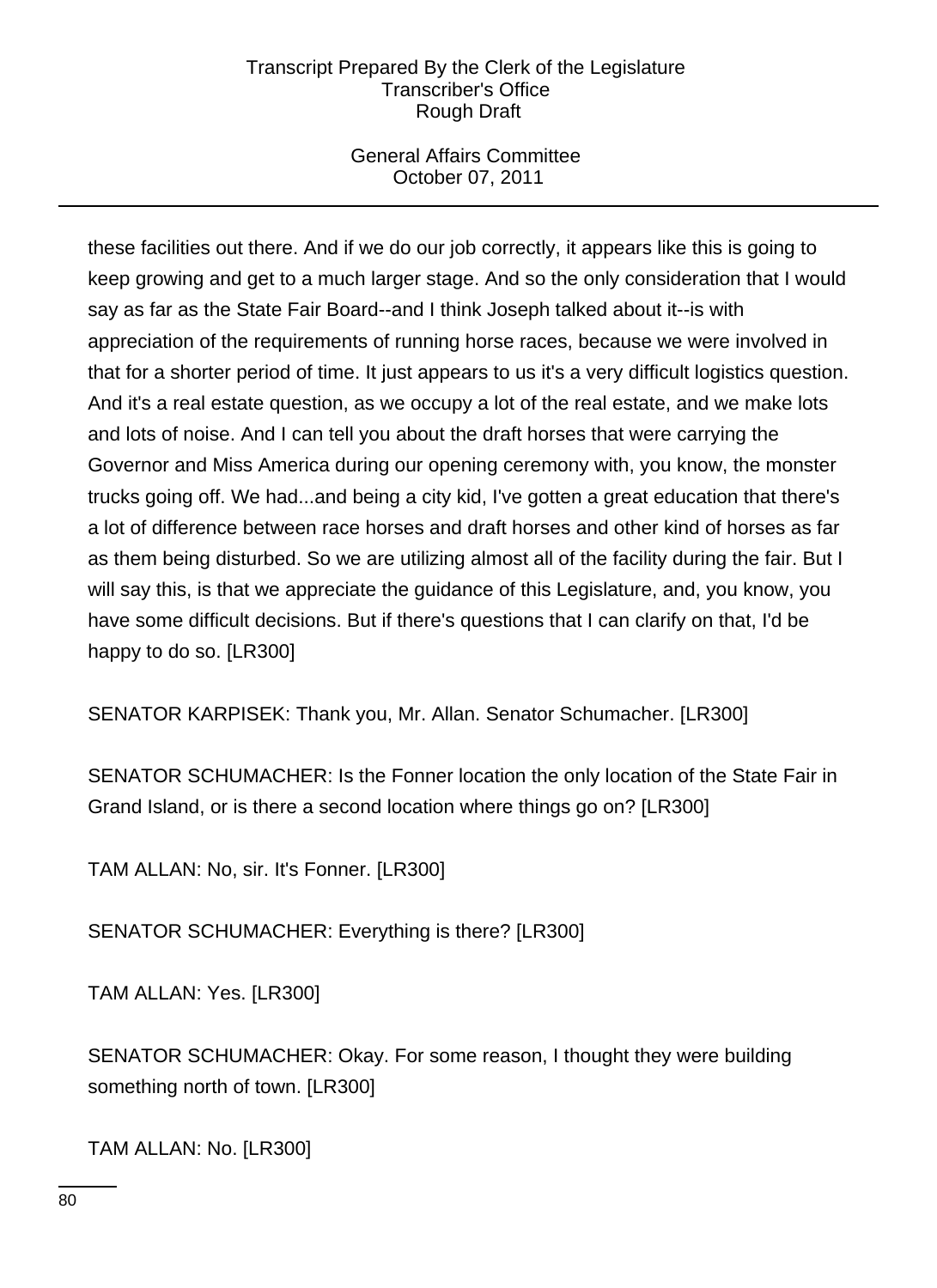## General Affairs Committee October 07, 2011

these facilities out there. And if we do our job correctly, it appears like this is going to keep growing and get to a much larger stage. And so the only consideration that I would say as far as the State Fair Board--and I think Joseph talked about it--is with appreciation of the requirements of running horse races, because we were involved in that for a shorter period of time. It just appears to us it's a very difficult logistics question. And it's a real estate question, as we occupy a lot of the real estate, and we make lots and lots of noise. And I can tell you about the draft horses that were carrying the Governor and Miss America during our opening ceremony with, you know, the monster trucks going off. We had...and being a city kid, I've gotten a great education that there's a lot of difference between race horses and draft horses and other kind of horses as far as them being disturbed. So we are utilizing almost all of the facility during the fair. But I will say this, is that we appreciate the guidance of this Legislature, and, you know, you have some difficult decisions. But if there's questions that I can clarify on that, I'd be happy to do so. [LR300]

SENATOR KARPISEK: Thank you, Mr. Allan. Senator Schumacher. [LR300]

SENATOR SCHUMACHER: Is the Fonner location the only location of the State Fair in Grand Island, or is there a second location where things go on? [LR300]

TAM ALLAN: No, sir. It's Fonner. [LR300]

SENATOR SCHUMACHER: Everything is there? [LR300]

TAM ALLAN: Yes. [LR300]

SENATOR SCHUMACHER: Okay. For some reason, I thought they were building something north of town. [LR300]

TAM ALLAN: No. [LR300]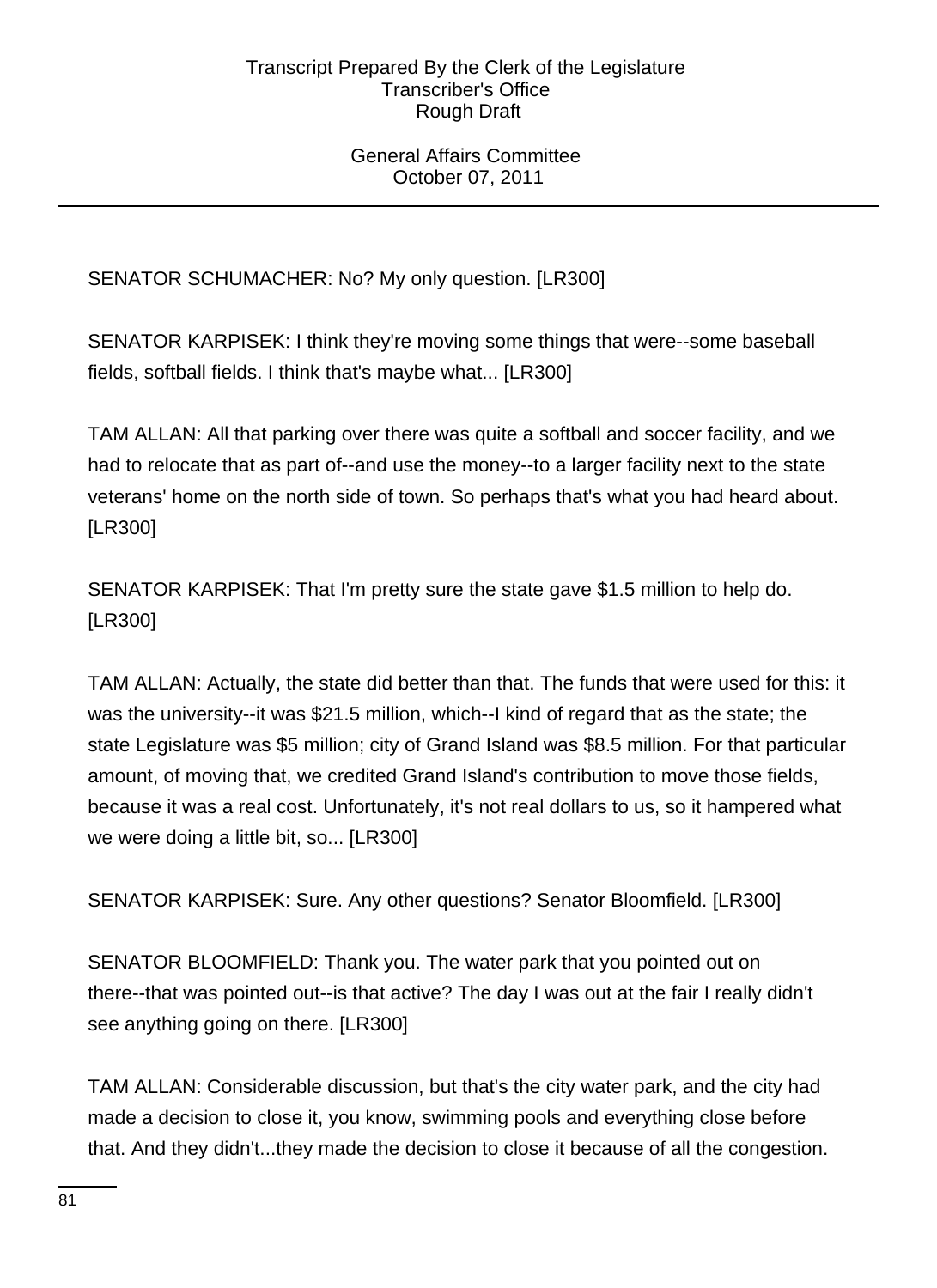### General Affairs Committee October 07, 2011

SENATOR SCHUMACHER: No? My only question. [LR300]

SENATOR KARPISEK: I think they're moving some things that were--some baseball fields, softball fields. I think that's maybe what... [LR300]

TAM ALLAN: All that parking over there was quite a softball and soccer facility, and we had to relocate that as part of--and use the money--to a larger facility next to the state veterans' home on the north side of town. So perhaps that's what you had heard about. [LR300]

SENATOR KARPISEK: That I'm pretty sure the state gave \$1.5 million to help do. [LR300]

TAM ALLAN: Actually, the state did better than that. The funds that were used for this: it was the university--it was \$21.5 million, which--I kind of regard that as the state; the state Legislature was \$5 million; city of Grand Island was \$8.5 million. For that particular amount, of moving that, we credited Grand Island's contribution to move those fields, because it was a real cost. Unfortunately, it's not real dollars to us, so it hampered what we were doing a little bit, so... [LR300]

SENATOR KARPISEK: Sure. Any other questions? Senator Bloomfield. [LR300]

SENATOR BLOOMFIELD: Thank you. The water park that you pointed out on there--that was pointed out--is that active? The day I was out at the fair I really didn't see anything going on there. [LR300]

TAM ALLAN: Considerable discussion, but that's the city water park, and the city had made a decision to close it, you know, swimming pools and everything close before that. And they didn't...they made the decision to close it because of all the congestion.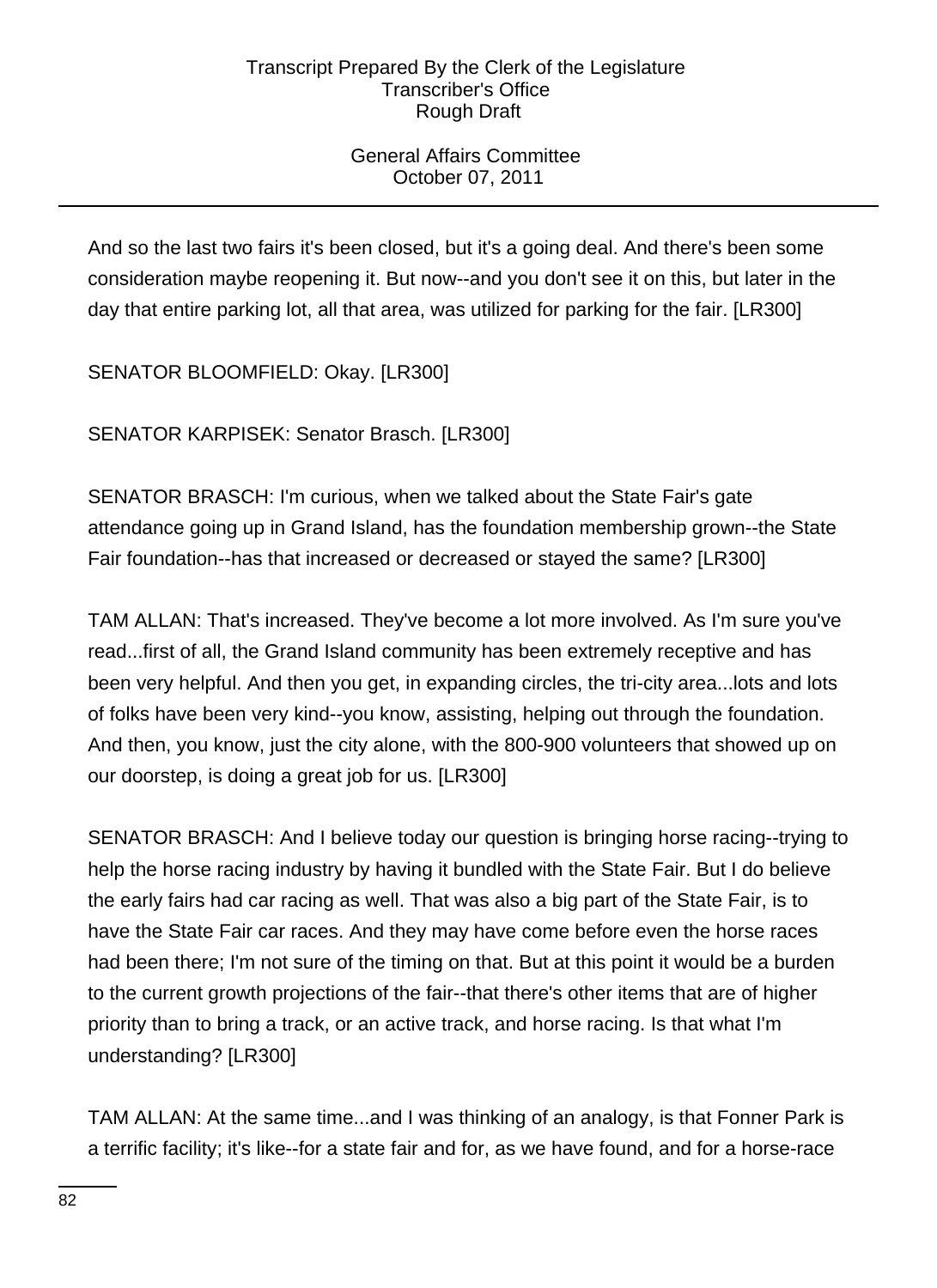# General Affairs Committee October 07, 2011

And so the last two fairs it's been closed, but it's a going deal. And there's been some consideration maybe reopening it. But now--and you don't see it on this, but later in the day that entire parking lot, all that area, was utilized for parking for the fair. [LR300]

SENATOR BLOOMFIELD: Okay. [LR300]

SENATOR KARPISEK: Senator Brasch. [LR300]

SENATOR BRASCH: I'm curious, when we talked about the State Fair's gate attendance going up in Grand Island, has the foundation membership grown--the State Fair foundation--has that increased or decreased or stayed the same? [LR300]

TAM ALLAN: That's increased. They've become a lot more involved. As I'm sure you've read...first of all, the Grand Island community has been extremely receptive and has been very helpful. And then you get, in expanding circles, the tri-city area...lots and lots of folks have been very kind--you know, assisting, helping out through the foundation. And then, you know, just the city alone, with the 800-900 volunteers that showed up on our doorstep, is doing a great job for us. [LR300]

SENATOR BRASCH: And I believe today our question is bringing horse racing--trying to help the horse racing industry by having it bundled with the State Fair. But I do believe the early fairs had car racing as well. That was also a big part of the State Fair, is to have the State Fair car races. And they may have come before even the horse races had been there; I'm not sure of the timing on that. But at this point it would be a burden to the current growth projections of the fair--that there's other items that are of higher priority than to bring a track, or an active track, and horse racing. Is that what I'm understanding? [LR300]

TAM ALLAN: At the same time...and I was thinking of an analogy, is that Fonner Park is a terrific facility; it's like--for a state fair and for, as we have found, and for a horse-race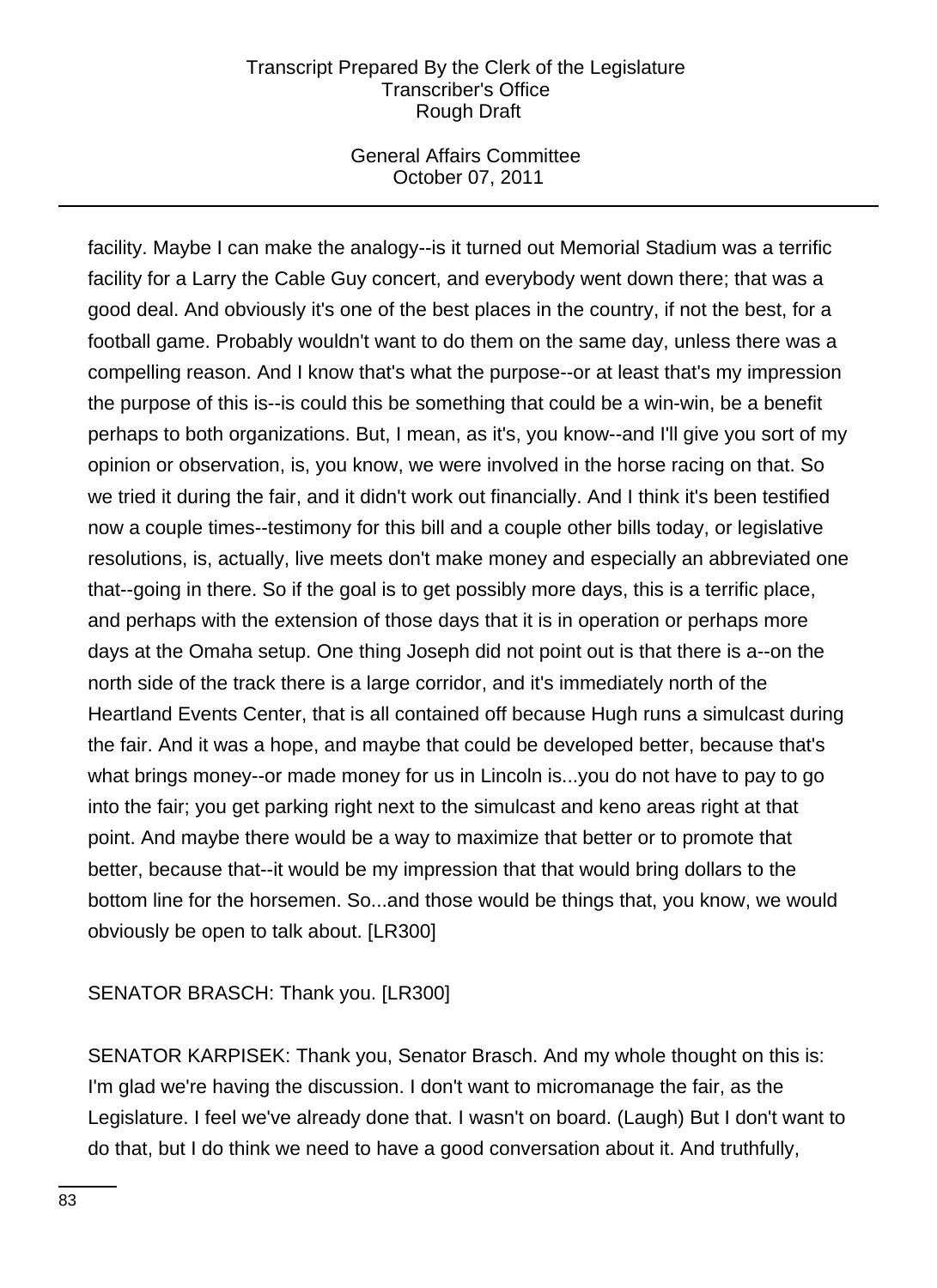## General Affairs Committee October 07, 2011

facility. Maybe I can make the analogy--is it turned out Memorial Stadium was a terrific facility for a Larry the Cable Guy concert, and everybody went down there; that was a good deal. And obviously it's one of the best places in the country, if not the best, for a football game. Probably wouldn't want to do them on the same day, unless there was a compelling reason. And I know that's what the purpose--or at least that's my impression the purpose of this is--is could this be something that could be a win-win, be a benefit perhaps to both organizations. But, I mean, as it's, you know--and I'll give you sort of my opinion or observation, is, you know, we were involved in the horse racing on that. So we tried it during the fair, and it didn't work out financially. And I think it's been testified now a couple times--testimony for this bill and a couple other bills today, or legislative resolutions, is, actually, live meets don't make money and especially an abbreviated one that--going in there. So if the goal is to get possibly more days, this is a terrific place, and perhaps with the extension of those days that it is in operation or perhaps more days at the Omaha setup. One thing Joseph did not point out is that there is a--on the north side of the track there is a large corridor, and it's immediately north of the Heartland Events Center, that is all contained off because Hugh runs a simulcast during the fair. And it was a hope, and maybe that could be developed better, because that's what brings money--or made money for us in Lincoln is...you do not have to pay to go into the fair; you get parking right next to the simulcast and keno areas right at that point. And maybe there would be a way to maximize that better or to promote that better, because that--it would be my impression that that would bring dollars to the bottom line for the horsemen. So...and those would be things that, you know, we would obviously be open to talk about. [LR300]

# SENATOR BRASCH: Thank you. [LR300]

SENATOR KARPISEK: Thank you, Senator Brasch. And my whole thought on this is: I'm glad we're having the discussion. I don't want to micromanage the fair, as the Legislature. I feel we've already done that. I wasn't on board. (Laugh) But I don't want to do that, but I do think we need to have a good conversation about it. And truthfully,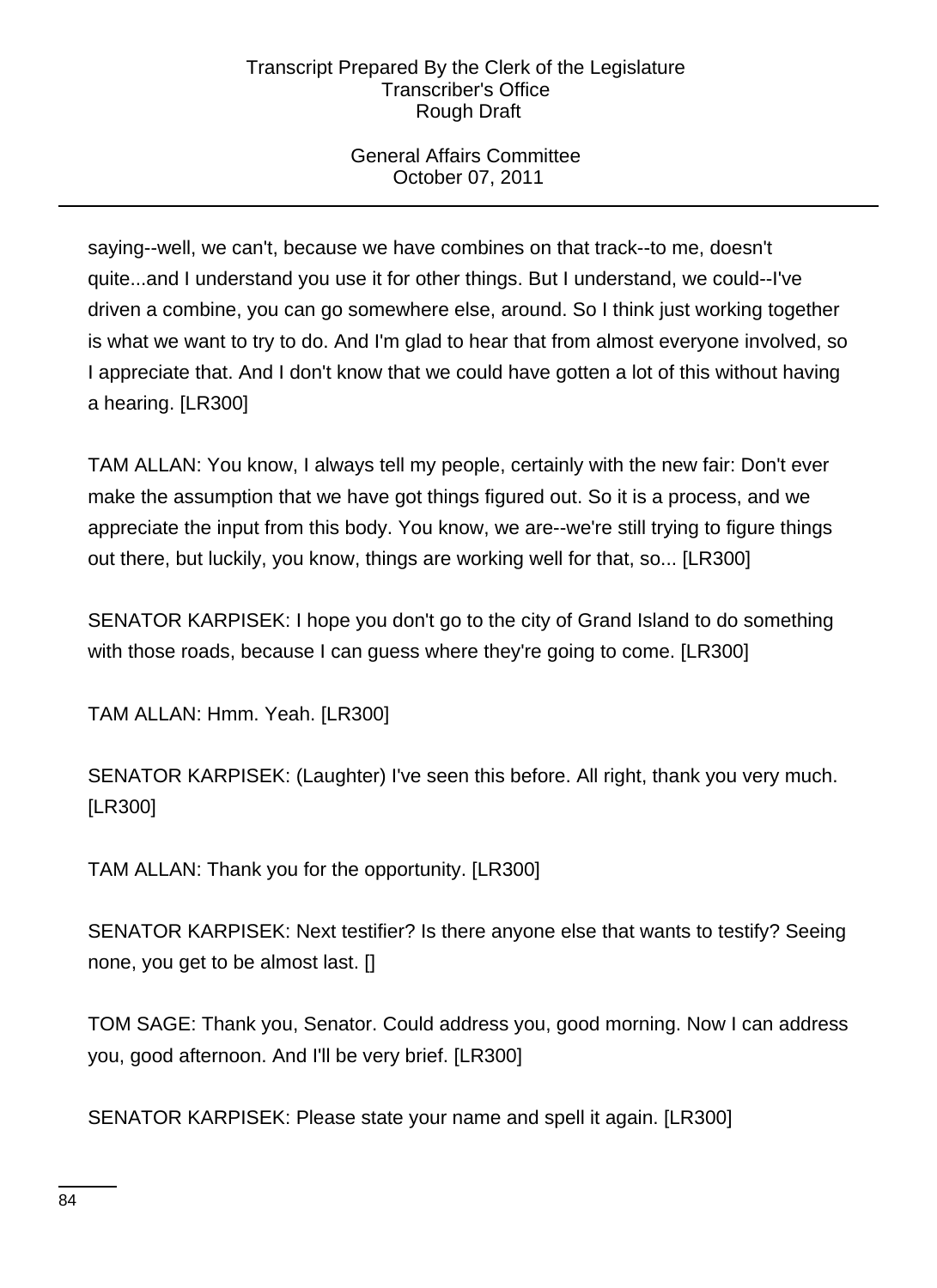# General Affairs Committee October 07, 2011

saying--well, we can't, because we have combines on that track--to me, doesn't quite...and I understand you use it for other things. But I understand, we could--I've driven a combine, you can go somewhere else, around. So I think just working together is what we want to try to do. And I'm glad to hear that from almost everyone involved, so I appreciate that. And I don't know that we could have gotten a lot of this without having a hearing. [LR300]

TAM ALLAN: You know, I always tell my people, certainly with the new fair: Don't ever make the assumption that we have got things figured out. So it is a process, and we appreciate the input from this body. You know, we are--we're still trying to figure things out there, but luckily, you know, things are working well for that, so... [LR300]

SENATOR KARPISEK: I hope you don't go to the city of Grand Island to do something with those roads, because I can guess where they're going to come. [LR300]

TAM ALLAN: Hmm. Yeah. [LR300]

SENATOR KARPISEK: (Laughter) I've seen this before. All right, thank you very much. [LR300]

TAM ALLAN: Thank you for the opportunity. [LR300]

SENATOR KARPISEK: Next testifier? Is there anyone else that wants to testify? Seeing none, you get to be almost last. []

TOM SAGE: Thank you, Senator. Could address you, good morning. Now I can address you, good afternoon. And I'll be very brief. [LR300]

SENATOR KARPISEK: Please state your name and spell it again. [LR300]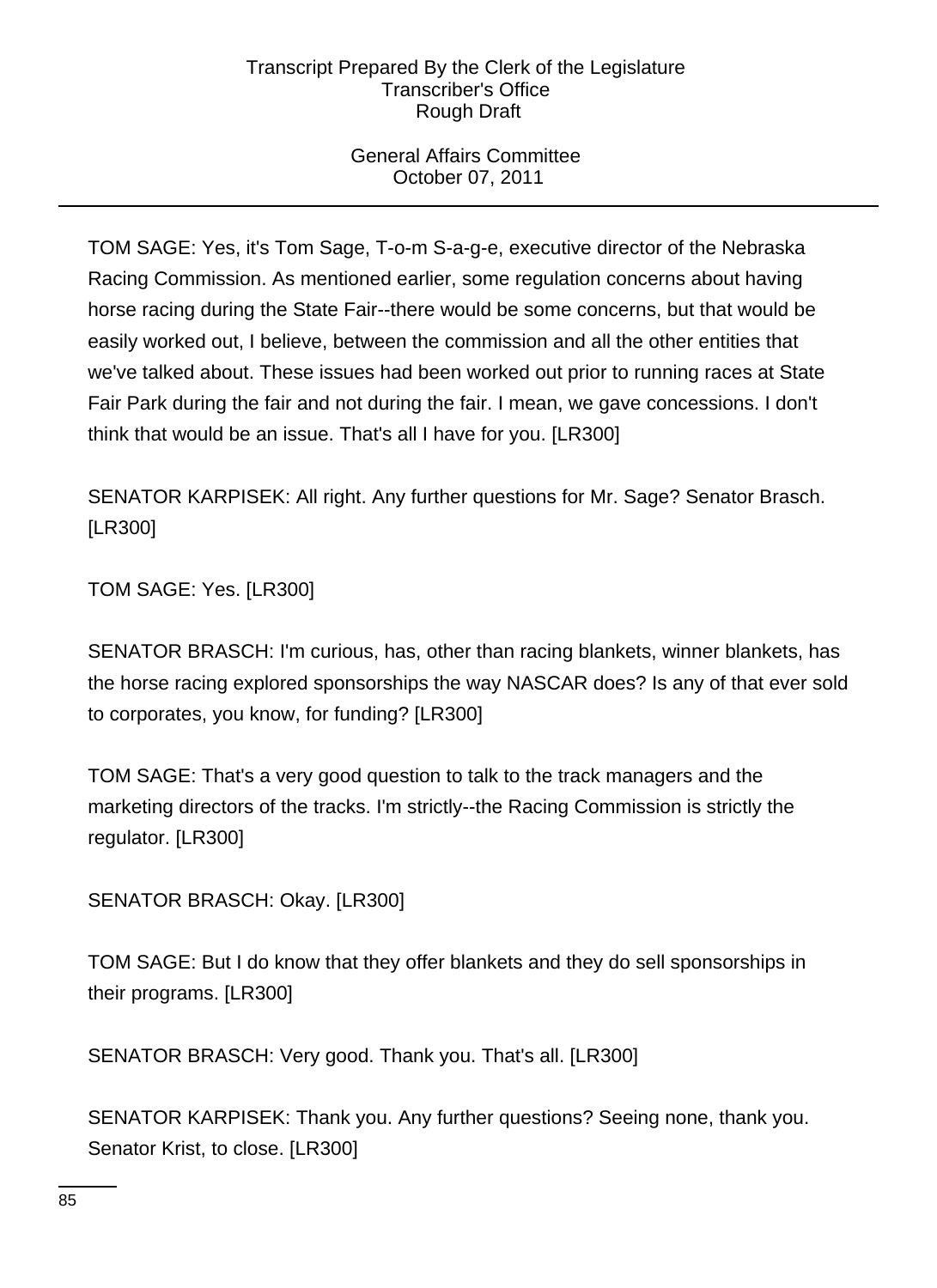# General Affairs Committee October 07, 2011

TOM SAGE: Yes, it's Tom Sage, T-o-m S-a-g-e, executive director of the Nebraska Racing Commission. As mentioned earlier, some regulation concerns about having horse racing during the State Fair--there would be some concerns, but that would be easily worked out, I believe, between the commission and all the other entities that we've talked about. These issues had been worked out prior to running races at State Fair Park during the fair and not during the fair. I mean, we gave concessions. I don't think that would be an issue. That's all I have for you. [LR300]

SENATOR KARPISEK: All right. Any further questions for Mr. Sage? Senator Brasch. [LR300]

TOM SAGE: Yes. [LR300]

SENATOR BRASCH: I'm curious, has, other than racing blankets, winner blankets, has the horse racing explored sponsorships the way NASCAR does? Is any of that ever sold to corporates, you know, for funding? [LR300]

TOM SAGE: That's a very good question to talk to the track managers and the marketing directors of the tracks. I'm strictly--the Racing Commission is strictly the regulator. [LR300]

SENATOR BRASCH: Okay. [LR300]

TOM SAGE: But I do know that they offer blankets and they do sell sponsorships in their programs. [LR300]

SENATOR BRASCH: Very good. Thank you. That's all. [LR300]

SENATOR KARPISEK: Thank you. Any further questions? Seeing none, thank you. Senator Krist, to close. [LR300]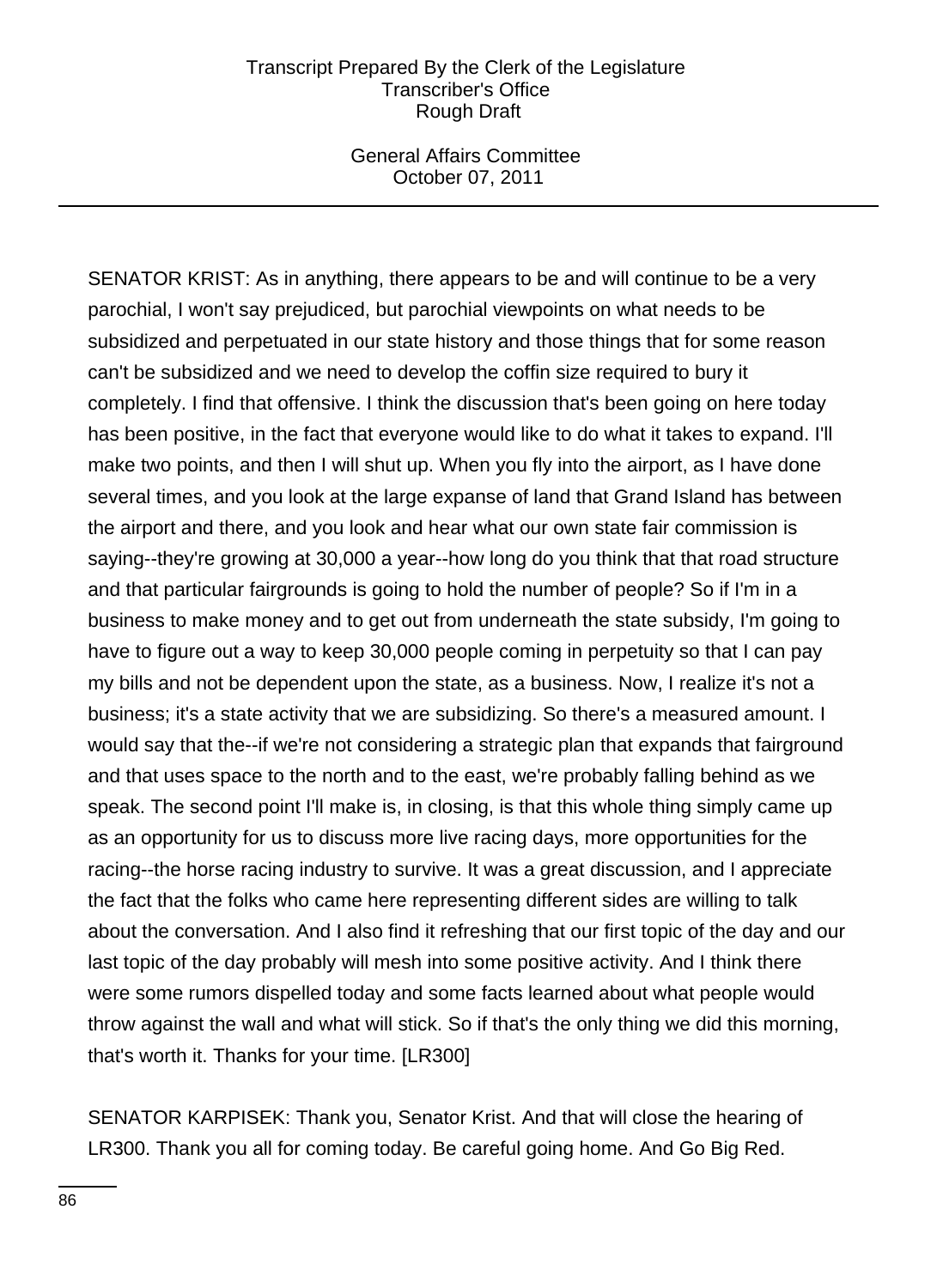General Affairs Committee October 07, 2011

SENATOR KRIST: As in anything, there appears to be and will continue to be a very parochial, I won't say prejudiced, but parochial viewpoints on what needs to be subsidized and perpetuated in our state history and those things that for some reason can't be subsidized and we need to develop the coffin size required to bury it completely. I find that offensive. I think the discussion that's been going on here today has been positive, in the fact that everyone would like to do what it takes to expand. I'll make two points, and then I will shut up. When you fly into the airport, as I have done several times, and you look at the large expanse of land that Grand Island has between the airport and there, and you look and hear what our own state fair commission is saying--they're growing at 30,000 a year--how long do you think that that road structure and that particular fairgrounds is going to hold the number of people? So if I'm in a business to make money and to get out from underneath the state subsidy, I'm going to have to figure out a way to keep 30,000 people coming in perpetuity so that I can pay my bills and not be dependent upon the state, as a business. Now, I realize it's not a business; it's a state activity that we are subsidizing. So there's a measured amount. I would say that the--if we're not considering a strategic plan that expands that fairground and that uses space to the north and to the east, we're probably falling behind as we speak. The second point I'll make is, in closing, is that this whole thing simply came up as an opportunity for us to discuss more live racing days, more opportunities for the racing--the horse racing industry to survive. It was a great discussion, and I appreciate the fact that the folks who came here representing different sides are willing to talk about the conversation. And I also find it refreshing that our first topic of the day and our last topic of the day probably will mesh into some positive activity. And I think there were some rumors dispelled today and some facts learned about what people would throw against the wall and what will stick. So if that's the only thing we did this morning, that's worth it. Thanks for your time. [LR300]

SENATOR KARPISEK: Thank you, Senator Krist. And that will close the hearing of LR300. Thank you all for coming today. Be careful going home. And Go Big Red.